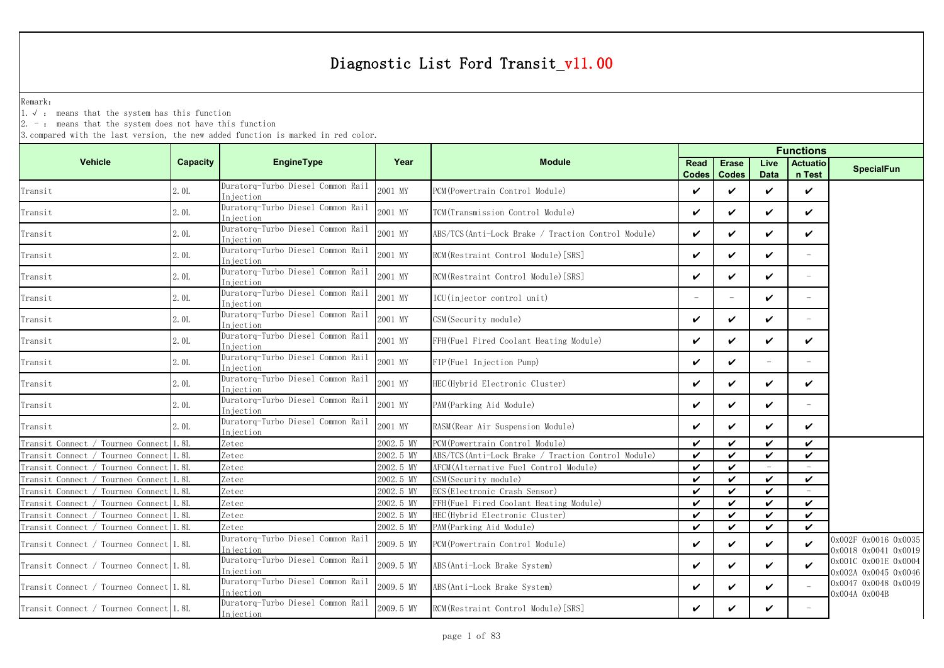Remark:

1.√ : means that the system has this function

 $2. -$ : means that the system does not have this function

| <b>Vehicle</b><br>EngineType<br>Capacity<br>Year<br><b>Module</b><br><b>Erase</b><br>Live<br><b>Actuatio</b><br>Read<br><b>SpecialFun</b><br>n Test<br><b>Codes</b><br><b>Codes</b><br><b>Data</b><br>Duratorq-Turbo Diesel Common Rail<br>2.0L<br>2001 MY<br>PCM (Powertrain Control Module)<br>$\checkmark$<br>✓<br>✓<br>$\checkmark$<br>Injection<br>Duratorq-Turbo Diesel Common Rail<br>2001 MY<br>2.0L<br>TCM(Transmission Control Module)<br>V<br>✓<br>$\checkmark$<br>✓<br>Transit<br>Injection<br>Duratorg-Turbo Diesel Common Rail<br>2001 MY<br>2.0L<br>ABS/TCS(Anti-Lock Brake / Traction Control Module)<br>$\checkmark$<br>✓<br>✓<br>$\checkmark$<br>Transit<br>Injection<br>Duratorq-Turbo Diesel Common Rail<br>2001 MY<br>2.0L<br>RCM (Restraint Control Module) [SRS]<br>$\checkmark$<br>✓<br>✓<br>Injection<br>Duratorq-Turbo Diesel Common Rail<br>2001 MY<br>2.0L<br>RCM (Restraint Control Module) [SRS]<br>$\checkmark$<br>✓<br>✓<br>$\overline{\phantom{a}}$<br>Injection<br>Duratorq-Turbo Diesel Common Rail<br>2001 MY<br>2.0L<br>ICU(injector control unit)<br>✓<br>Transit<br>$\overline{\phantom{m}}$<br>$\overline{\phantom{0}}$<br>Injection<br>Duratorg-Turbo Diesel Common Rail<br>2001 MY<br>2.0L<br>CSM (Security module)<br>V<br>✓<br>✓<br>Transit<br>÷,<br>Injection<br>Duratorq-Turbo Diesel Common Rail<br>2001 MY<br>2.0L<br>$\checkmark$<br>✓<br>FFH(Fuel Fired Coolant Heating Module)<br>✓<br>✓<br>Injection<br>Duratorq-Turbo Diesel Common Rail<br>2001 MY<br>2.0L<br>FIP(Fuel Injection Pump)<br>$\checkmark$<br>✓<br>$\overline{\phantom{a}}$<br>Injection<br>Duratorq-Turbo Diesel Common Rail<br>2001 MY<br>2.0L<br>HEC (Hybrid Electronic Cluster)<br>$\checkmark$<br>✓<br>✓<br>$\checkmark$<br>Transit<br>Injection<br>Duratorg-Turbo Diesel Common Rail<br>2001 MY<br>$\checkmark$<br>✓<br>$\checkmark$<br>2.0L<br>PAM (Parking Aid Module)<br>Injection<br>Duratorq-Turbo Diesel Common Rail<br>2001 MY<br>2. OL<br>RASM (Rear Air Suspension Module)<br>$\checkmark$<br>✓<br>✓<br>✓<br>Injection<br>2002.5 MY<br>Transit Connect / Tourneo Connect<br>1.8L<br>Zetec<br>PCM (Powertrain Control Module)<br>$\checkmark$<br>✓<br>$\checkmark$<br>✓<br>2002.5 MY<br>✓<br>$\checkmark$<br>Tourneo Connect<br>1.8L<br>Zetec<br>ABS/TCS(Anti-Lock Brake / Traction Control Module)<br>$\checkmark$<br>$\boldsymbol{\nu}$<br>Transit Connect<br>Zetec<br>$\checkmark$<br>✓<br>2002.5 MY<br>AFCM(Alternative Fuel Control Module)<br>Transit Connect<br>Tourneo Connect<br>1.8L<br>$\equiv$<br>Zetec<br>CSM(Security module)<br>✓<br>Transit Connect<br>1.8L<br>2002.5 MY<br>$\checkmark$<br>✓<br>Tourneo Connec<br>$\checkmark$<br>ECS (Electronic Crash Sensor)<br>Tourneo Connect<br>1.8L<br>Zetec<br>2002.5 MY<br>$\checkmark$<br>✓<br>✓<br>Transit Connect<br>Tourneo Connect<br>1.8L<br>Zetec<br>2002.5 MY<br>FFH(Fuel Fired Coolant Heating Module)<br>$\checkmark$<br>✓<br>$\checkmark$<br>$\checkmark$<br>Transit Connect<br>HEC (Hybrid Electronic Cluster)<br>$\checkmark$<br>✓<br>Tourneo Connect<br>1.8L<br>Zetec<br>2002.5 MY<br>$\checkmark$<br>Transit Connect<br>✓<br>$\checkmark$<br>✓<br>✓<br>Tourneo Connect<br>1.8L<br>2002.5 MY<br>PAM(Parking Aid Module)<br>Transit Connect<br>Zetec<br>✓<br>Duratorg-Turbo Diesel Common Rail<br>0x002F 0x0016 0x0035<br>2009.5 MY<br>✓<br>✓<br>Transit Connect / Tourneo Connect 1.8L<br>$\checkmark$<br>$\boldsymbol{\nu}$<br>PCM (Powertrain Control Module)<br>Injection<br>0x0018 0x0041 0x0019<br>Duratorq-Turbo Diesel Common Rail<br>0x001C 0x001E 0x0004<br>Transit Connect / Tourneo Connect 1.8L<br>2009.5 MY<br>ABS (Anti-Lock Brake System)<br>V<br>✓<br>✓<br>✓<br>Injection<br>0x002A 0x0045 0x0046<br>Duratorq-Turbo Diesel Common Rail<br>0x0047 0x0048 0x0049<br>2009.5 MY<br>Transit Connect / Tourneo Connect 1.8L<br>ABS (Anti-Lock Brake System)<br>$\checkmark$<br>✓<br>✓<br>Injection<br>0x004A 0x004B<br>Duratorq-Turbo Diesel Common Rail<br>2009.5 MY<br>$\checkmark$<br>Transit Connect / Tourneo Connect 1.8L<br>RCM (Restraint Control Module) [SRS]<br>✓<br>✓<br>Injection |         |  |  | <b>Functions</b> |  |  |  |  |  |  |
|------------------------------------------------------------------------------------------------------------------------------------------------------------------------------------------------------------------------------------------------------------------------------------------------------------------------------------------------------------------------------------------------------------------------------------------------------------------------------------------------------------------------------------------------------------------------------------------------------------------------------------------------------------------------------------------------------------------------------------------------------------------------------------------------------------------------------------------------------------------------------------------------------------------------------------------------------------------------------------------------------------------------------------------------------------------------------------------------------------------------------------------------------------------------------------------------------------------------------------------------------------------------------------------------------------------------------------------------------------------------------------------------------------------------------------------------------------------------------------------------------------------------------------------------------------------------------------------------------------------------------------------------------------------------------------------------------------------------------------------------------------------------------------------------------------------------------------------------------------------------------------------------------------------------------------------------------------------------------------------------------------------------------------------------------------------------------------------------------------------------------------------------------------------------------------------------------------------------------------------------------------------------------------------------------------------------------------------------------------------------------------------------------------------------------------------------------------------------------------------------------------------------------------------------------------------------------------------------------------------------------------------------------------------------------------------------------------------------------------------------------------------------------------------------------------------------------------------------------------------------------------------------------------------------------------------------------------------------------------------------------------------------------------------------------------------------------------------------------------------------------------------------------------------------------------------------------------------------------------------------------------------------------------------------------------------------------------------------------------------------------------------------------------------------------------------------------------------------------------------------------------------------------------------------------------------------------------------------------------------------------------------------------------------------------------------------------------------------------------------------------------------------------------------------------------------------------------------------------------------------------------------------------------------------------------------------------------------------------------------------------------------------------------------------------------------------------------------------------------------|---------|--|--|------------------|--|--|--|--|--|--|
|                                                                                                                                                                                                                                                                                                                                                                                                                                                                                                                                                                                                                                                                                                                                                                                                                                                                                                                                                                                                                                                                                                                                                                                                                                                                                                                                                                                                                                                                                                                                                                                                                                                                                                                                                                                                                                                                                                                                                                                                                                                                                                                                                                                                                                                                                                                                                                                                                                                                                                                                                                                                                                                                                                                                                                                                                                                                                                                                                                                                                                                                                                                                                                                                                                                                                                                                                                                                                                                                                                                                                                                                                                                                                                                                                                                                                                                                                                                                                                                                                                                                                                                  |         |  |  |                  |  |  |  |  |  |  |
|                                                                                                                                                                                                                                                                                                                                                                                                                                                                                                                                                                                                                                                                                                                                                                                                                                                                                                                                                                                                                                                                                                                                                                                                                                                                                                                                                                                                                                                                                                                                                                                                                                                                                                                                                                                                                                                                                                                                                                                                                                                                                                                                                                                                                                                                                                                                                                                                                                                                                                                                                                                                                                                                                                                                                                                                                                                                                                                                                                                                                                                                                                                                                                                                                                                                                                                                                                                                                                                                                                                                                                                                                                                                                                                                                                                                                                                                                                                                                                                                                                                                                                                  | Transit |  |  |                  |  |  |  |  |  |  |
|                                                                                                                                                                                                                                                                                                                                                                                                                                                                                                                                                                                                                                                                                                                                                                                                                                                                                                                                                                                                                                                                                                                                                                                                                                                                                                                                                                                                                                                                                                                                                                                                                                                                                                                                                                                                                                                                                                                                                                                                                                                                                                                                                                                                                                                                                                                                                                                                                                                                                                                                                                                                                                                                                                                                                                                                                                                                                                                                                                                                                                                                                                                                                                                                                                                                                                                                                                                                                                                                                                                                                                                                                                                                                                                                                                                                                                                                                                                                                                                                                                                                                                                  |         |  |  |                  |  |  |  |  |  |  |
|                                                                                                                                                                                                                                                                                                                                                                                                                                                                                                                                                                                                                                                                                                                                                                                                                                                                                                                                                                                                                                                                                                                                                                                                                                                                                                                                                                                                                                                                                                                                                                                                                                                                                                                                                                                                                                                                                                                                                                                                                                                                                                                                                                                                                                                                                                                                                                                                                                                                                                                                                                                                                                                                                                                                                                                                                                                                                                                                                                                                                                                                                                                                                                                                                                                                                                                                                                                                                                                                                                                                                                                                                                                                                                                                                                                                                                                                                                                                                                                                                                                                                                                  |         |  |  |                  |  |  |  |  |  |  |
|                                                                                                                                                                                                                                                                                                                                                                                                                                                                                                                                                                                                                                                                                                                                                                                                                                                                                                                                                                                                                                                                                                                                                                                                                                                                                                                                                                                                                                                                                                                                                                                                                                                                                                                                                                                                                                                                                                                                                                                                                                                                                                                                                                                                                                                                                                                                                                                                                                                                                                                                                                                                                                                                                                                                                                                                                                                                                                                                                                                                                                                                                                                                                                                                                                                                                                                                                                                                                                                                                                                                                                                                                                                                                                                                                                                                                                                                                                                                                                                                                                                                                                                  | Transit |  |  |                  |  |  |  |  |  |  |
|                                                                                                                                                                                                                                                                                                                                                                                                                                                                                                                                                                                                                                                                                                                                                                                                                                                                                                                                                                                                                                                                                                                                                                                                                                                                                                                                                                                                                                                                                                                                                                                                                                                                                                                                                                                                                                                                                                                                                                                                                                                                                                                                                                                                                                                                                                                                                                                                                                                                                                                                                                                                                                                                                                                                                                                                                                                                                                                                                                                                                                                                                                                                                                                                                                                                                                                                                                                                                                                                                                                                                                                                                                                                                                                                                                                                                                                                                                                                                                                                                                                                                                                  | Transit |  |  |                  |  |  |  |  |  |  |
|                                                                                                                                                                                                                                                                                                                                                                                                                                                                                                                                                                                                                                                                                                                                                                                                                                                                                                                                                                                                                                                                                                                                                                                                                                                                                                                                                                                                                                                                                                                                                                                                                                                                                                                                                                                                                                                                                                                                                                                                                                                                                                                                                                                                                                                                                                                                                                                                                                                                                                                                                                                                                                                                                                                                                                                                                                                                                                                                                                                                                                                                                                                                                                                                                                                                                                                                                                                                                                                                                                                                                                                                                                                                                                                                                                                                                                                                                                                                                                                                                                                                                                                  |         |  |  |                  |  |  |  |  |  |  |
|                                                                                                                                                                                                                                                                                                                                                                                                                                                                                                                                                                                                                                                                                                                                                                                                                                                                                                                                                                                                                                                                                                                                                                                                                                                                                                                                                                                                                                                                                                                                                                                                                                                                                                                                                                                                                                                                                                                                                                                                                                                                                                                                                                                                                                                                                                                                                                                                                                                                                                                                                                                                                                                                                                                                                                                                                                                                                                                                                                                                                                                                                                                                                                                                                                                                                                                                                                                                                                                                                                                                                                                                                                                                                                                                                                                                                                                                                                                                                                                                                                                                                                                  |         |  |  |                  |  |  |  |  |  |  |
|                                                                                                                                                                                                                                                                                                                                                                                                                                                                                                                                                                                                                                                                                                                                                                                                                                                                                                                                                                                                                                                                                                                                                                                                                                                                                                                                                                                                                                                                                                                                                                                                                                                                                                                                                                                                                                                                                                                                                                                                                                                                                                                                                                                                                                                                                                                                                                                                                                                                                                                                                                                                                                                                                                                                                                                                                                                                                                                                                                                                                                                                                                                                                                                                                                                                                                                                                                                                                                                                                                                                                                                                                                                                                                                                                                                                                                                                                                                                                                                                                                                                                                                  | Transit |  |  |                  |  |  |  |  |  |  |
|                                                                                                                                                                                                                                                                                                                                                                                                                                                                                                                                                                                                                                                                                                                                                                                                                                                                                                                                                                                                                                                                                                                                                                                                                                                                                                                                                                                                                                                                                                                                                                                                                                                                                                                                                                                                                                                                                                                                                                                                                                                                                                                                                                                                                                                                                                                                                                                                                                                                                                                                                                                                                                                                                                                                                                                                                                                                                                                                                                                                                                                                                                                                                                                                                                                                                                                                                                                                                                                                                                                                                                                                                                                                                                                                                                                                                                                                                                                                                                                                                                                                                                                  | Transit |  |  |                  |  |  |  |  |  |  |
|                                                                                                                                                                                                                                                                                                                                                                                                                                                                                                                                                                                                                                                                                                                                                                                                                                                                                                                                                                                                                                                                                                                                                                                                                                                                                                                                                                                                                                                                                                                                                                                                                                                                                                                                                                                                                                                                                                                                                                                                                                                                                                                                                                                                                                                                                                                                                                                                                                                                                                                                                                                                                                                                                                                                                                                                                                                                                                                                                                                                                                                                                                                                                                                                                                                                                                                                                                                                                                                                                                                                                                                                                                                                                                                                                                                                                                                                                                                                                                                                                                                                                                                  |         |  |  |                  |  |  |  |  |  |  |
|                                                                                                                                                                                                                                                                                                                                                                                                                                                                                                                                                                                                                                                                                                                                                                                                                                                                                                                                                                                                                                                                                                                                                                                                                                                                                                                                                                                                                                                                                                                                                                                                                                                                                                                                                                                                                                                                                                                                                                                                                                                                                                                                                                                                                                                                                                                                                                                                                                                                                                                                                                                                                                                                                                                                                                                                                                                                                                                                                                                                                                                                                                                                                                                                                                                                                                                                                                                                                                                                                                                                                                                                                                                                                                                                                                                                                                                                                                                                                                                                                                                                                                                  | Transit |  |  |                  |  |  |  |  |  |  |
|                                                                                                                                                                                                                                                                                                                                                                                                                                                                                                                                                                                                                                                                                                                                                                                                                                                                                                                                                                                                                                                                                                                                                                                                                                                                                                                                                                                                                                                                                                                                                                                                                                                                                                                                                                                                                                                                                                                                                                                                                                                                                                                                                                                                                                                                                                                                                                                                                                                                                                                                                                                                                                                                                                                                                                                                                                                                                                                                                                                                                                                                                                                                                                                                                                                                                                                                                                                                                                                                                                                                                                                                                                                                                                                                                                                                                                                                                                                                                                                                                                                                                                                  | Transit |  |  |                  |  |  |  |  |  |  |
|                                                                                                                                                                                                                                                                                                                                                                                                                                                                                                                                                                                                                                                                                                                                                                                                                                                                                                                                                                                                                                                                                                                                                                                                                                                                                                                                                                                                                                                                                                                                                                                                                                                                                                                                                                                                                                                                                                                                                                                                                                                                                                                                                                                                                                                                                                                                                                                                                                                                                                                                                                                                                                                                                                                                                                                                                                                                                                                                                                                                                                                                                                                                                                                                                                                                                                                                                                                                                                                                                                                                                                                                                                                                                                                                                                                                                                                                                                                                                                                                                                                                                                                  |         |  |  |                  |  |  |  |  |  |  |
|                                                                                                                                                                                                                                                                                                                                                                                                                                                                                                                                                                                                                                                                                                                                                                                                                                                                                                                                                                                                                                                                                                                                                                                                                                                                                                                                                                                                                                                                                                                                                                                                                                                                                                                                                                                                                                                                                                                                                                                                                                                                                                                                                                                                                                                                                                                                                                                                                                                                                                                                                                                                                                                                                                                                                                                                                                                                                                                                                                                                                                                                                                                                                                                                                                                                                                                                                                                                                                                                                                                                                                                                                                                                                                                                                                                                                                                                                                                                                                                                                                                                                                                  |         |  |  |                  |  |  |  |  |  |  |
|                                                                                                                                                                                                                                                                                                                                                                                                                                                                                                                                                                                                                                                                                                                                                                                                                                                                                                                                                                                                                                                                                                                                                                                                                                                                                                                                                                                                                                                                                                                                                                                                                                                                                                                                                                                                                                                                                                                                                                                                                                                                                                                                                                                                                                                                                                                                                                                                                                                                                                                                                                                                                                                                                                                                                                                                                                                                                                                                                                                                                                                                                                                                                                                                                                                                                                                                                                                                                                                                                                                                                                                                                                                                                                                                                                                                                                                                                                                                                                                                                                                                                                                  |         |  |  |                  |  |  |  |  |  |  |
|                                                                                                                                                                                                                                                                                                                                                                                                                                                                                                                                                                                                                                                                                                                                                                                                                                                                                                                                                                                                                                                                                                                                                                                                                                                                                                                                                                                                                                                                                                                                                                                                                                                                                                                                                                                                                                                                                                                                                                                                                                                                                                                                                                                                                                                                                                                                                                                                                                                                                                                                                                                                                                                                                                                                                                                                                                                                                                                                                                                                                                                                                                                                                                                                                                                                                                                                                                                                                                                                                                                                                                                                                                                                                                                                                                                                                                                                                                                                                                                                                                                                                                                  |         |  |  |                  |  |  |  |  |  |  |
|                                                                                                                                                                                                                                                                                                                                                                                                                                                                                                                                                                                                                                                                                                                                                                                                                                                                                                                                                                                                                                                                                                                                                                                                                                                                                                                                                                                                                                                                                                                                                                                                                                                                                                                                                                                                                                                                                                                                                                                                                                                                                                                                                                                                                                                                                                                                                                                                                                                                                                                                                                                                                                                                                                                                                                                                                                                                                                                                                                                                                                                                                                                                                                                                                                                                                                                                                                                                                                                                                                                                                                                                                                                                                                                                                                                                                                                                                                                                                                                                                                                                                                                  |         |  |  |                  |  |  |  |  |  |  |
|                                                                                                                                                                                                                                                                                                                                                                                                                                                                                                                                                                                                                                                                                                                                                                                                                                                                                                                                                                                                                                                                                                                                                                                                                                                                                                                                                                                                                                                                                                                                                                                                                                                                                                                                                                                                                                                                                                                                                                                                                                                                                                                                                                                                                                                                                                                                                                                                                                                                                                                                                                                                                                                                                                                                                                                                                                                                                                                                                                                                                                                                                                                                                                                                                                                                                                                                                                                                                                                                                                                                                                                                                                                                                                                                                                                                                                                                                                                                                                                                                                                                                                                  |         |  |  |                  |  |  |  |  |  |  |
|                                                                                                                                                                                                                                                                                                                                                                                                                                                                                                                                                                                                                                                                                                                                                                                                                                                                                                                                                                                                                                                                                                                                                                                                                                                                                                                                                                                                                                                                                                                                                                                                                                                                                                                                                                                                                                                                                                                                                                                                                                                                                                                                                                                                                                                                                                                                                                                                                                                                                                                                                                                                                                                                                                                                                                                                                                                                                                                                                                                                                                                                                                                                                                                                                                                                                                                                                                                                                                                                                                                                                                                                                                                                                                                                                                                                                                                                                                                                                                                                                                                                                                                  |         |  |  |                  |  |  |  |  |  |  |
|                                                                                                                                                                                                                                                                                                                                                                                                                                                                                                                                                                                                                                                                                                                                                                                                                                                                                                                                                                                                                                                                                                                                                                                                                                                                                                                                                                                                                                                                                                                                                                                                                                                                                                                                                                                                                                                                                                                                                                                                                                                                                                                                                                                                                                                                                                                                                                                                                                                                                                                                                                                                                                                                                                                                                                                                                                                                                                                                                                                                                                                                                                                                                                                                                                                                                                                                                                                                                                                                                                                                                                                                                                                                                                                                                                                                                                                                                                                                                                                                                                                                                                                  |         |  |  |                  |  |  |  |  |  |  |
|                                                                                                                                                                                                                                                                                                                                                                                                                                                                                                                                                                                                                                                                                                                                                                                                                                                                                                                                                                                                                                                                                                                                                                                                                                                                                                                                                                                                                                                                                                                                                                                                                                                                                                                                                                                                                                                                                                                                                                                                                                                                                                                                                                                                                                                                                                                                                                                                                                                                                                                                                                                                                                                                                                                                                                                                                                                                                                                                                                                                                                                                                                                                                                                                                                                                                                                                                                                                                                                                                                                                                                                                                                                                                                                                                                                                                                                                                                                                                                                                                                                                                                                  |         |  |  |                  |  |  |  |  |  |  |
|                                                                                                                                                                                                                                                                                                                                                                                                                                                                                                                                                                                                                                                                                                                                                                                                                                                                                                                                                                                                                                                                                                                                                                                                                                                                                                                                                                                                                                                                                                                                                                                                                                                                                                                                                                                                                                                                                                                                                                                                                                                                                                                                                                                                                                                                                                                                                                                                                                                                                                                                                                                                                                                                                                                                                                                                                                                                                                                                                                                                                                                                                                                                                                                                                                                                                                                                                                                                                                                                                                                                                                                                                                                                                                                                                                                                                                                                                                                                                                                                                                                                                                                  |         |  |  |                  |  |  |  |  |  |  |
|                                                                                                                                                                                                                                                                                                                                                                                                                                                                                                                                                                                                                                                                                                                                                                                                                                                                                                                                                                                                                                                                                                                                                                                                                                                                                                                                                                                                                                                                                                                                                                                                                                                                                                                                                                                                                                                                                                                                                                                                                                                                                                                                                                                                                                                                                                                                                                                                                                                                                                                                                                                                                                                                                                                                                                                                                                                                                                                                                                                                                                                                                                                                                                                                                                                                                                                                                                                                                                                                                                                                                                                                                                                                                                                                                                                                                                                                                                                                                                                                                                                                                                                  |         |  |  |                  |  |  |  |  |  |  |
|                                                                                                                                                                                                                                                                                                                                                                                                                                                                                                                                                                                                                                                                                                                                                                                                                                                                                                                                                                                                                                                                                                                                                                                                                                                                                                                                                                                                                                                                                                                                                                                                                                                                                                                                                                                                                                                                                                                                                                                                                                                                                                                                                                                                                                                                                                                                                                                                                                                                                                                                                                                                                                                                                                                                                                                                                                                                                                                                                                                                                                                                                                                                                                                                                                                                                                                                                                                                                                                                                                                                                                                                                                                                                                                                                                                                                                                                                                                                                                                                                                                                                                                  |         |  |  |                  |  |  |  |  |  |  |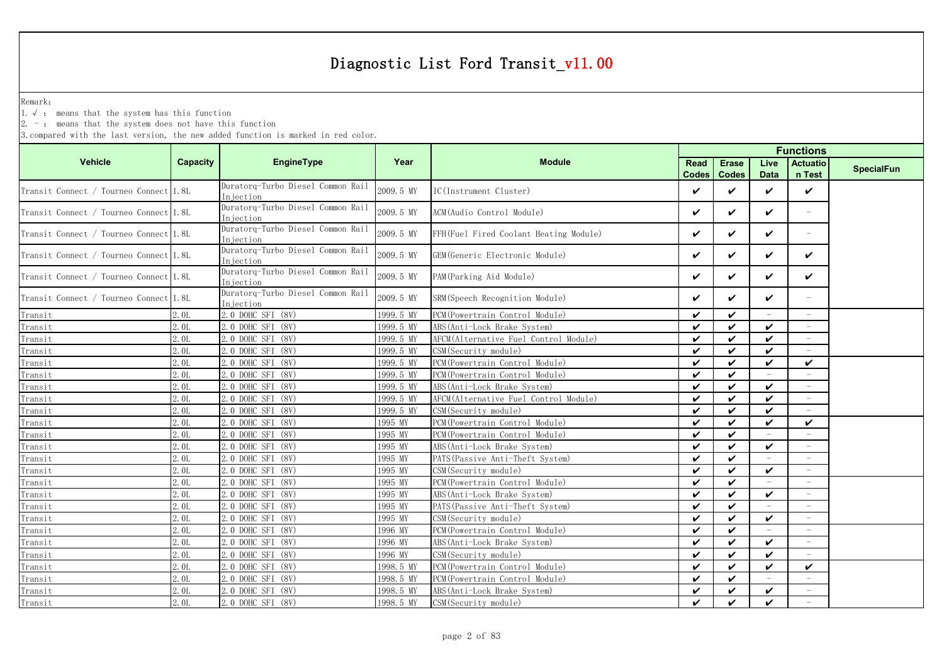Remark:

1.√ : means that the system has this function

 $2. -$ : means that the system does not have this function

|                                        |                 |                                                 |           |                                        | <b>Functions</b>   |                            |                          |                          |                   |
|----------------------------------------|-----------------|-------------------------------------------------|-----------|----------------------------------------|--------------------|----------------------------|--------------------------|--------------------------|-------------------|
| <b>Vehicle</b>                         | <b>Capacity</b> | <b>EngineType</b>                               | Year      | <b>Module</b>                          | Read               | <b>Erase</b>               | Live                     | <b>Actuatio</b>          | <b>SpecialFun</b> |
|                                        |                 |                                                 |           |                                        | <b>Codes</b>       | <b>Codes</b>               | <b>Data</b>              | n Test                   |                   |
| Transit Connect / Tourneo Connect 1.8L |                 | Duratorg-Turbo Diesel Common Rail<br>Injection  | 2009.5 MY | IC(Instrument Cluster)                 | V                  | ✓                          | ✓                        | ✓                        |                   |
| Transit Connect / Tourneo Connect 1.8L |                 | Duratorg-Turbo Diesel Common Rail<br>Injection  | 2009.5 MY | ACM (Audio Control Module)             | ✓                  | ✓                          | ✓                        | $\overline{\phantom{a}}$ |                   |
| Transit Connect / Tourneo Connect 1.8L |                 | Duratorq-Turbo Diesel Common Rail<br>In iection | 2009.5 MY | FFH(Fuel Fired Coolant Heating Module) | ✓                  | ✓                          | ✓                        | $\overline{\phantom{m}}$ |                   |
| Transit Connect / Tourneo Connect 1.8L |                 | Duratorg-Turbo Diesel Common Rail<br>Injection  | 2009.5 MY | GEM (Generic Electronic Module)        | ✓                  | ✓                          | ✓                        | ✓                        |                   |
| Transit Connect / Tourneo Connect 1.8L |                 | Duratorq-Turbo Diesel Common Rail<br>Injection  | 2009.5 MY | PAM (Parking Aid Module)               | ✓                  | ✓                          | ✓                        | ✓                        |                   |
| Transit Connect / Tourneo Connect 1.8L |                 | Duratorg-Turbo Diesel Common Rail<br>Injection  | 2009.5 MY | SRM (Speech Recognition Module)        | ✓                  | $\checkmark$               | ✓                        | $\overline{\phantom{a}}$ |                   |
| Transit                                | 2.0L            | 2.0 DOHC SFI (8V)                               | 1999.5 MY | PCM (Powertrain Control Module)        | $\boldsymbol{\nu}$ | $\boldsymbol{\nu}$         | $\overline{\phantom{a}}$ | $\overline{\phantom{a}}$ |                   |
| Transit                                | 2.0L            | 2.0 DOHC SFI (8V)                               | 1999.5 MY | ABS (Anti-Lock Brake System)           | ✓                  | ✓                          | ✓                        |                          |                   |
| Transit                                | 2.0L            | 2.0 DOHC SFI (8V)                               | 1999.5 MY | AFCM(Alternative Fuel Control Module)  | ✓                  | ✓                          | ✓                        |                          |                   |
| Transit                                | 2.0L            | 2.0 DOHC SFI (8V)                               | 1999.5 MY | CSM (Security module)                  | $\checkmark$       | $\boldsymbol{\mathcal{U}}$ | ✓                        |                          |                   |
| Transit                                | 2.0L            | 2.0 DOHC SFI (8V)                               | 1999.5 MY | PCM (Powertrain Control Module)        | ✓                  | $\checkmark$               | ✓                        | ✓                        |                   |
| Transit                                | 2.0L            | 2.0 DOHC SFI (8V)                               | 1999.5 MY | PCM (Powertrain Control Module)        | $\checkmark$       | $\checkmark$               |                          |                          |                   |
| Transit                                | 2.0L            | 2.0 DOHC SFI (8V)                               | 1999.5 MY | ABS (Anti-Lock Brake System)           | $\boldsymbol{\nu}$ | $\boldsymbol{\nu}$         | $\boldsymbol{\nu}$       |                          |                   |
| Transit                                | 2.0L            | 2.0 DOHC SFI (8V)                               | 1999.5 MY | AFCM (Alternative Fuel Control Module) | $\checkmark$       | $\checkmark$               | ✓                        |                          |                   |
| Transit                                | 2.0L            | 2.0 DOHC SFI (8V)                               | 1999.5 MY | CSM (Security module)                  | $\boldsymbol{\nu}$ | $\checkmark$               | $\checkmark$             |                          |                   |
| Transit                                | 2.0L            | 2.0 DOHC SFI (8V)                               | 1995 MY   | PCM (Powertrain Control Module)        | $\checkmark$       | $\checkmark$               | V                        | $\checkmark$             |                   |
| Transit                                | 2.0L            | 2.0 DOHC SFI (8V)                               | 1995 MY   | PCM (Powertrain Control Module)        | $\checkmark$       | $\checkmark$               | $\overline{\phantom{a}}$ | $\overline{\phantom{a}}$ |                   |
| Transit                                | 2.0L            | 2.0 DOHC SFI (8V)                               | 1995 MY   | ABS (Anti-Lock Brake System)           | ✓                  | $\checkmark$               | V                        | $\overline{\phantom{a}}$ |                   |
| $\label{eq:transit} \texttt{Transit}$  | 2.0L            | 2.0 DOHC SFI (8V)                               | 1995 MY   | PATS (Passive Anti-Theft System)       | ✓                  | ✓                          | $\equiv$                 | $\equiv$                 |                   |
| Transit                                | 2.0L            | 2.0 DOHC SFI (8V)                               | 1995 MY   | CSM (Security module)                  | ✓                  | $\boldsymbol{\nu}$         | ✓                        | $\overline{\phantom{m}}$ |                   |
| Transit                                | 2.0L            | 2.0 DOHC SFI (8V)                               | 1995 MY   | PCM (Powertrain Control Module)        | ✓                  | ✓                          | $\overline{\phantom{m}}$ |                          |                   |
| Transit                                | 2.0L            | 2.0 DOHC SFI (8V)                               | 1995 MY   | ABS (Anti-Lock Brake System)           | $\boldsymbol{\nu}$ | $\boldsymbol{\nu}$         | ✓                        |                          |                   |
| Transit                                | 2.0L            | 2.0 DOHC SFI (8V)                               | 1995 MY   | PATS (Passive Anti-Theft System)       | ✓                  | $\boldsymbol{\nu}$         |                          |                          |                   |
| Transit                                | 2.0L            | 2.0 DOHC SFI (8V)                               | 1995 MY   | CSM(Security module)                   | ✓                  | $\checkmark$               | ✓                        |                          |                   |
| Transit                                | 2.0L            | 2.0 DOHC SFI (8V)                               | 1996 MY   | PCM (Powertrain Control Module)        | ✓                  | $\boldsymbol{\nu}$         |                          | $\sim$                   |                   |
| $\label{eq:transit} \texttt{Transit}$  | 2.0L            | 2.0 DOHC SFI (8V)                               | 1996 MY   | ABS (Anti-Lock Brake System)           | $\boldsymbol{\nu}$ | $\boldsymbol{\nu}$         | $\checkmark$             | $\equiv$                 |                   |
| Transit                                | 2.0L            | 2.0 DOHC SFI (8V)                               | 1996 MY   | CSM (Security module)                  | $\boldsymbol{\nu}$ | $\boldsymbol{\nu}$         | $\boldsymbol{\nu}$       |                          |                   |
| $\label{eq:transit} \texttt{Transit}$  | 2.0L            | 2.0 DOHC SFI (8V)                               | 1998.5 MY | PCM (Powertrain Control Module)        | $\checkmark$       | $\checkmark$               | $\checkmark$             | ✓                        |                   |
| Transit                                | 2.01            | 2.0 DOHC SFI (8V)                               | 1998.5 MY | PCM (Powertrain Control Module)        | $\checkmark$       | $\checkmark$               | $\equiv$                 | $\equiv$                 |                   |
| Transit                                | 2.0L            | 2.0 DOHC SFI (8V)                               | 1998.5 MY | ABS (Anti-Lock Brake System)           | $\checkmark$       | $\checkmark$               | ✓                        | $\overline{\phantom{a}}$ |                   |
| Transit                                | 2.0L            | 2.0 DOHC SFI (8V)                               | 1998.5 MY | CSM (Security module)                  | ✓                  | ✓                          | ✓                        |                          |                   |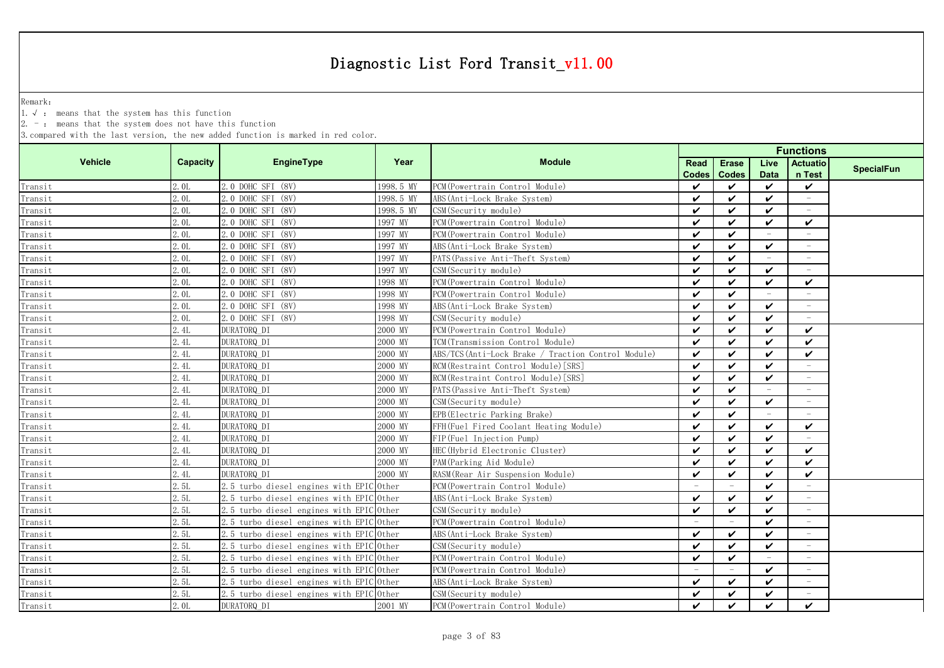Remark:

1.√ : means that the system has this function

2. - : means that the system does not have this function

|         |                 |                                          |           |                                                    |                          | <b>Functions</b>           |              |                          |                   |
|---------|-----------------|------------------------------------------|-----------|----------------------------------------------------|--------------------------|----------------------------|--------------|--------------------------|-------------------|
| Vehicle | <b>Capacity</b> | EngineType                               | Year      | <b>Module</b>                                      | Read                     | <b>Erase</b>               | Live         | <b>Actuatio</b>          | <b>SpecialFun</b> |
|         |                 |                                          |           |                                                    | <b>Codes</b>             | <b>Codes</b>               | <b>Data</b>  | n Test                   |                   |
| Transit | 2.0L            | 2.0 DOHC SFI (8V)                        | 1998.5 MY | PCM (Powertrain Control Module)                    | ✓                        | ✓                          | ✓            | $\checkmark$             |                   |
| Transit | 2.0L            | 2.0 DOHC SFI (8V)                        | 1998.5 MY | ABS (Anti-Lock Brake System)                       | $\checkmark$             | $\checkmark$               | ✓            | $\overline{\phantom{a}}$ |                   |
| Transit | 2.0L            | 2.0 DOHC SFI (8V)                        | 1998.5 MY | CSM (Security module)                              | $\checkmark$             | ✓                          | ✓            | $\overline{\phantom{a}}$ |                   |
| Transit | 2.0L            | 2.0 DOHC SFI (8V)                        | 1997 MY   | PCM (Powertrain Control Module)                    | $\checkmark$             | ✓                          | ✓            | $\checkmark$             |                   |
| Transit | 2.0L            | 2.0 DOHC SFI (8V)                        | 1997 MY   | PCM (Powertrain Control Module)                    | ✓                        | $\boldsymbol{\nu}$         |              | $\overline{\phantom{a}}$ |                   |
| Transit | 2.0L            | 2.0 DOHC SFI (8V)                        | 1997 MY   | ABS (Anti-Lock Brake System)                       | $\checkmark$             | $\checkmark$               | ✓            | $\overline{\phantom{a}}$ |                   |
| Transit | 2.0L            | 2.0 DOHC SFI (8V)                        | 1997 MY   | PATS (Passive Anti-Theft System)                   | $\checkmark$             | $\boldsymbol{\nu}$         |              |                          |                   |
| Transit | 2.0L            | 2.0 DOHC SFI (8V)                        | 1997 MY   | CSM(Security module)                               | $\checkmark$             | ✓                          | ✓            |                          |                   |
| Transit | 2.0L            | 2.0 DOHC SFI (8V)                        | 1998 MY   | PCM (Powertrain Control Module)                    | $\checkmark$             | $\boldsymbol{\nu}$         | ✓            | $\checkmark$             |                   |
| Transit | 2.0L            | 2.0 DOHC SFI (8V)                        | 1998 MY   | PCM (Powertrain Control Module)                    | $\checkmark$             | $\boldsymbol{\nu}$         |              |                          |                   |
| Transit | 2.0L            | 2.0 DOHC SFI (8V)                        | 1998 MY   | ABS (Anti-Lock Brake System)                       | $\boldsymbol{\nu}$       | $\boldsymbol{\nu}$         | ✓            | $\overline{\phantom{a}}$ |                   |
| Transit | 2.0L            | 2.0 DOHC SFI (8V)                        | 1998 MY   | CSM (Security module)                              | $\boldsymbol{\nu}$       | $\boldsymbol{\nu}$         | $\checkmark$ |                          |                   |
| Transit | 2.4L            | DURATORQ DI                              | 2000 MY   | PCM (Powertrain Control Module)                    | $\checkmark$             | $\boldsymbol{\nu}$         | $\checkmark$ | $\checkmark$             |                   |
| Transit | 2.4L            | DURATORQ DI                              | 2000 MY   | TCM (Transmission Control Module)                  | ✓                        | ✓                          | ✓            | $\boldsymbol{\nu}$       |                   |
| Transit | 2.4L            | DURATORQ DI                              | 2000 MY   | ABS/TCS(Anti-Lock Brake / Traction Control Module) | $\checkmark$             | ✓                          | ✓            | ✓                        |                   |
| Transit | 2.4L            | DURATORQ DI                              | 2000 MY   | RCM (Restraint Control Module) [SRS]               | $\checkmark$             | ✓                          | ✓            | $\overline{\phantom{a}}$ |                   |
| Transit | 2.4L            | DURATORQ DI                              | 2000 MY   | RCM (Restraint Control Module) [SRS]               | $\boldsymbol{\nu}$       | ✓                          | ✓            |                          |                   |
| Transit | 2.4L            | DURATORQ DI                              | 2000 MY   | PATS (Passive Anti-Theft System)                   | $\boldsymbol{\nu}$       | $\boldsymbol{\mathcal{U}}$ |              |                          |                   |
| Transit | 2.4L            | DURATORQ_DI                              | 2000 MY   | CSM(Security module)                               | $\checkmark$             | ✓                          | ✓            |                          |                   |
| Transit | 2.4L            | DURATORQ_DI                              | 2000 MY   | EPB(Electric Parking Brake)                        | $\checkmark$             | ✓                          |              |                          |                   |
| Transit | 2.4L            | DURATORQ DI                              | 2000 MY   | FFH(Fuel Fired Coolant Heating Module)             | $\checkmark$             | ✓                          | ✓            | ✓                        |                   |
| Transit | 2.4L            | DURATORQ DI                              | 2000 MY   | FIP (Fuel Injection Pump)                          | $\boldsymbol{\nu}$       | $\boldsymbol{\nu}$         | ✓            |                          |                   |
| Transit | 2.4L            | DURATORQ DI                              | 2000 MY   | HEC (Hybrid Electronic Cluster)                    | $\checkmark$             | $\boldsymbol{\nu}$         | $\checkmark$ | ✓                        |                   |
| Transit | 2.4L            | DURATORQ DI                              | 2000 MY   | PAM (Parking Aid Module)                           | $\checkmark$             | $\boldsymbol{\nu}$         | $\checkmark$ | $\checkmark$             |                   |
| Transit | 2.4L            | DURATORQ DI                              | 2000 MY   | RASM (Rear Air Suspension Module)                  | $\checkmark$             | ✓                          | V            | ✓                        |                   |
| Transit | 2.5L            | 2.5 turbo diesel engines with EPIC Other |           | PCM (Powertrain Control Module)                    | $\overline{\phantom{a}}$ | $=$                        | ✓            | $\overline{\phantom{a}}$ |                   |
| Transit | 2.5L            | 2.5 turbo diesel engines with EPIC Other |           | ABS (Anti-Lock Brake System)                       | $\checkmark$             | ✓                          | ✓            | $\overline{\phantom{a}}$ |                   |
| Transit | 2.5L            | 2.5 turbo diesel engines with EPIC Other |           | CSM(Security module)                               | ✓                        | ✓                          | ✓            | $\overline{\phantom{m}}$ |                   |
| Transit | 2.5L            | 2.5 turbo diesel engines with EPIC Other |           | PCM (Powertrain Control Module)                    | $\overline{\phantom{m}}$ |                            | ✓            | $\overline{\phantom{a}}$ |                   |
| Transit | 2.5L            | 2.5 turbo diesel engines with EPIC Other |           | ABS (Anti-Lock Brake System)                       | $\checkmark$             | $\boldsymbol{\nu}$         | ✓            | $\equiv$                 |                   |
| Transit | 2.5L            | 2.5 turbo diesel engines with EPIC Other |           | CSM(Security module)                               | $\checkmark$             | ✓                          | ✓            |                          |                   |
| Transit | 2.5L            | 2.5 turbo diesel engines with EPIC Other |           | PCM (Powertrain Control Module)                    | $\checkmark$             | ✓                          |              |                          |                   |
| Transit | 2.5L            | 2.5 turbo diesel engines with EPIC Other |           | PCM (Powertrain Control Module)                    |                          |                            | ✓            | $\overline{\phantom{a}}$ |                   |
| Transit | 2.5L            | 2.5 turbo diesel engines with EPIC Other |           | ABS (Anti-Lock Brake System)                       | $\checkmark$             | $\boldsymbol{\nu}$         | ✓            |                          |                   |
| Transit | 2.5L            | 2.5 turbo diesel engines with EPIC Other |           | CSM(Security module)                               | ✓                        | ✓                          | ✓            |                          |                   |
| Transit | 2.0L            | DURATORQ DI                              | 2001 MY   | PCM (Powertrain Control Module)                    | $\checkmark$             | ✓                          | V            | ✓                        |                   |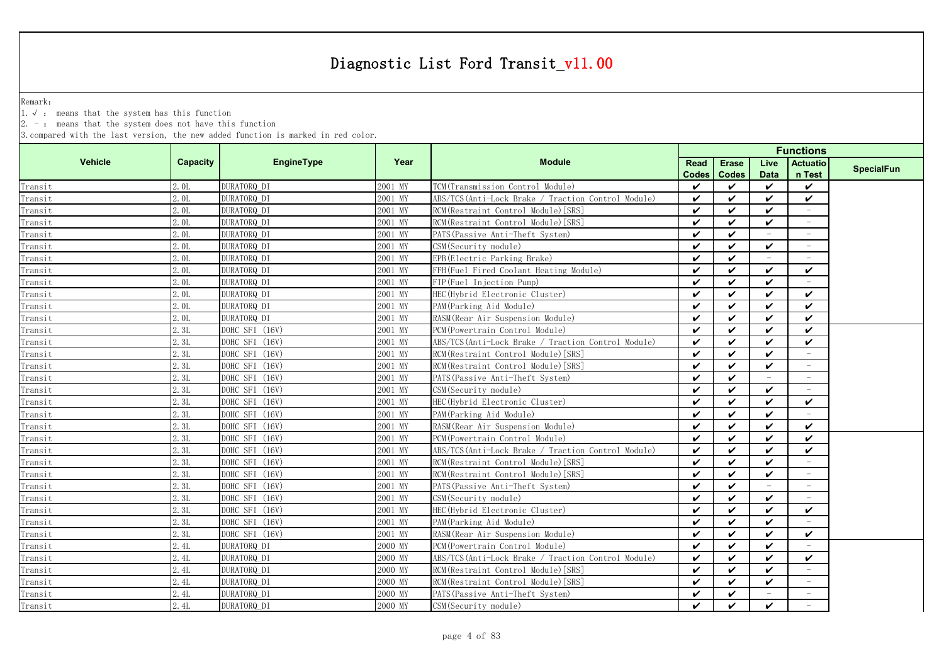Remark:

1.√ : means that the system has this function

2. - : means that the system does not have this function

|                                       |                 |                   |         |                                                     | <b>Functions</b>   |                    |                          |                          |                   |
|---------------------------------------|-----------------|-------------------|---------|-----------------------------------------------------|--------------------|--------------------|--------------------------|--------------------------|-------------------|
| <b>Vehicle</b>                        | <b>Capacity</b> | <b>EngineType</b> | Year    | <b>Module</b>                                       | Read               | <b>Erase</b>       | Live                     | <b>Actuatio</b>          | <b>SpecialFun</b> |
|                                       |                 |                   |         |                                                     | <b>Codes</b>       | <b>Codes</b>       | <b>Data</b>              | n Test                   |                   |
| Transit                               | 2.0L            | DURATORQ_DI       | 2001 MY | TCM (Transmission Control Module)                   | ✓                  | ✓                  | $\checkmark$             | $\checkmark$             |                   |
| Transit                               | 2.0L            | DURATORQ_DI       | 2001 MY | ABS/TCS (Anti-Lock Brake / Traction Control Module) | $\checkmark$       | ✓                  | $\checkmark$             | V                        |                   |
| Transit                               | 2.0L            | DURATORQ DI       | 2001 MY | RCM (Restraint Control Module) [SRS]                | $\boldsymbol{\nu}$ | ✓                  | $\checkmark$             | $\sim$                   |                   |
| Transit                               | 2.0L            | DURATORQ_DI       | 2001 MY | RCM (Restraint Control Module) [SRS]                | $\boldsymbol{\nu}$ | ✓                  | $\checkmark$             | $\overline{\phantom{a}}$ |                   |
| Transit                               | 2.0L            | DURATORQ_DI       | 2001 MY | PATS (Passive Anti-Theft System)                    | $\boldsymbol{\nu}$ | ✓                  |                          |                          |                   |
| $\label{eq:transit} \texttt{Transit}$ | 2.0L            | DURATORQ DI       | 2001 MY | CSM(Security module)                                | ✓                  | ✓                  | $\checkmark$             | $\overline{\phantom{a}}$ |                   |
| Transit                               | 2.0L            | DURATORQ DI       | 2001 MY | EPB(Electric Parking Brake)                         | $\checkmark$       | ✓                  |                          |                          |                   |
| Transit                               | 2.0L            | DURATORQ_DI       | 2001 MY | FFH(Fuel Fired Coolant Heating Module)              | $\boldsymbol{\nu}$ | ✓                  | $\checkmark$             | ✓                        |                   |
| Transit                               | 2.0L            | DURATORQ_DI       | 2001 MY | FIP (Fuel Injection Pump)                           | $\checkmark$       | $\boldsymbol{\nu}$ | $\checkmark$             |                          |                   |
| Transit                               | 2.0L            | DURATORQ_DI       | 2001 MY | HEC (Hybrid Electronic Cluster)                     | $\boldsymbol{\nu}$ | $\boldsymbol{\nu}$ | ✓                        | ✓                        |                   |
| Transit                               | 2.0L            | DURATORQ_DI       | 2001 MY | PAM (Parking Aid Module)                            | $\boldsymbol{\nu}$ | $\boldsymbol{\nu}$ | $\checkmark$             | ✓                        |                   |
| Transit                               | 2.0L            | DURATORQ_DI       | 2001 MY | RASM (Rear Air Suspension Module)                   | $\boldsymbol{\nu}$ | $\boldsymbol{\nu}$ | $\boldsymbol{\nu}$       | ✓                        |                   |
| $Transit$                             | 2.3L            | DOHC SFI (16V)    | 2001 MY | PCM (Powertrain Control Module)                     | $\checkmark$       | $\boldsymbol{\nu}$ | $\checkmark$             | $\checkmark$             |                   |
| Transit                               | 2.3L            | DOHC SFI (16V)    | 2001 MY | ABS/TCS(Anti-Lock Brake / Traction Control Module)  | ✓                  | ✓                  | $\checkmark$             | ✓                        |                   |
| Transit                               | 2.3L            | DOHC SFI (16V)    | 2001 MY | RCM (Restraint Control Module) [SRS]                | $\boldsymbol{\nu}$ | ✓                  | $\checkmark$             | $\equiv$                 |                   |
| Transit                               | 2.3L            | DOHC SFI (16V)    | 2001 MY | RCM (Restraint Control Module) [SRS]                | $\boldsymbol{\nu}$ | ✓                  | $\checkmark$             | $\overline{\phantom{a}}$ |                   |
| Transit                               | 2.3L            | DOHC SFI (16V)    | 2001 MY | PATS (Passive Anti-Theft System)                    | $\boldsymbol{\nu}$ | $\boldsymbol{\nu}$ |                          | $\overline{\phantom{a}}$ |                   |
| Transit                               | 2.3L            | DOHC SFI (16V)    | 2001 MY | CSM (Security module)                               | $\checkmark$       | $\boldsymbol{\nu}$ | $\checkmark$             |                          |                   |
| Transit                               | 2.3L            | DOHC SFI (16V)    | 2001 MY | HEC (Hybrid Electronic Cluster)                     | $\checkmark$       | ✓                  | $\checkmark$             | ✓                        |                   |
| Transit                               | 2.3L            | DOHC SFI (16V)    | 2001 MY | PAM (Parking Aid Module)                            | $\boldsymbol{\nu}$ | ✓                  | ✓                        |                          |                   |
| Transit                               | 2.3L            | DOHC SFI (16V)    | 2001 MY | RASM (Rear Air Suspension Module)                   | $\boldsymbol{\nu}$ | ✓                  | $\checkmark$             | ✓                        |                   |
| Transit                               | 2.3L            | DOHC SFI (16V)    | 2001 MY | PCM (Powertrain Control Module)                     | $\boldsymbol{\nu}$ | $\boldsymbol{\nu}$ | $\checkmark$             | $\checkmark$             |                   |
| Transit                               | 2.3L            | DOHC SFI (16V)    | 2001 MY | ABS/TCS (Anti-Lock Brake / Traction Control Module) | $\checkmark$       | $\boldsymbol{\nu}$ | $\checkmark$             | ✓                        |                   |
| Transit                               | 2.3L            | DOHC SFI (16V)    | 2001 MY | RCM (Restraint Control Module) [SRS]                | $\boldsymbol{\nu}$ | $\boldsymbol{\nu}$ | $\checkmark$             | $\sim$                   |                   |
| Transit                               | 2.3L            | DOHC SFI (16V)    | 2001 MY | RCM (Restraint Control Module) [SRS]                | $\checkmark$       | ✓                  | $\checkmark$             | $\overline{\phantom{a}}$ |                   |
| Transit                               | 2.3L            | DOHC SFI (16V)    | 2001 MY | PATS (Passive Anti-Theft System)                    | $\checkmark$       | ✓                  | $\overline{\phantom{a}}$ | $\sim$                   |                   |
| Transit                               | 2.3L            | DOHC SFI (16V)    | 2001 MY | CSM (Security module)                               | $\checkmark$       | ✓                  | ✓                        | $\overline{\phantom{a}}$ |                   |
| Transit                               | 2.3L            | DOHC SFI (16V)    | 2001 MY | HEC (Hybrid Electronic Cluster)                     | $\boldsymbol{\nu}$ | $\boldsymbol{\nu}$ | $\checkmark$             | ✓                        |                   |
| Transit                               | 2.3L            | DOHC SFI (16V)    | 2001 MY | PAM (Parking Aid Module)                            | $\boldsymbol{\nu}$ | ✓                  | ✓                        |                          |                   |
| Transit                               | 2.3L            | DOHC SFI (16V)    | 2001 MY | RASM (Rear Air Suspension Module)                   | $\checkmark$       | $\boldsymbol{\nu}$ | $\checkmark$             | $\checkmark$             |                   |
| Transit                               | 2.4L            | DURATORQ_DI       | 2000 MY | PCM (Powertrain Control Module)                     | $\checkmark$       | ✓                  | ✓                        |                          |                   |
| Transit                               | 2.4L            | DURATORQ_DI       | 2000 MY | ABS/TCS(Anti-Lock Brake / Traction Control Module)  | $\checkmark$       | ✓                  | $\checkmark$             | ✓                        |                   |
| Transit                               | 2.4L            | DURATORQ_DI       | 2000 MY | RCM (Restraint Control Module) [SRS]                | $\checkmark$       | ✓                  | $\checkmark$             | $\equiv$                 |                   |
| Transit                               | 2.4L            | DURATORQ DI       | 2000 MY | RCM (Restraint Control Module) [SRS]                | $\boldsymbol{\nu}$ | $\boldsymbol{\nu}$ | $\checkmark$             |                          |                   |
| Transit                               | 2.4L            | DURATORQ_DI       | 2000 MY | PATS (Passive Anti-Theft System)                    | ✓                  | ✓                  |                          |                          |                   |
| Transit                               | 2.4L            | DURATORQ DI       | 2000 MY | CSM (Security module)                               | $\checkmark$       | ✓                  | $\mathbf{v}$             |                          |                   |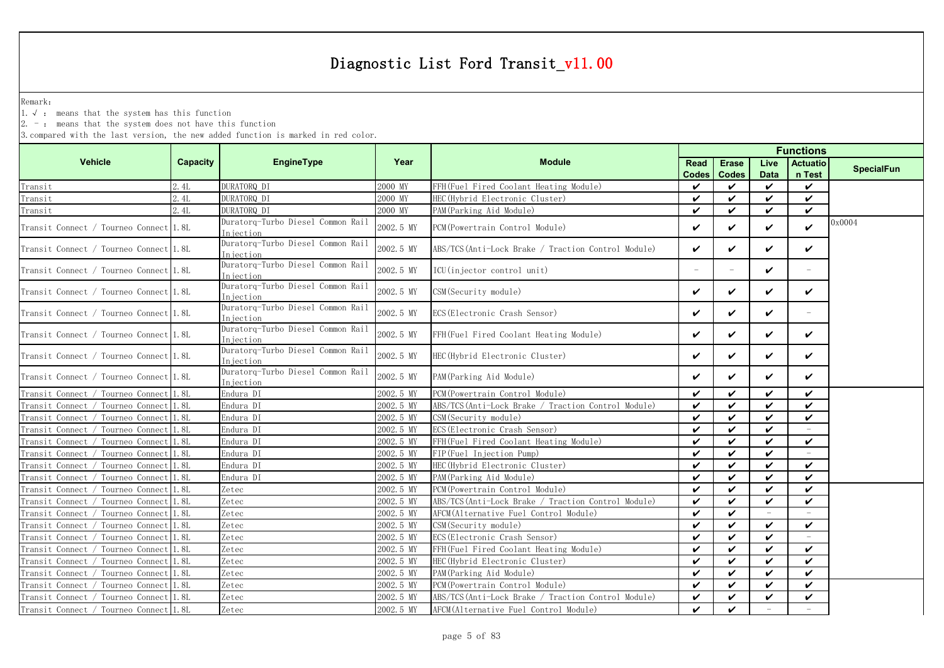Remark:

1.√ : means that the system has this function

 $2. -:$  means that the system does not have this function

|                                        |          |                                                |           |                                                     | <b>Functions</b>           |              |                          |                          |                   |
|----------------------------------------|----------|------------------------------------------------|-----------|-----------------------------------------------------|----------------------------|--------------|--------------------------|--------------------------|-------------------|
| <b>Vehicle</b>                         | Capacity | <b>EngineType</b>                              | Year      | <b>Module</b>                                       | Read                       | <b>Erase</b> | Live                     | <b>Actuatio</b>          | <b>SpecialFun</b> |
|                                        |          |                                                |           |                                                     | Codes                      | <b>Codes</b> | <b>Data</b>              | n Test                   |                   |
| Transit                                | 2.4L     | DURATORQ DI                                    | 2000 MY   | FFH(Fuel Fired Coolant Heating Module)              | V                          | ✓            | $\checkmark$             | ✓                        |                   |
| Transit                                | 2.4L     | DURATORQ DI                                    | 2000 MY   | HEC (Hybrid Electronic Cluster)                     | ✓                          | $\checkmark$ | ✓                        | ✓                        |                   |
| Transit                                | 2.4L     | DURATORQ DI                                    | 2000 MY   | PAM (Parking Aid Module)                            | ✓                          | ✓            | ✓                        | ✓                        |                   |
| Transit Connect / Tourneo Connect 1.8L |          | Duratorg-Turbo Diesel Common Rail<br>Injection | 2002.5 MY | PCM (Powertrain Control Module)                     | ✓                          | ✓            | ✓                        | ✓                        | 0x0004            |
| Transit Connect / Tourneo Connect 1.8L |          | Duratorq-Turbo Diesel Common Rail<br>Injection | 2002.5 MY | ABS/TCS(Anti-Lock Brake / Traction Control Module)  | ✓                          | ✓            | ✓                        | ✓                        |                   |
| Transit Connect / Tourneo Connect 1.8L |          | Duratorg-Turbo Diesel Common Rail<br>Injection | 2002.5 MY | ICU(injector control unit)                          |                            |              | ✓                        | $\overline{\phantom{a}}$ |                   |
| Transit Connect / Tourneo Connect 1.8L |          | Duratorq-Turbo Diesel Common Rail<br>Injection | 2002.5 MY | CSM (Security module)                               | ✓                          | ✓            | ✓                        | ✓                        |                   |
| Transit Connect / Tourneo Connect 1.8L |          | Duratorg-Turbo Diesel Common Rail<br>Injection | 2002.5 MY | ECS (Electronic Crash Sensor)                       | ✓                          | ✓            | ✓                        | $\overline{\phantom{a}}$ |                   |
| Transit Connect / Tourneo Connect 1.8L |          | Duratorg-Turbo Diesel Common Rail<br>Injection | 2002.5 MY | FFH(Fuel Fired Coolant Heating Module)              | ✓                          | ✓            | ✓                        | ✓                        |                   |
| Transit Connect / Tourneo Connect 1.8L |          | Duratorq-Turbo Diesel Common Rail<br>Injection | 2002.5 MY | HEC (Hybrid Electronic Cluster)                     | ✓                          | ✓            | ✓                        | ✓                        |                   |
| Transit Connect / Tourneo Connect 1.8L |          | Duratorq-Turbo Diesel Common Rail<br>Injection | 2002.5 MY | PAM (Parking Aid Module)                            | ✓                          | ✓            | ✓                        | ✓                        |                   |
| Transit Connect / Tourneo Connect 1.8L |          | Endura DI                                      | 2002.5 MY | PCM (Powertrain Control Module)                     | ✓                          | ✓            | ✓                        | ✓                        |                   |
| Transit Connect / Tourneo Connect      | 1.8L     | Endura DI                                      | 2002.5 MY | ABS/TCS (Anti-Lock Brake / Traction Control Module) | ✓                          | ✓            | ✓                        | ✓                        |                   |
| Transit Connect / Tourneo Connect 1.8L |          | Endura DI                                      | 2002.5 MY | CSM(Security module)                                | ✓                          | ✓            | ✓                        | ✓                        |                   |
| Transit Connect / Tourneo Connect      | 1.8L     | Endura DI                                      | 2002.5 MY | ECS (Electronic Crash Sensor)                       | ✓                          | ✓            | ✓                        |                          |                   |
| Transit Connect / Tourneo Connect      | 1.8L     | Endura DI                                      | 2002.5 MY | FFH(Fuel Fired Coolant Heating Module)              | ✓                          | ✓            | ✓                        | ✓                        |                   |
| Transit Connect / Tourneo Connect 1.8L |          | Endura DI                                      | 2002.5 MY | FIP(Fuel Injection Pump)                            | $\boldsymbol{\mathcal{U}}$ | $\checkmark$ | $\boldsymbol{\nu}$       | $\equiv$                 |                   |
| Transit Connect / Tourneo Connect 1.8L |          | Endura DI                                      | 2002.5 MY | HEC (Hybrid Electronic Cluster)                     | ✓                          | ✓            | $\boldsymbol{\nu}$       | ✓                        |                   |
| Tourneo Connect<br>Transit Connect     | 1.8L     | Endura DI                                      | 2002.5 MY | PAM (Parking Aid Module)                            | ✓                          | ✓            | ✓                        | ✓                        |                   |
| Transit Connect / Tourneo Connect      | 1.8L     | Zetec                                          | 2002.5 MY | PCM (Powertrain Control Module)                     | ✓                          | ✓            | ✓                        | ✓                        |                   |
| Transit Connect / Tourneo Connect      | 1.8L     | Zetec                                          | 2002.5 MY | ABS/TCS(Anti-Lock Brake / Traction Control Module)  | ✓                          | ✓            | ✓                        | ✓                        |                   |
| Transit Connect / Tourneo Connect      | 1.8L     | Zetec                                          | 2002.5 MY | AFCM(Alternative Fuel Control Module)               | ✓                          | ✓            |                          |                          |                   |
| / Tourneo Connect<br>Transit Connect   | 1.8L     | Zetec                                          | 2002.5 MY | CSM (Security module)                               | $\boldsymbol{\nu}$         | ✓            | $\boldsymbol{\nu}$       | $\checkmark$             |                   |
| Transit Connect / Tourneo Connect      | 1.8L     | Zetec                                          | 2002.5 MY | ECS(Electronic Crash Sensor)                        | ✓                          | ✓            | ✓                        |                          |                   |
| Transit Connect / Tourneo Connect      | 1.8L     | Zetec                                          | 2002.5 MY | FFH(Fuel Fired Coolant Heating Module)              | ✓                          | ✓            | ✓                        | ✓                        |                   |
| Transit Connect / Tourneo Connect      | 1.8L     | Zetec                                          | 2002.5 MY | HEC (Hybrid Electronic Cluster)                     | ✓                          | ✓            | ✓                        | ✓                        |                   |
| Transit Connect / Tourneo Connect 1.8L |          | Zetec                                          | 2002.5 MY | PAM (Parking Aid Module)                            | ✓                          | ✓            | ✓                        | ✓                        |                   |
| Transit Connect / Tourneo Connect      | 1.8L     | Zetec                                          | 2002.5 MY | PCM (Powertrain Control Module)                     | ✓                          | ✓            | ✓                        | ✓                        |                   |
| Tourneo Connec<br>Transit Connect      | 1.8L     | Zetec                                          | 2002.5 MY | ABS/TCS(Anti-Lock Brake / Traction Control Module)  | ✓                          | ✓            | ✓                        | ✓                        |                   |
| Transit Connect / Tourneo Connect 1.8L |          | Zetec                                          | 2002.5 MY | AFCM(Alternative Fuel Control Module)               | $\boldsymbol{\nu}$         |              | $\overline{\phantom{a}}$ |                          |                   |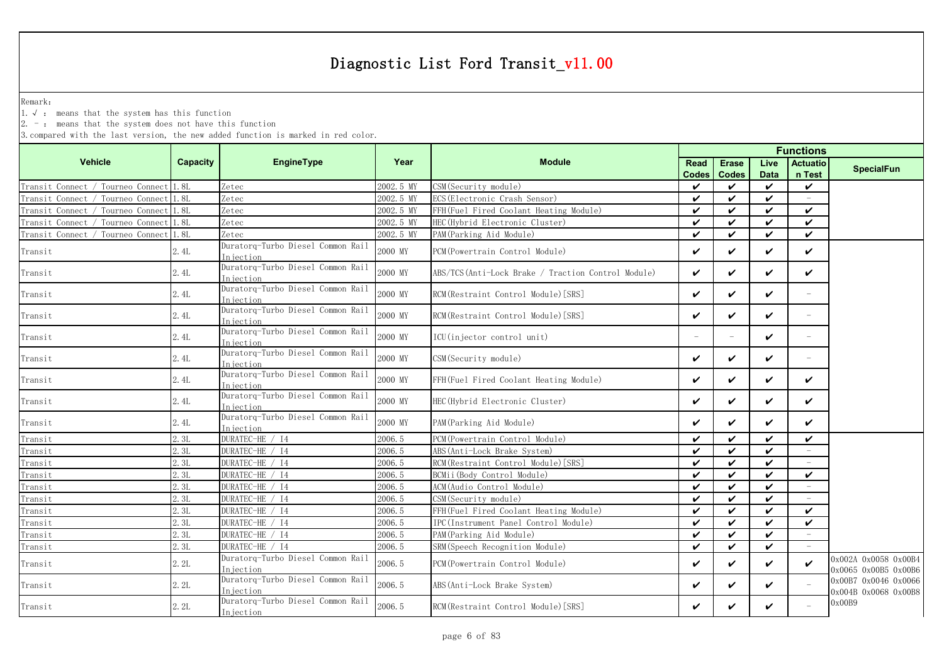Remark:

1.√ : means that the system has this function

 $2. -$ : means that the system does not have this function

|                                    |                 |                                                |           | <b>Functions</b>                                    |                          |                    |                            |                          |                                              |  |
|------------------------------------|-----------------|------------------------------------------------|-----------|-----------------------------------------------------|--------------------------|--------------------|----------------------------|--------------------------|----------------------------------------------|--|
| <b>Vehicle</b>                     | <b>Capacity</b> | EngineType                                     | Year      | <b>Module</b>                                       | <b>Read</b>              | <b>Erase</b>       | Live                       | <b>Actuatio</b>          |                                              |  |
|                                    |                 |                                                |           |                                                     | <b>Codes</b>             | <b>Codes</b>       | <b>Data</b>                | n Test                   | <b>SpecialFun</b>                            |  |
| Transit Connect / Tourneo Connect  | 1.8L            | Zetec                                          | 2002.5 MY | CSM(Security module)                                | V                        | ✓                  | $\checkmark$               | ✓                        |                                              |  |
| Transit Connect / Tourneo Connect  | 1.8L            | Zetec                                          | 2002.5 MY | ECS (Electronic Crash Sensor)                       | ✓                        | $\boldsymbol{\nu}$ | $\boldsymbol{\mathcal{U}}$ | $\overline{\phantom{m}}$ |                                              |  |
| Transit Connect / Tourneo Connect  | 1.8L            | Zetec                                          | 2002.5 MY | FFH(Fuel Fired Coolant Heating Module)              | ✓                        | ✓                  | ✓                          | ✓                        |                                              |  |
| Tourneo Connect<br>Transit Connect | 1.8L            | Zetec                                          | 2002.5 MY | HEC(Hybrid Electronic Cluster)                      | $\boldsymbol{\nu}$       | $\boldsymbol{\nu}$ | ✓                          | ✓                        |                                              |  |
| Tourneo Connect<br>Transit Connect | 1.8L            | Zetec                                          | 2002.5 MY | PAM (Parking Aid Module)                            | $\checkmark$             | $\boldsymbol{\nu}$ | $\boldsymbol{\nu}$         | $\checkmark$             |                                              |  |
| Transit                            | 2.4L            | Duratorq-Turbo Diesel Common Rail<br>Iniection | 2000 MY   | PCM(Powertrain Control Module)                      | $\checkmark$             | ✓                  | $\checkmark$               | ✓                        |                                              |  |
| Transit                            | 2.4L            | Duratorq-Turbo Diesel Common Rail<br>Injection | 2000 MY   | ABS/TCS (Anti-Lock Brake / Traction Control Module) | $\checkmark$             | ✓                  | $\checkmark$               | ✓                        |                                              |  |
| Transit                            | 2.4L            | Duratorg-Turbo Diesel Common Rail<br>Injection | 2000 MY   | RCM(Restraint Control Module)[SRS]                  | $\checkmark$             | ✓                  | $\checkmark$               | $\equiv$                 |                                              |  |
| Transit                            | 2.4L            | Duratorq-Turbo Diesel Common Rail<br>Injection | 2000 MY   | RCM(Restraint Control Module)[SRS]                  | $\checkmark$             | ✓                  | $\checkmark$               | $\overline{\phantom{m}}$ |                                              |  |
| Transit                            | 2.4L            | Duratorq-Turbo Diesel Common Rail<br>Injection | 2000 MY   | ICU(injector control unit)                          | $\overline{\phantom{0}}$ | $\equiv$           | $\checkmark$               | $\overline{\phantom{m}}$ |                                              |  |
| Transit                            | 2.4L            | Duratorq-Turbo Diesel Common Rail<br>Injection | 2000 MY   | CSM(Security module)                                | $\checkmark$             | ✓                  | $\checkmark$               | $\overline{\phantom{m}}$ |                                              |  |
| Transit                            | 2.4L            | Duratorq-Turbo Diesel Common Rail<br>Injection | 2000 MY   | FFH(Fuel Fired Coolant Heating Module)              | $\checkmark$             | ✓                  | $\checkmark$               | ✓                        |                                              |  |
| Transit                            | 2.4L            | Duratorq-Turbo Diesel Common Rail<br>Injection | 2000 MY   | HEC(Hybrid Electronic Cluster)                      | $\checkmark$             | ✓                  | $\checkmark$               | ✓                        |                                              |  |
| Transit                            | 2.4L            | Duratorq-Turbo Diesel Common Rail<br>Injection | 2000 MY   | PAM (Parking Aid Module)                            | $\checkmark$             | ✓                  | $\checkmark$               | ✓                        |                                              |  |
| Transit                            | 2.3L            | DURATEC-HE / I4                                | 2006.5    | PCM (Powertrain Control Module)                     | $\checkmark$             | $\boldsymbol{\nu}$ | $\checkmark$               | ✓                        |                                              |  |
| Transit                            | 2.3L            | DURATEC-HE / I4                                | 2006.5    | ABS (Anti-Lock Brake System)                        | $\boldsymbol{\nu}$       | $\boldsymbol{\nu}$ | $\boldsymbol{\nu}$         | $\overline{\phantom{m}}$ |                                              |  |
| Transit                            | 2.3L            | DURATEC-HE / I4                                | 2006.5    | RCM(Restraint Control Module) [SRS]                 | ✓                        | $\boldsymbol{\nu}$ | ✓                          |                          |                                              |  |
| Transit                            | 2.3L            | DURATEC-HE / I4                                | 2006.5    | BCMii(Body Control Module)                          | $\checkmark$             | $\boldsymbol{\nu}$ | $\boldsymbol{\nu}$         | $\checkmark$             |                                              |  |
| Transit                            | 2.3L            | DURATEC-HE / I4                                | 2006.5    | ACM(Audio Control Module)                           | ✓                        | ✓                  | ✓                          |                          |                                              |  |
| Transit                            | 2.3L            | DURATEC-HE / I4                                | 2006.5    | CSM (Security module)                               | ✓                        | ✓                  | $\checkmark$               |                          |                                              |  |
| Transit                            | 2.3L            | DURATEC-HE / I4                                | 2006.5    | FFH(Fuel Fired Coolant Heating Module)              | $\boldsymbol{\nu}$       | $\boldsymbol{\nu}$ | $\boldsymbol{\nu}$         | $\checkmark$             |                                              |  |
| Transit                            | 2.3L            | DURATEC-HE / I4                                | 2006.5    | IPC(Instrument Panel Control Module)                | $\checkmark$             | $\boldsymbol{\nu}$ | $\boldsymbol{\nu}$         | ✓                        |                                              |  |
| Transit                            | 2.3L            | DURATEC-HE / I4                                | 2006.5    | PAM (Parking Aid Module)                            | $\checkmark$             | $\boldsymbol{\nu}$ | $\checkmark$               | $\sim$                   |                                              |  |
| Transit                            | 2.3L            | DURATEC-HE / I4                                | 2006.5    | SRM (Speech Recognition Module)                     | $\checkmark$             | $\boldsymbol{\nu}$ | $\checkmark$               |                          |                                              |  |
| Transit                            | 2.2L            | Duratorq-Turbo Diesel Common Rail<br>Injection | 2006.5    | PCM(Powertrain Control Module)                      | ✓                        | ✓                  | $\checkmark$               | ✓                        | 0x002A 0x0058 0x00B4<br>0x0065 0x00B5 0x00B6 |  |
| Transit                            | 2.2L            | Duratorq-Turbo Diesel Common Rail<br>Injection | 2006.5    | ABS (Anti-Lock Brake System)                        | $\checkmark$             | ✓                  | $\checkmark$               |                          | 0x00B7 0x0046 0x0066<br>0x004B 0x0068 0x00B8 |  |
| Transit                            | 2.2L            | Duratorq-Turbo Diesel Common Rail<br>Injection | 2006.5    | RCM(Restraint Control Module)[SRS]                  | ✓                        | ✓                  | ✓                          |                          | 0x00B9                                       |  |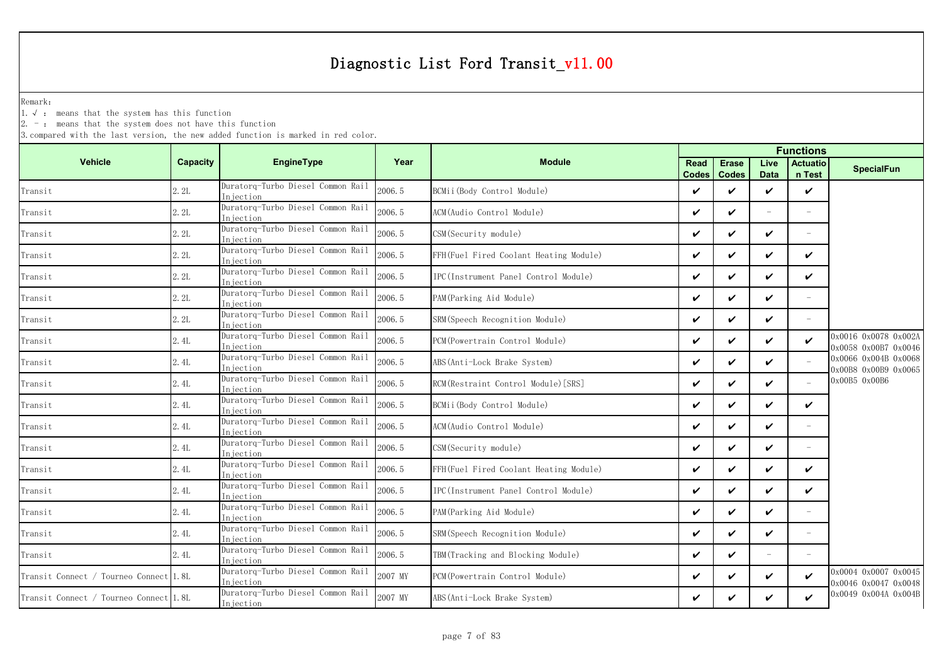Remark:

1.√ : means that the system has this function

 $2. -$ : means that the system does not have this function

|                                        |          |                                                 |         | <b>Functions</b>                       |                      |                              |                          |                           |                                              |  |
|----------------------------------------|----------|-------------------------------------------------|---------|----------------------------------------|----------------------|------------------------------|--------------------------|---------------------------|----------------------------------------------|--|
| <b>Vehicle</b>                         | Capacity | <b>EngineType</b>                               | Year    | <b>Module</b>                          | Read<br><b>Codes</b> | <b>Erase</b><br><b>Codes</b> | Live<br><b>Data</b>      | <b>Actuatio</b><br>n Test | <b>SpecialFun</b>                            |  |
| Transit                                | 2.2L     | Duratorq-Turbo Diesel Common Rail<br>Injection  | 2006.5  | BCMii (Body Control Module)            | ✓                    | ✓                            | ✓                        | $\checkmark$              |                                              |  |
| Transit                                | 2.2L     | Duratorq-Turbo Diesel Common Rail<br>In jection | 2006.5  | ACM (Audio Control Module)             | V                    | ✓                            | $\equiv$                 |                           |                                              |  |
| Transit                                | 2.2L     | Duratorg-Turbo Diesel Common Rail<br>Iniection  | 2006.5  | CSM(Security module)                   | V                    | ✓                            | ✓                        | $\overline{\phantom{m}}$  |                                              |  |
| Transit                                | 2.2L     | Duratorq-Turbo Diesel Common Rail<br>Injection  | 2006.5  | FFH(Fuel Fired Coolant Heating Module) | ✓                    | ✓                            | ✓                        | $\checkmark$              |                                              |  |
| Transit                                | 2.2L     | Duratorq-Turbo Diesel Common Rail<br>Injection  | 2006.5  | IPC(Instrument Panel Control Module)   | ✓                    | ✓                            | ✓                        | ✓                         |                                              |  |
| Transit                                | 2.2L     | Duratorq-Turbo Diesel Common Rail<br>Iniection  | 2006.5  | PAM(Parking Aid Module)                | ✓                    | ✓                            | ✓                        | $\overline{\phantom{m}}$  |                                              |  |
| Transit                                | 2.2L     | Duratorq-Turbo Diesel Common Rail<br>Injection  | 2006.5  | SRM (Speech Recognition Module)        | ✓                    | ✓                            | ✓                        |                           |                                              |  |
| Transit                                | 2.4L     | Duratorq-Turbo Diesel Common Rail<br>Injection  | 2006.5  | PCM (Powertrain Control Module)        | ✓                    | ✓                            | ✓                        | $\checkmark$              | 0x0016 0x0078 0x002A<br>0x0058 0x00B7 0x0046 |  |
| Transit                                | 2.4L     | Duratorq-Turbo Diesel Common Rail<br>Injection  | 2006.5  | ABS (Anti-Lock Brake System)           | V                    | ✓                            | ✓                        |                           | 0x0066 0x004B 0x0068<br>0x00B8 0x00B9 0x0065 |  |
| Transit                                | 2.4L     | Duratorq-Turbo Diesel Common Rail<br>Injection  | 2006.5  | RCM (Restraint Control Module) [SRS]   | ✓                    | ✓                            | ✓                        | $\overline{a}$            | 0x00B5 0x00B6                                |  |
| Transit                                | 2.4L     | Duratorq-Turbo Diesel Common Rail<br>Injection  | 2006.5  | BCMii(Body Control Module)             | ✓                    | ✓                            | ✓                        | ✓                         |                                              |  |
| Transit                                | 2.4L     | Duratorq-Turbo Diesel Common Rail<br>Injection  | 2006.5  | ACM (Audio Control Module)             | ✓                    | ✓                            | ✓                        |                           |                                              |  |
| Transit                                | 2.4L     | Duratorq-Turbo Diesel Common Rail<br>Injection  | 2006.5  | CSM (Security module)                  | V                    | ✓                            | ✓                        |                           |                                              |  |
| Transit                                | 2.4L     | Duratorg-Turbo Diesel Common Rail<br>In iection | 2006.5  | FFH(Fuel Fired Coolant Heating Module) | ✓                    | ✓                            | ✓                        | ✓                         |                                              |  |
| Transit                                | 2.4L     | Duratorq-Turbo Diesel Common Rail<br>Injection  | 2006.5  | IPC(Instrument Panel Control Module)   | V                    | ✓                            | ✓                        | $\checkmark$              |                                              |  |
| Transit                                | 2.4L     | Duratorq-Turbo Diesel Common Rail<br>In iection | 2006.5  | PAM (Parking Aid Module)               | ✓                    | ✓                            | ✓                        |                           |                                              |  |
| Transit                                | 2.4L     | Duratorq-Turbo Diesel Common Rail<br>Injection  | 2006.5  | SRM(Speech Recognition Module)         | ✓                    | ✓                            | ✓                        | $\equiv$                  |                                              |  |
| Transit                                | 2.4L     | Duratorq-Turbo Diesel Common Rail<br>Injection  | 2006.5  | TBM (Tracking and Blocking Module)     | ✓                    | ✓                            | $\overline{\phantom{a}}$ |                           |                                              |  |
| Transit Connect / Tourneo Connect 1.8L |          | Duratorq-Turbo Diesel Common Rail<br>Injection  | 2007 MY | PCM (Powertrain Control Module)        | ✓                    | ✓                            | ✓                        | V                         | 0x0004 0x0007 0x0045<br>0x0046 0x0047 0x0048 |  |
| Transit Connect / Tourneo Connect 1.8L |          | Duratorq-Turbo Diesel Common Rail<br>Injection  | 2007 MY | ABS (Anti-Lock Brake System)           | ✓                    | ✓                            | ✓                        | V                         | 0x0049 0x004A 0x004B                         |  |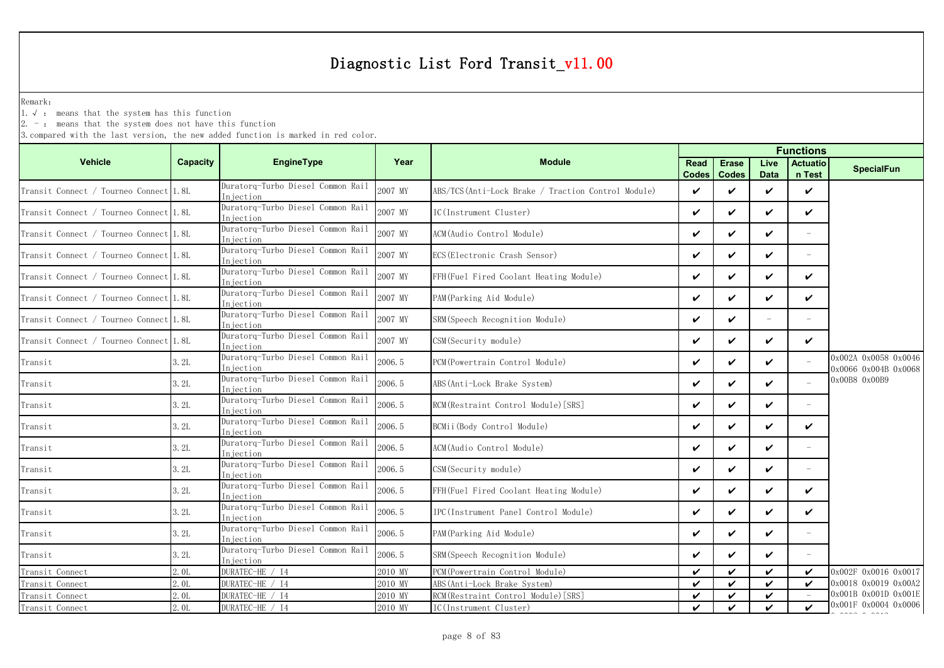Remark:

1.√ : means that the system has this function

2. - : means that the system does not have this function

|                                        |                 |                                                 |         |                                                    |                             |                              | <b>Functions</b>    |                           |                                              |
|----------------------------------------|-----------------|-------------------------------------------------|---------|----------------------------------------------------|-----------------------------|------------------------------|---------------------|---------------------------|----------------------------------------------|
| <b>Vehicle</b>                         | <b>Capacity</b> | <b>EngineType</b>                               | Year    | <b>Module</b>                                      | <b>Read</b><br><b>Codes</b> | <b>Erase</b><br><b>Codes</b> | Live<br><b>Data</b> | <b>Actuatio</b><br>n Test | <b>SpecialFun</b>                            |
| Transit Connect / Tourneo Connect      | 1.8L            | Duratorq-Turbo Diesel Common Rail<br>Injection  | 2007 MY | ABS/TCS(Anti-Lock Brake / Traction Control Module) | ✓                           | $\checkmark$                 | $\checkmark$        | $\checkmark$              |                                              |
| Transit Connect / Tourneo Connect 1.8L |                 | Duratorq-Turbo Diesel Common Rail<br>Iniection  | 2007 MY | IC(Instrument Cluster)                             | ✓                           | $\checkmark$                 | $\checkmark$        | $\checkmark$              |                                              |
| Transit Connect / Tourneo Connect 1.8L |                 | Duratorq-Turbo Diesel Common Rail<br>In iection | 2007 MY | ACM(Audio Control Module)                          | ✓                           | ✓                            | $\boldsymbol{\nu}$  |                           |                                              |
| Transit Connect / Tourneo Connect 1.8L |                 | Duratorq-Turbo Diesel Common Rail<br>Injection  | 2007 MY | ECS (Electronic Crash Sensor)                      | ✓                           | $\checkmark$                 | $\checkmark$        | ÷.                        |                                              |
| Transit Connect / Tourneo Connect 1.8L |                 | Duratorg-Turbo Diesel Common Rail<br>In iection | 2007 MY | FFH(Fuel Fired Coolant Heating Module)             | ✓                           | $\checkmark$                 | $\checkmark$        | ✓                         |                                              |
| Transit Connect / Tourneo Connect 1.8L |                 | Duratorq-Turbo Diesel Common Rail<br>Injection  | 2007 MY | PAM (Parking Aid Module)                           | ✓                           | ✓                            | $\checkmark$        | $\checkmark$              |                                              |
| Transit Connect / Tourneo Connect 1.8L |                 | Duratorq-Turbo Diesel Common Rail<br>Injection  | 2007 MY | SRM(Speech Recognition Module)                     | ✓                           | $\checkmark$                 | $\equiv$            | L.                        |                                              |
| Transit Connect / Tourneo Connect 1.8L |                 | Duratorg-Turbo Diesel Common Rail<br>In iection | 2007 MY | CSM(Security module)                               | $\checkmark$                | $\checkmark$                 | $\checkmark$        | $\checkmark$              |                                              |
| Transit                                | 3.2L            | Duratorq-Turbo Diesel Common Rail<br>Injection  | 2006.5  | PCM (Powertrain Control Module)                    | ✓                           | ✓                            | $\checkmark$        |                           | 0x002A 0x0058 0x0046<br>0x0066 0x004B 0x0068 |
| Transit                                | 3.2L            | Duratorq-Turbo Diesel Common Rail<br>Injection  | 2006.5  | ABS (Anti-Lock Brake System)                       | ✓                           | $\checkmark$                 | $\boldsymbol{\nu}$  |                           | 0x00B8 0x00B9                                |
| Transit                                | 3.2L            | Duratorg-Turbo Diesel Common Rail<br>Injection  | 2006.5  | RCM (Restraint Control Module) [SRS]               | ✓                           | ✓                            | ✓                   |                           |                                              |
| Transit                                | 3.2L            | Duratorq-Turbo Diesel Common Rail<br>Injection  | 2006.5  | BCMii(Body Control Module)                         | ✓                           | $\checkmark$                 | $\checkmark$        | $\checkmark$              |                                              |
| Transit                                | 3.2L            | Duratorq-Turbo Diesel Common Rail<br>Injection  | 2006.5  | ACM (Audio Control Module)                         | ✓                           | $\checkmark$                 | $\boldsymbol{\nu}$  | L,                        |                                              |
| Transit                                | 3.2L            | Duratorq-Turbo Diesel Common Rail<br>Injection  | 2006.5  | CSM (Security module)                              | ✓                           | ✓                            | $\checkmark$        |                           |                                              |
| Transit                                | 3.2L            | Duratorg-Turbo Diesel Common Rail<br>Injection  | 2006.5  | FFH(Fuel Fired Coolant Heating Module)             | ✓                           | $\checkmark$                 | $\checkmark$        | $\checkmark$              |                                              |
| Transit                                | 3.2L            | Duratorq-Turbo Diesel Common Rail<br>Injection  | 2006.5  | IPC(Instrument Panel Control Module)               | ✓                           | $\checkmark$                 | $\boldsymbol{\nu}$  | $\checkmark$              |                                              |
| Transit                                | 3.2L            | Duratorq-Turbo Diesel Common Rail<br>Injection  | 2006.5  | PAM (Parking Aid Module)                           | ✓                           | ✓                            | $\checkmark$        |                           |                                              |
| Transit                                | 3.2L            | Duratorq-Turbo Diesel Common Rail<br>Injection  | 2006.5  | SRM(Speech Recognition Module)                     | ✓                           | $\checkmark$                 | ✓                   |                           |                                              |
| Transit Connect                        | 2.0L            | DURATEC-HE / I4                                 | 2010 MY | PCM(Powertrain Control Module)                     | ✓                           | ✓                            | ✓                   | ✓                         | 0x002F 0x0016 0x0017                         |
| Transit Connect                        | 2.0L            | DURATEC-HE / I4                                 | 2010 MY | ABS (Anti-Lock Brake System)                       | ✓                           | $\checkmark$                 | $\checkmark$        | ✓                         | 0x0018 0x0019 0x00A2                         |
| Transit Connect                        | 2.0L            | DURATEC-HE / I4                                 | 2010 MY | RCM(Restraint Control Module) [SRS]                | ✓                           | $\checkmark$                 | $\checkmark$        |                           | 0x001B 0x001D 0x001E                         |
| Transit Connect                        | 2.0L            | DURATEC-HE / I4                                 | 2010 MY | IC(Instrument Cluster)                             | ✓                           | ✓                            | $\boldsymbol{\nu}$  | ✓                         | 0x001F 0x0004 0x0006                         |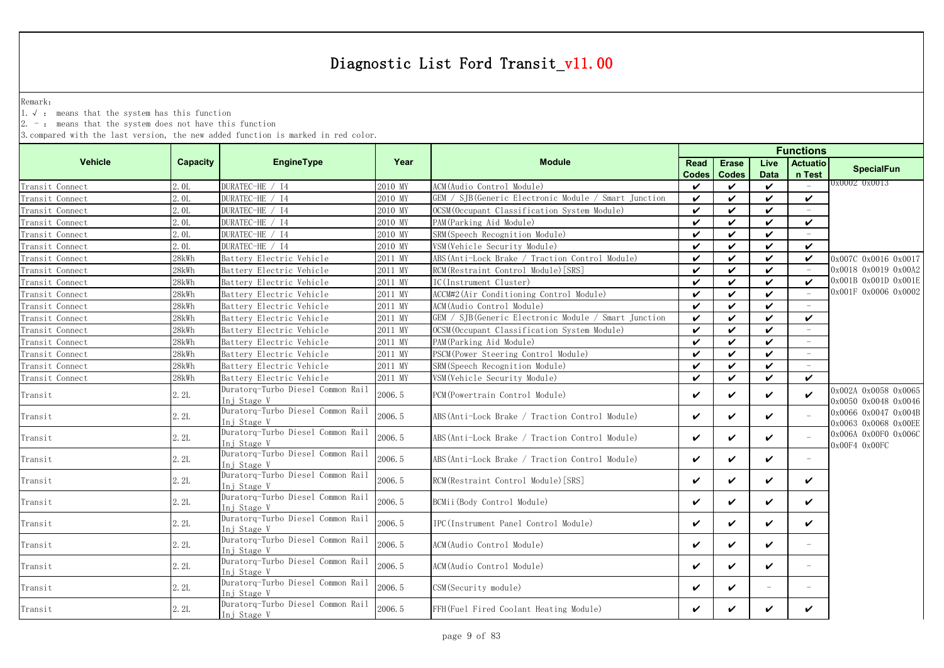Remark:

1.√ : means that the system has this function

 $2. -$ : means that the system does not have this function

|                 |                  |                                                  |         | <b>Functions</b>                                     |                             |                              |                          |                           |                                              |
|-----------------|------------------|--------------------------------------------------|---------|------------------------------------------------------|-----------------------------|------------------------------|--------------------------|---------------------------|----------------------------------------------|
| <b>Vehicle</b>  | Capacity         | EngineType                                       | Year    | <b>Module</b>                                        | <b>Read</b><br><b>Codes</b> | <b>Erase</b><br><b>Codes</b> | Live<br><b>Data</b>      | <b>Actuatio</b><br>n Test | <b>SpecialFun</b>                            |
| Transit Connect | 2.0L             | DURATEC-HE / I4                                  | 2010 MY | ACM (Audio Control Module)                           | $\checkmark$                | $\checkmark$                 | $\checkmark$             |                           | 0x0002 0x0013                                |
| Transit Connect | 2.0L             | DURATEC-HE / I4                                  | 2010 MY | GEM / SJB(Generic Electronic Module / Smart Junction | $\checkmark$                | $\checkmark$                 | $\checkmark$             | $\checkmark$              |                                              |
| Transit Connect | 2.0L             | DURATEC-HE / I4                                  | 2010 MY | OCSM (Occupant Classification System Module)         | $\checkmark$                | $\checkmark$                 | $\checkmark$             |                           |                                              |
| Transit Connect | 2.0 <sub>L</sub> | DURATEC-HE / I4                                  | 2010 MY | PAM(Parking Aid Module)                              | ✓                           | ✓                            | $\checkmark$             | $\checkmark$              |                                              |
| Transit Connect | 2.0L             | DURATEC-HE / I4                                  | 2010 MY | SRM (Speech Recognition Module)                      | $\checkmark$                | $\checkmark$                 | $\boldsymbol{\nu}$       |                           |                                              |
| Transit Connect | 2.0L             | DURATEC-HE / I4                                  | 2010 MY | VSM (Vehicle Security Module)                        | ✓                           | ✓                            | $\checkmark$             | $\checkmark$              |                                              |
| Transit Connect | 28kWh            | Battery Electric Vehicle                         | 2011 MY | ABS (Anti-Lock Brake / Traction Control Module)      | ✓                           | $\checkmark$                 | $\checkmark$             | $\checkmark$              | 0x007C 0x0016 0x0017                         |
| Transit Connect | 28kWh            | Battery Electric Vehicle                         | 2011 MY | RCM (Restraint Control Module) [SRS]                 | ✓                           | $\checkmark$                 | $\checkmark$             |                           | 0x0018 0x0019 0x00A2                         |
| Transit Connect | 28kWh            | Battery Electric Vehicle                         | 2011 MY | IC(Instrument Cluster)                               | ✓                           | $\checkmark$                 | $\checkmark$             | $\checkmark$              | 0x001B 0x001D 0x001E                         |
| Transit Connect | 28kWh            | Battery Electric Vehicle                         | 2011 MY | ACCM#2 (Air Conditioning Control Module)             | $\checkmark$                | $\checkmark$                 | $\checkmark$             |                           | 0x001F 0x0006 0x0002                         |
| Transit Connect | 28kWh            | Battery Electric Vehicle                         | 2011 MY | ACM(Audio Control Module)                            | ✓                           | $\checkmark$                 | $\boldsymbol{\nu}$       |                           |                                              |
| Transit Connect | 28kWh            | Battery Electric Vehicle                         | 2011 MY | GEM / SJB(Generic Electronic Module / Smart Junction | ✓                           | $\checkmark$                 | $\checkmark$             | ✓                         |                                              |
| Transit Connect | 28kWh            | Battery Electric Vehicle                         | 2011 MY | OCSM (Occupant Classification System Module)         | ✓                           | $\checkmark$                 | $\checkmark$             |                           |                                              |
| Transit Connect | 28kWh            | Battery Electric Vehicle                         | 2011 MY | PAM (Parking Aid Module)                             | ✓                           | $\checkmark$                 | $\boldsymbol{\nu}$       |                           |                                              |
| Transit Connect | 28kWh            | Battery Electric Vehicle                         | 2011 MY | PSCM (Power Steering Control Module)                 | ✓                           | $\checkmark$                 | $\checkmark$             |                           |                                              |
| Transit Connect | 28kWh            | Battery Electric Vehicle                         | 2011 MY | SRM(Speech Recognition Module)                       | $\checkmark$                | ✓                            | $\checkmark$             | $\equiv$                  |                                              |
| Transit Connect | 28kWh            | Battery Electric Vehicle                         | 2011 MY | VSM (Vehicle Security Module)                        | ✓                           | ✓                            | $\checkmark$             | $\checkmark$              |                                              |
| Transit         | 2.2L             | Duratorq-Turbo Diesel Common Rail<br>Inj Stage V | 2006.5  | PCM (Powertrain Control Module)                      | ✓                           | ✓                            | $\checkmark$             | $\checkmark$              | 0x002A 0x0058 0x0065<br>0x0050 0x0048 0x0046 |
| Transit         | 2.2L             | Duratorq-Turbo Diesel Common Rail<br>Inj Stage V | 2006.5  | ABS(Anti-Lock Brake / Traction Control Module)       | ✓                           | ✓                            | $\checkmark$             |                           | 0x0066 0x0047 0x004B<br>0x0063 0x0068 0x00EE |
| Transit         | 2.2L             | Duratorq-Turbo Diesel Common Rail<br>Inj Stage V | 2006.5  | ABS (Anti-Lock Brake / Traction Control Module)      | $\checkmark$                | ✓                            | $\checkmark$             |                           | 0x006A 0x00F0 0x006C<br>0x00F4 0x00FC        |
| Transit         | 2.2L             | Duratorq-Turbo Diesel Common Rail<br>Inj Stage V | 2006.5  | ABS (Anti-Lock Brake / Traction Control Module)      | ✓                           | ✓                            | $\checkmark$             | $\overline{\phantom{a}}$  |                                              |
| Transit         | 2.2L             | Duratorq-Turbo Diesel Common Rail<br>Ini Stage V | 2006.5  | RCM (Restraint Control Module) [SRS]                 | ✓                           | ✓                            | $\checkmark$             | $\checkmark$              |                                              |
| Transit         | 2.2L             | Duratorq-Turbo Diesel Common Rail<br>Inj Stage V | 2006.5  | BCMii (Body Control Module)                          | ✓                           | ✓                            | $\checkmark$             | V                         |                                              |
| Transit         | 2.2L             | Duratorq-Turbo Diesel Common Rail<br>Ini Stage V | 2006.5  | IPC(Instrument Panel Control Module)                 | ✓                           | ✓                            | $\checkmark$             | $\checkmark$              |                                              |
| Transit         | 2.2L             | Duratorq-Turbo Diesel Common Rail<br>Inj Stage V | 2006.5  | ACM(Audio Control Module)                            | ✓                           | ✓                            | $\checkmark$             | $\equiv$                  |                                              |
| Transit         | 2.2L             | Duratorq-Turbo Diesel Common Rail<br>Inj Stage V | 2006.5  | ACM(Audio Control Module)                            | ✓                           | V                            | V                        | $\overline{\phantom{m}}$  |                                              |
| Transit         | 2.2L             | Duratorq-Turbo Diesel Common Rail<br>Inj Stage V | 2006.5  | CSM (Security module)                                | ✓                           | ✓                            | $\overline{\phantom{0}}$ | $\overline{\phantom{0}}$  |                                              |
| Transit         | 2.2L             | Duratorq-Turbo Diesel Common Rail<br>Inj Stage V | 2006.5  | FFH(Fuel Fired Coolant Heating Module)               | ✓                           | ✓                            | $\boldsymbol{\nu}$       | ✓                         |                                              |
|                 |                  |                                                  |         |                                                      |                             |                              |                          |                           |                                              |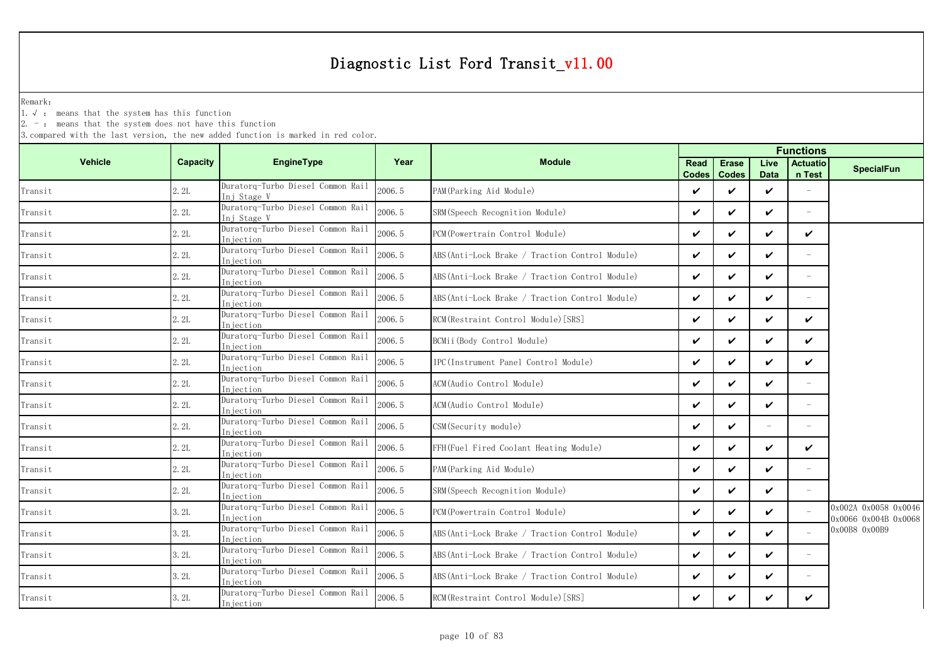Remark:

1.√ : means that the system has this function

2. - : means that the system does not have this function

|                |          |                                                  |        |                                                 | <b>Functions</b>            |                              |                     |                           |                                              |  |
|----------------|----------|--------------------------------------------------|--------|-------------------------------------------------|-----------------------------|------------------------------|---------------------|---------------------------|----------------------------------------------|--|
| <b>Vehicle</b> | Capacity | <b>EngineType</b>                                | Year   | <b>Module</b>                                   | <b>Read</b><br><b>Codes</b> | <b>Erase</b><br><b>Codes</b> | Live<br><b>Data</b> | <b>Actuatio</b><br>n Test | <b>SpecialFun</b>                            |  |
| Transit        | 2.2L     | Duratorq-Turbo Diesel Common Rail<br>Inj Stage V | 2006.5 | PAM (Parking Aid Module)                        | ✓                           | ✓                            | ✓                   |                           |                                              |  |
| Transit        | 2.2L     | Duratorq-Turbo Diesel Common Rail<br>Ini Stage V | 2006.5 | SRM (Speech Recognition Module)                 | ✓                           | ✓                            | ✓                   |                           |                                              |  |
| Transit        | 2.2L     | Duratorq-Turbo Diesel Common Rail<br>Injection   | 2006.5 | PCM (Powertrain Control Module)                 | ✓                           | ✓                            | ✓                   | ✓                         |                                              |  |
| Transit        | 2.2L     | Duratorq-Turbo Diesel Common Rail<br>Injection   | 2006.5 | ABS (Anti-Lock Brake / Traction Control Module) | ✓                           | ✓                            | ✓                   |                           |                                              |  |
| Transit        | 2.2L     | Duratorq-Turbo Diesel Common Rail<br>In iection  | 2006.5 | ABS (Anti-Lock Brake / Traction Control Module) | ✓                           | ✓                            | ✓                   | $\overline{\phantom{a}}$  |                                              |  |
| Transit        | 2.2L     | Duratorq-Turbo Diesel Common Rail<br>Injection   | 2006.5 | ABS (Anti-Lock Brake / Traction Control Module) | ✓                           | $\checkmark$                 | ✓                   | $\sim$                    |                                              |  |
| Transit        | 2.2L     | Duratorq-Turbo Diesel Common Rail<br>Injection   | 2006.5 | RCM (Restraint Control Module) [SRS]            | ✓                           | ✓                            | ✓                   | ✓                         |                                              |  |
| Transit        | 2.2L     | Duratorq-Turbo Diesel Common Rail<br>Injection   | 2006.5 | BCMii(Body Control Module)                      | ✓                           | ✓                            | ✓                   | ✓                         |                                              |  |
| Transit        | 2.2L     | Duratorq-Turbo Diesel Common Rail<br>Injection   | 2006.5 | IPC (Instrument Panel Control Module)           | ✓                           | ✓                            | ✓                   | ✓                         |                                              |  |
| Transit        | 2.2L     | Duratorq-Turbo Diesel Common Rail<br>Injection   | 2006.5 | ACM (Audio Control Module)                      | ✓                           | ✓                            | ✓                   |                           |                                              |  |
| Transit        | 2.2L     | Duratorq-Turbo Diesel Common Rail<br>Injection   | 2006.5 | ACM(Audio Control Module)                       | ✓                           | ✓                            | ✓                   |                           |                                              |  |
| Transit        | 2.2L     | Duratorq-Turbo Diesel Common Rail<br>Injection   | 2006.5 | CSM (Security module)                           | ✓                           | ✓                            | $\sim$              |                           |                                              |  |
| Transit        | 2.2L     | Duratorq-Turbo Diesel Common Rail<br>Injection   | 2006.5 | FFH(Fuel Fired Coolant Heating Module)          | ✓                           | ✓                            | ✓                   | ✓                         |                                              |  |
| Transit        | 2.2L     | Duratorq-Turbo Diesel Common Rail<br>Injection   | 2006.5 | PAM (Parking Aid Module)                        | ✓                           | ✓                            | ✓                   | $\overline{\phantom{m}}$  |                                              |  |
| Transit        | 2.2L     | Duratorq-Turbo Diesel Common Rail<br>Injection   | 2006.5 | SRM (Speech Recognition Module)                 | ✓                           | $\checkmark$                 | ✓                   |                           |                                              |  |
| Transit        | 3.2L     | Duratorq-Turbo Diesel Common Rail<br>In iection  | 2006.5 | PCM (Powertrain Control Module)                 | ✓                           | ✓                            | ✓                   |                           | 0x002A 0x0058 0x0046<br>0x0066 0x004B 0x0068 |  |
| Transit        | 3.2L     | Duratorq-Turbo Diesel Common Rail<br>Injection   | 2006.5 | ABS (Anti-Lock Brake / Traction Control Module) | ✓                           | $\checkmark$                 | ✓                   |                           | 0x00B8 0x00B9                                |  |
| Transit        | 3.2L     | Duratorq-Turbo Diesel Common Rail<br>Injection   | 2006.5 | ABS (Anti-Lock Brake / Traction Control Module) | ✓                           | ✓                            | ✓                   | $\overline{\phantom{m}}$  |                                              |  |
| Transit        | 3.2L     | Duratorq-Turbo Diesel Common Rail<br>Iniection   | 2006.5 | ABS (Anti-Lock Brake / Traction Control Module) | ✓                           | ✓                            | ✓                   | $\overline{\phantom{m}}$  |                                              |  |
| Transit        | 3.2L     | Duratorq-Turbo Diesel Common Rail<br>Injection   | 2006.5 | RCM (Restraint Control Module) [SRS]            | ✓                           |                              | ✓                   | ✓                         |                                              |  |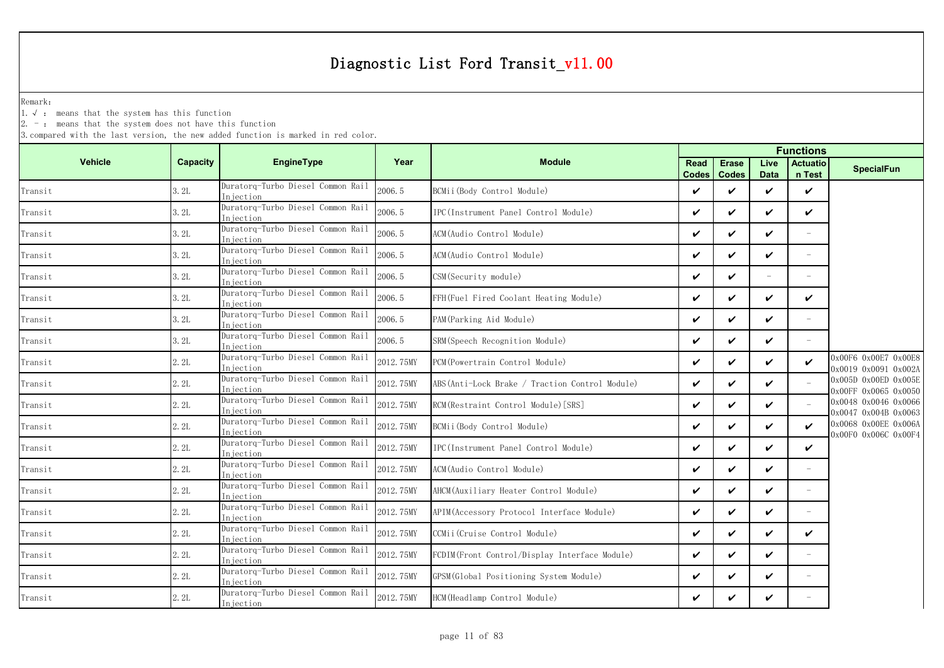Remark:

1.√ : means that the system has this function

 $2. -$ : means that the system does not have this function

|                        |          |                                                |           | <b>Functions</b>                                |                      |                              |                     |                           |                                              |
|------------------------|----------|------------------------------------------------|-----------|-------------------------------------------------|----------------------|------------------------------|---------------------|---------------------------|----------------------------------------------|
| <b>Vehicle</b>         | Capacity | <b>EngineType</b>                              | Year      | <b>Module</b>                                   | Read<br><b>Codes</b> | <b>Erase</b><br><b>Codes</b> | Live<br><b>Data</b> | <b>Actuatio</b><br>n Test | <b>SpecialFun</b>                            |
| Transit                | 3.2L     | Duratorg-Turbo Diesel Common Rail<br>Iniection | 2006.5    | BCMii(Body Control Module)                      | V                    | ✓                            | $\checkmark$        | $\checkmark$              |                                              |
| Transit                | 3.2L     | Duratorg-Turbo Diesel Common Rail<br>Iniection | 2006.5    | IPC(Instrument Panel Control Module)            | V                    | ✓                            | $\checkmark$        | $\checkmark$              |                                              |
| Transit                | 3.2L     | Duratorg-Turbo Diesel Common Rail<br>Iniection | 2006.5    | ACM(Audio Control Module)                       | ✓                    | ✓                            | $\checkmark$        | $\overline{\phantom{0}}$  |                                              |
| Transit                | 3.2L     | Duratorq-Turbo Diesel Common Rail<br>Injection | 2006.5    | ACM(Audio Control Module)                       | $\boldsymbol{\nu}$   | ✓                            | $\boldsymbol{\nu}$  | $\equiv$                  |                                              |
| Transit                | 3.2L     | Duratorq-Turbo Diesel Common Rail<br>Injection | 2006.5    | CSM (Security module)                           | $\checkmark$         | ✓                            |                     |                           |                                              |
| Transit                | 3.2L     | Duratorq-Turbo Diesel Common Rail<br>Injection | 2006.5    | FFH(Fuel Fired Coolant Heating Module)          | $\checkmark$         | ✓                            | $\checkmark$        | $\checkmark$              |                                              |
| Transit                | 3.2L     | Duratorq-Turbo Diesel Common Rail<br>Injection | 2006.5    | PAM (Parking Aid Module)                        | $\checkmark$         | ✓                            | $\checkmark$        | $\overline{\phantom{m}}$  |                                              |
| Transit                | 3.2L     | Duratorq-Turbo Diesel Common Rail<br>Injection | 2006.5    | SRM (Speech Recognition Module)                 | V                    | ✓                            | $\checkmark$        | $\equiv$                  |                                              |
| Transit                | 2.2L     | Duratorq-Turbo Diesel Common Rail<br>Injection | 2012.75MY | PCM (Powertrain Control Module)                 | ✓                    | ✓                            | $\boldsymbol{\nu}$  | $\checkmark$              | 0x00F6 0x00E7 0x00E8<br>0x0019 0x0091 0x002A |
| Transit                | 2.2L     | Duratorg-Turbo Diesel Common Rail<br>Injection | 2012.75MY | ABS (Anti-Lock Brake / Traction Control Module) | $\checkmark$         | ✓                            | $\checkmark$        | $\sim$                    | 0x005D 0x00ED 0x005E<br>0x00FF 0x0065 0x0050 |
| Transit                | 2.2L     | Duratorq-Turbo Diesel Common Rail<br>Injection | 2012.75MY | RCM (Restraint Control Module) [SRS]            | $\checkmark$         | ✓                            | $\boldsymbol{\nu}$  |                           | 0x0048 0x0046 0x0066<br>0x0047 0x004B 0x0063 |
| Transit                | 2.2L     | Duratorq-Turbo Diesel Common Rail<br>Injection | 2012.75MY | BCMii (Body Control Module)                     | $\checkmark$         | ✓                            | $\checkmark$        | $\boldsymbol{\nu}$        | 0x0068 0x00EE 0x006A<br>0x00F0 0x006C 0x00F4 |
| Transit                | 2.2L     | Duratorq-Turbo Diesel Common Rail<br>Iniection | 2012.75MY | IPC (Instrument Panel Control Module)           | V                    | ✓                            | $\boldsymbol{\nu}$  | ✓                         |                                              |
| Transit                | 2.2L     | Duratorq-Turbo Diesel Common Rail<br>Iniection | 2012.75MY | ACM(Audio Control Module)                       | ✓                    | ✓                            | ✓                   | $\overline{\phantom{m}}$  |                                              |
| Transit                | 2.2L     | Duratorq-Turbo Diesel Common Rail<br>Injection | 2012.75MY | AHCM (Auxiliary Heater Control Module)          | ✓                    | ✓                            | $\checkmark$        | $\overline{\phantom{m}}$  |                                              |
| Transit                | 2.2L     | Duratorq-Turbo Diesel Common Rail<br>Injection | 2012.75MY | APIM (Accessory Protocol Interface Module)      | $\checkmark$         | ✓                            | $\checkmark$        |                           |                                              |
| Transit                | 2.2L     | Duratorq-Turbo Diesel Common Rail<br>Injection | 2012.75MY | CCMii (Cruise Control Module)                   | V                    | ✓                            | $\checkmark$        | $\checkmark$              |                                              |
| Transit                | 2.2L     | Duratorq-Turbo Diesel Common Rail<br>Injection | 2012.75MY | FCDIM(Front Control/Display Interface Module)   | V                    | ✓                            | $\checkmark$        | $\equiv$                  |                                              |
| Transit                | 2.2L     | Duratorq-Turbo Diesel Common Rail<br>Injection | 2012.75MY | GPSM (Global Positioning System Module)         | V                    | ✓                            | $\checkmark$        | $\overline{\phantom{m}}$  |                                              |
| $\mbox{{\sc Tr}ansit}$ | 2.2L     | Duratorq-Turbo Diesel Common Rail<br>Injection | 2012.75MY | HCM (Headlamp Control Module)                   | ✓                    | ✓                            | ✓                   | $\equiv$                  |                                              |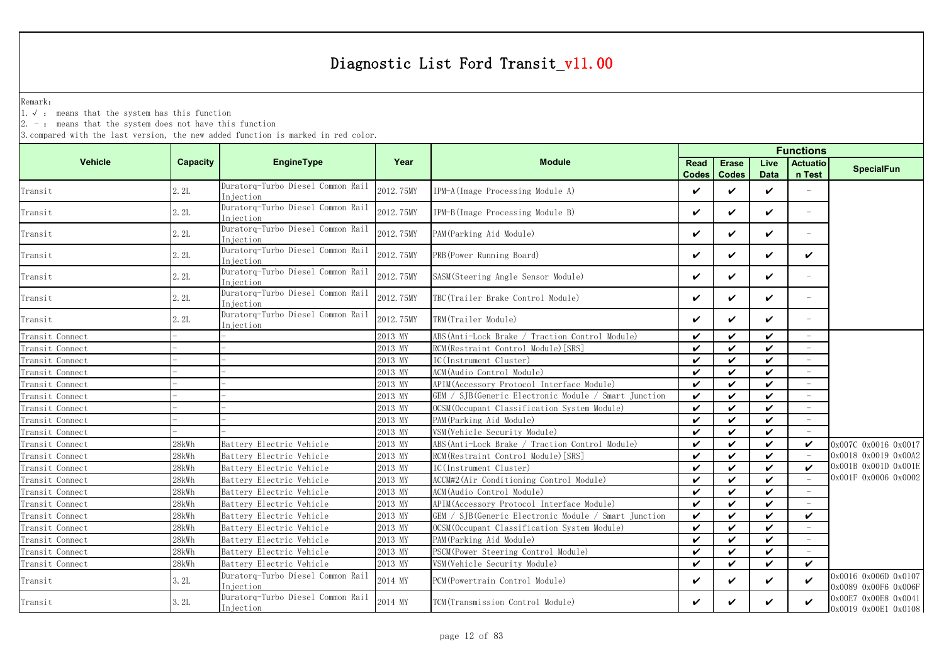Remark:

1.√ : means that the system has this function

2. - : means that the system does not have this function

|                 |          |                                                |           | <b>Functions</b>                                     |                      |                              |                     |                           |                                              |
|-----------------|----------|------------------------------------------------|-----------|------------------------------------------------------|----------------------|------------------------------|---------------------|---------------------------|----------------------------------------------|
| <b>Vehicle</b>  | Capacity | <b>EngineType</b>                              | Year      | <b>Module</b>                                        | Read<br><b>Codes</b> | <b>Erase</b><br><b>Codes</b> | Live<br><b>Data</b> | <b>Actuatio</b><br>n Test | <b>SpecialFun</b>                            |
| Transit         | 2.2L     | Duratorq-Turbo Diesel Common Rail<br>Injection | 2012.75MY | IPM-A (Image Processing Module A)                    | $\checkmark$         | ✓                            | ✓                   |                           |                                              |
| Transit         | 2.2L     | Duratorq-Turbo Diesel Common Rail<br>Injection | 2012.75MY | IPM-B(Image Processing Module B)                     | $\checkmark$         | ✓                            | $\checkmark$        | $\overline{\phantom{a}}$  |                                              |
| Transit         | 2.2L     | Duratorq-Turbo Diesel Common Rail<br>Injection | 2012.75MY | PAM (Parking Aid Module)                             | $\checkmark$         | ✓                            | ✓                   | $\overline{\phantom{m}}$  |                                              |
| Transit         | 2.2L     | Duratorq-Turbo Diesel Common Rail<br>Injection | 2012.75MY | PRB (Power Running Board)                            | $\checkmark$         | ✓                            | $\checkmark$        | $\checkmark$              |                                              |
| Transit         | 2.2L     | Duratorq-Turbo Diesel Common Rail<br>Injection | 2012.75MY | SASM(Steering Angle Sensor Module)                   | $\checkmark$         | ✓                            | ✓                   |                           |                                              |
| Transit         | 2.2L     | Duratorq-Turbo Diesel Common Rail<br>Injection | 2012.75MY | TBC(Trailer Brake Control Module)                    | V                    | ✓                            | ✓                   | $\equiv$                  |                                              |
| Transit         | 2.2L     | Duratorq-Turbo Diesel Common Rail<br>Injection | 2012.75MY | TRM(Trailer Module)                                  | $\checkmark$         | ✓                            | ✓                   |                           |                                              |
| Transit Connect |          |                                                | 2013 MY   | ABS (Anti-Lock Brake / Traction Control Module)      | $\checkmark$         | ✓                            | $\checkmark$        | $\overline{\phantom{0}}$  |                                              |
| Transit Connect |          |                                                | 2013 MY   | RCM (Restraint Control Module) [SRS]                 | ✓                    | ✓                            | $\checkmark$        | $\overline{\phantom{a}}$  |                                              |
| Transit Connect |          |                                                | 2013 MY   | IC(Instrument Cluster)                               | $\checkmark$         | $\boldsymbol{\nu}$           | ✓                   | $\sim$                    |                                              |
| Transit Connect |          |                                                | 2013 MY   | ACM (Audio Control Module)                           | $\checkmark$         | ✓                            | ✓                   |                           |                                              |
| Transit Connect |          |                                                | 2013 MY   | APIM (Accessory Protocol Interface Module)           | $\checkmark$         | ✓                            | ✓                   |                           |                                              |
| Transit Connect |          |                                                | 2013 MY   | GEM / SJB(Generic Electronic Module / Smart Junction | $\checkmark$         | ✓                            | ✓                   |                           |                                              |
| Transit Connect |          |                                                | 2013 MY   | OCSM (Occupant Classification System Module)         | $\checkmark$         | ✓                            | ✓                   |                           |                                              |
| Transit Connect |          |                                                | 2013 MY   | PAM (Parking Aid Module)                             | $\checkmark$         | ✓                            | ✓                   |                           |                                              |
| Transit Connect |          |                                                | 2013 MY   | VSM(Vehicle Security Module)                         | $\checkmark$         | ✓                            | ✓                   |                           |                                              |
| Transit Connect | 28kWh    | Battery Electric Vehicle                       | 2013 MY   | ABS(Anti-Lock Brake / Traction Control Module)       | $\checkmark$         | ✓                            | $\checkmark$        | $\boldsymbol{\nu}$        | 0x007C 0x0016 0x0017                         |
| Transit Connect | 28kWh    | Battery Electric Vehicle                       | 2013 MY   | RCM (Restraint Control Module) [SRS]                 | $\checkmark$         | ✓                            | $\checkmark$        |                           | 0x0018 0x0019 0x00A2                         |
| Transit Connect | 28kWh    | Battery Electric Vehicle                       | 2013 MY   | IC(Instrument Cluster)                               | $\checkmark$         | ✓                            | $\checkmark$        | $\checkmark$              | 0x001B 0x001D 0x001E                         |
| Transit Connect | 28kWh    | Battery Electric Vehicle                       | 2013 MY   | ACCM#2 (Air Conditioning Control Module)             | $\checkmark$         | ✓                            | ✓                   |                           | 0x001F 0x0006 0x0002                         |
| Transit Connect | 28kWh    | Battery Electric Vehicle                       | 2013 MY   | ACM (Audio Control Module)                           | $\checkmark$         | ✓                            | ✓                   |                           |                                              |
| Transit Connect | 28kWh    | Battery Electric Vehicle                       | 2013 MY   | APIM (Accessory Protocol Interface Module)           | $\checkmark$         | ✓                            | ✓                   |                           |                                              |
| Transit Connect | 28kWh    | Battery Electric Vehicle                       | 2013 MY   | GEM / SJB(Generic Electronic Module / Smart Junction | $\checkmark$         | ✓                            | $\checkmark$        | $\checkmark$              |                                              |
| Transit Connect | 28kWh    | Battery Electric Vehicle                       | 2013 MY   | OCSM (Occupant Classification System Module)         | $\checkmark$         | ✓                            | ✓                   |                           |                                              |
| Transit Connect | 28kWh    | Battery Electric Vehicle                       | 2013 MY   | PAM (Parking Aid Module)                             | $\checkmark$         | V                            | ✓                   |                           |                                              |
| Transit Connect | 28kWh    | Battery Electric Vehicle                       | 2013 MY   | PSCM (Power Steering Control Module)                 | $\checkmark$         | ✓                            | $\checkmark$        |                           |                                              |
| Transit Connect | 28kWh    | Battery Electric Vehicle                       | 2013 MY   | VSM (Vehicle Security Module)                        | $\checkmark$         | ✓                            | $\checkmark$        | $\checkmark$              |                                              |
| Transit         | 3. 2L    | Duratorq-Turbo Diesel Common Rail<br>Injection | 2014 MY   | PCM (Powertrain Control Module)                      | V                    | ✓                            | ✓                   | $\checkmark$              | 0x0016 0x006D 0x0107<br>0x0089 0x00F6 0x006F |
| Transit         | 3.2L     | Duratorq-Turbo Diesel Common Rail<br>Injection | 2014 MY   | TCM(Transmission Control Module)                     | ✓                    | ✓                            | ✓                   | $\checkmark$              | 0x00E7 0x00E8 0x0041<br>0x0019 0x00E1 0x0108 |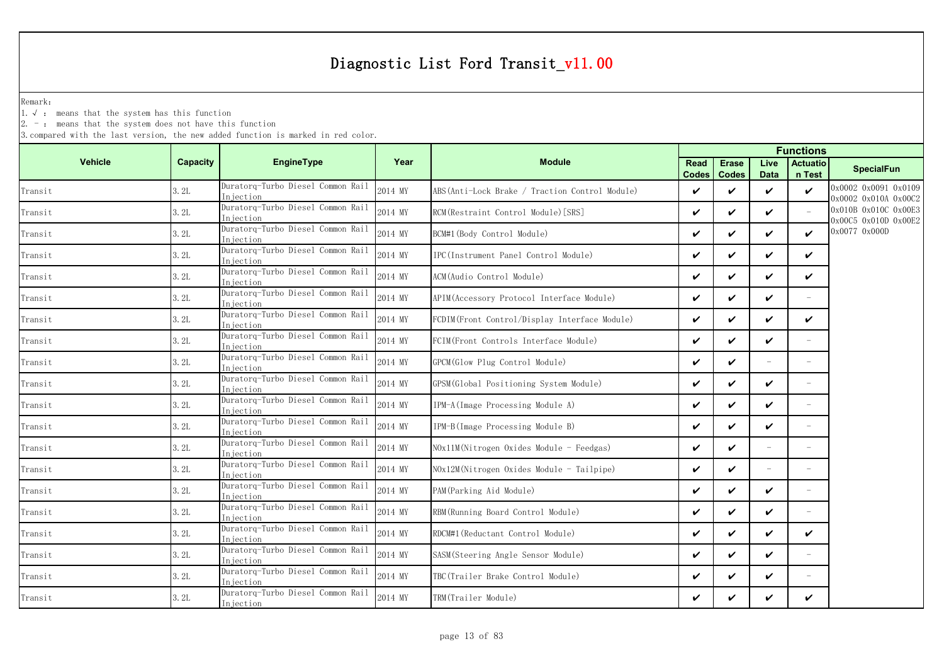Remark:

1.√ : means that the system has this function

2. - : means that the system does not have this function

|                |                 |                                                |         |                                                | <b>Functions</b>            |                              |                          |                           |                                              |  |
|----------------|-----------------|------------------------------------------------|---------|------------------------------------------------|-----------------------------|------------------------------|--------------------------|---------------------------|----------------------------------------------|--|
| <b>Vehicle</b> | <b>Capacity</b> | EngineType                                     | Year    | <b>Module</b>                                  | <b>Read</b><br><b>Codes</b> | <b>Erase</b><br><b>Codes</b> | Live<br><b>Data</b>      | <b>Actuatio</b><br>n Test | <b>SpecialFun</b>                            |  |
| Transit        | 3.2L            | Duratorq-Turbo Diesel Common Rail<br>Injection | 2014 MY | ABS(Anti-Lock Brake / Traction Control Module) | V                           | ✓                            | $\boldsymbol{\nu}$       | $\checkmark$              | 0x0002 0x0091 0x0109<br>0x0002 0x010A 0x00C2 |  |
| Transit        | 3.2L            | Duratorq-Turbo Diesel Common Rail<br>Injection | 2014 MY | RCM (Restraint Control Module) [SRS]           | $\checkmark$                | $\checkmark$                 | $\boldsymbol{\nu}$       |                           | 0x010B 0x010C 0x00E3<br>0x00C5 0x010D 0x00E2 |  |
| Transit        | 3.2L            | Duratorq-Turbo Diesel Common Rail<br>Injection | 2014 MY | BCM#1 (Body Control Module)                    | $\checkmark$                | ✓                            | ✓                        | V                         | 0x0077 0x000D                                |  |
| Transit        | 3.2L            | Duratorq-Turbo Diesel Common Rail<br>Injection | 2014 MY | IPC(Instrument Panel Control Module)           | $\checkmark$                | ✓                            | ✓                        | ✓                         |                                              |  |
| Transit        | 3.2L            | Duratorq-Turbo Diesel Common Rail<br>Injection | 2014 MY | ACM(Audio Control Module)                      | $\checkmark$                | ✓                            | ✓                        | ✓                         |                                              |  |
| Transit        | 3.2L            | Duratorq-Turbo Diesel Common Rail<br>Injection | 2014 MY | APIM(Accessory Protocol Interface Module)      | $\checkmark$                | $\checkmark$                 | V                        |                           |                                              |  |
| Transit        | 3.2L            | Duratorq-Turbo Diesel Common Rail<br>Injection | 2014 MY | FCDIM(Front Control/Display Interface Module)  | V                           | ✓                            | $\checkmark$             | V                         |                                              |  |
| Transit        | 3.2L            | Duratorq-Turbo Diesel Common Rail<br>Injection | 2014 MY | FCIM(Front Controls Interface Module)          | $\checkmark$                | $\boldsymbol{\nu}$           | ✓                        |                           |                                              |  |
| Transit        | 3.2L            | Duratorq-Turbo Diesel Common Rail<br>Injection | 2014 MY | GPCM(Glow Plug Control Module)                 | V                           | ✓                            |                          |                           |                                              |  |
| Transit        | 3.2L            | Duratorq-Turbo Diesel Common Rail<br>Injection | 2014 MY | GPSM(Global Positioning System Module)         | $\checkmark$                | ✓                            | ✓                        | $\overline{\phantom{m}}$  |                                              |  |
| Transit        | 3.2L            | Duratorq-Turbo Diesel Common Rail<br>Injection | 2014 MY | IPM-A (Image Processing Module A)              | $\checkmark$                | ✓                            | $\checkmark$             |                           |                                              |  |
| Transit        | 3.2L            | Duratorq-Turbo Diesel Common Rail<br>Injection | 2014 MY | IPM-B(Image Processing Module B)               | $\checkmark$                | $\checkmark$                 | ✓                        | $\overline{\phantom{a}}$  |                                              |  |
| Transit        | 3.2L            | Duratorq-Turbo Diesel Common Rail<br>Iniection | 2014 MY | NOx11M(Nitrogen Oxides Module - Feedgas)       | $\checkmark$                | ✓                            |                          |                           |                                              |  |
| Transit        | 3.2L            | Duratorq-Turbo Diesel Common Rail<br>Injection | 2014 MY | NOx12M(Nitrogen Oxides Module - Tailpipe)      | $\checkmark$                | $\checkmark$                 | $\overline{\phantom{a}}$ | $\overline{\phantom{a}}$  |                                              |  |
| Transit        | 3.2L            | Duratorq-Turbo Diesel Common Rail<br>Injection | 2014 MY | PAM (Parking Aid Module)                       | $\checkmark$                | $\checkmark$                 | ✓                        | $\overline{\phantom{a}}$  |                                              |  |
| Transit        | 3.2L            | Duratorq-Turbo Diesel Common Rail<br>Injection | 2014 MY | RBM (Running Board Control Module)             | $\checkmark$                | ✓                            | ✓                        |                           |                                              |  |
| Transit        | 3.2L            | Duratorq-Turbo Diesel Common Rail<br>Injection | 2014 MY | RDCM#1 (Reductant Control Module)              | $\checkmark$                | $\checkmark$                 | ✓                        | ✓                         |                                              |  |
| Transit        | 3.2L            | Duratorq-Turbo Diesel Common Rail<br>Injection | 2014 MY | SASM(Steering Angle Sensor Module)             | $\checkmark$                | ✓                            | $\checkmark$             | $\overline{\phantom{a}}$  |                                              |  |
| Transit        | 3.2L            | Duratorq-Turbo Diesel Common Rail<br>Injection | 2014 MY | TBC(Trailer Brake Control Module)              | $\checkmark$                | ✓                            | ✓                        |                           |                                              |  |
| Transit        | 3.2L            | Duratorq-Turbo Diesel Common Rail<br>Injection | 2014 MY | TRM(Trailer Module)                            | V                           |                              | ✓                        | V                         |                                              |  |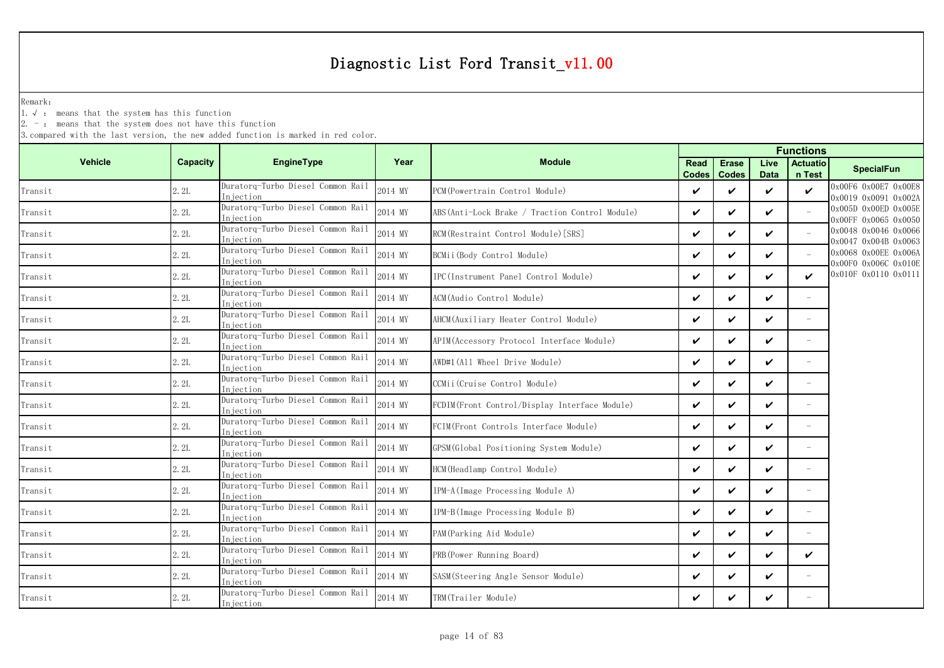Remark:

1.√ : means that the system has this function

 $2. -$ : means that the system does not have this function

|                                       |          |                                                 |         |                                                 | <b>Functions</b>     |                              |                     |                           |                                              |  |
|---------------------------------------|----------|-------------------------------------------------|---------|-------------------------------------------------|----------------------|------------------------------|---------------------|---------------------------|----------------------------------------------|--|
| <b>Vehicle</b>                        | Capacity | EngineType                                      | Year    | <b>Module</b>                                   | Read<br><b>Codes</b> | <b>Erase</b><br><b>Codes</b> | Live<br><b>Data</b> | <b>Actuatio</b><br>n Test | <b>SpecialFun</b>                            |  |
| Transit                               | 2.2L     | Duratorq-Turbo Diesel Common Rail<br>Injection  | 2014 MY | PCM (Powertrain Control Module)                 | ✓                    | ✓                            | $\boldsymbol{\nu}$  | $\checkmark$              | 0x00F6 0x00E7 0x00E8<br>0x0019 0x0091 0x002A |  |
| Transit                               | 2.2L     | Duratorq-Turbo Diesel Common Rail<br>In jection | 2014 MY | ABS (Anti-Lock Brake / Traction Control Module) | $\checkmark$         | ✓                            | $\checkmark$        |                           | 0x005D 0x00ED 0x005E<br>0x00FF 0x0065 0x0050 |  |
| Transit                               | 2.2L     | Duratorq-Turbo Diesel Common Rail<br>Injection  | 2014 MY | RCM (Restraint Control Module) [SRS]            | V                    | ✓                            | $\checkmark$        | $\equiv$                  | 0x0048 0x0046 0x0066<br>0x0047 0x004B 0x0063 |  |
| Transit                               | 2.2L     | Duratorg-Turbo Diesel Common Rail<br>Injection  | 2014 MY | BCMii (Body Control Module)                     | $\checkmark$         | ✓                            | $\boldsymbol{\nu}$  | $\equiv$                  | 0x0068 0x00EE 0x006A<br>0x00F0 0x006C 0x010E |  |
| Transit                               | 2.2L     | Duratorq-Turbo Diesel Common Rail<br>Injection  | 2014 MY | IPC(Instrument Panel Control Module)            | $\checkmark$         | ✓                            | $\checkmark$        | $\boldsymbol{\nu}$        | 0x010F 0x0110 0x0111                         |  |
| Transit                               | 2.2L     | Duratorq-Turbo Diesel Common Rail<br>Iniection  | 2014 MY | ACM (Audio Control Module)                      | $\checkmark$         | ✓                            | $\checkmark$        | $\equiv$                  |                                              |  |
| Transit                               | 2.2L     | Duratorq-Turbo Diesel Common Rail<br>Injection  | 2014 MY | AHCM(Auxiliary Heater Control Module)           | ✓                    | ✓                            | $\checkmark$        | $\overline{\phantom{m}}$  |                                              |  |
| Transit                               | 2.2L     | Duratorq-Turbo Diesel Common Rail<br>Injection  | 2014 MY | APIM (Accessory Protocol Interface Module)      | $\checkmark$         | ✓                            | $\checkmark$        | $\overline{\phantom{0}}$  |                                              |  |
| Transit                               | 2.2L     | Duratorq-Turbo Diesel Common Rail<br>Injection  | 2014 MY | AWD#1(All Wheel Drive Module)                   | ✓                    | ✓                            | $\checkmark$        |                           |                                              |  |
| Transit                               | 2.2L     | Duratorq-Turbo Diesel Common Rail<br>Iniection  | 2014 MY | CCMii (Cruise Control Module)                   | ✓                    | ✓                            | $\checkmark$        | $\overline{\phantom{m}}$  |                                              |  |
| Transit                               | 2.2L     | Duratorq-Turbo Diesel Common Rail<br>Injection  | 2014 MY | FCDIM(Front Control/Display Interface Module)   | $\checkmark$         | ✓                            | $\checkmark$        | $\overline{\phantom{m}}$  |                                              |  |
| Transit                               | 2.2L     | Duratorq-Turbo Diesel Common Rail<br>Injection  | 2014 MY | FCIM (Front Controls Interface Module)          | V                    | ✓                            | $\checkmark$        | $\overline{\phantom{m}}$  |                                              |  |
| Transit                               | 2.2L     | Duratorq-Turbo Diesel Common Rail<br>Injection  | 2014 MY | GPSM (Global Positioning System Module)         | V                    | ✓                            | $\boldsymbol{\nu}$  | $\overline{\phantom{m}}$  |                                              |  |
| Transit                               | 2.2L     | Duratorg-Turbo Diesel Common Rail<br>Injection  | 2014 MY | HCM(Headlamp Control Module)                    | $\checkmark$         | ✓                            | $\checkmark$        | $\overline{\phantom{0}}$  |                                              |  |
| Transit                               | 2.2L     | Duratorq-Turbo Diesel Common Rail<br>Injection  | 2014 MY | IPM-A(Image Processing Module A)                | $\checkmark$         | ✓                            | $\checkmark$        | $\equiv$                  |                                              |  |
| $\label{eq:transit} \texttt{Transit}$ | 2.2L     | Duratorq-Turbo Diesel Common Rail<br>Injection  | 2014 MY | IPM-B(Image Processing Module B)                | $\checkmark$         | ✓                            | $\checkmark$        | $\overline{\phantom{m}}$  |                                              |  |
| Transit                               | 2.2L     | Duratorq-Turbo Diesel Common Rail<br>Injection  | 2014 MY | PAM (Parking Aid Module)                        | $\checkmark$         | ✓                            | $\checkmark$        | $\equiv$                  |                                              |  |
| Transit                               | 2.2L     | Duratorq-Turbo Diesel Common Rail<br>Injection  | 2014 MY | PRB (Power Running Board)                       | $\checkmark$         | ✓                            | $\checkmark$        | $\checkmark$              |                                              |  |
| Transit                               | 2.2L     | Duratorq-Turbo Diesel Common Rail<br>Injection  | 2014 MY | SASM (Steering Angle Sensor Module)             | ✓                    | ✓                            | $\boldsymbol{\nu}$  |                           |                                              |  |
| Transit                               | 2.2L     | Duratorq-Turbo Diesel Common Rail<br>Injection  | 2014 MY | TRM(Trailer Module)                             | ✓                    | ✓                            | V                   |                           |                                              |  |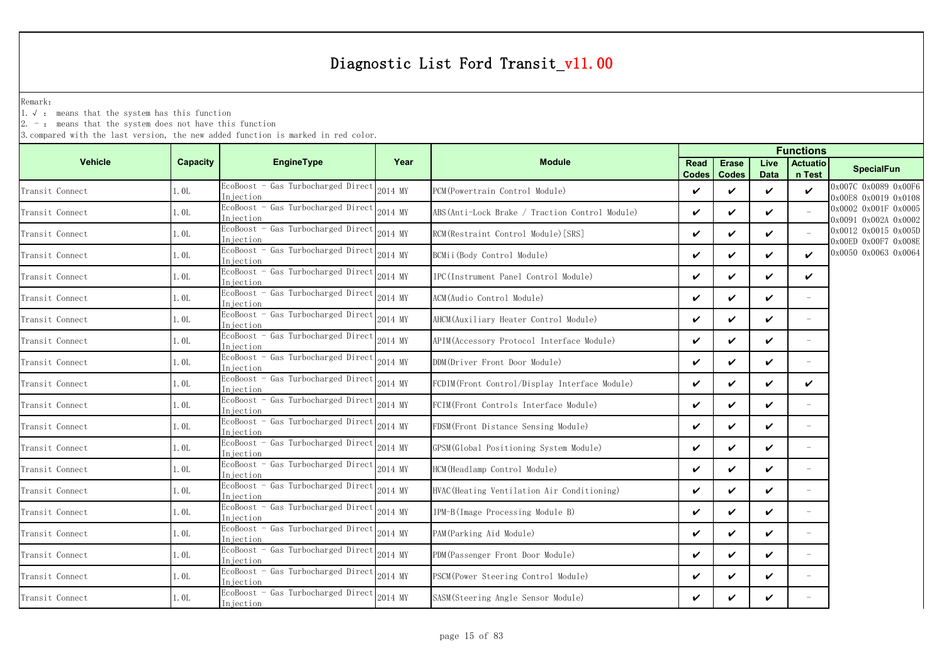Remark:

1.√ : means that the system has this function

 $2. -$ : means that the system does not have this function

|                 |          |                                                  |         | <b>Functions</b>                                |                      |                              |                     |                           |                                              |
|-----------------|----------|--------------------------------------------------|---------|-------------------------------------------------|----------------------|------------------------------|---------------------|---------------------------|----------------------------------------------|
| <b>Vehicle</b>  | Capacity | <b>EngineType</b>                                | Year    | <b>Module</b>                                   | <b>Read</b><br>Codes | <b>Erase</b><br><b>Codes</b> | Live<br><b>Data</b> | <b>Actuatio</b><br>n Test | <b>SpecialFun</b>                            |
| Transit Connect | 1.0L     | EcoBoost - Gas Turbocharged Direct<br>Injection  | 2014 MY | PCM(Powertrain Control Module)                  | V                    | ✓                            | ✓                   | $\checkmark$              | 0x007C 0x0089 0x00F6<br>0x00E8 0x0019 0x0108 |
| Transit Connect | 1.0L     | EcoBoost - Gas Turbocharged Direct<br>Injection  | 2014 MY | ABS (Anti-Lock Brake / Traction Control Module) | $\checkmark$         | $\checkmark$                 | ✓                   |                           | 0x0002 0x001F 0x0005<br>0x0091 0x002A 0x0002 |
| Transit Connect | 1.0L     | EcoBoost - Gas Turbocharged Direct<br>Injection  | 2014 MY | RCM(Restraint Control Module)[SRS]              | $\checkmark$         | ✓                            | ✓                   |                           | 0x0012 0x0015 0x005D<br>0x00ED 0x00F7 0x008E |
| Transit Connect | 1.0L     | EcoBoost - Gas Turbocharged Direct<br>Injection  | 2014 MY | BCMii(Body Control Module)                      | $\checkmark$         | ✓                            | ✓                   | V                         | 0x0050 0x0063 0x0064                         |
| Transit Connect | 1.0L     | EcoBoost - Gas Turbocharged Direct<br>Injection  | 2014 MY | IPC(Instrument Panel Control Module)            | $\checkmark$         | ✓                            | ✓                   | $\checkmark$              |                                              |
| Transit Connect | l. OL    | EcoBoost - Gas Turbocharged Direct<br>Injection  | 2014 MY | ACM(Audio Control Module)                       | $\checkmark$         | ✓                            | ✓                   | $\overline{\phantom{a}}$  |                                              |
| Transit Connect | 1.0L     | EcoBoost - Gas Turbocharged Direct<br>Injection  | 2014 MY | AHCM (Auxiliary Heater Control Module)          | $\checkmark$         | ✓                            | V                   |                           |                                              |
| Transit Connect | 1. OL    | EcoBoost - Gas Turbocharged Direct<br>Injection  | 2014 MY | APIM (Accessory Protocol Interface Module)      | $\checkmark$         | ✓                            | V                   |                           |                                              |
| Transit Connect | 1.0L     | EcoBoost - Gas Turbocharged Direct<br>Injection  | 2014 MY | DDM(Driver Front Door Module)                   | $\checkmark$         | $\boldsymbol{\nu}$           | ✓                   |                           |                                              |
| Transit Connect | 1. OL    | EcoBoost - Gas Turbocharged Direct<br>Iniection  | 2014 MY | FCDIM(Front Control/Display Interface Module)   | $\checkmark$         | ✓                            | ✓                   | V                         |                                              |
| Transit Connect | 1.0L     | EcoBoost - Gas Turbocharged Direct<br>Injection  | 2014 MY | FCIM(Front Controls Interface Module)           | $\checkmark$         | $\checkmark$                 | ✓                   |                           |                                              |
| Transit Connect | 1.0L     | EcoBoost - Gas Turbocharged Direct<br>Iniection  | 2014 MY | FDSM(Front Distance Sensing Module)             | V                    | ✓                            | ✓                   | $\overline{\phantom{a}}$  |                                              |
| Transit Connect | 1.0L     | EcoBoost - Gas Turbocharged Direct<br>Injection  | 2014 MY | GPSM (Global Positioning System Module)         | $\checkmark$         | $\checkmark$                 | ✓                   | $\equiv$                  |                                              |
| Transit Connect | 1.0L     | EcoBoost - Gas Turbocharged Direct<br>In iection | 2014 MY | HCM(Headlamp Control Module)                    | $\checkmark$         | ✓                            | ✓                   | $\overline{\phantom{a}}$  |                                              |
| Transit Connect | 1.0L     | EcoBoost - Gas Turbocharged Direct<br>Injection  | 2014 MY | HVAC (Heating Ventilation Air Conditioning)     | $\checkmark$         | $\boldsymbol{\nu}$           | ✓                   | $\equiv$                  |                                              |
| Transit Connect | 1.0L     | EcoBoost - Gas Turbocharged Direct<br>Injection  | 2014 MY | IPM-B(Image Processing Module B)                | ✓                    | ✓                            | ✓                   |                           |                                              |
| Transit Connect | 1.0L     | EcoBoost - Gas Turbocharged Direct<br>Injection  | 2014 MY | PAM (Parking Aid Module)                        | $\checkmark$         | $\checkmark$                 | ✓                   | $\equiv$                  |                                              |
| Transit Connect | 1.0L     | EcoBoost - Gas Turbocharged Direct<br>Injection  | 2014 MY | PDM(Passenger Front Door Module)                | $\checkmark$         | ✓                            | ✓                   | $\overline{\phantom{a}}$  |                                              |
| Transit Connect | 1.0L     | EcoBoost - Gas Turbocharged Direct<br>Injection  | 2014 MY | PSCM(Power Steering Control Module)             | $\checkmark$         | ✓                            | V                   |                           |                                              |
| Transit Connect | 1.0L     | EcoBoost - Gas Turbocharged Direct<br>Injection  | 2014 MY | SASM(Steering Angle Sensor Module)              | V                    | ✓                            | ✓                   |                           |                                              |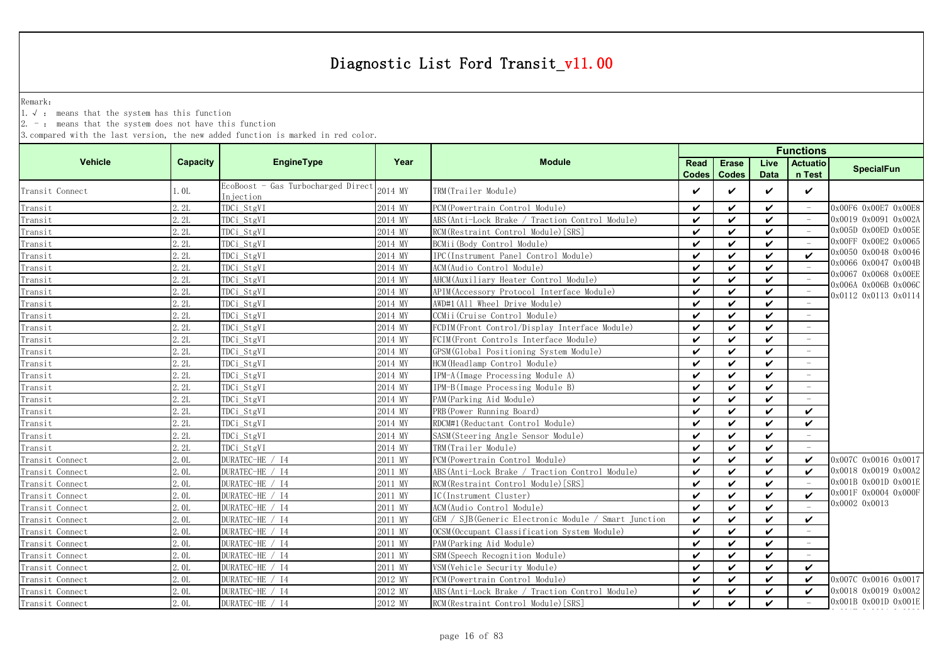Remark:

1.√ : means that the system has this function

 $2. -$ : means that the system does not have this function

| <b>Vehicle</b><br>EngineType<br>Year<br>Capacity<br><b>Module</b><br>Live<br><b>Actuatio</b><br><b>Erase</b><br>Read<br><b>SpecialFun</b><br>n Test<br><b>Codes</b><br><b>Codes</b><br><b>Data</b><br>EcoBoost - Gas Turbocharged Direct<br>2014 MY<br>TRM(Trailer Module)<br>1.0L<br>✓<br>$\checkmark$<br>✓<br>Transit Connect<br>V<br>Injection<br>2.2L<br>PCM (Powertrain Control Module)<br>TDCi StgVI<br>2014 MY<br>V<br>$\checkmark$<br>0x00F6 0x00E7 0x00E8<br>✓<br>0x0019 0x0091 0x002A<br>2.2L<br>TDCi_StgVI<br>ABS (Anti-Lock Brake / Traction Control Module)<br>$\boldsymbol{\nu}$<br>Transit<br>2014 MY<br>V<br>✓<br>0x005D 0x00ED 0x005E<br>Transit<br>2.2L<br>TDCi_StgVI<br>RCM (Restraint Control Module) [SRS]<br>2014 MY<br>$\mathbf{v}$<br>V<br>✓<br>0x00FF 0x00E2 0x0065<br>Transit<br>$\checkmark$<br>2.2L<br>TDCi StgVI<br>BCMii (Body Control Module)<br>$\checkmark$<br>2014 MY<br>$\checkmark$<br>0x0050 0x0048 0x0046<br>Transit<br>2.2L<br>TDCi_StgVI<br>IPC(Instrument Panel Control Module)<br>2014 MY<br>$\checkmark$<br>$\checkmark$<br>$\checkmark$<br>$\boldsymbol{\nu}$<br>0x0066 0x0047 0x004B<br>2.2L<br>TDCi_StgVI<br>ACM(Audio Control Module)<br>2014 MY<br>$\checkmark$<br>$\checkmark$<br>$\checkmark$<br>0x0067 0x0068 0x00EE<br>Transit<br>TDCi StgVI<br>AHCM (Auxiliary Heater Control Module)<br>2.2L<br>2014 MY<br>V<br>✓<br>V<br>0x006A 0x006B 0x006C<br>2.2L<br>TDCi StgVI<br>APIM (Accessory Protocol Interface Module)<br>Transit<br>2014 MY<br>V<br>✓<br>$\checkmark$<br>0x0112 0x0113 0x0114<br>TDCi_StgVI<br>2.2L<br>AWD#1(All Wheel Drive Module)<br>$\checkmark$<br>$\checkmark$<br>Transit<br>2014 MY<br>V<br>2.2L<br>TDCi_StgVI<br>2014 MY<br>CCMii(Cruise Control Module)<br>V<br>✓<br>$\checkmark$<br>Transit<br>2.2L<br>FCDIM (Front Control/Display Interface Module)<br>$\checkmark$<br>TDCi_StgVI<br>Transit<br>2014 MY<br>V<br>✓<br>2.2L<br>TDCi_StgVI<br>FCIM(Front Controls Interface Module)<br>Transit<br>2014 MY<br>✓<br>$\boldsymbol{\nu}$<br>✓<br>2.2L<br>TDCi_StgVI<br>GPSM (Global Positioning System Module)<br>Transit<br>2014 MY<br>✓<br>$\checkmark$<br>V<br>2.2L<br>TDCi StgVI<br>2014 MY<br>HCM (Headlamp Control Module)<br>$\checkmark$<br>Transit<br>$\checkmark$<br>✓<br>Transit<br>2.2L<br>TDCi_StgVI<br>IPM-A (Image Processing Module A)<br>$\checkmark$<br>$\checkmark$<br>2014 MY<br>$\checkmark$<br>Transit<br>2.2L<br>TDCi StgVI<br>IPM-B(Image Processing Module B)<br>2014 MY<br>$\checkmark$<br>✓<br>$\boldsymbol{\nu}$<br>$\overline{\phantom{a}}$<br>Transit<br>2.2L<br>TDCi StgVI<br>PAM (Parking Aid Module)<br>2014 MY<br>V<br>✓<br>V<br>2.2L<br>TDCi StgVI<br>PRB (Power Running Board)<br>Transit<br>2014 MY<br>V<br>✓<br>$\checkmark$<br>✓<br>RDCM#1 (Reductant Control Module)<br>2.2L<br>TDCi_StgVI<br>$\checkmark$<br>$\checkmark$<br>Transit<br>2014 MY<br>V<br>V<br>2.2L<br>TDCi_StgVI<br>2014 MY<br>SASM(Steering Angle Sensor Module)<br>V<br>✓<br>$\checkmark$<br>Transit<br>2.2L<br>TDCi_StgVI<br>Transit<br>TRM(Trailer Module)<br>$\checkmark$<br>$\checkmark$<br>2014 MY<br>✓<br>2.01<br>DURATEC-HE / I4<br>PCM (Powertrain Control Module)<br>Transit Connect<br>$\checkmark$<br>$\mathbf{v}$<br>0x007C 0x0016 0x0017<br>2011 MY<br>✓<br>✓<br>0x0018 0x0019 0x00A2<br>DURATEC-HE / I4<br>2.0L<br>2011 MY<br>ABS (Anti-Lock Brake / Traction Control Module)<br>$\checkmark$<br>$\checkmark$<br>Transit Connect<br>V<br>✓<br>0x001B 0x001D 0x001E<br>DURATEC-HE / I4<br>2.0L<br>RCM (Restraint Control Module) [SRS]<br>$\boldsymbol{\nu}$<br>Transit Connect<br>2011 MY<br>$\checkmark$<br>$\checkmark$<br>0x001F 0x0004 0x000F<br>IC(Instrument Cluster)<br>Transit Connect<br>2.0L<br>DURATEC-HE / I4<br>$\checkmark$<br>$\boldsymbol{\nu}$<br>$\boldsymbol{\nu}$<br>2011 MY<br>$\checkmark$<br>0x0002 0x0013<br>Transit Connect<br>ACM (Audio Control Module)<br>2.0L<br>DURATEC-HE / I4<br>2011 MY<br>$\checkmark$<br>$\checkmark$<br>$\boldsymbol{\nu}$<br>GEM / SJB(Generic Electronic Module / Smart Junction<br>2.0L<br>DURATEC-HE / I4<br>2011 MY<br>V<br>✓<br>$\checkmark$<br>✓<br>2.0L<br>DURATEC-HE / I4<br>OCSM (Occupant Classification System Module)<br>2011 MY<br>V<br>✓<br>$\checkmark$<br>2.0L<br>DURATEC-HE / I4<br>PAM (Parking Aid Module)<br>Transit Connect<br>2011 MY<br>V<br>✓<br>$\checkmark$<br>2.0L<br>DURATEC-HE / I4<br>2011 MY<br>SRM(Speech Recognition Module)<br>V<br>✓<br>$\checkmark$<br>Transit Connect<br>2.0L<br>DURATEC-HE / I4<br>$\checkmark$<br>VSM (Vehicle Security Module)<br>$\checkmark$<br>$\boldsymbol{\nu}$<br>Transit Connect<br>2011 MY<br>✓<br>DURATEC-HE / I4<br>2.0L<br>2012 MY<br>PCM (Powertrain Control Module)<br>$\checkmark$<br>$\checkmark$<br>0x007C 0x0016 0x0017<br>Transit Connect<br>V<br>✓<br>0x0018 0x0019 0x00A2<br>2.0L<br>DURATEC-HE / I4<br>2012 MY<br>ABS (Anti-Lock Brake / Traction Control Module)<br>$\checkmark$<br>$\checkmark$<br>Transit Connect<br>V<br>✓<br>0x001B 0x001D 0x001E<br>DURATEC-HE / I4<br>2.0L<br>RCM (Restraint Control Module) [SRS]<br>$\boldsymbol{\nu}$<br>$\boldsymbol{\nu}$<br>2012 MY<br>$\boldsymbol{\nu}$ |                 |  |  | <b>Functions</b> |  |  |  |  |  |  |
|------------------------------------------------------------------------------------------------------------------------------------------------------------------------------------------------------------------------------------------------------------------------------------------------------------------------------------------------------------------------------------------------------------------------------------------------------------------------------------------------------------------------------------------------------------------------------------------------------------------------------------------------------------------------------------------------------------------------------------------------------------------------------------------------------------------------------------------------------------------------------------------------------------------------------------------------------------------------------------------------------------------------------------------------------------------------------------------------------------------------------------------------------------------------------------------------------------------------------------------------------------------------------------------------------------------------------------------------------------------------------------------------------------------------------------------------------------------------------------------------------------------------------------------------------------------------------------------------------------------------------------------------------------------------------------------------------------------------------------------------------------------------------------------------------------------------------------------------------------------------------------------------------------------------------------------------------------------------------------------------------------------------------------------------------------------------------------------------------------------------------------------------------------------------------------------------------------------------------------------------------------------------------------------------------------------------------------------------------------------------------------------------------------------------------------------------------------------------------------------------------------------------------------------------------------------------------------------------------------------------------------------------------------------------------------------------------------------------------------------------------------------------------------------------------------------------------------------------------------------------------------------------------------------------------------------------------------------------------------------------------------------------------------------------------------------------------------------------------------------------------------------------------------------------------------------------------------------------------------------------------------------------------------------------------------------------------------------------------------------------------------------------------------------------------------------------------------------------------------------------------------------------------------------------------------------------------------------------------------------------------------------------------------------------------------------------------------------------------------------------------------------------------------------------------------------------------------------------------------------------------------------------------------------------------------------------------------------------------------------------------------------------------------------------------------------------------------------------------------------------------------------------------------------------------------------------------------------------------------------------------------------------------------------------------------------------------------------------------------------------------------------------------------------------------------------------------------------------------------------------------------------------------------------------------------------------------------------------------------------------------------------------------------------------------------------------------------------------------------------------------------------------------------------------------------------------------------------------------------------------------------------------------------------------------------------------------------------------------------------------------------------------------------------------------------------------------------------------------------------------------------------|-----------------|--|--|------------------|--|--|--|--|--|--|
|                                                                                                                                                                                                                                                                                                                                                                                                                                                                                                                                                                                                                                                                                                                                                                                                                                                                                                                                                                                                                                                                                                                                                                                                                                                                                                                                                                                                                                                                                                                                                                                                                                                                                                                                                                                                                                                                                                                                                                                                                                                                                                                                                                                                                                                                                                                                                                                                                                                                                                                                                                                                                                                                                                                                                                                                                                                                                                                                                                                                                                                                                                                                                                                                                                                                                                                                                                                                                                                                                                                                                                                                                                                                                                                                                                                                                                                                                                                                                                                                                                                                                                                                                                                                                                                                                                                                                                                                                                                                                                                                                                                                                                                                                                                                                                                                                                                                                                                                                                                                                                                                                                                                          |                 |  |  |                  |  |  |  |  |  |  |
|                                                                                                                                                                                                                                                                                                                                                                                                                                                                                                                                                                                                                                                                                                                                                                                                                                                                                                                                                                                                                                                                                                                                                                                                                                                                                                                                                                                                                                                                                                                                                                                                                                                                                                                                                                                                                                                                                                                                                                                                                                                                                                                                                                                                                                                                                                                                                                                                                                                                                                                                                                                                                                                                                                                                                                                                                                                                                                                                                                                                                                                                                                                                                                                                                                                                                                                                                                                                                                                                                                                                                                                                                                                                                                                                                                                                                                                                                                                                                                                                                                                                                                                                                                                                                                                                                                                                                                                                                                                                                                                                                                                                                                                                                                                                                                                                                                                                                                                                                                                                                                                                                                                                          |                 |  |  |                  |  |  |  |  |  |  |
|                                                                                                                                                                                                                                                                                                                                                                                                                                                                                                                                                                                                                                                                                                                                                                                                                                                                                                                                                                                                                                                                                                                                                                                                                                                                                                                                                                                                                                                                                                                                                                                                                                                                                                                                                                                                                                                                                                                                                                                                                                                                                                                                                                                                                                                                                                                                                                                                                                                                                                                                                                                                                                                                                                                                                                                                                                                                                                                                                                                                                                                                                                                                                                                                                                                                                                                                                                                                                                                                                                                                                                                                                                                                                                                                                                                                                                                                                                                                                                                                                                                                                                                                                                                                                                                                                                                                                                                                                                                                                                                                                                                                                                                                                                                                                                                                                                                                                                                                                                                                                                                                                                                                          | Transit         |  |  |                  |  |  |  |  |  |  |
|                                                                                                                                                                                                                                                                                                                                                                                                                                                                                                                                                                                                                                                                                                                                                                                                                                                                                                                                                                                                                                                                                                                                                                                                                                                                                                                                                                                                                                                                                                                                                                                                                                                                                                                                                                                                                                                                                                                                                                                                                                                                                                                                                                                                                                                                                                                                                                                                                                                                                                                                                                                                                                                                                                                                                                                                                                                                                                                                                                                                                                                                                                                                                                                                                                                                                                                                                                                                                                                                                                                                                                                                                                                                                                                                                                                                                                                                                                                                                                                                                                                                                                                                                                                                                                                                                                                                                                                                                                                                                                                                                                                                                                                                                                                                                                                                                                                                                                                                                                                                                                                                                                                                          |                 |  |  |                  |  |  |  |  |  |  |
|                                                                                                                                                                                                                                                                                                                                                                                                                                                                                                                                                                                                                                                                                                                                                                                                                                                                                                                                                                                                                                                                                                                                                                                                                                                                                                                                                                                                                                                                                                                                                                                                                                                                                                                                                                                                                                                                                                                                                                                                                                                                                                                                                                                                                                                                                                                                                                                                                                                                                                                                                                                                                                                                                                                                                                                                                                                                                                                                                                                                                                                                                                                                                                                                                                                                                                                                                                                                                                                                                                                                                                                                                                                                                                                                                                                                                                                                                                                                                                                                                                                                                                                                                                                                                                                                                                                                                                                                                                                                                                                                                                                                                                                                                                                                                                                                                                                                                                                                                                                                                                                                                                                                          |                 |  |  |                  |  |  |  |  |  |  |
|                                                                                                                                                                                                                                                                                                                                                                                                                                                                                                                                                                                                                                                                                                                                                                                                                                                                                                                                                                                                                                                                                                                                                                                                                                                                                                                                                                                                                                                                                                                                                                                                                                                                                                                                                                                                                                                                                                                                                                                                                                                                                                                                                                                                                                                                                                                                                                                                                                                                                                                                                                                                                                                                                                                                                                                                                                                                                                                                                                                                                                                                                                                                                                                                                                                                                                                                                                                                                                                                                                                                                                                                                                                                                                                                                                                                                                                                                                                                                                                                                                                                                                                                                                                                                                                                                                                                                                                                                                                                                                                                                                                                                                                                                                                                                                                                                                                                                                                                                                                                                                                                                                                                          |                 |  |  |                  |  |  |  |  |  |  |
|                                                                                                                                                                                                                                                                                                                                                                                                                                                                                                                                                                                                                                                                                                                                                                                                                                                                                                                                                                                                                                                                                                                                                                                                                                                                                                                                                                                                                                                                                                                                                                                                                                                                                                                                                                                                                                                                                                                                                                                                                                                                                                                                                                                                                                                                                                                                                                                                                                                                                                                                                                                                                                                                                                                                                                                                                                                                                                                                                                                                                                                                                                                                                                                                                                                                                                                                                                                                                                                                                                                                                                                                                                                                                                                                                                                                                                                                                                                                                                                                                                                                                                                                                                                                                                                                                                                                                                                                                                                                                                                                                                                                                                                                                                                                                                                                                                                                                                                                                                                                                                                                                                                                          |                 |  |  |                  |  |  |  |  |  |  |
|                                                                                                                                                                                                                                                                                                                                                                                                                                                                                                                                                                                                                                                                                                                                                                                                                                                                                                                                                                                                                                                                                                                                                                                                                                                                                                                                                                                                                                                                                                                                                                                                                                                                                                                                                                                                                                                                                                                                                                                                                                                                                                                                                                                                                                                                                                                                                                                                                                                                                                                                                                                                                                                                                                                                                                                                                                                                                                                                                                                                                                                                                                                                                                                                                                                                                                                                                                                                                                                                                                                                                                                                                                                                                                                                                                                                                                                                                                                                                                                                                                                                                                                                                                                                                                                                                                                                                                                                                                                                                                                                                                                                                                                                                                                                                                                                                                                                                                                                                                                                                                                                                                                                          | Transit         |  |  |                  |  |  |  |  |  |  |
|                                                                                                                                                                                                                                                                                                                                                                                                                                                                                                                                                                                                                                                                                                                                                                                                                                                                                                                                                                                                                                                                                                                                                                                                                                                                                                                                                                                                                                                                                                                                                                                                                                                                                                                                                                                                                                                                                                                                                                                                                                                                                                                                                                                                                                                                                                                                                                                                                                                                                                                                                                                                                                                                                                                                                                                                                                                                                                                                                                                                                                                                                                                                                                                                                                                                                                                                                                                                                                                                                                                                                                                                                                                                                                                                                                                                                                                                                                                                                                                                                                                                                                                                                                                                                                                                                                                                                                                                                                                                                                                                                                                                                                                                                                                                                                                                                                                                                                                                                                                                                                                                                                                                          |                 |  |  |                  |  |  |  |  |  |  |
|                                                                                                                                                                                                                                                                                                                                                                                                                                                                                                                                                                                                                                                                                                                                                                                                                                                                                                                                                                                                                                                                                                                                                                                                                                                                                                                                                                                                                                                                                                                                                                                                                                                                                                                                                                                                                                                                                                                                                                                                                                                                                                                                                                                                                                                                                                                                                                                                                                                                                                                                                                                                                                                                                                                                                                                                                                                                                                                                                                                                                                                                                                                                                                                                                                                                                                                                                                                                                                                                                                                                                                                                                                                                                                                                                                                                                                                                                                                                                                                                                                                                                                                                                                                                                                                                                                                                                                                                                                                                                                                                                                                                                                                                                                                                                                                                                                                                                                                                                                                                                                                                                                                                          |                 |  |  |                  |  |  |  |  |  |  |
|                                                                                                                                                                                                                                                                                                                                                                                                                                                                                                                                                                                                                                                                                                                                                                                                                                                                                                                                                                                                                                                                                                                                                                                                                                                                                                                                                                                                                                                                                                                                                                                                                                                                                                                                                                                                                                                                                                                                                                                                                                                                                                                                                                                                                                                                                                                                                                                                                                                                                                                                                                                                                                                                                                                                                                                                                                                                                                                                                                                                                                                                                                                                                                                                                                                                                                                                                                                                                                                                                                                                                                                                                                                                                                                                                                                                                                                                                                                                                                                                                                                                                                                                                                                                                                                                                                                                                                                                                                                                                                                                                                                                                                                                                                                                                                                                                                                                                                                                                                                                                                                                                                                                          |                 |  |  |                  |  |  |  |  |  |  |
|                                                                                                                                                                                                                                                                                                                                                                                                                                                                                                                                                                                                                                                                                                                                                                                                                                                                                                                                                                                                                                                                                                                                                                                                                                                                                                                                                                                                                                                                                                                                                                                                                                                                                                                                                                                                                                                                                                                                                                                                                                                                                                                                                                                                                                                                                                                                                                                                                                                                                                                                                                                                                                                                                                                                                                                                                                                                                                                                                                                                                                                                                                                                                                                                                                                                                                                                                                                                                                                                                                                                                                                                                                                                                                                                                                                                                                                                                                                                                                                                                                                                                                                                                                                                                                                                                                                                                                                                                                                                                                                                                                                                                                                                                                                                                                                                                                                                                                                                                                                                                                                                                                                                          |                 |  |  |                  |  |  |  |  |  |  |
|                                                                                                                                                                                                                                                                                                                                                                                                                                                                                                                                                                                                                                                                                                                                                                                                                                                                                                                                                                                                                                                                                                                                                                                                                                                                                                                                                                                                                                                                                                                                                                                                                                                                                                                                                                                                                                                                                                                                                                                                                                                                                                                                                                                                                                                                                                                                                                                                                                                                                                                                                                                                                                                                                                                                                                                                                                                                                                                                                                                                                                                                                                                                                                                                                                                                                                                                                                                                                                                                                                                                                                                                                                                                                                                                                                                                                                                                                                                                                                                                                                                                                                                                                                                                                                                                                                                                                                                                                                                                                                                                                                                                                                                                                                                                                                                                                                                                                                                                                                                                                                                                                                                                          |                 |  |  |                  |  |  |  |  |  |  |
|                                                                                                                                                                                                                                                                                                                                                                                                                                                                                                                                                                                                                                                                                                                                                                                                                                                                                                                                                                                                                                                                                                                                                                                                                                                                                                                                                                                                                                                                                                                                                                                                                                                                                                                                                                                                                                                                                                                                                                                                                                                                                                                                                                                                                                                                                                                                                                                                                                                                                                                                                                                                                                                                                                                                                                                                                                                                                                                                                                                                                                                                                                                                                                                                                                                                                                                                                                                                                                                                                                                                                                                                                                                                                                                                                                                                                                                                                                                                                                                                                                                                                                                                                                                                                                                                                                                                                                                                                                                                                                                                                                                                                                                                                                                                                                                                                                                                                                                                                                                                                                                                                                                                          |                 |  |  |                  |  |  |  |  |  |  |
|                                                                                                                                                                                                                                                                                                                                                                                                                                                                                                                                                                                                                                                                                                                                                                                                                                                                                                                                                                                                                                                                                                                                                                                                                                                                                                                                                                                                                                                                                                                                                                                                                                                                                                                                                                                                                                                                                                                                                                                                                                                                                                                                                                                                                                                                                                                                                                                                                                                                                                                                                                                                                                                                                                                                                                                                                                                                                                                                                                                                                                                                                                                                                                                                                                                                                                                                                                                                                                                                                                                                                                                                                                                                                                                                                                                                                                                                                                                                                                                                                                                                                                                                                                                                                                                                                                                                                                                                                                                                                                                                                                                                                                                                                                                                                                                                                                                                                                                                                                                                                                                                                                                                          |                 |  |  |                  |  |  |  |  |  |  |
|                                                                                                                                                                                                                                                                                                                                                                                                                                                                                                                                                                                                                                                                                                                                                                                                                                                                                                                                                                                                                                                                                                                                                                                                                                                                                                                                                                                                                                                                                                                                                                                                                                                                                                                                                                                                                                                                                                                                                                                                                                                                                                                                                                                                                                                                                                                                                                                                                                                                                                                                                                                                                                                                                                                                                                                                                                                                                                                                                                                                                                                                                                                                                                                                                                                                                                                                                                                                                                                                                                                                                                                                                                                                                                                                                                                                                                                                                                                                                                                                                                                                                                                                                                                                                                                                                                                                                                                                                                                                                                                                                                                                                                                                                                                                                                                                                                                                                                                                                                                                                                                                                                                                          |                 |  |  |                  |  |  |  |  |  |  |
|                                                                                                                                                                                                                                                                                                                                                                                                                                                                                                                                                                                                                                                                                                                                                                                                                                                                                                                                                                                                                                                                                                                                                                                                                                                                                                                                                                                                                                                                                                                                                                                                                                                                                                                                                                                                                                                                                                                                                                                                                                                                                                                                                                                                                                                                                                                                                                                                                                                                                                                                                                                                                                                                                                                                                                                                                                                                                                                                                                                                                                                                                                                                                                                                                                                                                                                                                                                                                                                                                                                                                                                                                                                                                                                                                                                                                                                                                                                                                                                                                                                                                                                                                                                                                                                                                                                                                                                                                                                                                                                                                                                                                                                                                                                                                                                                                                                                                                                                                                                                                                                                                                                                          |                 |  |  |                  |  |  |  |  |  |  |
|                                                                                                                                                                                                                                                                                                                                                                                                                                                                                                                                                                                                                                                                                                                                                                                                                                                                                                                                                                                                                                                                                                                                                                                                                                                                                                                                                                                                                                                                                                                                                                                                                                                                                                                                                                                                                                                                                                                                                                                                                                                                                                                                                                                                                                                                                                                                                                                                                                                                                                                                                                                                                                                                                                                                                                                                                                                                                                                                                                                                                                                                                                                                                                                                                                                                                                                                                                                                                                                                                                                                                                                                                                                                                                                                                                                                                                                                                                                                                                                                                                                                                                                                                                                                                                                                                                                                                                                                                                                                                                                                                                                                                                                                                                                                                                                                                                                                                                                                                                                                                                                                                                                                          |                 |  |  |                  |  |  |  |  |  |  |
|                                                                                                                                                                                                                                                                                                                                                                                                                                                                                                                                                                                                                                                                                                                                                                                                                                                                                                                                                                                                                                                                                                                                                                                                                                                                                                                                                                                                                                                                                                                                                                                                                                                                                                                                                                                                                                                                                                                                                                                                                                                                                                                                                                                                                                                                                                                                                                                                                                                                                                                                                                                                                                                                                                                                                                                                                                                                                                                                                                                                                                                                                                                                                                                                                                                                                                                                                                                                                                                                                                                                                                                                                                                                                                                                                                                                                                                                                                                                                                                                                                                                                                                                                                                                                                                                                                                                                                                                                                                                                                                                                                                                                                                                                                                                                                                                                                                                                                                                                                                                                                                                                                                                          |                 |  |  |                  |  |  |  |  |  |  |
|                                                                                                                                                                                                                                                                                                                                                                                                                                                                                                                                                                                                                                                                                                                                                                                                                                                                                                                                                                                                                                                                                                                                                                                                                                                                                                                                                                                                                                                                                                                                                                                                                                                                                                                                                                                                                                                                                                                                                                                                                                                                                                                                                                                                                                                                                                                                                                                                                                                                                                                                                                                                                                                                                                                                                                                                                                                                                                                                                                                                                                                                                                                                                                                                                                                                                                                                                                                                                                                                                                                                                                                                                                                                                                                                                                                                                                                                                                                                                                                                                                                                                                                                                                                                                                                                                                                                                                                                                                                                                                                                                                                                                                                                                                                                                                                                                                                                                                                                                                                                                                                                                                                                          |                 |  |  |                  |  |  |  |  |  |  |
|                                                                                                                                                                                                                                                                                                                                                                                                                                                                                                                                                                                                                                                                                                                                                                                                                                                                                                                                                                                                                                                                                                                                                                                                                                                                                                                                                                                                                                                                                                                                                                                                                                                                                                                                                                                                                                                                                                                                                                                                                                                                                                                                                                                                                                                                                                                                                                                                                                                                                                                                                                                                                                                                                                                                                                                                                                                                                                                                                                                                                                                                                                                                                                                                                                                                                                                                                                                                                                                                                                                                                                                                                                                                                                                                                                                                                                                                                                                                                                                                                                                                                                                                                                                                                                                                                                                                                                                                                                                                                                                                                                                                                                                                                                                                                                                                                                                                                                                                                                                                                                                                                                                                          |                 |  |  |                  |  |  |  |  |  |  |
|                                                                                                                                                                                                                                                                                                                                                                                                                                                                                                                                                                                                                                                                                                                                                                                                                                                                                                                                                                                                                                                                                                                                                                                                                                                                                                                                                                                                                                                                                                                                                                                                                                                                                                                                                                                                                                                                                                                                                                                                                                                                                                                                                                                                                                                                                                                                                                                                                                                                                                                                                                                                                                                                                                                                                                                                                                                                                                                                                                                                                                                                                                                                                                                                                                                                                                                                                                                                                                                                                                                                                                                                                                                                                                                                                                                                                                                                                                                                                                                                                                                                                                                                                                                                                                                                                                                                                                                                                                                                                                                                                                                                                                                                                                                                                                                                                                                                                                                                                                                                                                                                                                                                          |                 |  |  |                  |  |  |  |  |  |  |
|                                                                                                                                                                                                                                                                                                                                                                                                                                                                                                                                                                                                                                                                                                                                                                                                                                                                                                                                                                                                                                                                                                                                                                                                                                                                                                                                                                                                                                                                                                                                                                                                                                                                                                                                                                                                                                                                                                                                                                                                                                                                                                                                                                                                                                                                                                                                                                                                                                                                                                                                                                                                                                                                                                                                                                                                                                                                                                                                                                                                                                                                                                                                                                                                                                                                                                                                                                                                                                                                                                                                                                                                                                                                                                                                                                                                                                                                                                                                                                                                                                                                                                                                                                                                                                                                                                                                                                                                                                                                                                                                                                                                                                                                                                                                                                                                                                                                                                                                                                                                                                                                                                                                          |                 |  |  |                  |  |  |  |  |  |  |
|                                                                                                                                                                                                                                                                                                                                                                                                                                                                                                                                                                                                                                                                                                                                                                                                                                                                                                                                                                                                                                                                                                                                                                                                                                                                                                                                                                                                                                                                                                                                                                                                                                                                                                                                                                                                                                                                                                                                                                                                                                                                                                                                                                                                                                                                                                                                                                                                                                                                                                                                                                                                                                                                                                                                                                                                                                                                                                                                                                                                                                                                                                                                                                                                                                                                                                                                                                                                                                                                                                                                                                                                                                                                                                                                                                                                                                                                                                                                                                                                                                                                                                                                                                                                                                                                                                                                                                                                                                                                                                                                                                                                                                                                                                                                                                                                                                                                                                                                                                                                                                                                                                                                          |                 |  |  |                  |  |  |  |  |  |  |
|                                                                                                                                                                                                                                                                                                                                                                                                                                                                                                                                                                                                                                                                                                                                                                                                                                                                                                                                                                                                                                                                                                                                                                                                                                                                                                                                                                                                                                                                                                                                                                                                                                                                                                                                                                                                                                                                                                                                                                                                                                                                                                                                                                                                                                                                                                                                                                                                                                                                                                                                                                                                                                                                                                                                                                                                                                                                                                                                                                                                                                                                                                                                                                                                                                                                                                                                                                                                                                                                                                                                                                                                                                                                                                                                                                                                                                                                                                                                                                                                                                                                                                                                                                                                                                                                                                                                                                                                                                                                                                                                                                                                                                                                                                                                                                                                                                                                                                                                                                                                                                                                                                                                          |                 |  |  |                  |  |  |  |  |  |  |
|                                                                                                                                                                                                                                                                                                                                                                                                                                                                                                                                                                                                                                                                                                                                                                                                                                                                                                                                                                                                                                                                                                                                                                                                                                                                                                                                                                                                                                                                                                                                                                                                                                                                                                                                                                                                                                                                                                                                                                                                                                                                                                                                                                                                                                                                                                                                                                                                                                                                                                                                                                                                                                                                                                                                                                                                                                                                                                                                                                                                                                                                                                                                                                                                                                                                                                                                                                                                                                                                                                                                                                                                                                                                                                                                                                                                                                                                                                                                                                                                                                                                                                                                                                                                                                                                                                                                                                                                                                                                                                                                                                                                                                                                                                                                                                                                                                                                                                                                                                                                                                                                                                                                          |                 |  |  |                  |  |  |  |  |  |  |
|                                                                                                                                                                                                                                                                                                                                                                                                                                                                                                                                                                                                                                                                                                                                                                                                                                                                                                                                                                                                                                                                                                                                                                                                                                                                                                                                                                                                                                                                                                                                                                                                                                                                                                                                                                                                                                                                                                                                                                                                                                                                                                                                                                                                                                                                                                                                                                                                                                                                                                                                                                                                                                                                                                                                                                                                                                                                                                                                                                                                                                                                                                                                                                                                                                                                                                                                                                                                                                                                                                                                                                                                                                                                                                                                                                                                                                                                                                                                                                                                                                                                                                                                                                                                                                                                                                                                                                                                                                                                                                                                                                                                                                                                                                                                                                                                                                                                                                                                                                                                                                                                                                                                          |                 |  |  |                  |  |  |  |  |  |  |
|                                                                                                                                                                                                                                                                                                                                                                                                                                                                                                                                                                                                                                                                                                                                                                                                                                                                                                                                                                                                                                                                                                                                                                                                                                                                                                                                                                                                                                                                                                                                                                                                                                                                                                                                                                                                                                                                                                                                                                                                                                                                                                                                                                                                                                                                                                                                                                                                                                                                                                                                                                                                                                                                                                                                                                                                                                                                                                                                                                                                                                                                                                                                                                                                                                                                                                                                                                                                                                                                                                                                                                                                                                                                                                                                                                                                                                                                                                                                                                                                                                                                                                                                                                                                                                                                                                                                                                                                                                                                                                                                                                                                                                                                                                                                                                                                                                                                                                                                                                                                                                                                                                                                          |                 |  |  |                  |  |  |  |  |  |  |
|                                                                                                                                                                                                                                                                                                                                                                                                                                                                                                                                                                                                                                                                                                                                                                                                                                                                                                                                                                                                                                                                                                                                                                                                                                                                                                                                                                                                                                                                                                                                                                                                                                                                                                                                                                                                                                                                                                                                                                                                                                                                                                                                                                                                                                                                                                                                                                                                                                                                                                                                                                                                                                                                                                                                                                                                                                                                                                                                                                                                                                                                                                                                                                                                                                                                                                                                                                                                                                                                                                                                                                                                                                                                                                                                                                                                                                                                                                                                                                                                                                                                                                                                                                                                                                                                                                                                                                                                                                                                                                                                                                                                                                                                                                                                                                                                                                                                                                                                                                                                                                                                                                                                          | Transit Connect |  |  |                  |  |  |  |  |  |  |
|                                                                                                                                                                                                                                                                                                                                                                                                                                                                                                                                                                                                                                                                                                                                                                                                                                                                                                                                                                                                                                                                                                                                                                                                                                                                                                                                                                                                                                                                                                                                                                                                                                                                                                                                                                                                                                                                                                                                                                                                                                                                                                                                                                                                                                                                                                                                                                                                                                                                                                                                                                                                                                                                                                                                                                                                                                                                                                                                                                                                                                                                                                                                                                                                                                                                                                                                                                                                                                                                                                                                                                                                                                                                                                                                                                                                                                                                                                                                                                                                                                                                                                                                                                                                                                                                                                                                                                                                                                                                                                                                                                                                                                                                                                                                                                                                                                                                                                                                                                                                                                                                                                                                          | Transit Connect |  |  |                  |  |  |  |  |  |  |
|                                                                                                                                                                                                                                                                                                                                                                                                                                                                                                                                                                                                                                                                                                                                                                                                                                                                                                                                                                                                                                                                                                                                                                                                                                                                                                                                                                                                                                                                                                                                                                                                                                                                                                                                                                                                                                                                                                                                                                                                                                                                                                                                                                                                                                                                                                                                                                                                                                                                                                                                                                                                                                                                                                                                                                                                                                                                                                                                                                                                                                                                                                                                                                                                                                                                                                                                                                                                                                                                                                                                                                                                                                                                                                                                                                                                                                                                                                                                                                                                                                                                                                                                                                                                                                                                                                                                                                                                                                                                                                                                                                                                                                                                                                                                                                                                                                                                                                                                                                                                                                                                                                                                          |                 |  |  |                  |  |  |  |  |  |  |
|                                                                                                                                                                                                                                                                                                                                                                                                                                                                                                                                                                                                                                                                                                                                                                                                                                                                                                                                                                                                                                                                                                                                                                                                                                                                                                                                                                                                                                                                                                                                                                                                                                                                                                                                                                                                                                                                                                                                                                                                                                                                                                                                                                                                                                                                                                                                                                                                                                                                                                                                                                                                                                                                                                                                                                                                                                                                                                                                                                                                                                                                                                                                                                                                                                                                                                                                                                                                                                                                                                                                                                                                                                                                                                                                                                                                                                                                                                                                                                                                                                                                                                                                                                                                                                                                                                                                                                                                                                                                                                                                                                                                                                                                                                                                                                                                                                                                                                                                                                                                                                                                                                                                          |                 |  |  |                  |  |  |  |  |  |  |
|                                                                                                                                                                                                                                                                                                                                                                                                                                                                                                                                                                                                                                                                                                                                                                                                                                                                                                                                                                                                                                                                                                                                                                                                                                                                                                                                                                                                                                                                                                                                                                                                                                                                                                                                                                                                                                                                                                                                                                                                                                                                                                                                                                                                                                                                                                                                                                                                                                                                                                                                                                                                                                                                                                                                                                                                                                                                                                                                                                                                                                                                                                                                                                                                                                                                                                                                                                                                                                                                                                                                                                                                                                                                                                                                                                                                                                                                                                                                                                                                                                                                                                                                                                                                                                                                                                                                                                                                                                                                                                                                                                                                                                                                                                                                                                                                                                                                                                                                                                                                                                                                                                                                          |                 |  |  |                  |  |  |  |  |  |  |
|                                                                                                                                                                                                                                                                                                                                                                                                                                                                                                                                                                                                                                                                                                                                                                                                                                                                                                                                                                                                                                                                                                                                                                                                                                                                                                                                                                                                                                                                                                                                                                                                                                                                                                                                                                                                                                                                                                                                                                                                                                                                                                                                                                                                                                                                                                                                                                                                                                                                                                                                                                                                                                                                                                                                                                                                                                                                                                                                                                                                                                                                                                                                                                                                                                                                                                                                                                                                                                                                                                                                                                                                                                                                                                                                                                                                                                                                                                                                                                                                                                                                                                                                                                                                                                                                                                                                                                                                                                                                                                                                                                                                                                                                                                                                                                                                                                                                                                                                                                                                                                                                                                                                          |                 |  |  |                  |  |  |  |  |  |  |
|                                                                                                                                                                                                                                                                                                                                                                                                                                                                                                                                                                                                                                                                                                                                                                                                                                                                                                                                                                                                                                                                                                                                                                                                                                                                                                                                                                                                                                                                                                                                                                                                                                                                                                                                                                                                                                                                                                                                                                                                                                                                                                                                                                                                                                                                                                                                                                                                                                                                                                                                                                                                                                                                                                                                                                                                                                                                                                                                                                                                                                                                                                                                                                                                                                                                                                                                                                                                                                                                                                                                                                                                                                                                                                                                                                                                                                                                                                                                                                                                                                                                                                                                                                                                                                                                                                                                                                                                                                                                                                                                                                                                                                                                                                                                                                                                                                                                                                                                                                                                                                                                                                                                          |                 |  |  |                  |  |  |  |  |  |  |
|                                                                                                                                                                                                                                                                                                                                                                                                                                                                                                                                                                                                                                                                                                                                                                                                                                                                                                                                                                                                                                                                                                                                                                                                                                                                                                                                                                                                                                                                                                                                                                                                                                                                                                                                                                                                                                                                                                                                                                                                                                                                                                                                                                                                                                                                                                                                                                                                                                                                                                                                                                                                                                                                                                                                                                                                                                                                                                                                                                                                                                                                                                                                                                                                                                                                                                                                                                                                                                                                                                                                                                                                                                                                                                                                                                                                                                                                                                                                                                                                                                                                                                                                                                                                                                                                                                                                                                                                                                                                                                                                                                                                                                                                                                                                                                                                                                                                                                                                                                                                                                                                                                                                          | Transit Connect |  |  |                  |  |  |  |  |  |  |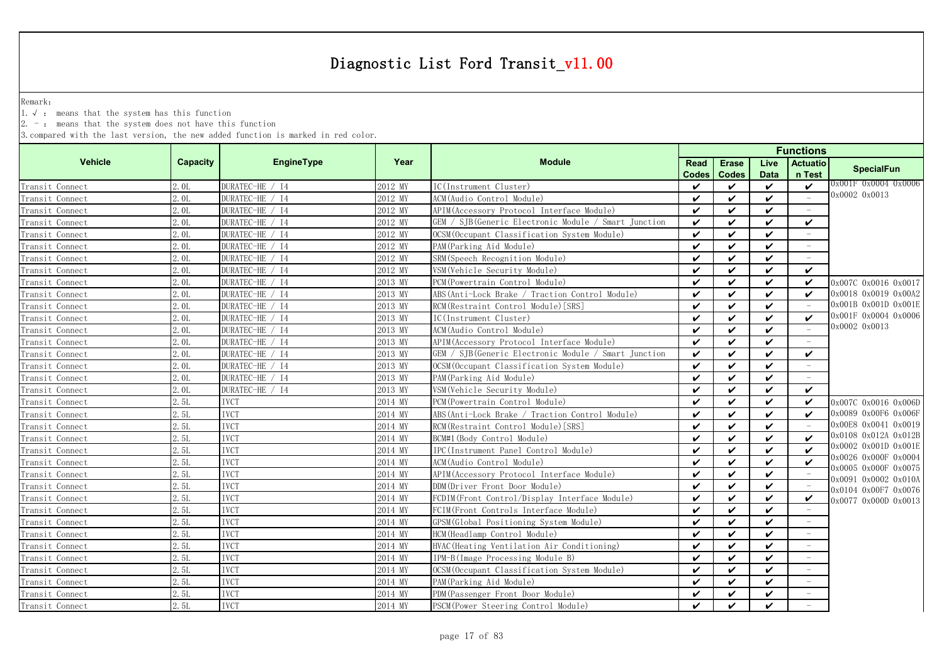Remark:

1.√ : means that the system has this function

 $2. -$ : means that the system does not have this function

|                 |                 |                 |         |                                                      | <b>Functions</b>   |                              |                     |                                 |                                              |  |  |
|-----------------|-----------------|-----------------|---------|------------------------------------------------------|--------------------|------------------------------|---------------------|---------------------------------|----------------------------------------------|--|--|
| <b>Vehicle</b>  | <b>Capacity</b> | EngineType      | Year    | <b>Module</b>                                        | Read<br>Codes      | <b>Erase</b><br><b>Codes</b> | Live<br><b>Data</b> | Actuatio<br>n Test              | <b>SpecialFun</b>                            |  |  |
| Transit Connect | 2.0L            | DURATEC-HE / I4 | 2012 MY | IC(Instrument Cluster)                               | $\boldsymbol{\nu}$ | ✓                            | $\checkmark$        | $\checkmark$                    | 0x001F 0x0004 0x0006                         |  |  |
| Transit Connect | 2.0L            | DURATEC-HE / I4 | 2012 MY | ACM (Audio Control Module)                           | $\checkmark$       | V                            | $\checkmark$        |                                 | 0x0002 0x0013                                |  |  |
| Transit Connect | 2.0L            | DURATEC-HE / I4 | 2012 MY | APIM(Accessory Protocol Interface Module)            | $\checkmark$       | ✓                            | $\checkmark$        | $\hspace{0.1mm}-\hspace{0.1mm}$ |                                              |  |  |
| Transit Connect | 2.0L            | DURATEC-HE / I4 | 2012 MY | GEM / SJB(Generic Electronic Module / Smart Junction | $\checkmark$       | $\checkmark$                 | $\boldsymbol{\nu}$  | ✓                               |                                              |  |  |
| Transit Connect | 2.0L            | DURATEC-HE / I4 | 2012 MY | OCSM (Occupant Classification System Module)         | $\checkmark$       | $\checkmark$                 | $\checkmark$        |                                 |                                              |  |  |
| Transit Connect | 2.0L            | DURATEC-HE / I4 | 2012 MY | PAM (Parking Aid Module)                             | $\checkmark$       | $\checkmark$                 | $\checkmark$        |                                 |                                              |  |  |
| Transit Connect | 2. OL           | DURATEC-HE / I4 | 2012 MY | SRM (Speech Recognition Module)                      | $\checkmark$       | ✓                            | ✓                   |                                 |                                              |  |  |
| Transit Connect | 2.0L            | DURATEC-HE / I4 | 2012 MY | VSM (Vehicle Security Module)                        | $\boldsymbol{\nu}$ | ✓                            | $\boldsymbol{\nu}$  | $\boldsymbol{\nu}$              |                                              |  |  |
| Transit Connect | 2.0L            | DURATEC-HE / I4 | 2013 MY | PCM (Powertrain Control Module)                      | ✓                  | $\checkmark$                 | $\checkmark$        | ✓                               | 0x007C 0x0016 0x0017                         |  |  |
| Transit Connect | 2.0L            | DURATEC-HE / I4 | 2013 MY | ABS(Anti-Lock Brake / Traction Control Module)       | $\checkmark$       | $\checkmark$                 | $\checkmark$        | ✓                               | 0x0018 0x0019 0x00A2                         |  |  |
| Transit Connect | 2.0L            | DURATEC-HE / I4 | 2013 MY | RCM (Restraint Control Module) [SRS]                 | ✓                  | ✓                            | $\checkmark$        |                                 | 0x001B 0x001D 0x001E                         |  |  |
| Transit Connect | 2.0L            | DURATEC-HE / I4 | 2013 MY | IC(Instrument Cluster)                               | $\checkmark$       | $\boldsymbol{\nu}$           | $\boldsymbol{\nu}$  | $\boldsymbol{\nu}$              | 0x001F 0x0004 0x0006                         |  |  |
| Transit Connect | 2.0L            | DURATEC-HE / I4 | 2013 MY | ACM(Audio Control Module)                            | $\checkmark$       | $\checkmark$                 | $\checkmark$        |                                 | 0x0002 0x0013                                |  |  |
| Transit Connect | 2. OL           | DURATEC-HE / I4 | 2013 MY | APIM (Accessory Protocol Interface Module)           | $\checkmark$       | ✓                            | $\checkmark$        |                                 |                                              |  |  |
| Transit Connect | 2. OL           | DURATEC-HE / I4 | 2013 MY | GEM / SJB(Generic Electronic Module / Smart Junction | $\checkmark$       | ✓                            | $\checkmark$        | V                               |                                              |  |  |
| Transit Connect | 2.0L            | DURATEC-HE / I4 | 2013 MY | OCSM (Occupant Classification System Module)         | $\checkmark$       | ✓                            | $\boldsymbol{\nu}$  | $\sim$                          |                                              |  |  |
| Transit Connect | 2.0L            | DURATEC-HE / I4 | 2013 MY | PAM (Parking Aid Module)                             | ✓                  | $\checkmark$                 | $\checkmark$        | $\overline{\phantom{a}}$        |                                              |  |  |
| Transit Connect | 2.0L            | DURATEC-HE / I4 | 2013 MY | VSM (Vehicle Security Module)                        | ✓                  | ✓                            | V                   | ✓                               |                                              |  |  |
| Transit Connect | 2.5L            | <b>IVCT</b>     | 2014 MY | PCM (Powertrain Control Module)                      | ✓                  | ✓                            | $\boldsymbol{\nu}$  | $\boldsymbol{\checkmark}$       | 0x007C 0x0016 0x006D                         |  |  |
| Transit Connect | 2.5L            | <b>IVCT</b>     | 2014 MY | ABS (Anti-Lock Brake / Traction Control Module)      | ✓                  | ✓                            | $\boldsymbol{\nu}$  | ✓                               | 0x0089 0x00F6 0x006F                         |  |  |
| Transit Connect | 2.5L            | <b>IVCT</b>     | 2014 MY | RCM (Restraint Control Module) [SRS]                 | ✓                  | ✓                            | $\checkmark$        |                                 | 0x00E8 0x0041 0x0019                         |  |  |
| Transit Connect | 2.5L            | <b>IVCT</b>     | 2014 MY | BCM#1 (Body Control Module)                          | ✓                  | ✓                            | $\checkmark$        | $\checkmark$                    | 0x0108 0x012A 0x012B                         |  |  |
| Transit Connect | 2.5L            | <b>IVCT</b>     | 2014 MY | IPC(Instrument Panel Control Module)                 | ✓                  | $\checkmark$                 | $\boldsymbol{\nu}$  | $\boldsymbol{\mathcal{U}}$      | 0x0002 0x001D 0x001E                         |  |  |
| Transit Connect | 2.5L            | <b>IVCT</b>     | 2014 MY | ACM(Audio Control Module)                            | $\boldsymbol{\nu}$ | $\checkmark$                 | $\checkmark$        | $\checkmark$                    | 0x0026 0x000F 0x0004                         |  |  |
| Transit Connect | 2.5L            | <b>IVCT</b>     | 2014 MY | APIM (Accessory Protocol Interface Module)           | $\checkmark$       | $\checkmark$                 | $\checkmark$        |                                 | 0x0005 0x000F 0x0075<br>0x0091 0x0002 0x010A |  |  |
| Transit Connect | 2.5L            | <b>IVCT</b>     | 2014 MY | DDM(Driver Front Door Module)                        | $\checkmark$       | V                            | $\checkmark$        |                                 | 0x0104 0x00F7 0x0076                         |  |  |
| Transit Connect | 2.5L            | <b>IVCT</b>     | 2014 MY | FCDIM(Front Control/Display Interface Module)        | ✓                  | ✓                            | $\checkmark$        | $\checkmark$                    | 0x0077 0x000D 0x0013                         |  |  |
| Transit Connect | 2.5L            | <b>IVCT</b>     | 2014 MY | FCIM(Front Controls Interface Module)                | $\checkmark$       | ✓                            | $\boldsymbol{\nu}$  |                                 |                                              |  |  |
| Transit Connect | 2.5L            | <b>IVCT</b>     | 2014 MY | GPSM (Global Positioning System Module)              | $\checkmark$       | ✓                            | $\checkmark$        | $\overline{\phantom{a}}$        |                                              |  |  |
| Transit Connect | 2.5L            | <b>IVCT</b>     | 2014 MY | HCM (Headlamp Control Module)                        | ✓                  | $\checkmark$                 | $\checkmark$        | $\overline{\phantom{a}}$        |                                              |  |  |
| Transit Connect | 2.5L            | <b>IVCT</b>     | 2014 MY | HVAC (Heating Ventilation Air Conditioning)          | ✓                  | ✓                            | $\checkmark$        |                                 |                                              |  |  |
| Transit Connect | 2.5L            | <b>IVCT</b>     | 2014 MY | IPM-B(Image Processing Module B)                     | ✓                  | ✓                            | $\checkmark$        |                                 |                                              |  |  |
| Transit Connect | 2.5L            | <b>IVCT</b>     | 2014 MY | OCSM (Occupant Classification System Module)         | ✓                  | ✓                            | $\checkmark$        |                                 |                                              |  |  |
| Transit Connect | 2.5L            | <b>IVCT</b>     | 2014 MY | PAM (Parking Aid Module)                             | ✓                  | ✓                            | ✓                   |                                 |                                              |  |  |
| Transit Connect | 2.5L            | <b>IVCT</b>     | 2014 MY | PDM (Passenger Front Door Module)                    | ✓                  | ✓                            | $\checkmark$        |                                 |                                              |  |  |
| Transit Connect | 2.5L            | <b>IVCT</b>     | 2014 MY | PSCM (Power Steering Control Module)                 | $\checkmark$       | $\boldsymbol{\nu}$           | $\boldsymbol{\nu}$  |                                 |                                              |  |  |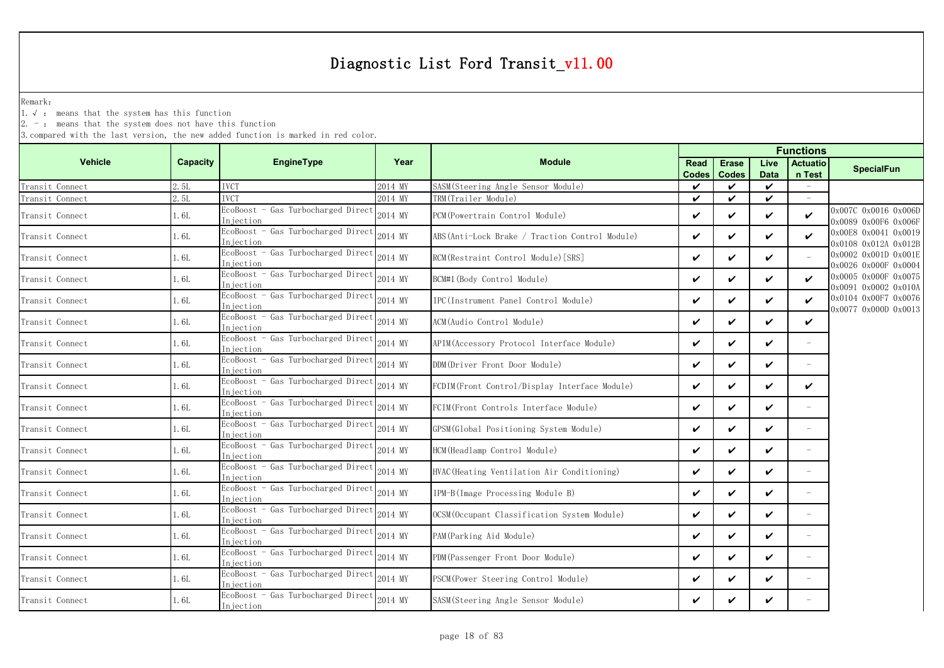Remark:

1.√ : means that the system has this function

 $2. -$ : means that the system does not have this function

|                 |          |                                                  | <b>Functions</b> |                                                |                      |                              |                     |                           |                                              |
|-----------------|----------|--------------------------------------------------|------------------|------------------------------------------------|----------------------|------------------------------|---------------------|---------------------------|----------------------------------------------|
| <b>Vehicle</b>  | Capacity | <b>EngineType</b>                                | Year             | <b>Module</b>                                  | Read<br><b>Codes</b> | <b>Erase</b><br><b>Codes</b> | Live<br><b>Data</b> | <b>Actuatio</b><br>n Test | <b>SpecialFun</b>                            |
| Transit Connect | 2.5L     | <b>IVCT</b>                                      | 2014 MY          | SASM (Steering Angle Sensor Module)            | $\checkmark$         | ✓                            | $\checkmark$        |                           |                                              |
| Transit Connect | 2.5L     | <b>IVCT</b>                                      | 2014 MY          | TRM(Trailer Module)                            | $\checkmark$         | ✓                            | ✓                   |                           |                                              |
| Transit Connect | 1.6L     | EcoBoost - Gas Turbocharged Direct<br>Injection  | 2014 MY          | PCM (Powertrain Control Module)                | $\checkmark$         | ✓                            | ✓                   | $\checkmark$              | 0x007C 0x0016 0x006D<br>0x0089 0x00F6 0x006F |
| Transit Connect | 1.6L     | EcoBoost - Gas Turbocharged Direct<br>Injection  | 2014 MY          | ABS(Anti-Lock Brake / Traction Control Module) | $\checkmark$         | ✓                            | ✓                   | ✓                         | 0x00E8 0x0041 0x0019<br>0x0108 0x012A 0x012B |
| Transit Connect | 1.6L     | EcoBoost - Gas Turbocharged Direct<br>Injection  | 2014 MY          | RCM(Restraint Control Module)[SRS]             | $\checkmark$         | ✓                            | ✓                   |                           | 0x0002 0x001D 0x001E<br>)x0026 0x000F 0x0004 |
| Transit Connect | 1.6L     | EcoBoost - Gas Turbocharged Direct<br>Injection  | 2014 MY          | BCM#1 (Body Control Module)                    | V                    | ✓                            | V                   | $\boldsymbol{\nu}$        | 0x0005 0x000F 0x0075<br>0x0091 0x0002 0x010A |
| Transit Connect | 1.6L     | EcoBoost - Gas Turbocharged Direct<br>Injection  | 2014 MY          | IPC (Instrument Panel Control Module)          | $\checkmark$         | ✓                            | ✓                   | $\checkmark$              | 0x0104 0x00F7 0x0076<br>0x0077 0x000D 0x0013 |
| Transit Connect | 1.6L     | EcoBoost - Gas Turbocharged Direct<br>Injection  | 2014 MY          | ACM(Audio Control Module)                      | V                    | ✓                            | ✓                   | $\checkmark$              |                                              |
| Transit Connect | 1.6L     | EcoBoost - Gas Turbocharged Direct<br>Injection  | 2014 MY          | APIM (Accessory Protocol Interface Module)     | $\checkmark$         | $\boldsymbol{\nu}$           | ✓                   |                           |                                              |
| Transit Connect | 1.6L     | EcoBoost - Gas Turbocharged Direct<br>Injection  | 2014 MY          | DDM(Driver Front Door Module)                  | V                    | ✓                            | ✓                   |                           |                                              |
| Transit Connect | 1.6L     | EcoBoost - Gas Turbocharged Direct<br>Injection  | 2014 MY          | FCDIM (Front Control/Display Interface Module) | $\checkmark$         | ✓                            | ✓                   | V                         |                                              |
| Transit Connect | 1.6L     | EcoBoost - Gas Turbocharged Direct<br>Injection  | 2014 MY          | FCIM(Front Controls Interface Module)          | $\checkmark$         | $\checkmark$                 | V                   |                           |                                              |
| Transit Connect | 1. 6L    | EcoBoost - Gas Turbocharged Direct<br>Injection  | 2014 MY          | GPSM (Global Positioning System Module)        | $\checkmark$         | ✓                            | ✓                   |                           |                                              |
| Transit Connect | 1.6L     | EcoBoost - Gas Turbocharged Direct<br>In iection | 2014 MY          | HCM(Headlamp Control Module)                   | $\checkmark$         | ✓                            | ✓                   |                           |                                              |
| Transit Connect | 1.6L     | EcoBoost - Gas Turbocharged Direct<br>Injection  | 2014 MY          | HVAC (Heating Ventilation Air Conditioning)    | $\checkmark$         | $\checkmark$                 | ✓                   | $\overline{\phantom{a}}$  |                                              |
| Transit Connect | 1.6L     | EcoBoost - Gas Turbocharged Direct<br>Injection  | 2014 MY          | IPM-B(Image Processing Module B)               | $\checkmark$         | ✓                            | V                   | $\overline{\phantom{a}}$  |                                              |
| Transit Connect | 1.6L     | EcoBoost - Gas Turbocharged Direct<br>Injection  | 2014 MY          | OCSM (Occupant Classification System Module)   | V                    | ✓                            | ✓                   | $\overline{\phantom{a}}$  |                                              |
| Transit Connect | 1.6L     | EcoBoost - Gas Turbocharged Direct<br>Injection  | 2014 MY          | PAM (Parking Aid Module)                       | $\checkmark$         | $\boldsymbol{\nu}$           | ✓                   | $\overline{\phantom{a}}$  |                                              |
| Transit Connect | 1.6L     | EcoBoost - Gas Turbocharged Direct<br>In jection | 2014 MY          | PDM(Passenger Front Door Module)               | $\checkmark$         | $\checkmark$                 | V                   | $\overline{\phantom{a}}$  |                                              |
| Transit Connect | 1.6L     | EcoBoost - Gas Turbocharged Direct<br>Injection  | 2014 MY          | PSCM (Power Steering Control Module)           | $\checkmark$         | ✓                            | ✓                   | $\overline{\phantom{a}}$  |                                              |
| Transit Connect | 1.6L     | EcoBoost - Gas Turbocharged Direct<br>Injection  | 2014 MY          | SASM(Steering Angle Sensor Module)             | V                    | ✓                            | ✓                   |                           |                                              |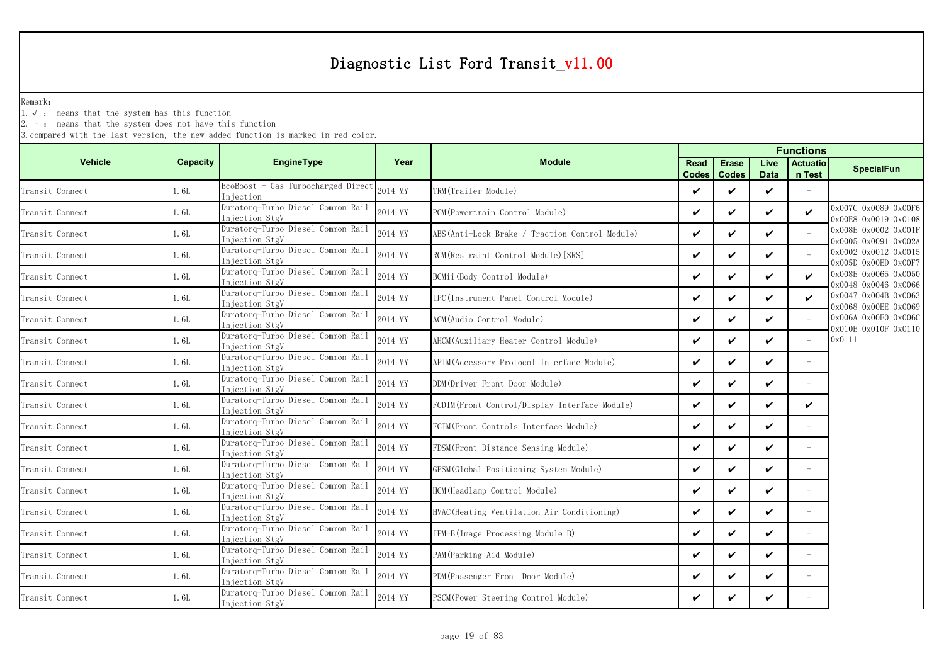Remark:

1.√ : means that the system has this function

 $2. -$ : means that the system does not have this function

|                 |          |                                                     |         | <b>Functions</b>                               |               |                              |                     |                           |                                              |
|-----------------|----------|-----------------------------------------------------|---------|------------------------------------------------|---------------|------------------------------|---------------------|---------------------------|----------------------------------------------|
| <b>Vehicle</b>  | Capacity | EngineType                                          | Year    | <b>Module</b>                                  | Read<br>Codes | <b>Erase</b><br><b>Codes</b> | Live<br><b>Data</b> | <b>Actuatio</b><br>n Test | <b>SpecialFun</b>                            |
| Transit Connect | 1.6L     | EcoBoost - Gas Turbocharged Direct<br>Injection     | 2014 MY | TRM(Trailer Module)                            | $\checkmark$  | $\checkmark$                 | $\checkmark$        |                           |                                              |
| Transit Connect | 1.6L     | Duratorq-Turbo Diesel Common Rail<br>Injection StgV | 2014 MY | PCM (Powertrain Control Module)                | $\checkmark$  | $\checkmark$                 | ✓                   | $\boldsymbol{\nu}$        | 0x007C 0x0089 0x00F6<br>0x00E8 0x0019 0x0108 |
| Transit Connect | 1.6L     | Duratorq-Turbo Diesel Common Rail<br>Injection StgV | 2014 MY | ABS(Anti-Lock Brake / Traction Control Module) | $\checkmark$  | $\checkmark$                 | ✓                   |                           | 0x008E 0x0002 0x001F<br>0x0005 0x0091 0x002A |
| Transit Connect | 1.6L     | Duratorq-Turbo Diesel Common Rail<br>Injection StgV | 2014 MY | RCM(Restraint Control Module) [SRS]            | $\checkmark$  | $\checkmark$                 | V                   |                           | 0x0002 0x0012 0x0015<br>0x005D 0x00ED 0x00F7 |
| Transit Connect | 1.6L     | Duratorg-Turbo Diesel Common Rail<br>Injection StgV | 2014 MY | BCMii(Body Control Module)                     | $\checkmark$  | ✓                            | ✓                   | ✓                         | 0x008E 0x0065 0x0050<br>0x0048 0x0046 0x0066 |
| Transit Connect | 1. 6L    | Duratorq-Turbo Diesel Common Rail<br>Injection StgV | 2014 MY | IPC (Instrument Panel Control Module)          | $\checkmark$  | $\checkmark$                 | ✓                   | $\checkmark$              | 0x0047 0x004B 0x0063                         |
| Transit Connect | 1.6L     | Duratorq-Turbo Diesel Common Rail<br>Injection StgV | 2014 MY | ACM(Audio Control Module)                      | $\checkmark$  | $\checkmark$                 | V                   |                           | 0x0068 0x00EE 0x0069<br>0x006A 0x00F0 0x006C |
| Transit Connect | 1. 6L    | Duratorq-Turbo Diesel Common Rail<br>Injection StgV | 2014 MY | AHCM(Auxiliary Heater Control Module)          | $\checkmark$  | $\checkmark$                 | V                   | $\equiv$                  | 0x010E 0x010F 0x0110<br>0x0111               |
| Transit Connect | 1.6L     | Duratorq-Turbo Diesel Common Rail<br>Injection StgV | 2014 MY | APIM(Accessory Protocol Interface Module)      | $\checkmark$  | $\checkmark$                 | ✓                   |                           |                                              |
| Transit Connect | 1.6L     | Duratorq-Turbo Diesel Common Rail<br>Injection StgV | 2014 MY | DDM(Driver Front Door Module)                  | $\checkmark$  | $\checkmark$                 | V                   | $\overline{\phantom{a}}$  |                                              |
| Transit Connect | 1.6L     | Duratorq-Turbo Diesel Common Rail<br>Injection StgV | 2014 MY | FCDIM(Front Control/Display Interface Module)  | $\checkmark$  | $\checkmark$                 | $\checkmark$        | V                         |                                              |
| Transit Connect | 1. 6L    | Duratorg-Turbo Diesel Common Rail<br>Injection StgV | 2014 MY | FCIM(Front Controls Interface Module)          | ✓             | $\checkmark$                 | ✓                   | $\overline{\phantom{a}}$  |                                              |
| Transit Connect | 1.6L     | Duratorq-Turbo Diesel Common Rail<br>Injection StgV | 2014 MY | FDSM (Front Distance Sensing Module)           | $\checkmark$  | $\checkmark$                 | ✓                   | $\equiv$                  |                                              |
| Transit Connect | 1.6L     | Duratorq-Turbo Diesel Common Rail<br>Injection StgV | 2014 MY | GPSM(Global Positioning System Module)         | $\checkmark$  | $\checkmark$                 | ✓                   | $\sim$                    |                                              |
| Transit Connect | 1.6L     | Duratorq-Turbo Diesel Common Rail<br>Injection StgV | 2014 MY | HCM (Headlamp Control Module)                  | $\checkmark$  | $\checkmark$                 | ✓                   | $\overline{\phantom{a}}$  |                                              |
| Transit Connect | 1.6L     | Duratorg-Turbo Diesel Common Rail<br>Injection StgV | 2014 MY | HVAC(Heating Ventilation Air Conditioning)     | V             | ✓                            | ✓                   |                           |                                              |
| Transit Connect | 1.6L     | Duratorg-Turbo Diesel Common Rail<br>Injection StgV | 2014 MY | IPM-B(Image Processing Module B)               | $\checkmark$  | $\checkmark$                 | V                   | $\overline{\phantom{a}}$  |                                              |
| Transit Connect | 1.6L     | Duratorq-Turbo Diesel Common Rail<br>Injection StgV | 2014 MY | PAM(Parking Aid Module)                        | $\checkmark$  | $\checkmark$                 | ✓                   |                           |                                              |
| Transit Connect | 1. 6L    | Duratorq-Turbo Diesel Common Rail<br>Injection StgV | 2014 MY | PDM (Passenger Front Door Module)              | $\checkmark$  | ✓                            | V                   |                           |                                              |
| Transit Connect | 1.6L     | Duratorq-Turbo Diesel Common Rail<br>Injection StgV | 2014 MY | PSCM (Power Steering Control Module)           | $\checkmark$  | ✓                            | ✓                   |                           |                                              |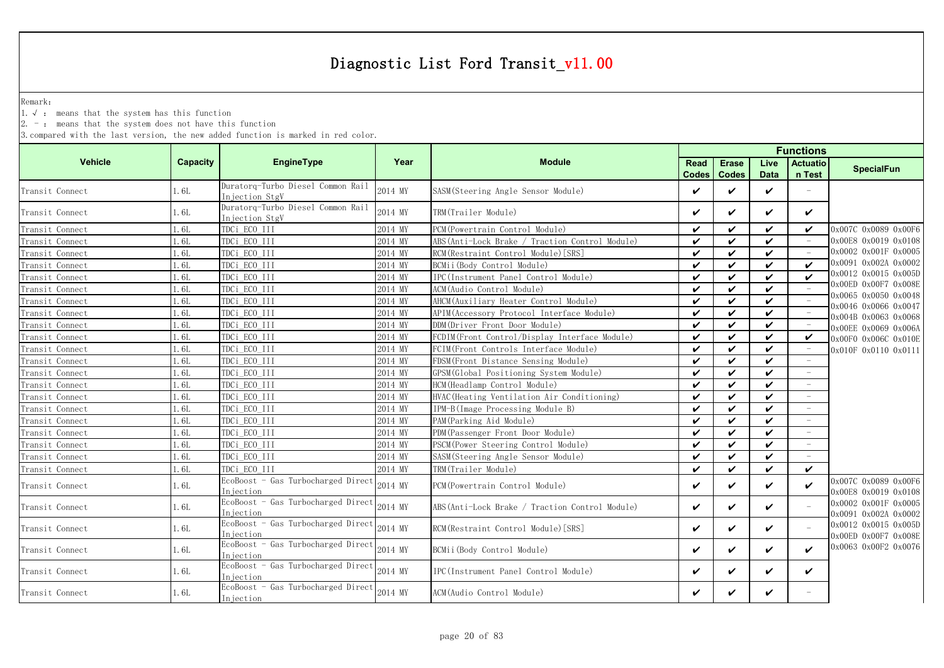Remark:

1.√ : means that the system has this function

2. - : means that the system does not have this function

|                 |                 |                                                     |         |                                                 | <b>Functions</b>     |                              |                     |                                 |                                              |  |
|-----------------|-----------------|-----------------------------------------------------|---------|-------------------------------------------------|----------------------|------------------------------|---------------------|---------------------------------|----------------------------------------------|--|
| <b>Vehicle</b>  | <b>Capacity</b> | <b>EngineType</b>                                   | Year    | <b>Module</b>                                   | Read<br><b>Codes</b> | <b>Erase</b><br><b>Codes</b> | Live<br><b>Data</b> | <b>Actuatio</b><br>n Test       | <b>SpecialFun</b>                            |  |
| Transit Connect | 1.6L            | Duratorq-Turbo Diesel Common Rail<br>Injection StgV | 2014 MY | SASM (Steering Angle Sensor Module)             | ✓                    | V                            | $\checkmark$        |                                 |                                              |  |
| Transit Connect | 1.6L            | Duratorq-Turbo Diesel Common Rail<br>Injection StgV | 2014 MY | TRM(Trailer Module)                             | ✓                    | ✓                            | ✓                   | $\checkmark$                    |                                              |  |
| Transit Connect | 1.6L            | TDCi_ECO_III                                        | 2014 MY | PCM (Powertrain Control Module)                 | ✓                    | $\boldsymbol{\nu}$           | $\checkmark$        | ✓                               | 0x007C 0x0089 0x00F6                         |  |
| Transit Connect | 1.6L            | TDCi ECO III                                        | 2014 MY | ABS (Anti-Lock Brake / Traction Control Module) | $\checkmark$         | $\checkmark$                 | $\checkmark$        |                                 | 0x00E8 0x0019 0x0108                         |  |
| Transit Connect | 1.6L            | TDCi_ECO_III                                        | 2014 MY | RCM (Restraint Control Module) [SRS]            | ✓                    | $\checkmark$                 | $\checkmark$        |                                 | 0x0002 0x001F 0x0005                         |  |
| Transit Connect | 1.6L            | TDCi ECO III                                        | 2014 MY | BCMii (Body Control Module)                     | ✓                    | $\checkmark$                 | $\checkmark$        | $\boldsymbol{\mathcal{U}}$      | 0x0091 0x002A 0x0002                         |  |
| Transit Connect | 1.6L            | TDCi_ECO_III                                        | 2014 MY | IPC(Instrument Panel Control Module)            | ✓                    | $\checkmark$                 | $\checkmark$        | $\boldsymbol{\nu}$              | 0x0012 0x0015 0x005D                         |  |
| Transit Connect | 1.6L            | TDCi ECO III                                        | 2014 MY | ACM(Audio Control Module)                       | ✓                    | ✓                            | V                   |                                 | 0x00ED 0x00F7 0x008E                         |  |
| Transit Connect | 1.6L            | TDCi ECO III                                        | 2014 MY | AHCM (Auxiliary Heater Control Module)          | ✓                    | $\checkmark$                 | V                   | $\hspace{0.1mm}-\hspace{0.1mm}$ | 0x0065 0x0050 0x0048<br>0x0046 0x0066 0x0047 |  |
| Transit Connect | 1.6L            | TDCi ECO III                                        | 2014 MY | APIM (Accessory Protocol Interface Module)      | ✓                    | ✓                            | ✓                   | $\hspace{0.1mm}$                | 0x004B 0x0063 0x0068                         |  |
| Transit Connect | 1.6L            | TDCi ECO III                                        | 2014 MY | DDM(Driver Front Door Module)                   | ✓                    | $\checkmark$                 | $\checkmark$        |                                 | 0x00EE 0x0069 0x006A                         |  |
| Transit Connect | 1.6L            | TDCi ECO III                                        | 2014 MY | FCDIM (Front Control/Display Interface Module)  | ✓                    | $\checkmark$                 | $\checkmark$        | V                               | 0x00F0 0x006C 0x010E                         |  |
| Transit Connect | 1.6L            | TDCi ECO III                                        | 2014 MY | FCIM (Front Controls Interface Module)          | ✓                    | $\checkmark$                 | $\checkmark$        |                                 | 0x010F 0x0110 0x0111                         |  |
| Transit Connect | 1.6L            | TDCi ECO III                                        | 2014 MY | FDSM (Front Distance Sensing Module)            | ✓                    | $\checkmark$                 | ✓                   |                                 |                                              |  |
| Transit Connect | 1.6L            | TDCi ECO III                                        | 2014 MY | GPSM(Global Positioning System Module)          | ✓                    | $\checkmark$                 | $\checkmark$        |                                 |                                              |  |
| Transit Connect | 1.6L            | TDCi ECO III                                        | 2014 MY | HCM (Headlamp Control Module)                   | ✓                    | $\checkmark$                 | $\checkmark$        |                                 |                                              |  |
| Transit Connect | 1.6L            | TDCi_ECO_III                                        | 2014 MY | HVAC (Heating Ventilation Air Conditioning)     | ✓                    | ✓                            | $\checkmark$        |                                 |                                              |  |
| Transit Connect | 1.6L            | TDCi_ECO_III                                        | 2014 MY | IPM-B(Image Processing Module B)                | ✓                    | ✓                            | $\checkmark$        |                                 |                                              |  |
| Transit Connect | 1.6L            | TDCi ECO III                                        | 2014 MY | PAM (Parking Aid Module)                        | ✓                    | $\checkmark$                 | $\checkmark$        |                                 |                                              |  |
| Transit Connect | 1.6L            | TDCi ECO III                                        | 2014 MY | PDM (Passenger Front Door Module)               | $\checkmark$         | $\checkmark$                 | $\mathbf{v}$        |                                 |                                              |  |
| Transit Connect | 1.6L            | TDCi ECO III                                        | 2014 MY | PSCM (Power Steering Control Module)            | ✓                    | $\checkmark$                 | $\checkmark$        |                                 |                                              |  |
| Transit Connect | 1.6L            | TDCi ECO III                                        | 2014 MY | SASM (Steering Angle Sensor Module)             | ✓                    | $\boldsymbol{\nu}$           | $\checkmark$        |                                 |                                              |  |
| Transit Connect | 1.6L            | TDCi ECO III                                        | 2014 MY | TRM(Trailer Module)                             | ✓                    | $\checkmark$                 | $\checkmark$        | $\checkmark$                    |                                              |  |
| Transit Connect | 1.6L            | EcoBoost - Gas Turbocharged Direct<br>Injection     | 2014 MY | PCM (Powertrain Control Module)                 | ✓                    | ✓                            | $\checkmark$        | $\checkmark$                    | 0x007C 0x0089 0x00F6<br>0x00E8 0x0019 0x0108 |  |
| Transit Connect | 1.6L            | EcoBoost - Gas Turbocharged Direct<br>Injection     | 2014 MY | ABS(Anti-Lock Brake / Traction Control Module)  | ✓                    | $\checkmark$                 | $\checkmark$        |                                 | 0x0002 0x001F 0x0005<br>0x0091 0x002A 0x0002 |  |
| Transit Connect | 1.6L            | EcoBoost - Gas Turbocharged Direct<br>Injection     | 2014 MY | RCM(Restraint Control Module)[SRS]              | ✓                    | ✓                            | $\checkmark$        |                                 | 0x0012 0x0015 0x005D<br>0x00ED 0x00F7 0x008E |  |
| Transit Connect | 1.6L            | EcoBoost - Gas Turbocharged Direct<br>Injection     | 2014 MY | BCMii (Body Control Module)                     | ✓                    | $\checkmark$                 | $\checkmark$        | ✓                               | 0x0063 0x00F2 0x0076                         |  |
| Transit Connect | 1.6L            | EcoBoost - Gas Turbocharged Direct<br>Injection     | 2014 MY | IPC(Instrument Panel Control Module)            | ✓                    | ✓                            | V                   | V                               |                                              |  |
| Transit Connect | 1.6L            | EcoBoost - Gas Turbocharged Direct<br>Injection     | 2014 MY | ACM(Audio Control Module)                       | ✓                    | V                            | $\checkmark$        |                                 |                                              |  |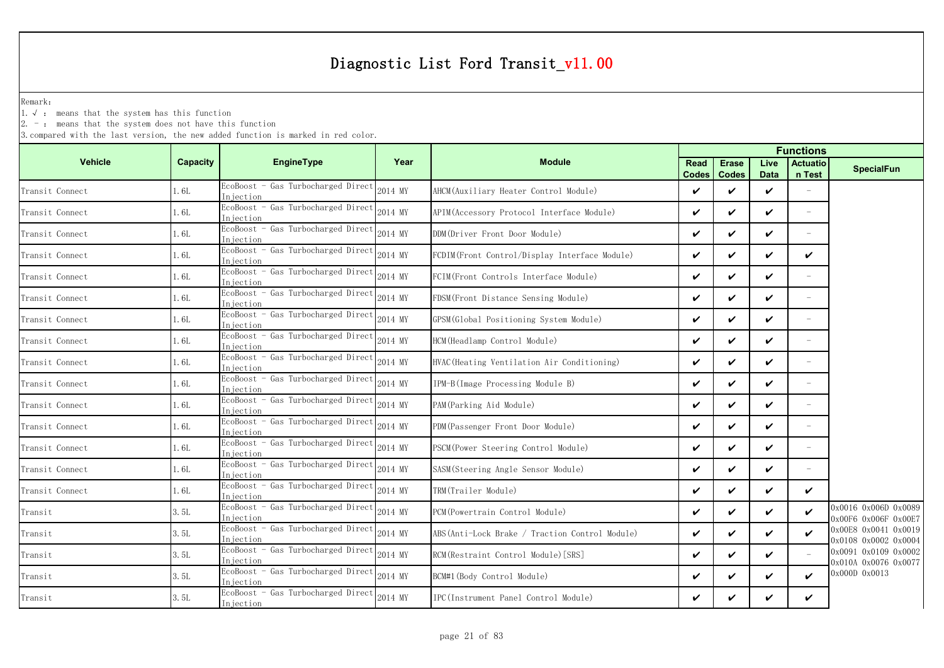Remark:

1.√ : means that the system has this function

 $2. -$ : means that the system does not have this function

|                 |          |                                                     |         | <b>Functions</b>                                |                      |                              |                     |                           |                                              |
|-----------------|----------|-----------------------------------------------------|---------|-------------------------------------------------|----------------------|------------------------------|---------------------|---------------------------|----------------------------------------------|
| <b>Vehicle</b>  | Capacity | <b>EngineType</b>                                   | Year    | <b>Module</b>                                   | Read<br><b>Codes</b> | <b>Erase</b><br><b>Codes</b> | Live<br><b>Data</b> | <b>Actuatio</b><br>n Test | <b>SpecialFun</b>                            |
| Transit Connect | 1.6L     | EcoBoost - Gas Turbocharged Direct<br>Injection     | 2014 MY | AHCM (Auxiliary Heater Control Module)          | V                    | ✓                            | ✓                   |                           |                                              |
| Transit Connect | 1.6L     | EcoBoost - Gas Turbocharged Direct<br>Injection     | 2014 MY | APIM (Accessory Protocol Interface Module)      | ✓                    | ✓                            | ✓                   | $\overline{\phantom{a}}$  |                                              |
| Transit Connect | 1.6L     | EcoBoost - Gas Turbocharged Direct<br>Injection     | 2014 MY | DDM(Driver Front Door Module)                   | ✓                    | ✓                            | ✓                   | $\overline{\phantom{a}}$  |                                              |
| Transit Connect | 1.6L     | EcoBoost - Gas Turbocharged Direct<br>Injection     | 2014 MY | FCDIM(Front Control/Display Interface Module)   | $\checkmark$         | $\checkmark$                 | ✓                   | ✓                         |                                              |
| Transit Connect | 1.6L     | EcoBoost - Gas Turbocharged Direct<br>In jection    | 2014 MY | FCIM(Front Controls Interface Module)           | ✓                    | ✓                            | ✓                   |                           |                                              |
| Transit Connect | 1.6L     | EcoBoost - Gas Turbocharged Direct<br>Injection     | 2014 MY | FDSM (Front Distance Sensing Module)            | $\checkmark$         | $\checkmark$                 | ✓                   | $\overline{\phantom{a}}$  |                                              |
| Transit Connect | 1.6L     | EcoBoost - Gas Turbocharged Direct<br>Injection     | 2014 MY | GPSM(Global Positioning System Module)          | ✓                    | ✓                            | ✓                   | $\overline{\phantom{a}}$  |                                              |
| Transit Connect | 1.6L     | EcoBoost - Gas Turbocharged Direct<br>Injection     | 2014 MY | HCM (Headlamp Control Module)                   | $\checkmark$         | $\boldsymbol{\nu}$           | ✓                   | $\overline{\phantom{a}}$  |                                              |
| Transit Connect | 1.6L     | EcoBoost - Gas Turbocharged Direct<br>Injection     | 2014 MY | HVAC (Heating Ventilation Air Conditioning)     | ✓                    | ✓                            | ✓                   |                           |                                              |
| Transit Connect | 1.6L     | EcoBoost - Gas Turbocharged Direct<br>Injection     | 2014 MY | IPM-B(Image Processing Module B)                | $\checkmark$         | ✓                            | ✓                   | $\overline{\phantom{a}}$  |                                              |
| Transit Connect | 1.6L     | EcoBoost - Gas Turbocharged Direct<br>Injection     | 2014 MY | PAM (Parking Aid Module)                        | ✓                    | ✓                            | ✓                   |                           |                                              |
| Transit Connect | 1.6L     | EcoBoost - Gas Turbocharged Direct<br>Injection     | 2014 MY | PDM(Passenger Front Door Module)                | ✓                    | ✓                            | ✓                   | $\overline{\phantom{a}}$  |                                              |
| Transit Connect | 1.6L     | EcoBoost - Gas Turbocharged Direct<br>Injection     | 2014 MY | PSCM (Power Steering Control Module)            | ✓                    | ✓                            | ✓                   | $\overline{\phantom{a}}$  |                                              |
| Transit Connect | 1.6L     | EcoBoost - Gas Turbocharged Direct<br>Injection     | 2014 MY | SASM (Steering Angle Sensor Module)             | ✓                    | ✓                            | V                   | $\overline{\phantom{a}}$  |                                              |
| Transit Connect | 1.6L     | EcoBoost - Gas Turbocharged Direct<br>Injection     | 2014 MY | TRM(Trailer Module)                             | ✓                    | ✓                            | ✓                   | ✓                         |                                              |
| Transit         | 3.5L     | - Gas Turbocharged Direct<br>EcoBoost<br>In jection | 2014 MY | PCM (Powertrain Control Module)                 | ✓                    | ✓                            | ✓                   | ✓                         | 0x0016 0x006D 0x0089<br>0x00F6 0x006F 0x00E7 |
| Transit         | 3.5L     | EcoBoost - Gas Turbocharged Direct<br>Injection     | 2014 MY | ABS (Anti-Lock Brake / Traction Control Module) | ✓                    | $\checkmark$                 | ✓                   | ✓                         | 0x00E8 0x0041 0x0019<br>0x0108 0x0002 0x0004 |
| Transit         | 3.5L     | EcoBoost - Gas Turbocharged Direct<br>Injection     | 2014 MY | RCM (Restraint Control Module) [SRS]            | ✓                    | ✓                            | ✓                   |                           | 0x0091 0x0109 0x0002<br>0x010A 0x0076 0x0077 |
| Transit         | 3.5L     | EcoBoost - Gas Turbocharged Direct<br>Iniection     | 2014 MY | BCM#1 (Body Control Module)                     | ✓                    | ✓                            | ✓                   | ✓                         | 0x000D 0x0013                                |
| Transit         | 3.5L     | EcoBoost - Gas Turbocharged Direct<br>Injection     | 2014 MY | IPC(Instrument Panel Control Module)            | ✓                    | ✓                            | ✓                   | ✓                         |                                              |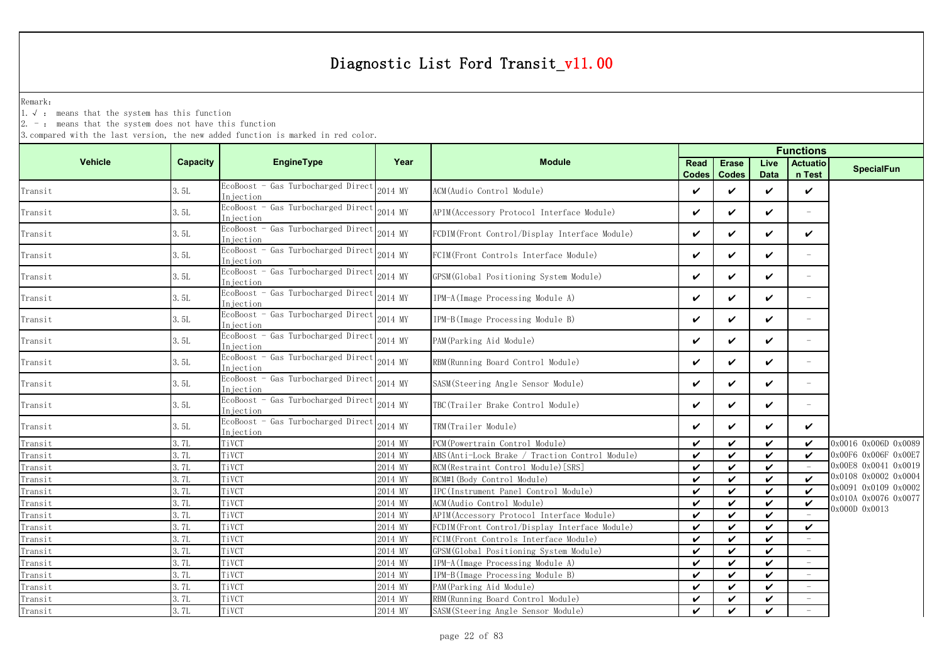Remark:

1.√ : means that the system has this function

 $2. -$ : means that the system does not have this function

|                        |          |                                                  |         |                                                 | <b>Functions</b>            |                              |                     |                            |                      |  |
|------------------------|----------|--------------------------------------------------|---------|-------------------------------------------------|-----------------------------|------------------------------|---------------------|----------------------------|----------------------|--|
| <b>Vehicle</b>         | Capacity | EngineType                                       | Year    | <b>Module</b>                                   | <b>Read</b><br><b>Codes</b> | <b>Erase</b><br><b>Codes</b> | Live<br><b>Data</b> | <b>Actuatio</b><br>n Test  | <b>SpecialFun</b>    |  |
| Transit                | 3.5L     | EcoBoost - Gas Turbocharged Direct<br>Injection  | 2014 MY | ACM (Audio Control Module)                      | V                           | ✓                            | $\checkmark$        | $\checkmark$               |                      |  |
| Transit                | 3.5L     | EcoBoost - Gas Turbocharged Direct<br>Injection  | 2014 MY | APIM (Accessory Protocol Interface Module)      | $\checkmark$                | ✓                            | $\checkmark$        | $\overline{\phantom{0}}$   |                      |  |
| Transit                | 3.5L     | EcoBoost - Gas Turbocharged Direct<br>Injection  | 2014 MY | FCDIM (Front Control/Display Interface Module)  | ✓                           | ✓                            | V                   | V                          |                      |  |
| Transit                | 3.5L     | EcoBoost - Gas Turbocharged Direct<br>Injection  | 2014 MY | FCIM(Front Controls Interface Module)           | $\checkmark$                | ✓                            | $\checkmark$        | $\equiv$                   |                      |  |
| Transit                | 3.5L     | EcoBoost - Gas Turbocharged Direct<br>In iection | 2014 MY | GPSM(Global Positioning System Module)          | V                           | ✓                            | $\checkmark$        | $\overline{\phantom{m}}$   |                      |  |
| Transit                | 3.5L     | EcoBoost - Gas Turbocharged Direct<br>Injection  | 2014 MY | IPM-A(Image Processing Module A)                | V                           | ✓                            | $\checkmark$        | $\overline{\phantom{0}}$   |                      |  |
| Transit                | 3.5L     | EcoBoost - Gas Turbocharged Direct<br>Injection  | 2014 MY | IPM-B(Image Processing Module B)                | ✓                           | ✓                            | $\boldsymbol{\nu}$  | $\overline{\phantom{0}}$   |                      |  |
| Transit                | 3.5L     | EcoBoost - Gas Turbocharged Direct<br>Injection  | 2014 MY | PAM (Parking Aid Module)                        | V                           | ✓                            | $\checkmark$        | $\overline{\phantom{a}}$   |                      |  |
| Transit                | 3.5L     | EcoBoost - Gas Turbocharged Direct<br>Injection  | 2014 MY | RBM(Running Board Control Module)               | $\checkmark$                | ✓                            | $\checkmark$        | $\overline{\phantom{a}}$   |                      |  |
| Transit                | 3.5L     | EcoBoost - Gas Turbocharged Direct<br>Injection  | 2014 MY | SASM(Steering Angle Sensor Module)              | V                           | ✓                            | $\checkmark$        | $\overline{\phantom{m}}$   |                      |  |
| Transit                | 3.5L     | EcoBoost - Gas Turbocharged Direct<br>Injection  | 2014 MY | TBC(Trailer Brake Control Module)               | V                           | ✓                            | $\checkmark$        | $\overline{\phantom{m}}$   |                      |  |
| $\mbox{{\sc Tr}ansit}$ | 3.5L     | EcoBoost - Gas Turbocharged Direct<br>Injection  | 2014 MY | TRM(Trailer Module)                             | ✓                           | ✓                            | $\checkmark$        | $\checkmark$               |                      |  |
| Transit                | 3.7L     | TiVCT                                            | 2014 MY | PCM (Powertrain Control Module)                 | $\checkmark$                | ✓                            | $\checkmark$        | $\checkmark$               | 0x0016 0x006D 0x0089 |  |
| Transit                | 3.7L     | TiVCT                                            | 2014 MY | ABS (Anti-Lock Brake / Traction Control Module) | V                           | ✓                            | $\checkmark$        | V                          | 0x00F6 0x006F 0x00E7 |  |
| Transit                | 3.7L     | TiVCT                                            | 2014 MY | RCM (Restraint Control Module) [SRS]            | V                           | ✓                            | ✓                   |                            | 0x00E8 0x0041 0x0019 |  |
| Transit                | 3.7L     | TiVCT                                            | 2014 MY | BCM#1 (Body Control Module)                     | $\boldsymbol{\nu}$          | ✓                            | $\boldsymbol{\nu}$  | $\boldsymbol{\mathcal{U}}$ | 0x0108 0x0002 0x0004 |  |
| Transit                | 3.7L     | TiVCT                                            | 2014 MY | IPC(Instrument Panel Control Module)            | $\boldsymbol{\nu}$          | $\checkmark$                 | $\boldsymbol{\nu}$  | $\boldsymbol{\nu}$         | 0x0091 0x0109 0x0002 |  |
| Transit                | 3.7L     | TiVCT                                            | 2014 MY | ACM(Audio Control Module)                       | $\boldsymbol{\nu}$          | ✓                            | $\boldsymbol{\nu}$  | $\boldsymbol{\nu}$         | 0x010A 0x0076 0x0077 |  |
| Transit                | 3.7L     | TiVCT                                            | 2014 MY | APIM (Accessory Protocol Interface Module)      | $\boldsymbol{\nu}$          | ✓                            | $\boldsymbol{\nu}$  |                            | 0x000D 0x0013        |  |
| Transit                | 3.7L     | TiVCT                                            | 2014 MY | FCDIM(Front_Control/Display_Interface_Module)   | $\checkmark$                | ✓                            | $\checkmark$        | $\checkmark$               |                      |  |
| Transit                | 3.7L     | TiVCT                                            | 2014 MY | FCIM(Front Controls Interface Module)           | $\boldsymbol{\nu}$          | ✓                            | ✓                   |                            |                      |  |
| Transit                | 3.7L     | TiVCT                                            | 2014 MY | GPSM(Global Positioning System Module)          | $\checkmark$                | ✓                            | $\checkmark$        |                            |                      |  |
| Transit                | 3.7L     | TiVCT                                            | 2014 MY | IPM-A(Image Processing Module A)                | $\checkmark$                | ✓                            | V                   | $\overline{\phantom{m}}$   |                      |  |
| Transit                | 3.7L     | TiVCT                                            | 2014 MY | IPM-B(Image Processing Module B)                | V                           | ✓                            | $\checkmark$        | $\overline{\phantom{m}}$   |                      |  |
| Transit                | 3.7L     | TiVCT                                            | 2014 MY | PAM(Parking Aid Module)                         | $\checkmark$                | ✓                            | $\checkmark$        |                            |                      |  |
| Transit                | 3.7L     | TiVCT                                            | 2014 MY | RBM (Running Board Control Module)              | V                           | ✓                            | $\checkmark$        |                            |                      |  |
| $Transit$              | 3.7L     | TiVCT                                            | 2014 MY | SASM (Steering Angle Sensor Module)             | $\checkmark$                | $\checkmark$                 | ✓                   |                            |                      |  |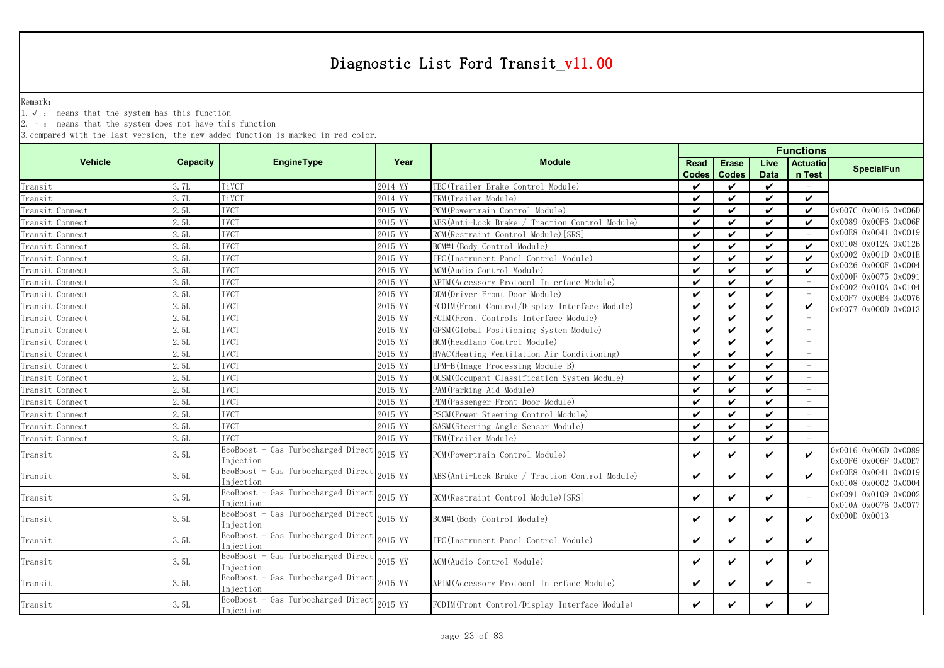Remark:

1.√ : means that the system has this function

 $2. -$ : means that the system does not have this function

|                 |                 |                                                  |         |                                                 | <b>Functions</b>     |                              |                     |                           |                                              |  |  |
|-----------------|-----------------|--------------------------------------------------|---------|-------------------------------------------------|----------------------|------------------------------|---------------------|---------------------------|----------------------------------------------|--|--|
| <b>Vehicle</b>  | <b>Capacity</b> | <b>EngineType</b>                                | Year    | <b>Module</b>                                   | Read<br><b>Codes</b> | <b>Erase</b><br><b>Codes</b> | Live<br><b>Data</b> | <b>Actuatio</b><br>n Test | <b>SpecialFun</b>                            |  |  |
| Transit         | 3.7L            | TiVCT                                            | 2014 MY | TBC (Trailer Brake Control Module)              | V                    | ✓                            | $\checkmark$        |                           |                                              |  |  |
| Transit         | 3.7L            | TiVCT                                            | 2014 MY | TRM(Trailer Module)                             | $\checkmark$         | ✓                            | ✓                   | ✓                         |                                              |  |  |
| Transit Connect | 2.5L            | <b>IVCT</b>                                      | 2015 MY | PCM (Powertrain Control Module)                 | $\checkmark$         | ✓                            | ✓                   | V                         | 0x007C 0x0016 0x006D                         |  |  |
| Transit Connect | 2.5L            | <b>IVCT</b>                                      | 2015 MY | ABS (Anti-Lock Brake / Traction Control Module) | $\checkmark$         | ✓                            | ✓                   | V                         | 0x0089 0x00F6 0x006F                         |  |  |
| Transit Connect | 2.5L            | <b>IVCT</b>                                      | 2015 MY | RCM(Restraint Control Module)[SRS]              | ✓                    | ✓                            | $\checkmark$        |                           | 0x00E8 0x0041 0x0019                         |  |  |
| Transit Connect | 2.5L            | <b>IVCT</b>                                      | 2015 MY | BCM#1(Body Control Module)                      | $\checkmark$         | ✓                            | ✓                   | ✓                         | 0x0108 0x012A 0x012B                         |  |  |
| Transit Connect | 2.5L            | <b>IVCT</b>                                      | 2015 MY | IPC(Instrument Panel Control Module)            | $\boldsymbol{\nu}$   | ✓                            | ✓                   | $\boldsymbol{\nu}$        | 0x0002 0x001D 0x001E                         |  |  |
| Transit Connect | 2.5L            | <b>IVCT</b>                                      | 2015 MY | ACM(Audio Control Module)                       | $\boldsymbol{\nu}$   | ✓                            | $\boldsymbol{\nu}$  | $\boldsymbol{\nu}$        | 0x0026 0x000F 0x0004                         |  |  |
| Transit Connect | 2.5L            | <b>IVCT</b>                                      | 2015 MY | APIM (Accessory Protocol Interface Module)      | ✓                    | $\checkmark$                 | $\boldsymbol{\nu}$  |                           | 0x000F 0x0075 0x0091<br>0x0002 0x010A 0x0104 |  |  |
| Transit Connect | 2.5L            | <b>IVCT</b>                                      | 2015 MY | DDM(Driver Front Door Module)                   | $\checkmark$         | ✓                            | $\boldsymbol{\nu}$  |                           | 0x00F7 0x00B4 0x0076                         |  |  |
| Transit Connect | 2.5L            | <b>IVCT</b>                                      | 2015 MY | FCDIM(Front Control/Display Interface Module)   | $\checkmark$         | ✓                            | $\checkmark$        | V                         | 0x0077 0x000D 0x0013                         |  |  |
| Transit Connect | 2.5L            | <b>IVCT</b>                                      | 2015 MY | FCIM (Front Controls Interface Module)          | $\checkmark$         | ✓                            | ✓                   |                           |                                              |  |  |
| Transit Connect | 2.5L            | <b>IVCT</b>                                      | 2015 MY | GPSM (Global Positioning System Module)         | V                    | ✓                            | ✓                   |                           |                                              |  |  |
| Transit Connect | 2.5L            | <b>IVCT</b>                                      | 2015 MY | HCM (Headlamp Control Module)                   | $\checkmark$         | ✓                            | ✓                   |                           |                                              |  |  |
| Transit Connect | 2.5L            | <b>IVCT</b>                                      | 2015 MY | HVAC (Heating Ventilation Air Conditioning)     | $\checkmark$         | ✓                            | $\checkmark$        |                           |                                              |  |  |
| Transit Connect | 2.5L            | <b>IVCT</b>                                      | 2015 MY | IPM-B(Image Processing Module B)                | $\checkmark$         | ✓                            | $\checkmark$        |                           |                                              |  |  |
| Transit Connect | 2.5L            | <b>IVCT</b>                                      | 2015 MY | OCSM (Occupant Classification System Module)    | $\checkmark$         | ✓                            | $\boldsymbol{\nu}$  |                           |                                              |  |  |
| Transit Connect | 2.5L            | <b>IVCT</b>                                      | 2015 MY | PAM(Parking Aid Module)                         | V                    | ✓                            | ✓                   |                           |                                              |  |  |
| Transit Connect | 2.5L            | <b>IVCT</b>                                      | 2015 MY | PDM (Passenger Front Door Module)               | ✓                    | V                            | ✓                   |                           |                                              |  |  |
| Transit Connect | 2.5L            | <b>IVCT</b>                                      | 2015 MY | PSCM (Power Steering Control Module)            | ✓                    | ✓                            | $\checkmark$        |                           |                                              |  |  |
| Transit Connect | 2.5L            | <b>IVCT</b>                                      | 2015 MY | SASM (Steering Angle Sensor Module)             | ✓                    | ✓                            | $\boldsymbol{\nu}$  |                           |                                              |  |  |
| Transit Connect | 2.5L            | <b>TVCT</b>                                      | 2015 MY | TRM(Trailer Module)                             | $\boldsymbol{\nu}$   | ✓                            | $\boldsymbol{\nu}$  |                           |                                              |  |  |
| Transit         | 3.5L            | EcoBoost - Gas Turbocharged Direct<br>Injection  | 2015 MY | PCM (Powertrain Control Module)                 | V                    | ✓                            | ✓                   | V                         | 0x0016 0x006D 0x0089<br>0x00F6 0x006F 0x00E7 |  |  |
| Transit         | 3.5L            | EcoBoost - Gas Turbocharged Direct<br>In jection | 2015 MY | ABS (Anti-Lock Brake / Traction Control Module) | $\checkmark$         | ✓                            | ✓                   | $\checkmark$              | 0x00E8 0x0041 0x0019<br>0x0108 0x0002 0x0004 |  |  |
| Transit         | 3.5L            | EcoBoost - Gas Turbocharged Direct<br>Injection  | 2015 MY | RCM (Restraint Control Module) [SRS]            | ✓                    | ✓                            | $\checkmark$        |                           | 0x0091 0x0109 0x0002<br>0x010A 0x0076 0x0077 |  |  |
| Transit         | 3.5L            | EcoBoost - Gas Turbocharged Direct<br>In iection | 2015 MY | BCM#1(Body Control Module)                      | ✓                    | ✓                            | ✓                   | ✓                         | 0x000D 0x0013                                |  |  |
| Transit         | 3. 5L           | EcoBoost - Gas Turbocharged Direct<br>Injection  | 2015 MY | IPC(Instrument Panel Control Module)            | V                    | ✓                            | ✓                   | V                         |                                              |  |  |
| Transit         | 3.5L            | EcoBoost - Gas Turbocharged Direct<br>Injection  | 2015 MY | ACM(Audio Control Module)                       | $\checkmark$         | ✓                            | $\checkmark$        | V                         |                                              |  |  |
| Transit         | 3.5L            | EcoBoost - Gas Turbocharged Direct<br>Injection  | 2015 MY | APIM (Accessory Protocol Interface Module)      | V                    | ✓                            | $\checkmark$        | $\overline{\phantom{a}}$  |                                              |  |  |
| Transit         | 3.5L            | EcoBoost - Gas Turbocharged Direct<br>Injection  | 2015 MY | FCDIM(Front Control/Display Interface Module)   | ✓                    | ✓                            | ✓                   | ✓                         |                                              |  |  |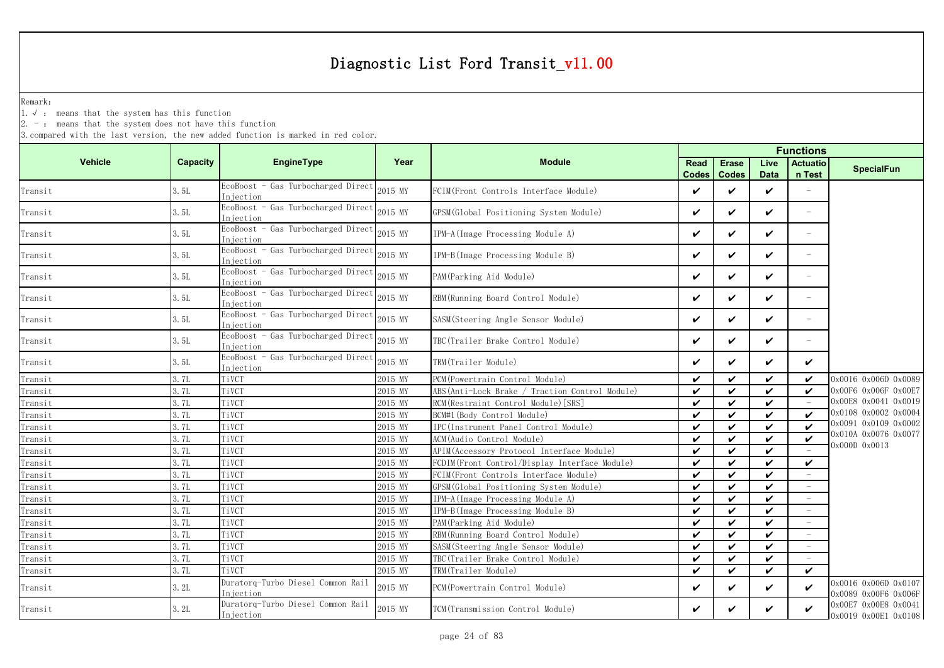Remark:

1.√ : means that the system has this function

 $2. -$ : means that the system does not have this function

|                                             |                 |                                                 |         |                                                 | <b>Functions</b>     |                              |                     |                            |                                              |  |  |
|---------------------------------------------|-----------------|-------------------------------------------------|---------|-------------------------------------------------|----------------------|------------------------------|---------------------|----------------------------|----------------------------------------------|--|--|
| <b>Vehicle</b>                              | <b>Capacity</b> | <b>EngineType</b>                               | Year    | <b>Module</b>                                   | Read<br><b>Codes</b> | <b>Erase</b><br><b>Codes</b> | Live<br><b>Data</b> | <b>Actuatio</b><br>n Test  | <b>SpecialFun</b>                            |  |  |
| Transit                                     | 3.5L            | EcoBoost - Gas Turbocharged Direct<br>Injection | 2015 MY | FCIM(Front Controls Interface Module)           | $\checkmark$         | ✓                            | ✓                   |                            |                                              |  |  |
| Transit                                     | 3.5L            | EcoBoost - Gas Turbocharged Direct<br>Injection | 2015 MY | GPSM(Global Positioning System Module)          | $\checkmark$         | ✓                            | ✓                   | ÷,                         |                                              |  |  |
| Transit                                     | 3.5L            | EcoBoost - Gas Turbocharged Direct<br>Injection | 2015 MY | IPM-A (Image Processing Module A)               | $\checkmark$         | ✓                            | ✓                   | ÷,                         |                                              |  |  |
| $\label{eq:transit} \operatorname{Transit}$ | 3.5L            | EcoBoost - Gas Turbocharged Direct<br>Injection | 2015 MY | IPM-B(Image Processing Module B)                | ✓                    | ✓                            | ✓                   | $\overline{\phantom{0}}$   |                                              |  |  |
| Transit                                     | 3.5L            | EcoBoost - Gas Turbocharged Direct<br>Injection | 2015 MY | PAM (Parking Aid Module)                        | $\checkmark$         | ✓                            | ✓                   | $\overline{\phantom{0}}$   |                                              |  |  |
| Transit                                     | 3.5L            | EcoBoost - Gas Turbocharged Direct<br>Injection | 2015 MY | RBM (Running Board Control Module)              | $\checkmark$         | V                            | ✓                   |                            |                                              |  |  |
| Transit                                     | 3.5L            | EcoBoost - Gas Turbocharged Direct<br>Injection | 2015 MY | SASM(Steering Angle Sensor Module)              | ✓                    | ✓                            | ✓                   | ÷,                         |                                              |  |  |
| Transit                                     | 3.5L            | EcoBoost - Gas Turbocharged Direct<br>Injection | 2015 MY | TBC(Trailer Brake Control Module)               | ✓                    | ✓                            | ✓                   | $\overline{\phantom{0}}$   |                                              |  |  |
| Transit                                     | 3.5L            | EcoBoost - Gas Turbocharged Direct<br>Injection | 2015 MY | TRM(Trailer Module)                             | ✓                    | ✓                            | ✓                   | $\boldsymbol{\mathcal{U}}$ |                                              |  |  |
| Transit                                     | 3.7L            | TiVCT                                           | 2015 MY | PCM (Powertrain Control Module)                 | $\checkmark$         | ✓                            | ✓                   | $\boldsymbol{\nu}$         | 0x0016 0x006D 0x0089                         |  |  |
| Transit                                     | 3.7L            | TiVCT                                           | 2015 MY | ABS (Anti-Lock Brake / Traction Control Module) | $\checkmark$         | ✓                            | ✓                   | $\checkmark$               | 0x00F6 0x006F 0x00E7                         |  |  |
| Transit                                     | 3.7L            | TiVCT                                           | 2015 MY | RCM (Restraint Control Module) [SRS]            | $\checkmark$         | ✓                            | ✓                   |                            | 0x00E8 0x0041 0x0019                         |  |  |
| Transit                                     | 3.7L            | TiVCT                                           | 2015 MY | BCM#1 (Body Control Module)                     | $\checkmark$         | ✓                            | ✓                   | $\boldsymbol{\nu}$         | 0x0108 0x0002 0x0004                         |  |  |
| Transit                                     | 3.7L            | TiVCT                                           | 2015 MY | IPC(Instrument Panel Control Module)            | $\checkmark$         | ✓                            | ✓                   | $\boldsymbol{\nu}$         | 0x0091 0x0109 0x0002                         |  |  |
| Transit                                     | 3. 7L           | TiVCT                                           | 2015 MY | ACM (Audio Control Module)                      | $\checkmark$         | ✓                            | ✓                   | $\checkmark$               | 0x010A 0x0076 0x0077                         |  |  |
| Transit                                     | 3.7L            | TiVCT                                           | 2015 MY | APIM (Accessory Protocol Interface Module)      | $\boldsymbol{\nu}$   | ✓                            | ✓                   |                            | 0x000D 0x0013                                |  |  |
| Transit                                     | 3.7L            | TiVCT                                           | 2015 MY | FCDIM(Front Control/Display Interface Module)   | $\checkmark$         | ✓                            | ✓                   | $\boldsymbol{\mathcal{U}}$ |                                              |  |  |
| Transit                                     | 3.7L            | TiVCT                                           | 2015 MY | FCIM(Front Controls Interface Module)           | $\checkmark$         | ✓                            | $\checkmark$        | $\overline{\phantom{a}}$   |                                              |  |  |
| Transit                                     | 3. 7L           | TiVCT                                           | 2015 MY | GPSM (Global Positioning System Module)         | $\checkmark$         | ✓                            | ✓                   |                            |                                              |  |  |
| Transit                                     | 3.7L            | TiVCT                                           | 2015 MY | IPM-A (Image Processing Module A)               | $\checkmark$         | ✓                            | ✓                   |                            |                                              |  |  |
| Transit                                     | 3.7L            | TiVCT                                           | 2015 MY | IPM-B(Image Processing Module B)                | $\checkmark$         | ✓                            | ✓                   |                            |                                              |  |  |
| Transit                                     | 3.7L            | TiVCT                                           | 2015 MY | PAM (Parking Aid Module)                        | $\checkmark$         | ✓                            | ✓                   | $\overline{\phantom{m}}$   |                                              |  |  |
| Transit                                     | 3.7L            | TiVCT                                           | 2015 MY | RBM (Running Board Control Module)              | $\checkmark$         | ✓                            | ✓                   |                            |                                              |  |  |
| Transit                                     | 3. 7L           | TiVCT                                           | 2015 MY | SASM (Steering Angle Sensor Module)             | $\boldsymbol{\nu}$   | ✓                            | ✓                   |                            |                                              |  |  |
| Transit                                     | 3.7L            | TiVCT                                           | 2015 MY | TBC(Trailer Brake Control Module)               | $\checkmark$         | ✓                            | ✓                   |                            |                                              |  |  |
| Transit                                     | 3.7L            | TiVCT                                           | 2015 MY | TRM(Trailer Module)                             | $\checkmark$         | V                            | $\checkmark$        | $\checkmark$               |                                              |  |  |
| Transit                                     | 3.2L            | Duratorq-Turbo Diesel Common Rail<br>Injection  | 2015 MY | PCM (Powertrain Control Module)                 | ✓                    | ✓                            | ✓                   | $\checkmark$               | 0x0016 0x006D 0x0107<br>0x0089 0x00F6 0x006F |  |  |
| Transit                                     | 3.2L            | Duratorq-Turbo Diesel Common Rail<br>Injection  | 2015 MY | TCM (Transmission Control Module)               | ✓                    | ✓                            | ✓                   | $\checkmark$               | 0x00E7 0x00E8 0x0041<br>0x0019 0x00E1 0x0108 |  |  |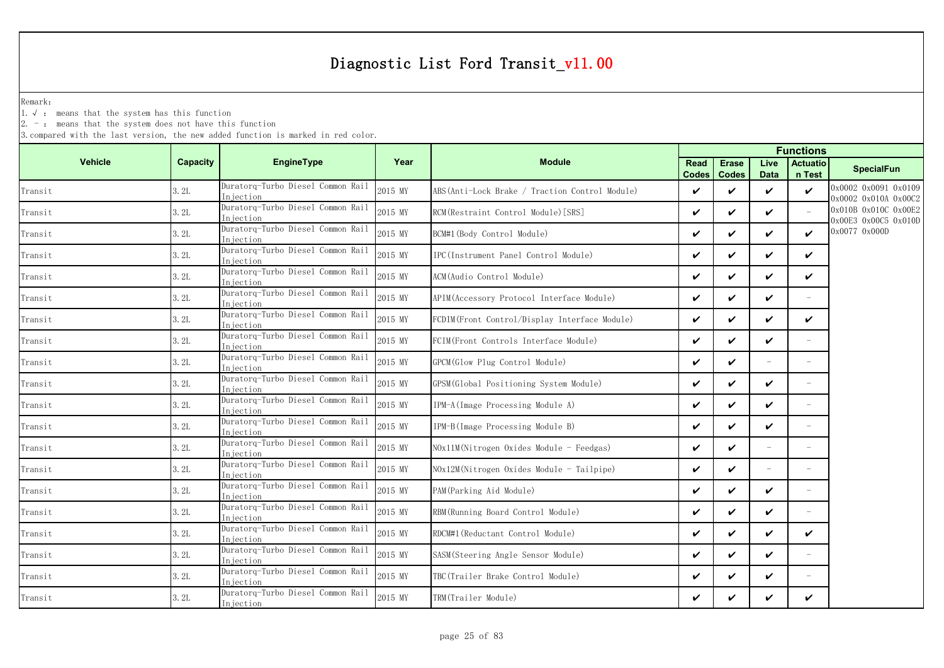Remark:

1.√ : means that the system has this function

 $2. -$ : means that the system does not have this function

|                |                 |                                                |         | <b>Functions</b>                               |                             |                              |                          |                           |                                              |  |
|----------------|-----------------|------------------------------------------------|---------|------------------------------------------------|-----------------------------|------------------------------|--------------------------|---------------------------|----------------------------------------------|--|
| <b>Vehicle</b> | <b>Capacity</b> | EngineType                                     | Year    | <b>Module</b>                                  | <b>Read</b><br><b>Codes</b> | <b>Erase</b><br><b>Codes</b> | Live<br><b>Data</b>      | <b>Actuatio</b><br>n Test | <b>SpecialFun</b>                            |  |
| Transit        | 3.2L            | Duratorq-Turbo Diesel Common Rail<br>Injection | 2015 MY | ABS(Anti-Lock Brake / Traction Control Module) | V                           | ✓                            | $\boldsymbol{\nu}$       | $\checkmark$              | 0x0002 0x0091 0x0109<br>0x0002 0x010A 0x00C2 |  |
| Transit        | 3.2L            | Duratorq-Turbo Diesel Common Rail<br>Injection | 2015 MY | RCM (Restraint Control Module) [SRS]           | $\checkmark$                | $\checkmark$                 | $\boldsymbol{\nu}$       |                           | 0x010B 0x010C 0x00E2<br>0x00E3 0x00C5 0x010D |  |
| Transit        | 3.2L            | Duratorq-Turbo Diesel Common Rail<br>Injection | 2015 MY | BCM#1 (Body Control Module)                    | $\checkmark$                | $\checkmark$                 | ✓                        | V                         | 0x0077 0x000D                                |  |
| Transit        | 3.2L            | Duratorq-Turbo Diesel Common Rail<br>Injection | 2015 MY | IPC(Instrument Panel Control Module)           | $\checkmark$                | ✓                            | ✓                        | ✓                         |                                              |  |
| Transit        | 3.2L            | Duratorq-Turbo Diesel Common Rail<br>Injection | 2015 MY | ACM(Audio Control Module)                      | $\checkmark$                | ✓                            | ✓                        | ✓                         |                                              |  |
| Transit        | 3.2L            | Duratorq-Turbo Diesel Common Rail<br>Injection | 2015 MY | APIM(Accessory Protocol Interface Module)      | $\checkmark$                | $\checkmark$                 | V                        |                           |                                              |  |
| Transit        | 3.2L            | Duratorq-Turbo Diesel Common Rail<br>Injection | 2015 MY | FCDIM(Front Control/Display Interface Module)  | V                           | ✓                            | $\checkmark$             | V                         |                                              |  |
| Transit        | 3.2L            | Duratorq-Turbo Diesel Common Rail<br>Injection | 2015 MY | FCIM(Front Controls Interface Module)          | $\checkmark$                | $\boldsymbol{\nu}$           | ✓                        |                           |                                              |  |
| Transit        | 3.2L            | Duratorq-Turbo Diesel Common Rail<br>Injection | 2015 MY | GPCM(Glow Plug Control Module)                 | V                           | ✓                            |                          |                           |                                              |  |
| Transit        | 3.2L            | Duratorq-Turbo Diesel Common Rail<br>Injection | 2015 MY | GPSM(Global Positioning System Module)         | $\checkmark$                | ✓                            | ✓                        | $\overline{\phantom{m}}$  |                                              |  |
| Transit        | 3.2L            | Duratorq-Turbo Diesel Common Rail<br>Injection | 2015 MY | IPM-A (Image Processing Module A)              | $\checkmark$                | ✓                            | $\checkmark$             |                           |                                              |  |
| Transit        | 3.2L            | Duratorq-Turbo Diesel Common Rail<br>Injection | 2015 MY | IPM-B(Image Processing Module B)               | $\checkmark$                | $\checkmark$                 | ✓                        | $\overline{\phantom{a}}$  |                                              |  |
| Transit        | 3.2L            | Duratorq-Turbo Diesel Common Rail<br>Iniection | 2015 MY | NOx11M(Nitrogen Oxides Module - Feedgas)       | $\checkmark$                | ✓                            |                          |                           |                                              |  |
| Transit        | 3.2L            | Duratorq-Turbo Diesel Common Rail<br>Injection | 2015 MY | NOx12M(Nitrogen Oxides Module - Tailpipe)      | $\checkmark$                | $\checkmark$                 | $\overline{\phantom{a}}$ | $\overline{\phantom{a}}$  |                                              |  |
| Transit        | 3.2L            | Duratorq-Turbo Diesel Common Rail<br>Injection | 2015 MY | PAM (Parking Aid Module)                       | $\checkmark$                | $\checkmark$                 | ✓                        | $\overline{\phantom{a}}$  |                                              |  |
| Transit        | 3.2L            | Duratorq-Turbo Diesel Common Rail<br>Injection | 2015 MY | RBM (Running Board Control Module)             | $\checkmark$                | ✓                            | ✓                        |                           |                                              |  |
| Transit        | 3.2L            | Duratorq-Turbo Diesel Common Rail<br>Injection | 2015 MY | RDCM#1 (Reductant Control Module)              | $\checkmark$                | $\checkmark$                 | ✓                        | ✓                         |                                              |  |
| Transit        | 3.2L            | Duratorq-Turbo Diesel Common Rail<br>Injection | 2015 MY | SASM(Steering Angle Sensor Module)             | $\checkmark$                | ✓                            | $\checkmark$             | $\overline{\phantom{a}}$  |                                              |  |
| Transit        | 3.2L            | Duratorq-Turbo Diesel Common Rail<br>Injection | 2015 MY | TBC(Trailer Brake Control Module)              | $\checkmark$                | ✓                            | ✓                        |                           |                                              |  |
| Transit        | 3.2L            | Duratorq-Turbo Diesel Common Rail<br>Injection | 2015 MY | TRM(Trailer Module)                            | V                           |                              | ✓                        | ✓                         |                                              |  |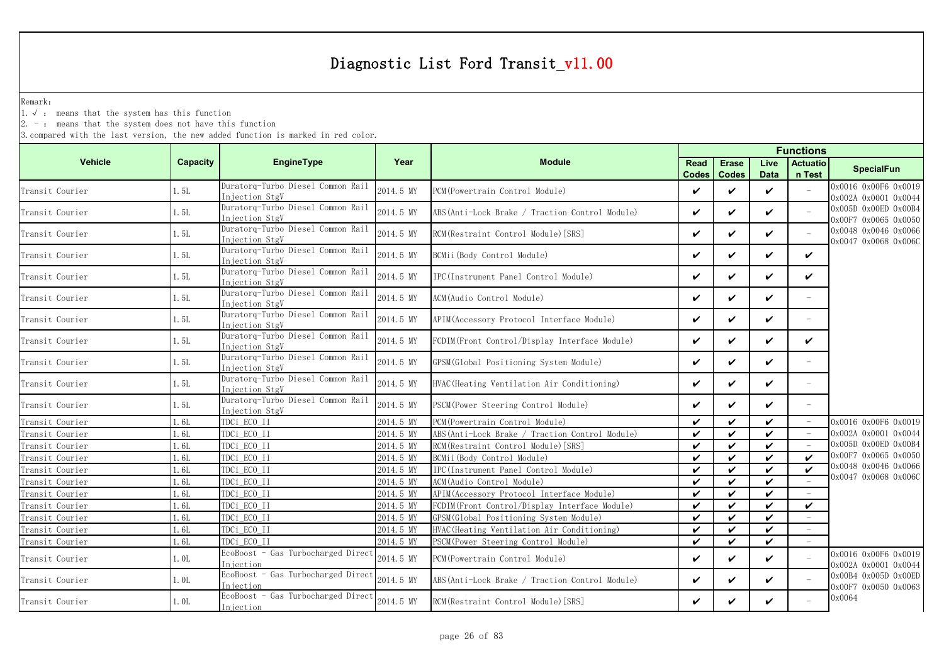Remark:

1.√ : means that the system has this function

2. - : means that the system does not have this function

|                 |          |                                                     |           |                                                 | <b>Functions</b>            |                              |                     |                           |                                              |  |
|-----------------|----------|-----------------------------------------------------|-----------|-------------------------------------------------|-----------------------------|------------------------------|---------------------|---------------------------|----------------------------------------------|--|
| <b>Vehicle</b>  | Capacity | <b>EngineType</b>                                   | Year      | <b>Module</b>                                   | <b>Read</b><br><b>Codes</b> | <b>Erase</b><br><b>Codes</b> | Live<br><b>Data</b> | <b>Actuatio</b><br>n Test | <b>SpecialFun</b>                            |  |
| Transit Courier | 1.5L     | Duratorq-Turbo Diesel Common Rail<br>Injection StgV | 2014.5 MY | PCM (Powertrain Control Module)                 | $\checkmark$                | $\checkmark$                 | ✓                   |                           | 0x0016 0x00F6 0x0019<br>0x002A 0x0001 0x0044 |  |
| Transit Courier | 1.5L     | Duratorq-Turbo Diesel Common Rail<br>Injection StgV | 2014.5 MY | ABS (Anti-Lock Brake / Traction Control Module) | $\checkmark$                | $\checkmark$                 | ✓                   | $\sim$                    | 0x005D 0x00ED 0x00B4<br>0x00F7 0x0065 0x0050 |  |
| Transit Courier | 1.5L     | Duratorq-Turbo Diesel Common Rail<br>Injection StgV | 2014.5 MY | RCM(Restraint Control Module) [SRS]             | V                           | $\checkmark$                 | ✓                   |                           | 0x0048 0x0046 0x0066<br>0x0047 0x0068 0x006C |  |
| Transit Courier | 1.5L     | Duratorq-Turbo Diesel Common Rail<br>Injection StgV | 2014.5 MY | BCMii (Body Control Module)                     | $\checkmark$                | $\checkmark$                 | ✓                   | $\checkmark$              |                                              |  |
| Transit Courier | 1.5L     | Duratorg-Turbo Diesel Common Rail<br>Injection StgV | 2014.5 MY | IPC(Instrument Panel Control Module)            | $\checkmark$                | ✓                            | ✓                   | $\checkmark$              |                                              |  |
| Transit Courier | 1.5L     | Duratorq-Turbo Diesel Common Rail<br>Injection StgV | 2014.5 MY | ACM (Audio Control Module)                      | $\checkmark$                | $\checkmark$                 | V                   |                           |                                              |  |
| Transit Courier | 1.5L     | Duratorq-Turbo Diesel Common Rail<br>Injection StgV | 2014.5 MY | APIM (Accessory Protocol Interface Module)      | $\checkmark$                | $\checkmark$                 | ✓                   |                           |                                              |  |
| Transit Courier | 1.5L     | Duratorq-Turbo Diesel Common Rail<br>Injection StgV | 2014.5 MY | FCDIM(Front Control/Display Interface Module)   | $\checkmark$                | $\checkmark$                 | V                   | ✓                         |                                              |  |
| Transit Courier | 1.5L     | Duratorq-Turbo Diesel Common Rail<br>Injection StgV | 2014.5 MY | GPSM (Global Positioning System Module)         | $\checkmark$                | $\checkmark$                 | ✓                   |                           |                                              |  |
| Transit Courier | 1.5L     | Duratorq-Turbo Diesel Common Rail<br>Injection StgV | 2014.5 MY | HVAC (Heating Ventilation Air Conditioning)     | $\checkmark$                | $\checkmark$                 | V                   | $\overline{\phantom{a}}$  |                                              |  |
| Transit Courier | 1.5L     | Duratorq-Turbo Diesel Common Rail<br>Injection StgV | 2014.5 MY | PSCM (Power Steering Control Module)            | $\checkmark$                | $\checkmark$                 | ✓                   | $\sim$                    |                                              |  |
| Transit Courier | 1.6L     | TDCi ECO II                                         | 2014.5 MY | PCM(Powertrain Control Module)                  | $\checkmark$                | $\checkmark$                 | ✓                   | $\overline{\phantom{a}}$  | 0x0016 0x00F6 0x0019                         |  |
| Transit Courier | 1.6L     | TDCi ECO II                                         | 2014.5 MY | ABS (Anti-Lock Brake / Traction Control Module) | $\checkmark$                | ✓                            | ✓                   |                           | 0x002A 0x0001 0x0044                         |  |
| Transit Courier | 1.6L     | TDCi ECO II                                         | 2014.5 MY | RCM (Restraint Control Module) [SRS]            | $\checkmark$                | $\checkmark$                 | $\boldsymbol{\nu}$  |                           | 0x005D 0x00ED 0x00B4                         |  |
| Transit Courier | 1.6L     | TDCi ECO II                                         | 2014.5 MY | BCMii(Body Control Module)                      | $\checkmark$                | ✓                            | ✓                   | $\boldsymbol{\nu}$        | 0x00F7 0x0065 0x0050                         |  |
| Transit Courier | 1.6L     | TDCi ECO II                                         | 2014.5 MY | IPC(Instrument Panel Control Module)            | $\checkmark$                | $\checkmark$                 | $\boldsymbol{\nu}$  | ✓                         | 0x0048 0x0046 0x0066                         |  |
| Transit Courier | 1.6L     | TDCi_ECO_II                                         | 2014.5 MY | ACM(Audio Control Module)                       | $\boldsymbol{\mathcal{U}}$  | ✓                            | ✓                   |                           | 0x0047 0x0068 0x0060                         |  |
| Transit Courier | 1.6L     | TDCi ECO II                                         | 2014.5 MY | APIM (Accessory Protocol Interface Module)      | $\checkmark$                | $\checkmark$                 | $\checkmark$        |                           |                                              |  |
| Transit Courier | 1.6L     | TDCi ECO II                                         | 2014.5 MY | FCDIM(Front Control/Display Interface Module)   | $\checkmark$                | $\checkmark$                 | $\boldsymbol{\nu}$  | $\checkmark$              |                                              |  |
| Transit Courier | 1.6L     | TDCi ECO II                                         | 2014.5 MY | GPSM (Global Positioning System Module)         | $\checkmark$                | $\checkmark$                 | ✓                   |                           |                                              |  |
| Transit Courier | 1.6L     | TDCi ECO II                                         | 2014.5 MY | HVAC (Heating Ventilation Air Conditioning)     | $\checkmark$                | $\checkmark$                 | $\boldsymbol{\nu}$  |                           |                                              |  |
| Transit Courier | 1.6L     | TDCi ECO II                                         | 2014.5 MY | PSCM (Power Steering Control Module)            | $\checkmark$                | $\checkmark$                 | $\checkmark$        |                           |                                              |  |
| Transit Courier | 1.0L     | EcoBoost - Gas Turbocharged Direct<br>Injection     | 2014.5 MY | PCM(Powertrain Control Module)                  | $\checkmark$                | $\checkmark$                 | V                   | $\equiv$                  | 0x0016 0x00F6 0x0019<br>0x002A 0x0001 0x0044 |  |
| Transit Courier | 1.0L     | EcoBoost - Gas Turbocharged Direct<br>Injection     | 2014.5 MY | ABS (Anti-Lock Brake / Traction Control Module) | $\checkmark$                | $\checkmark$                 | V                   |                           | 0x00B4 0x005D 0x00ED<br>0x00F7 0x0050 0x0063 |  |
| Transit Courier | 1.0L     | EcoBoost - Gas Turbocharged Direct<br>Injection     | 2014.5 MY | RCM (Restraint Control Module) [SRS]            | V                           | ✓                            | ✓                   |                           | 0x0064                                       |  |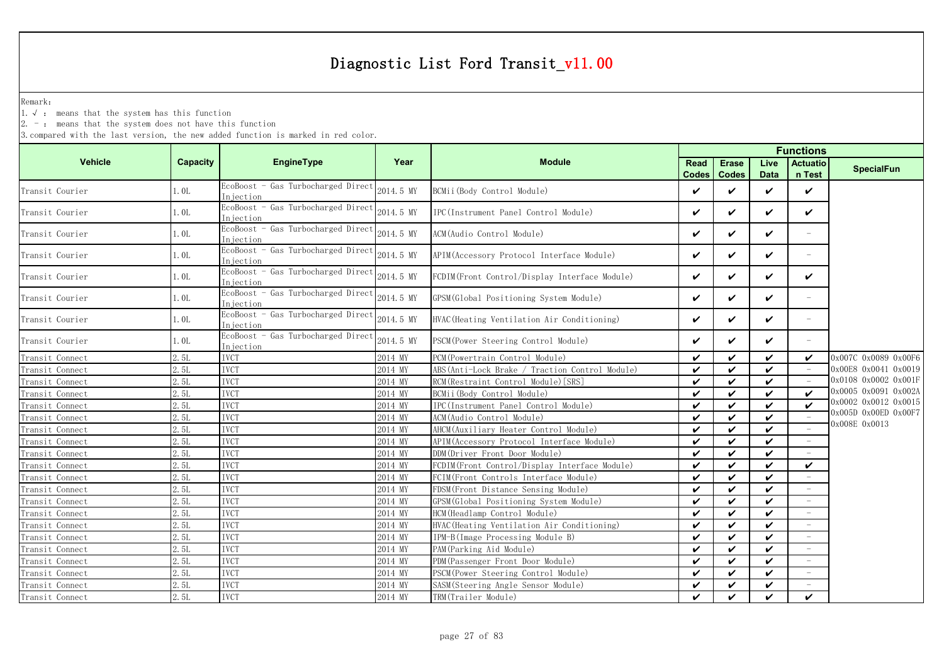Remark:

1.√ : means that the system has this function

2. - : means that the system does not have this function

|                 |          |                                                  |           |                                                 |                      |                              | <b>Functions</b>    |                           |                      |
|-----------------|----------|--------------------------------------------------|-----------|-------------------------------------------------|----------------------|------------------------------|---------------------|---------------------------|----------------------|
| <b>Vehicle</b>  | Capacity | EngineType                                       | Year      | <b>Module</b>                                   | Read<br><b>Codes</b> | <b>Erase</b><br><b>Codes</b> | Live<br><b>Data</b> | <b>Actuatio</b><br>n Test | <b>SpecialFun</b>    |
| Transit Courier | 1.0L     | EcoBoost - Gas Turbocharged Direct<br>Iniection  | 2014.5 MY | BCMii (Body Control Module)                     | ✓                    | $\checkmark$                 | $\checkmark$        | $\checkmark$              |                      |
| Transit Courier | 1.0L     | EcoBoost - Gas Turbocharged Direct<br>Iniection  | 2014.5 MY | IPC (Instrument Panel Control Module)           | ✓                    | $\checkmark$                 | $\checkmark$        | ✓                         |                      |
| Transit Courier | 1.0L     | EcoBoost - Gas Turbocharged Direct<br>Injection  | 2014.5 MY | ACM(Audio Control Module)                       | ✓                    | ✓                            | V                   | $\equiv$                  |                      |
| Transit Courier | 1.0L     | EcoBoost - Gas Turbocharged Direct<br>In iection | 2014.5 MY | APIM(Accessory Protocol Interface Module)       | ✓                    | $\checkmark$                 | $\checkmark$        | $\overline{\phantom{0}}$  |                      |
| Transit Courier | 1.0L     | EcoBoost - Gas Turbocharged Direct<br>Iniection  | 2014.5 MY | FCDIM (Front Control/Display Interface Module)  | ✓                    | $\checkmark$                 | $\checkmark$        | ✓                         |                      |
| Transit Courier | 1.0L     | EcoBoost - Gas Turbocharged Direct<br>Injection  | 2014.5 MY | GPSM (Global Positioning System Module)         | ✓                    | $\checkmark$                 | V                   |                           |                      |
| Transit Courier | 1.0L     | EcoBoost - Gas Turbocharged Direct<br>Iniection  | 2014.5 MY | HVAC (Heating Ventilation Air Conditioning)     | ✓                    | ✓                            | V                   | $\overline{\phantom{m}}$  |                      |
| Transit Courier | 1.0L     | EcoBoost - Gas Turbocharged Direct<br>Injection  | 2014.5 MY | PSCM (Power Steering Control Module)            | V                    | $\checkmark$                 | $\checkmark$        |                           |                      |
| Transit Connect | 2.5L     | <b>IVCT</b>                                      | 2014 MY   | PCM (Powertrain Control Module)                 | ✓                    | $\checkmark$                 | $\boldsymbol{\nu}$  | $\checkmark$              | 0x007C 0x0089 0x00F6 |
| Transit Connect | 2.5L     | <b>IVCT</b>                                      | 2014 MY   | ABS (Anti-Lock Brake / Traction Control Module) | ✓                    | $\checkmark$                 | $\mathbf{v}$        | $\overline{\phantom{a}}$  | 0x00E8 0x0041 0x0019 |
| Transit Connect | 2.5L     | <b>IVCT</b>                                      | 2014 MY   | RCM (Restraint Control Module) [SRS]            | ✓                    | $\checkmark$                 | $\boldsymbol{\nu}$  | $\sim$                    | 0x0108 0x0002 0x001F |
| Transit Connect | 2.5L     | <b>IVCT</b>                                      | 2014 MY   | BCMii(Body Control Module)                      | ✓                    | $\checkmark$                 | ✓                   | ✓                         | 0x0005 0x0091 0x002A |
| Transit Connect | 2.5L     | <b>IVCT</b>                                      | 2014 MY   | IPC(Instrument Panel Control Module)            | ✓                    | $\checkmark$                 | $\checkmark$        | ✓                         | 0x0002 0x0012 0x0015 |
| Transit Connect | 2.5L     | <b>IVCT</b>                                      | 2014 MY   | ACM (Audio Control Module)                      | ✓                    | $\checkmark$                 | ✓                   |                           | 0x005D 0x00ED 0x00F7 |
| Transit Connect | 2.5L     | <b>IVCT</b>                                      | 2014 MY   | AHCM(Auxiliary Heater Control Module)           | ✓                    | ✓                            | $\boldsymbol{\nu}$  |                           | 0x008E 0x0013        |
| Transit Connect | 2.5L     | <b>IVCT</b>                                      | 2014 MY   | APIM(Accessory Protocol Interface Module)       | ✓                    | $\checkmark$                 | ✓                   |                           |                      |
| Transit Connect | 2.5L     | <b>IVCT</b>                                      | 2014 MY   | DDM(Driver Front Door Module)                   | ✓                    | ✓                            | $\boldsymbol{\nu}$  |                           |                      |
| Transit Connect | 2.5L     | <b>IVCT</b>                                      | 2014 MY   | FCDIM(Front Control/Display Interface Module)   | ✓                    | $\checkmark$                 | $\checkmark$        | ✓                         |                      |
| Transit Connect | 2.5L     | <b>IVCT</b>                                      | 2014 MY   | FCIM(Front Controls Interface Module)           | ✓                    | $\checkmark$                 | $\boldsymbol{\nu}$  |                           |                      |
| Transit Connect | 2.5L     | <b>IVCT</b>                                      | 2014 MY   | FDSM (Front Distance Sensing Module)            | ✓                    | $\checkmark$                 | $\boldsymbol{\nu}$  |                           |                      |
| Transit Connect | 2.5L     | <b>IVCT</b>                                      | 2014 MY   | GPSM(Global Positioning System Module)          | ✓                    | $\checkmark$                 | $\checkmark$        |                           |                      |
| Transit Connect | 2.51     | <b>IVCT</b>                                      | 2014 MY   | HCM (Headlamp Control Module)                   | ✓                    | $\boldsymbol{\nu}$           | $\checkmark$        |                           |                      |
| Transit Connect | 2.5L     | <b>IVCT</b>                                      | 2014 MY   | HVAC (Heating Ventilation Air Conditioning)     | ✓                    | $\checkmark$                 | $\checkmark$        |                           |                      |
| Transit Connect | 2.5L     | <b>IVCT</b>                                      | 2014 MY   | IPM-B(Image Processing Module B)                | $\checkmark$         | $\checkmark$                 | $\checkmark$        |                           |                      |
| Transit Connect | 2.5L     | <b>IVCT</b>                                      | 2014 MY   | PAM (Parking Aid Module)                        | ✓                    | $\checkmark$                 | $\checkmark$        | $\overline{\phantom{a}}$  |                      |
| Transit Connect | 2.5L     | <b>IVCT</b>                                      | 2014 MY   | PDM (Passenger Front Door Module)               | ✓                    | $\checkmark$                 | $\boldsymbol{\nu}$  |                           |                      |
| Transit Connect | 2.5L     | <b>IVCT</b>                                      | 2014 MY   | PSCM (Power Steering Control Module)            | ✓                    | $\checkmark$                 | $\boldsymbol{\nu}$  |                           |                      |
| Transit Connect | 2.5L     | <b>IVCT</b>                                      | 2014 MY   | SASM (Steering Angle Sensor Module)             | ✓                    | $\checkmark$                 | $\boldsymbol{\nu}$  | ÷,                        |                      |
| Transit Connect | 2.5L     | <b>IVCT</b>                                      | 2014 MY   | TRM(Trailer Module)                             | ✓                    | ✓                            | ✓                   | $\boldsymbol{\nu}$        |                      |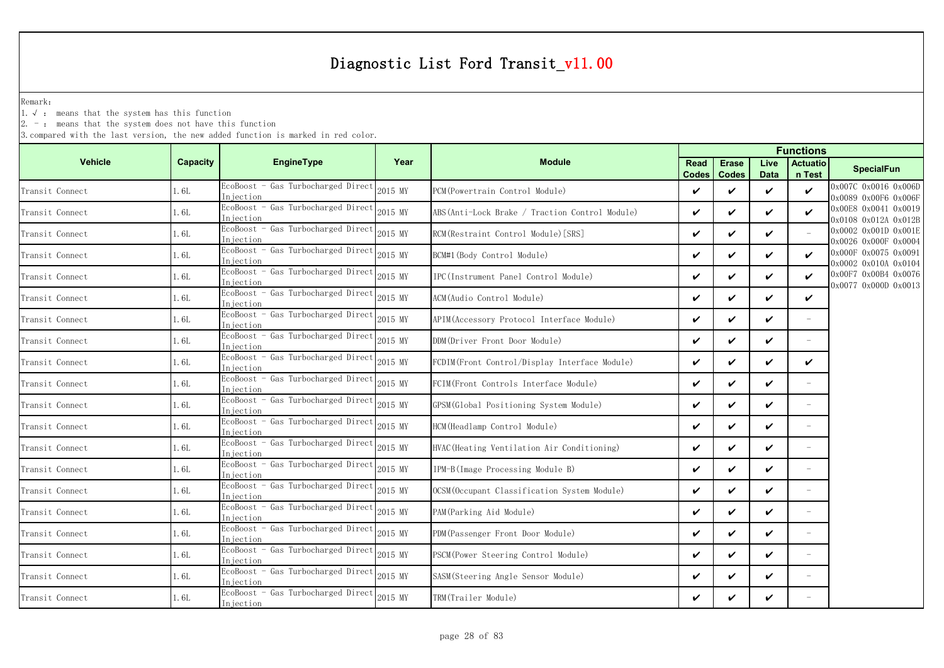Remark:

1.√ : means that the system has this function

 $2. -$ : means that the system does not have this function

|                 |          |                                                  |         | <b>Functions</b>                                |                      |                              |                     |                           |                                              |
|-----------------|----------|--------------------------------------------------|---------|-------------------------------------------------|----------------------|------------------------------|---------------------|---------------------------|----------------------------------------------|
| <b>Vehicle</b>  | Capacity | <b>EngineType</b>                                | Year    | <b>Module</b>                                   | <b>Read</b><br>Codes | <b>Erase</b><br><b>Codes</b> | Live<br><b>Data</b> | <b>Actuatio</b><br>n Test | <b>SpecialFun</b>                            |
| Transit Connect | 1.6L     | EcoBoost - Gas Turbocharged Direct<br>Iniection  | 2015 MY | PCM (Powertrain Control Module)                 | V                    | ✓                            | ✓                   | $\checkmark$              | 0x007C 0x0016 0x006D<br>0x0089 0x00F6 0x006F |
| Transit Connect | 1.6L     | EcoBoost - Gas Turbocharged Direct<br>niection   | 2015 MY | ABS (Anti-Lock Brake / Traction Control Module) | $\checkmark$         | $\checkmark$                 | ✓                   | $\checkmark$              | 0x00E8 0x0041 0x0019<br>0x0108 0x012A 0x012B |
| Transit Connect | 1.6L     | EcoBoost - Gas Turbocharged Direct<br>Injection  | 2015 MY | RCM(Restraint Control Module) [SRS]             | $\checkmark$         | ✓                            | ✓                   |                           | 0x0002 0x001D 0x001E<br>0x0026 0x000F 0x0004 |
| Transit Connect | l. 6L    | EcoBoost - Gas Turbocharged Direct<br>In iection | 2015 MY | BCM#1(Body Control Module)                      | $\checkmark$         | ✓                            | ✓                   | $\checkmark$              | 0x000F 0x0075 0x0091<br>0x0002 0x010A 0x0104 |
| Transit Connect | 1.6L     | EcoBoost - Gas Turbocharged Direct<br>Injection  | 2015 MY | IPC(Instrument Panel Control Module)            | $\checkmark$         | ✓                            | V                   | ✓                         | 0x00F7 0x00B4 0x0076<br>0x0077 0x000D 0x0013 |
| Transit Connect | . 6L     | EcoBoost - Gas Turbocharged Direct<br>Injection  | 2015 MY | ACM(Audio Control Module)                       | $\checkmark$         | ✓                            | ✓                   | ✓                         |                                              |
| Transit Connect | l. 6L    | EcoBoost - Gas Turbocharged Direct<br>Injection  | 2015 MY | APIM (Accessory Protocol Interface Module)      | $\checkmark$         | ✓                            | ✓                   |                           |                                              |
| Transit Connect | . 6L     | EcoBoost - Gas Turbocharged Direct<br>Injection  | 2015 MY | DDM(Driver Front Door Module)                   | ✓                    | ✓                            | ✓                   |                           |                                              |
| Transit Connect | 1.6L     | EcoBoost - Gas Turbocharged Direct<br>Injection  | 2015 MY | FCDIM(Front Control/Display Interface Module)   | $\checkmark$         | ✓                            | ✓                   | ✓                         |                                              |
| Transit Connect | l. 6L    | EcoBoost - Gas Turbocharged Direct<br>Iniection  | 2015 MY | FCIM(Front Controls Interface Module)           | $\checkmark$         | ✓                            | ✓                   | $\overline{\phantom{a}}$  |                                              |
| Transit Connect | 1.6L     | EcoBoost - Gas Turbocharged Direct<br>Injection  | 2015 MY | GPSM(Global Positioning System Module)          | $\checkmark$         | $\boldsymbol{\nu}$           | V                   |                           |                                              |
| Transit Connect | l. 6L    | EcoBoost - Gas Turbocharged Direct<br>Injection  | 2015 MY | HCM (Headlamp Control Module)                   | V                    | ✓                            | ✓                   | $\equiv$                  |                                              |
| Transit Connect | 1.6L     | EcoBoost - Gas Turbocharged Direct<br>In iection | 2015 MY | HVAC (Heating Ventilation Air Conditioning)     | $\checkmark$         | ✓                            | ✓                   | $\equiv$                  |                                              |
| Transit Connect | 1.6L     | EcoBoost - Gas Turbocharged Direct<br>Injection  | 2015 MY | IPM-B(Image Processing Module B)                | $\checkmark$         | ✓                            | ✓                   | $\equiv$                  |                                              |
| Transit Connect | 1.6L     | EcoBoost - Gas Turbocharged Direct<br>Injection  | 2015 MY | OCSM(Occupant Classification System Module)     | $\checkmark$         | ✓                            | ✓                   | $\equiv$                  |                                              |
| Transit Connect | 1.6L     | EcoBoost - Gas Turbocharged Direct<br>In jection | 2015 MY | PAM (Parking Aid Module)                        | ✓                    | ✓                            | ✓                   |                           |                                              |
| Transit Connect | 1. 6L    | EcoBoost - Gas Turbocharged Direct<br>Injection  | 2015 MY | PDM(Passenger Front Door Module)                | $\checkmark$         | ✓                            | ✓                   | $\overline{\phantom{a}}$  |                                              |
| Transit Connect | l. 6L    | EcoBoost - Gas Turbocharged Direct<br>Injection  | 2015 MY | PSCM(Power Steering Control Module)             | $\checkmark$         | ✓                            | V                   | $\overline{\phantom{a}}$  |                                              |
| Transit Connect | . 6L     | EcoBoost - Gas Turbocharged Direc<br>Injection   | 2015 MY | SASM (Steering Angle Sensor Module)             | $\checkmark$         | ✓                            | ✓                   |                           |                                              |
| Transit Connect | 1. 6L    | EcoBoost - Gas Turbocharged Direct<br>Injection  | 2015 MY | TRM(Trailer Module)                             | $\checkmark$         | ✓                            | ✓                   |                           |                                              |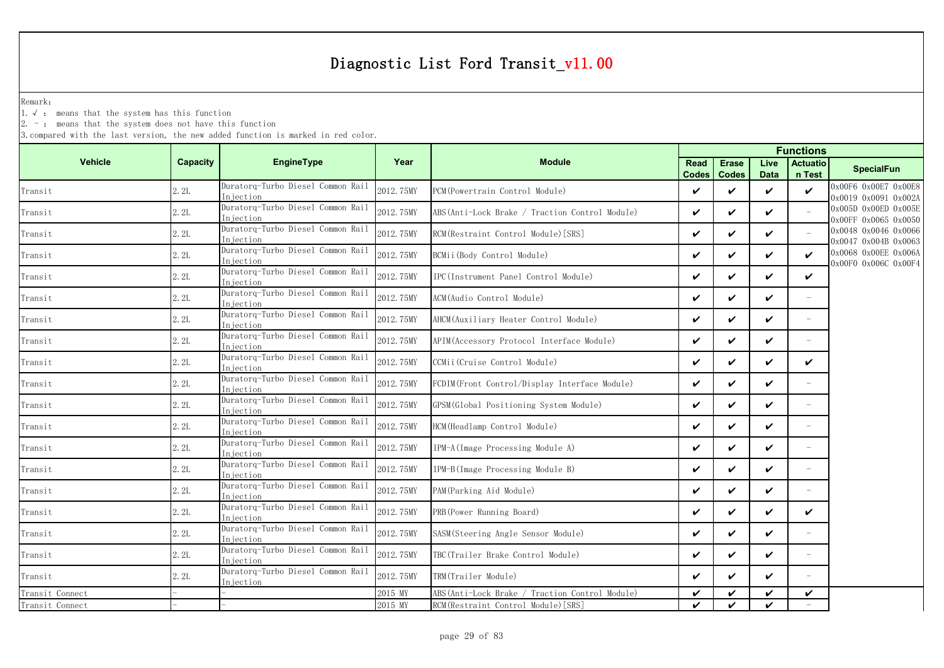Remark:

1.√ : means that the system has this function

2. - : means that the system does not have this function

|                 |          |                                                |           |                                                   |                      |                              | <b>Functions</b>    |                           |                                              |
|-----------------|----------|------------------------------------------------|-----------|---------------------------------------------------|----------------------|------------------------------|---------------------|---------------------------|----------------------------------------------|
| <b>Vehicle</b>  | Capacity | EngineType                                     | Year      | <b>Module</b>                                     | Read<br><b>Codes</b> | <b>Erase</b><br><b>Codes</b> | Live<br><b>Data</b> | <b>Actuatio</b><br>n Test | <b>SpecialFun</b>                            |
| Transit         | 2.2L     | Duratorq-Turbo Diesel Common Rail<br>Injection | 2012.75MY | PCM (Powertrain Control Module)                   | ✓                    | $\checkmark$                 | $\checkmark$        | $\boldsymbol{\nu}$        | 0x00F6 0x00E7 0x00E8<br>0x0019 0x0091 0x002A |
| Transit         | 2.2L     | Duratorq-Turbo Diesel Common Rail<br>Iniection | 2012.75MY | ABS(Anti-Lock Brake / Traction Control Module)    | ✓                    | $\checkmark$                 | $\checkmark$        |                           | 0x005D 0x00ED 0x005E<br>0x00FF 0x0065 0x0050 |
| Transit         | 2.2L     | Duratorq-Turbo Diesel Common Rail<br>Iniection | 2012.75MY | RCM (Restraint Control Module) [SRS]              | ✓                    | V                            | V                   | $\equiv$                  | 0x0048 0x0046 0x0066<br>0x0047 0x004B 0x0063 |
| Transit         | 2.2L     | Duratorq-Turbo Diesel Common Rail<br>Injection | 2012.75MY | BCMii (Body Control Module)                       | V                    | $\checkmark$                 | $\boldsymbol{\nu}$  | ✓                         | 0x0068 0x00EE 0x006A<br>0x00F0 0x006C 0x00F4 |
| Transit         | 2.2L     | Duratorq-Turbo Diesel Common Rail<br>Injection | 2012.75MY | IPC(Instrument Panel Control Module)              | ✓                    | $\checkmark$                 | $\checkmark$        | ✓                         |                                              |
| Transit         | 2.2L     | Duratorq-Turbo Diesel Common Rail<br>Injection | 2012.75MY | ACM (Audio Control Module)                        | ✓                    | $\checkmark$                 | $\checkmark$        |                           |                                              |
| Transit         | 2.2L     | Duratorq-Turbo Diesel Common Rail<br>Injection | 2012.75MY | AHCM (Auxiliary Heater Control Module)            | V                    | $\checkmark$                 | V                   |                           |                                              |
| Transit         | 2.2L     | Duratorq-Turbo Diesel Common Rail<br>Injection | 2012.75MY | APIM (Accessory Protocol Interface Module)        | ✓                    | $\checkmark$                 | $\checkmark$        | L.                        |                                              |
| Transit         | 2.2L     | Duratorg-Turbo Diesel Common Rail<br>Injection | 2012.75MY | CCMii(Cruise Control Module)                      | ✓                    | $\checkmark$                 | $\checkmark$        | $\checkmark$              |                                              |
| Transit         | 2.2L     | Duratorq-Turbo Diesel Common Rail<br>Injection | 2012.75MY | FCDIM(Front Control/Display Interface Module)     | ✓                    | ✓                            | $\checkmark$        | $\overline{\phantom{0}}$  |                                              |
| Transit         | 2.2L     | Duratorq-Turbo Diesel Common Rail<br>Injection | 2012.75MY | GPSM(Global Positioning System Module)            | ✓                    | $\checkmark$                 | $\boldsymbol{\nu}$  | L.                        |                                              |
| Transit         | 2.2L     | Duratorq-Turbo Diesel Common Rail<br>Injection | 2012.75MY | HCM (Headlamp Control Module)                     | ✓                    | ✓                            | $\checkmark$        |                           |                                              |
| Transit         | 2.2L     | Duratorq-Turbo Diesel Common Rail<br>Injection | 2012.75MY | IPM-A (Image Processing Module A)                 | V                    | $\checkmark$                 | V                   | $\equiv$                  |                                              |
| Transit         | 2.2L     | Duratorq-Turbo Diesel Common Rail<br>Injection | 2012.75MY | IPM-B(Image Processing Module B)                  | ✓                    | $\checkmark$                 | V                   | $\equiv$                  |                                              |
| Transit         | 2.2L     | Duratorq-Turbo Diesel Common Rail<br>Injection | 2012.75MY | PAM (Parking Aid Module)                          | ✓                    | $\checkmark$                 | $\checkmark$        | L.                        |                                              |
| Transit         | 2.2L     | Duratorq-Turbo Diesel Common Rail<br>Injection | 2012.75MY | PRB (Power Running Board)                         | V                    | $\checkmark$                 | $\boldsymbol{\nu}$  | $\checkmark$              |                                              |
| Transit         | 2.2L     | Duratorq-Turbo Diesel Common Rail<br>Injection | 2012.75MY | SASM(Steering Angle Sensor Module)                | ✓                    | ✓                            | $\checkmark$        | $\overline{\phantom{0}}$  |                                              |
| Transit         | 2.2L     | Duratorq-Turbo Diesel Common Rail<br>Injection | 2012.75MY | TBC(Trailer Brake Control Module)                 | ✓                    | $\checkmark$                 | $\boldsymbol{\nu}$  | $\overline{\phantom{a}}$  |                                              |
| Transit         | 2.2L     | Duratorg-Turbo Diesel Common Rail<br>Injection | 2012.75MY | TRM(Trailer Module)                               | ✓                    | ✓                            | ✓                   |                           |                                              |
| Transit Connect |          |                                                | 2015 MY   | ABS(Anti-Lock Brake /<br>Traction Control Module) | ✓                    | ✓                            | ✓                   | ✓                         |                                              |
| Transit Connect |          |                                                | 2015 MY   | RCM (Restraint Control Module) [SRS]              | $\boldsymbol{\nu}$   | $\checkmark$                 | $\boldsymbol{\nu}$  |                           |                                              |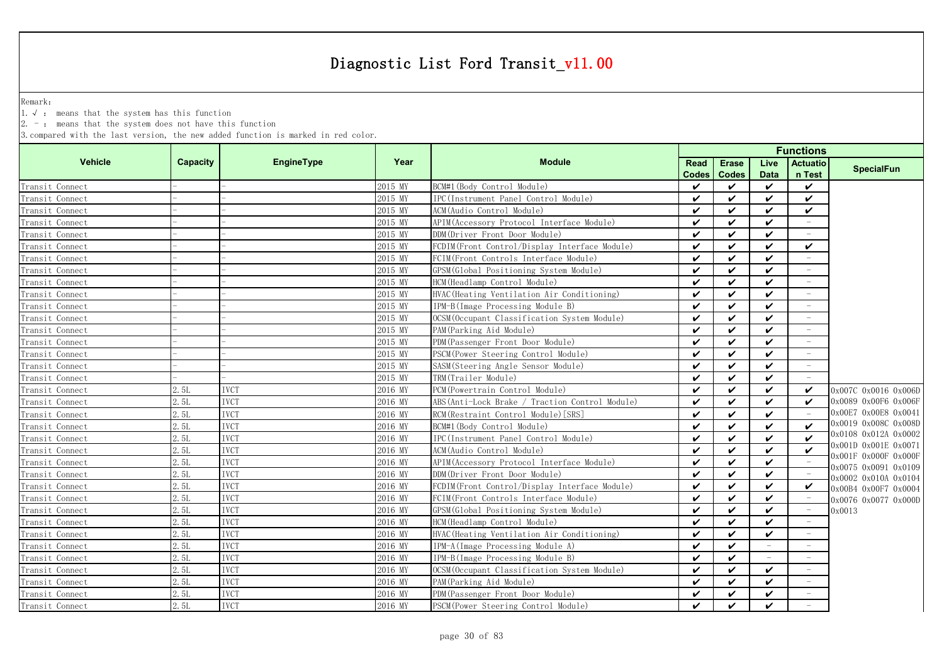Remark:

1.√ : means that the system has this function

 $2. -$ : means that the system does not have this function

|                 |                 |             |         | Year<br><b>Module</b>                           |              | <b>Functions</b> |                          |                           |                                              |  |  |  |
|-----------------|-----------------|-------------|---------|-------------------------------------------------|--------------|------------------|--------------------------|---------------------------|----------------------------------------------|--|--|--|
| <b>Vehicle</b>  | <b>Capacity</b> | EngineType  |         |                                                 | Read         | <b>Erase</b>     | Live                     | <b>Actuatio</b>           | <b>SpecialFun</b>                            |  |  |  |
|                 |                 |             |         |                                                 | <b>Codes</b> | <b>Codes</b>     | <b>Data</b>              | n Test                    |                                              |  |  |  |
| Transit Connect |                 |             | 2015 MY | BCM#1 (Body Control Module)                     | ✓            | ✓                | $\checkmark$             | $\checkmark$              |                                              |  |  |  |
| Transit Connect |                 |             | 2015 MY | IPC(Instrument Panel Control Module)            | ✓            | ✓                | $\checkmark$             | $\checkmark$              |                                              |  |  |  |
| Transit Connect |                 |             | 2015 MY | ACM (Audio Control Module)                      | ✓            | ✓                | $\checkmark$             | $\checkmark$              |                                              |  |  |  |
| Transit Connect |                 |             | 2015 MY | APIM (Accessory Protocol Interface Module)      | ✓            | ✓                | $\boldsymbol{\nu}$       |                           |                                              |  |  |  |
| Transit Connect |                 |             | 2015 MY | DDM(Driver Front Door Module)                   | ✓            | $\checkmark$     | $\checkmark$             |                           |                                              |  |  |  |
| Transit Connect |                 |             | 2015 MY | FCDIM(Front Control/Display Interface Module)   | ✓            | ✓                | $\checkmark$             | $\checkmark$              |                                              |  |  |  |
| Transit Connect |                 |             | 2015 MY | FCIM(Front Controls Interface Module)           | ✓            | ✓                | $\checkmark$             |                           |                                              |  |  |  |
| Transit Connect |                 |             | 2015 MY | GPSM(Global Positioning System Module)          | ✓            | ✓                | $\checkmark$             |                           |                                              |  |  |  |
| Transit Connect |                 |             | 2015 MY | HCM (Headlamp Control Module)                   | ✓            | $\checkmark$     | $\checkmark$             |                           |                                              |  |  |  |
| Transit Connect |                 |             | 2015 MY | HVAC (Heating Ventilation Air Conditioning)     | ✓            | $\checkmark$     | $\checkmark$             |                           |                                              |  |  |  |
| Transit Connect |                 |             | 2015 MY | IPM-B(Image Processing Module B)                | ✓            | $\checkmark$     | $\checkmark$             |                           |                                              |  |  |  |
| Transit Connect |                 |             | 2015 MY | OCSM (Occupant Classification System Module)    | ✓            | $\checkmark$     | $\checkmark$             |                           |                                              |  |  |  |
| Transit Connect |                 |             | 2015 MY | PAM (Parking Aid Module)                        | ✓            | $\checkmark$     | $\boldsymbol{\nu}$       | $\equiv$                  |                                              |  |  |  |
| Transit Connect |                 |             | 2015 MY | PDM (Passenger Front Door Module)               | ✓            | ✓                | $\checkmark$             | $\equiv$                  |                                              |  |  |  |
| Transit Connect |                 |             | 2015 MY | PSCM (Power Steering Control Module)            | ✓            | ✓                | $\checkmark$             | $\equiv$                  |                                              |  |  |  |
| Transit Connect |                 |             | 2015 MY | SASM(Steering Angle Sensor Module)              | ✓            | ✓                | $\checkmark$             | $\overline{\phantom{a}}$  |                                              |  |  |  |
| Transit Connect |                 |             | 2015 MY | TRM(Trailer Module)                             | ✓            | ✓                | $\checkmark$             |                           |                                              |  |  |  |
| Transit Connect | 2.5L            | <b>IVCT</b> | 2016 MY | PCM (Powertrain Control Module)                 | ✓            | ✓                | $\boldsymbol{\nu}$       | $\boldsymbol{\checkmark}$ | 0x007C 0x0016 0x006D                         |  |  |  |
| Transit Connect | 2.5L            | <b>IVCT</b> | 2016 MY | ABS (Anti-Lock Brake / Traction Control Module) | ✓            | ✓                | $\boldsymbol{\nu}$       | ✓                         | 0x0089 0x00F6 0x006F                         |  |  |  |
| Transit Connect | 2.5L            | <b>IVCT</b> | 2016 MY | RCM(Restraint Control Module)[SRS]              | ✓            | ✓                | $\boldsymbol{\nu}$       |                           | 0x00E7 0x00E8 0x0041                         |  |  |  |
| Transit Connect | 2.5L            | <b>IVCT</b> | 2016 MY | BCM#1 (Body Control Module)                     | ✓            | $\checkmark$     | $\checkmark$             | $\checkmark$              | 0x0019 0x008C 0x008D                         |  |  |  |
| Transit Connect | 2.5L            | <b>IVCT</b> | 2016 MY | IPC(Instrument Panel Control Module)            | ✓            | ✓                | $\boldsymbol{\nu}$       | $\boldsymbol{\nu}$        | 0x0108 0x012A 0x0002                         |  |  |  |
| Transit Connect | 2.5L            | <b>IVCT</b> | 2016 MY | ACM(Audio Control Module)                       | ✓            | $\checkmark$     | $\boldsymbol{\nu}$       | $\boldsymbol{\nu}$        | 0x001D 0x001E 0x0071                         |  |  |  |
| Transit Connect | 2.5L            | <b>IVCT</b> | 2016 MY | APIM (Accessory Protocol Interface Module)      | ✓            | $\checkmark$     | $\checkmark$             |                           | 0x001F 0x000F 0x000F                         |  |  |  |
| Transit Connect | 2.5L            | <b>IVCT</b> | 2016 MY | DDM(Driver Front Door Module)                   | ✓            | $\checkmark$     | $\checkmark$             |                           | 0x0075 0x0091 0x0109                         |  |  |  |
| Transit Connect | 2.5L            | <b>IVCT</b> | 2016 MY | FCDIM(Front Control/Display Interface Module)   | ✓            | $\checkmark$     | $\checkmark$             | $\checkmark$              | 0x0002 0x010A 0x0104<br>0x00B4 0x00F7 0x0004 |  |  |  |
| Transit Connect | 2.5L            | <b>IVCT</b> | 2016 MY | FCIM (Front Controls Interface Module)          | ✓            | ✓                | $\checkmark$             |                           | 0x0076 0x0077 0x000D                         |  |  |  |
| Transit Connect | 2.5L            | <b>IVCT</b> | 2016 MY | GPSM (Global Positioning System Module)         | ✓            | ✓                | $\checkmark$             | $\hspace{0.1mm}$          | 0x0013                                       |  |  |  |
| Transit Connect | 2.5L            | <b>IVCT</b> | 2016 MY | HCM (Headlamp Control Module)                   | ✓            | $\checkmark$     | $\checkmark$             |                           |                                              |  |  |  |
| Transit Connect | 2.5L            | <b>IVCT</b> | 2016 MY | HVAC (Heating Ventilation Air Conditioning)     | ✓            | ✓                | ✓                        |                           |                                              |  |  |  |
| Transit Connect | 2.5L            | <b>IVCT</b> | 2016 MY | IPM-A(Image Processing Module A)                | ✓            | ✓                | $\overline{\phantom{a}}$ | $\overline{\phantom{a}}$  |                                              |  |  |  |
| Transit Connect | 2.5L            | <b>IVCT</b> | 2016 MY | IPM-B(Image Processing Module B)                | ✓            | ✓                |                          |                           |                                              |  |  |  |
| Transit Connect | 2.5L            | <b>IVCT</b> | 2016 MY | OCSM (Occupant Classification System Module)    | ✓            | ✓                | $\checkmark$             |                           |                                              |  |  |  |
| Transit Connect | 2.5L            | <b>IVCT</b> | 2016 MY | PAM (Parking Aid Module)                        | ✓            | ✓                | $\checkmark$             |                           |                                              |  |  |  |
| Transit Connect | 2.5L            | <b>IVCT</b> | 2016 MY | PDM (Passenger Front Door Module)               | ✓            | ✓                | $\checkmark$             |                           |                                              |  |  |  |
| Transit Connect | 2.5L            | <b>IVCT</b> | 2016 MY | PSCM (Power Steering Control Module)            | ✓            | $\checkmark$     | ✓                        |                           |                                              |  |  |  |
|                 |                 |             |         |                                                 |              |                  |                          |                           |                                              |  |  |  |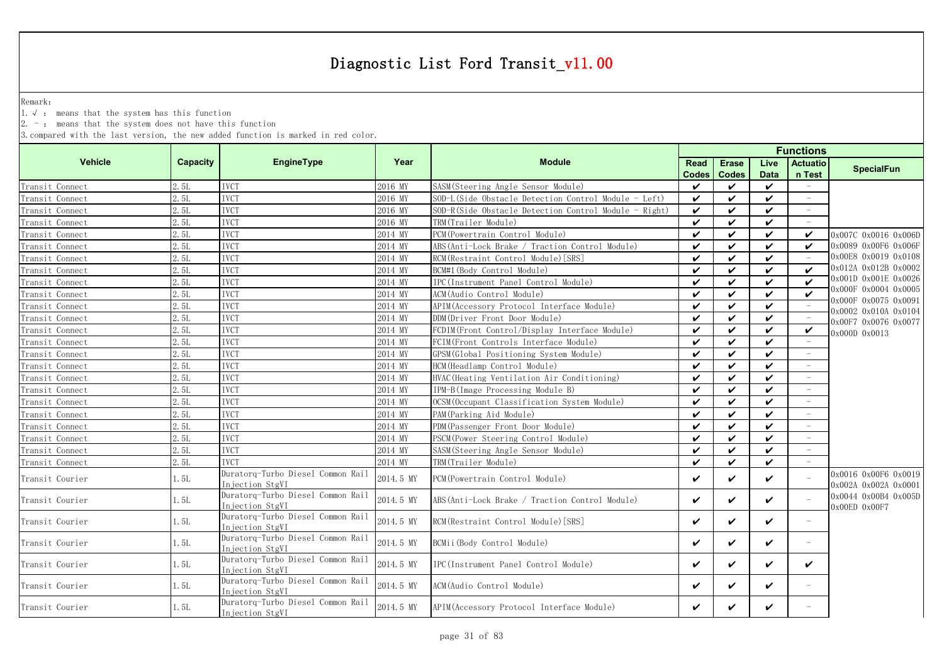Remark:

1.√ : means that the system has this function

2. - : means that the system does not have this function

|                 |                 |                                                      |           | <b>Module</b>                                         | <b>Functions</b>   |                            |                    |                                 |                                              |
|-----------------|-----------------|------------------------------------------------------|-----------|-------------------------------------------------------|--------------------|----------------------------|--------------------|---------------------------------|----------------------------------------------|
| <b>Vehicle</b>  | <b>Capacity</b> | EngineType                                           | Year      |                                                       | <b>Read</b>        | <b>Erase</b>               | Live               | <b>Actuatio</b>                 | <b>SpecialFun</b>                            |
|                 |                 |                                                      |           |                                                       | <b>Codes</b>       | <b>Codes</b>               | <b>Data</b>        | n Test                          |                                              |
| Transit Connect | 2.5L            | <b>IVCT</b>                                          | 2016 MY   | SASM (Steering Angle Sensor Module)                   | ✓                  | ✓                          | $\checkmark$       | $\equiv$                        |                                              |
| Transit Connect | 2.5L            | <b>IVCT</b>                                          | 2016 MY   | SOD-L(Side Obstacle Detection Control Module - Left)  | ✓                  | $\checkmark$               | ✓                  | $\overline{\phantom{a}}$        |                                              |
| Transit Connect | 2.5L            | <b>TVCT</b>                                          | 2016 MY   | SOD-R(Side Obstacle Detection Control Module - Right) | $\checkmark$       | $\boldsymbol{\nu}$         | ✓                  | $\overline{\phantom{a}}$        |                                              |
| Transit Connect | 2.5L            | <b>IVCT</b>                                          | 2016 MY   | TRM(Trailer Module)                                   | ✓                  | ✓                          | ✓                  |                                 |                                              |
| Transit Connect | 2.5L            | <b>IVCT</b>                                          | 2014 MY   | PCM (Powertrain Control Module)                       | $\checkmark$       | $\boldsymbol{\mathcal{U}}$ | ✓                  | ✓                               | 0x007C 0x0016 0x006D                         |
| Transit Connect | 2.5L            | <b>IVCT</b>                                          | 2014 MY   | ABS(Anti-Lock Brake / Traction Control Module)        | ✓                  | $\boldsymbol{\nu}$         | ✓                  | $\checkmark$                    | 0x0089 0x00F6 0x006F                         |
| Transit Connect | 2.5L            | <b>IVCT</b>                                          | 2014 MY   | RCM (Restraint Control Module) [SRS]                  | ✓                  | $\boldsymbol{\nu}$         | $\checkmark$       |                                 | 0x00E8 0x0019 0x0108                         |
| Transit Connect | 2.5L            | IVCT                                                 | 2014 MY   | BCM#1 (Body Control Module)                           | ✓                  | $\boldsymbol{\nu}$         | $\boldsymbol{\nu}$ | $\boldsymbol{\nu}$              | 0x012A 0x012B 0x0002                         |
| Transit Connect | 2.5L            | <b>IVCT</b>                                          | 2014 MY   | IPC(Instrument Panel Control Module)                  | $\boldsymbol{\nu}$ | $\checkmark$               | $\checkmark$       | $\boldsymbol{\nu}$              | 0x001D 0x001E 0x0026                         |
| Transit Connect | 2.5L            | <b>IVCT</b>                                          | 2014 MY   | ACM (Audio Control Module)                            | $\checkmark$       | $\checkmark$               | $\checkmark$       |                                 | 0x000F 0x0004 0x0005                         |
| Transit Connect | 2.5L            | <b>IVCT</b>                                          | 2014 MY   | APIM (Accessory Protocol Interface Module)            | ✓                  | $\checkmark$               | V                  | $\hspace{0.1mm}-\hspace{0.1mm}$ | 0x000F 0x0075 0x0091<br>0x0002 0x010A 0x0104 |
| Transit Connect | 2.5L            | <b>IVCT</b>                                          | 2014 MY   | DDM(Driver Front Door Module)                         | ✓                  | ✓                          | V                  | $\hspace{0.1mm}-\hspace{0.1mm}$ | 0x00F7 0x0076 0x0077                         |
| Transit Connect | 2.5L            | <b>IVCT</b>                                          | 2014 MY   | FCDIM (Front Control/Display Interface Module)        | ✓                  | $\boldsymbol{\nu}$         | ✓                  | $\checkmark$                    | 0x000D 0x0013                                |
| Transit Connect | 2.5L            | <b>IVCT</b>                                          | 2014 MY   | FCIM (Front Controls Interface Module)                | ✓                  | $\boldsymbol{\nu}$         | ✓                  |                                 |                                              |
| Transit Connect | 2.5L            | <b>IVCT</b>                                          | 2014 MY   | GPSM (Global Positioning System Module)               | ✓                  | $\checkmark$               | $\boldsymbol{\nu}$ |                                 |                                              |
| Transit Connect | 2.5L            | IVCT                                                 | 2014 MY   | HCM (Headlamp Control Module)                         | ✓                  | $\checkmark$               | ✓                  |                                 |                                              |
| Transit Connect | 2.5L            | <b>IVCT</b>                                          | 2014 MY   | HVAC (Heating Ventilation Air Conditioning)           | ✓                  | $\boldsymbol{\nu}$         | $\checkmark$       |                                 |                                              |
| Transit Connect | 2.5L            | <b>IVCT</b>                                          | 2014 MY   | IPM-B(Image Processing Module B)                      | ✓                  | $\boldsymbol{\nu}$         | $\checkmark$       |                                 |                                              |
| Transit Connect | 2.5L            | <b>IVCT</b>                                          | 2014 MY   | OCSM (Occupant Classification System Module)          | ✓                  | $\checkmark$               | $\checkmark$       |                                 |                                              |
| Transit Connect | 2.51            | <b>IVCT</b>                                          | 2014 MY   | PAM (Parking Aid Module)                              | ✓                  | $\checkmark$               | ✓                  | $\overline{\phantom{a}}$        |                                              |
| Transit Connect | 2.5L            | <b>IVCT</b>                                          | 2014 MY   | PDM (Passenger Front Door Module)                     | ✓                  | $\boldsymbol{\nu}$         | ✓                  | $\overline{\phantom{a}}$        |                                              |
| Transit Connect | 2.5L            | <b>IVCT</b>                                          | 2014 MY   | PSCM (Power Steering Control Module)                  | ✓                  | $\boldsymbol{\nu}$         | $\boldsymbol{\nu}$ |                                 |                                              |
| Transit Connect | 2.5L            | <b>IVCT</b>                                          | 2014 MY   | SASM (Steering Angle Sensor Module)                   | ✓                  | $\boldsymbol{\mathcal{U}}$ | ✓                  |                                 |                                              |
| Transit Connect | 2.5L            | <b>IVCT</b>                                          | 2014 MY   | TRM(Trailer Module)                                   | ✓                  | $\checkmark$               | ✓                  |                                 |                                              |
| Transit Courier | 1. 5L           | Duratorq-Turbo Diesel Common Rail<br>Injection StgVI | 2014.5 MY | PCM (Powertrain Control Module)                       | ✓                  | $\checkmark$               | ✓                  |                                 | 0x0016 0x00F6 0x0019<br>0x002A 0x002A 0x0001 |
| Transit Courier | 1. 5L           | Duratorq-Turbo Diesel Common Rail<br>Injection StgVI | 2014.5 MY | ABS (Anti-Lock Brake / Traction Control Module)       | ✓                  | ✓                          | ✓                  |                                 | 0x0044 0x00B4 0x005D<br>$0x00ED$ $0x00F7$    |
| Transit Courier | 1. 5L           | Duratorq-Turbo Diesel Common Rail<br>Injection StgVI | 2014.5 MY | RCM (Restraint Control Module) [SRS]                  | ✓                  | $\checkmark$               | ✓                  | $\equiv$                        |                                              |
| Transit Courier | 1.5L            | Duratorg-Turbo Diesel Common Rail<br>Injection StgVI | 2014.5 MY | BCMii (Body Control Module)                           | ✓                  | ✓                          | ✓                  | $\equiv$                        |                                              |
| Transit Courier | 1. 5L           | Duratorq-Turbo Diesel Common Rail<br>Injection StgVI | 2014.5 MY | IPC (Instrument Panel Control Module)                 | ✓                  | ✓                          | ✓                  | ✓                               |                                              |
| Transit Courier | 1. 5L           | Duratorq-Turbo Diesel Common Rail<br>Injection StgVI | 2014.5 MY | ACM (Audio Control Module)                            | ✓                  | ✓                          | ✓                  | $\overline{\phantom{a}}$        |                                              |
| Transit Courier | 1. 5L           | Duratorq-Turbo Diesel Common Rail<br>Injection StgVI | 2014.5 MY | APIM (Accessory Protocol Interface Module)            | ✓                  | ✓                          | ✓                  |                                 |                                              |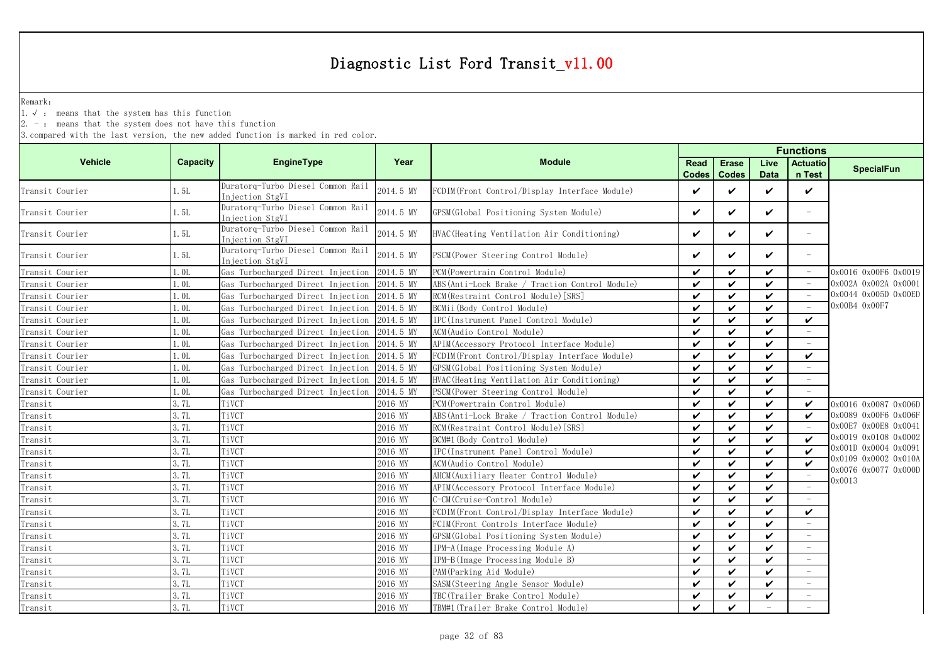Remark:

1.√ : means that the system has this function

2. - : means that the system does not have this function

|                 |                  |                                                      |           |                                                 | <b>Functions</b>     |                              |                     |                          |                                |  |  |
|-----------------|------------------|------------------------------------------------------|-----------|-------------------------------------------------|----------------------|------------------------------|---------------------|--------------------------|--------------------------------|--|--|
| <b>Vehicle</b>  | <b>Capacity</b>  | EngineType                                           | Year      | <b>Module</b>                                   | Read<br><b>Codes</b> | <b>Erase</b><br><b>Codes</b> | Live<br><b>Data</b> | Actuatio<br>n Test       | <b>SpecialFun</b>              |  |  |
| Transit Courier | 1.5L             | Duratorq-Turbo Diesel Common Rail<br>Injection StgVI | 2014.5 MY | FCDIM(Front Control/Display Interface Module)   | $\checkmark$         | ✓                            | $\checkmark$        | $\checkmark$             |                                |  |  |
| Transit Courier | 1.5L             | Duratorq-Turbo Diesel Common Rail<br>Injection StgVI | 2014.5 MY | GPSM (Global Positioning System Module)         | $\boldsymbol{\nu}$   | ✓                            | $\checkmark$        | $\equiv$                 |                                |  |  |
| Transit Courier | 1.5L             | Duratorq-Turbo Diesel Common Rail<br>Injection StgVI | 2014.5 MY | HVAC (Heating Ventilation Air Conditioning)     | V                    | ✓                            | $\checkmark$        | $\overline{\phantom{0}}$ |                                |  |  |
| Transit Courier | 1.5L             | Duratorq-Turbo Diesel Common Rail<br>Injection StgVI | 2014.5 MY | PSCM (Power Steering Control Module)            | $\checkmark$         | ✓                            | $\checkmark$        | $\equiv$                 |                                |  |  |
| Transit Courier | 1.0L             | Gas Turbocharged Direct Injection                    | 2014.5 MY | PCM (Powertrain Control Module)                 | $\checkmark$         | ✓                            | $\checkmark$        |                          | 0x0016 0x00F6 0x0019           |  |  |
| Transit Courier | 1.0L             | Gas Turbocharged Direct Injection                    | 2014.5 MY | ABS (Anti-Lock Brake / Traction Control Module) | $\checkmark$         | ✓                            | $\boldsymbol{\nu}$  |                          | 0x002A 0x002A 0x0001           |  |  |
| Transit Courier | 1.0L             | Gas Turbocharged Direct Injection                    | 2014.5 MY | RCM (Restraint Control Module) [SRS]            | $\boldsymbol{\nu}$   | ✓                            | $\boldsymbol{\nu}$  |                          | 0x0044 0x005D 0x00ED           |  |  |
| Transit Courier | 1.0L             | Gas Turbocharged Direct Injection                    | 2014.5 MY | BCMii (Body Control Module)                     | ✓                    | $\checkmark$                 | $\checkmark$        |                          | 0x00B4 0x00F7                  |  |  |
| Transit Courier | 1.0L             | Gas Turbocharged Direct Injection                    | 2014.5 MY | IPC(Instrument Panel Control Module)            | $\checkmark$         | $\checkmark$                 | $\checkmark$        | $\checkmark$             |                                |  |  |
| Transit Courier | 1.0 <sub>L</sub> | Gas Turbocharged Direct Injection                    | 2014.5 MY | ACM (Audio Control Module)                      | $\boldsymbol{\nu}$   | $\checkmark$                 | $\boldsymbol{\nu}$  |                          |                                |  |  |
| Transit Courier | 1.0L             | Gas Turbocharged Direct Injection                    | 2014.5 MY | APIM (Accessory Protocol Interface Module)      | $\boldsymbol{\nu}$   | $\checkmark$                 | $\checkmark$        |                          |                                |  |  |
| Transit Courier | 1. OL            | Gas Turbocharged Direct Injection                    | 2014.5 MY | FCDIM(Front Control/Display Interface Module)   | $\checkmark$         | V                            | $\checkmark$        | $\checkmark$             |                                |  |  |
| Transit Courier | l.OL             | Gas Turbocharged Direct Injection                    | 2014.5 MY | GPSM (Global Positioning System Module)         | $\boldsymbol{\nu}$   | ✓                            | $\checkmark$        |                          |                                |  |  |
| Transit Courier | 1.0L             | Gas Turbocharged Direct Injection                    | 2014.5 MY | HVAC (Heating Ventilation Air Conditioning)     | $\checkmark$         | V                            | $\checkmark$        | $\overline{\phantom{a}}$ |                                |  |  |
| Transit Courier | 1.0L             | Gas Turbocharged Direct Injection                    | 2014.5 MY | PSCM (Power Steering Control Module)            | $\checkmark$         | $\checkmark$                 | $\checkmark$        |                          |                                |  |  |
| Transit         | 3.7L             | TiVCT                                                | 2016 MY   | PCM (Powertrain Control Module)                 | ✓                    | ✓                            | $\checkmark$        | $\checkmark$             | 0x0016 0x0087 0x006D           |  |  |
| Transit         | 3.7L             | TiVCT                                                | 2016 MY   | ABS(Anti-Lock Brake / Traction Control Module)  | ✓                    | ✓                            | $\boldsymbol{\nu}$  | ✓                        | 0x0089 0x00F6 0x006F           |  |  |
| Transit         | 3.7L             | TiVCT                                                | 2016 MY   | RCM (Restraint Control Module) [SRS]            | ✓                    | $\checkmark$                 | $\checkmark$        |                          | 0x00E7 0x00E8 0x0041           |  |  |
| Transit         | 3.7L             | TiVCT                                                | 2016 MY   | BCM#1 (Body Control Module)                     | $\boldsymbol{\nu}$   | $\checkmark$                 | $\checkmark$        | $\checkmark$             | 0x0019 0x0108 0x0002           |  |  |
| Transit         | 3.7L             | TiVCT                                                | 2016 MY   | IPC(Instrument Panel Control Module)            | $\boldsymbol{\nu}$   | $\checkmark$                 | $\boldsymbol{\nu}$  | $\boldsymbol{\nu}$       | 0x001D 0x0004 0x0091           |  |  |
| Transit         | 3.7L             | TiVCT                                                | 2016 MY   | ACM (Audio Control Module)                      | $\checkmark$         | $\checkmark$                 | $\checkmark$        | $\boldsymbol{\nu}$       | 0x0109 0x0002 0x010A           |  |  |
| Transit         | 3.7L             | TiVCT                                                | 2016 MY   | AHCM (Auxiliary Heater Control Module)          | $\boldsymbol{\nu}$   | $\checkmark$                 | $\checkmark$        | $\sim$                   | 0x0076 0x0077 0x000D<br>0x0013 |  |  |
| Transit         | 3.7L             | TiVCT                                                | 2016 MY   | APIM (Accessory Protocol Interface Module)      | $\checkmark$         | ✓                            | $\checkmark$        |                          |                                |  |  |
| Transit         | 3.7L             | TiVCT                                                | 2016 MY   | C-CM(Cruise-Control Module)                     | $\checkmark$         | V                            | $\checkmark$        |                          |                                |  |  |
| Transit         | 3.7L             | TiVCT                                                | 2016 MY   | FCDIM(Front Control/Display Interface Module)   | $\checkmark$         | V                            | $\checkmark$        | $\checkmark$             |                                |  |  |
| Transit         | 3.7L             | TiVCT                                                | 2016 MY   | FCIM (Front Controls Interface Module)          | $\checkmark$         | $\checkmark$                 | $\checkmark$        |                          |                                |  |  |
| Transit         | 3.7L             | TiVCT                                                | 2016 MY   | GPSM(Global Positioning System Module)          | ✓                    | ✓                            | $\checkmark$        |                          |                                |  |  |
| Transit         | 3.7L             | TiVCT                                                | 2016 MY   | IPM-A(Image Processing Module A)                | $\checkmark$         | ✓                            | $\boldsymbol{\nu}$  | $\overline{\phantom{m}}$ |                                |  |  |
| Transit         | 3.7L             | TiVCT                                                | 2016 MY   | IPM-B(Image Processing Module B)                | $\checkmark$         | ✓                            | $\checkmark$        |                          |                                |  |  |
| Transit         | 3.7L             | TiVCT                                                | 2016 MY   | PAM (Parking Aid Module)                        | ✓                    | $\checkmark$                 | $\checkmark$        |                          |                                |  |  |
| Transit         | 3.7L             | TiVCT                                                | 2016 MY   | SASM(Steering Angle Sensor Module)              | $\checkmark$         | $\checkmark$                 | $\checkmark$        |                          |                                |  |  |
| Transit         | 3.7L             | TiVCT                                                | 2016 MY   | TBC(Trailer Brake Control Module)               | $\checkmark$         | ✓                            | $\boldsymbol{\nu}$  |                          |                                |  |  |
| Transit         | 3.7L             | TiVCT                                                | 2016 MY   | TBM#1 (Trailer Brake Control Module)            | $\checkmark$         | ✓                            | $\equiv$            |                          |                                |  |  |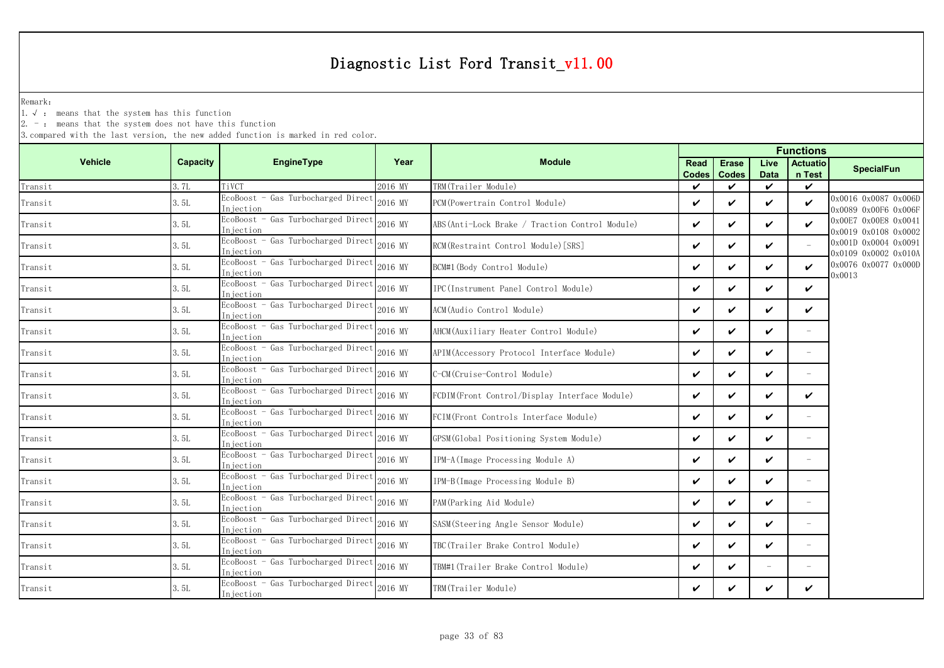Remark:

1.√ : means that the system has this function

2. - : means that the system does not have this function

|                |          |                                                  |         |                                                 | <b>Functions</b>     |                              |                          |                            |                                              |  |
|----------------|----------|--------------------------------------------------|---------|-------------------------------------------------|----------------------|------------------------------|--------------------------|----------------------------|----------------------------------------------|--|
| <b>Vehicle</b> | Capacity | <b>EngineType</b>                                | Year    | <b>Module</b>                                   | Read<br><b>Codes</b> | <b>Erase</b><br><b>Codes</b> | Live<br><b>Data</b>      | <b>Actuatio</b><br>n Test  | <b>SpecialFun</b>                            |  |
| Transit        | 3.7L     | TiVCT                                            | 2016 MY | TRM(Trailer Module)                             | ✓                    | ✓                            | $\checkmark$             | $\checkmark$               |                                              |  |
| Transit        | 3.5L     | EcoBoost - Gas Turbocharged Direct<br>Injection  | 2016 MY | PCM(Powertrain Control Module)                  | ✓                    | ✓                            | $\boldsymbol{\nu}$       | $\boldsymbol{\mathcal{U}}$ | 0x0016 0x0087 0x006D<br>0x0089 0x00F6 0x006F |  |
| Transit        | 3.5L     | EcoBoost - Gas Turbocharged Direct<br>Injection  | 2016 MY | ABS (Anti-Lock Brake / Traction Control Module) | V                    | ✓                            | $\checkmark$             | ✓                          | 0x00E7 0x00E8 0x0041<br>0x0019 0x0108 0x0002 |  |
| Transit        | 3.5L     | EcoBoost - Gas Turbocharged Direct<br>Injection  | 2016 MY | RCM(Restraint Control Module)[SRS]              | ✓                    | ✓                            | $\boldsymbol{\nu}$       |                            | 0x001D 0x0004 0x0091<br>0x0109 0x0002 0x010A |  |
| Transit        | 3.5L     | EcoBoost - Gas Turbocharged Direct<br>Injection  | 2016 MY | BCM#1(Body Control Module)                      | V                    | ✓                            | $\checkmark$             | $\checkmark$               | 0x0076 0x0077 0x000D<br>0x0013               |  |
| Transit        | 3.5L     | EcoBoost - Gas Turbocharged Direct<br>Injection  | 2016 MY | IPC(Instrument Panel Control Module)            | $\checkmark$         | ✓                            | $\checkmark$             | $\checkmark$               |                                              |  |
| Transit        | 3.5L     | EcoBoost - Gas Turbocharged Direct<br>Injection  | 2016 MY | ACM(Audio Control Module)                       | V                    | ✓                            | $\checkmark$             | $\checkmark$               |                                              |  |
| Transit        | 3.5L     | EcoBoost - Gas Turbocharged Direct<br>Injection  | 2016 MY | AHCM(Auxiliary Heater Control Module)           | ✓                    | ✓                            | $\checkmark$             | $\overline{\phantom{0}}$   |                                              |  |
| Transit        | 3.5L     | EcoBoost - Gas Turbocharged Direct<br>In iection | 2016 MY | APIM (Accessory Protocol Interface Module)      | V                    | ✓                            | $\checkmark$             | $\overline{\phantom{0}}$   |                                              |  |
| Transit        | 3.5L     | EcoBoost - Gas Turbocharged Direct<br>Injection  | 2016 MY | -CM (Cruise-Control Module)                     | V                    | ✓                            | $\checkmark$             | $\equiv$                   |                                              |  |
| Transit        | 3.5L     | EcoBoost - Gas Turbocharged Direct<br>In iection | 2016 MY | FCDIM(Front Control/Display Interface Module)   | V                    | ✓                            | $\checkmark$             | V                          |                                              |  |
| Transit        | 3.5L     | EcoBoost - Gas Turbocharged Direct<br>Injection  | 2016 MY | FCIM(Front Controls Interface Module)           | V                    | ✓                            | $\checkmark$             | $\equiv$                   |                                              |  |
| Transit        | 3.5L     | EcoBoost - Gas Turbocharged Direct<br>Injection  | 2016 MY | GPSM(Global Positioning System Module)          | V                    | ✓                            | $\checkmark$             | $\overline{\phantom{0}}$   |                                              |  |
| Transit        | 3.5L     | EcoBoost - Gas Turbocharged Direct<br>Injection  | 2016 MY | IPM-A (Image Processing Module A)               | V                    | ✓                            | V                        | $\overline{\phantom{m}}$   |                                              |  |
| Transit        | 3.5L     | EcoBoost - Gas Turbocharged Direct<br>Injection  | 2016 MY | IPM-B(Image Processing Module B)                | V                    | ✓                            | V                        | $\overline{\phantom{0}}$   |                                              |  |
| Transit        | 3.5L     | EcoBoost - Gas Turbocharged Direct<br>Injection  | 2016 MY | PAM (Parking Aid Module)                        | V                    | ✓                            | $\checkmark$             | $\equiv$                   |                                              |  |
| Transit        | 3.5L     | EcoBoost - Gas Turbocharged Direct<br>Iniection  | 2016 MY | SASM(Steering Angle Sensor Module)              | ✓                    | ✓                            | $\checkmark$             | $\overline{\phantom{0}}$   |                                              |  |
| Transit        | 3.5L     | EcoBoost - Gas Turbocharged Direct<br>Injection  | 2016 MY | TBC (Trailer Brake Control Module)              | V                    | ✓                            | $\checkmark$             | $\overline{\phantom{0}}$   |                                              |  |
| Transit        | 3.5L     | EcoBoost - Gas Turbocharged Direct<br>Injection  | 2016 MY | TBM#1(Trailer Brake Control Module)             | V                    | ✓                            | $\overline{\phantom{a}}$ | $\equiv$                   |                                              |  |
| Transit        | 3.5L     | EcoBoost - Gas Turbocharged Direct<br>Injection  | 2016 MY | TRM(Trailer Module)                             | V                    | ✓                            | V                        | $\checkmark$               |                                              |  |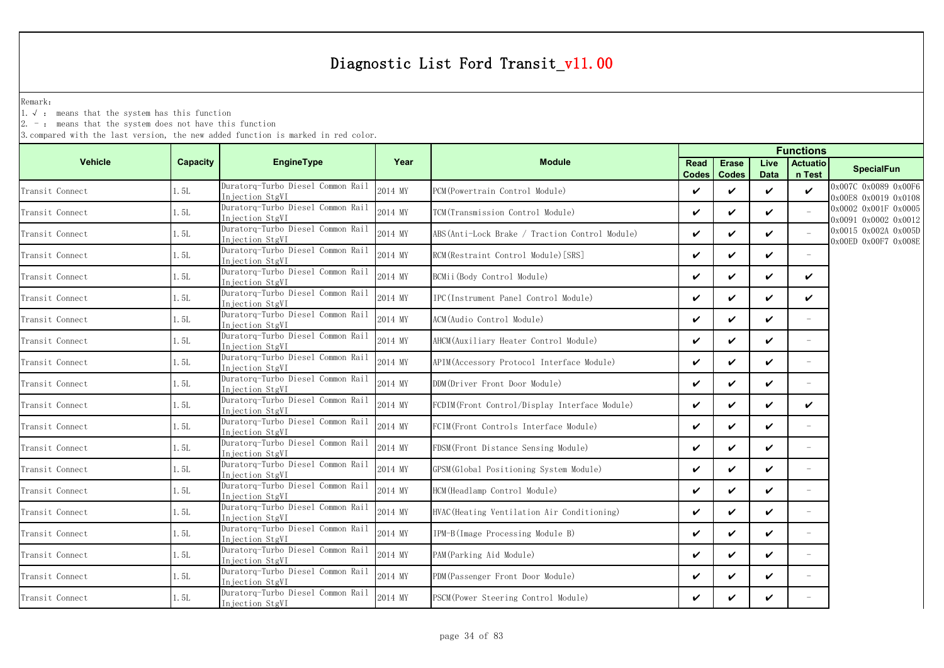Remark:

1.√ : means that the system has this function

 $2. -$ : means that the system does not have this function

|                 |          |                                                                         |         | <b>Functions</b>                               |                      |                              |                     |                           |                                              |
|-----------------|----------|-------------------------------------------------------------------------|---------|------------------------------------------------|----------------------|------------------------------|---------------------|---------------------------|----------------------------------------------|
| <b>Vehicle</b>  | Capacity | <b>EngineType</b>                                                       | Year    | <b>Module</b>                                  | <b>Read</b><br>Codes | <b>Erase</b><br><b>Codes</b> | Live<br><b>Data</b> | <b>Actuatio</b><br>n Test | <b>SpecialFun</b>                            |
| Transit Connect | 1.5L     | Duratorg-Turbo Diesel Common Rail<br>Injection StgVI                    | 2014 MY | PCM (Powertrain Control Module)                | V                    | $\checkmark$                 | ✓                   | $\checkmark$              | 0x007C 0x0089 0x00F6<br>0x00E8 0x0019 0x0108 |
| Transit Connect | 1.5L     | Duratorq-Turbo Diesel Common Rail<br>Injection StgVI                    | 2014 MY | TCM(Transmission Control Module)               | $\checkmark$         | $\checkmark$                 | ✓                   |                           | 0x0002 0x001F 0x0005<br>0x0091 0x0002 0x0012 |
| Transit Connect | 1.5L     | Duratorq-Turbo Diesel Common Rail<br>Injection StgVI                    | 2014 MY | ABS(Anti-Lock Brake / Traction Control Module) | V                    | $\checkmark$                 | ✓                   |                           | 0x0015 0x002A 0x005D<br>0x00ED 0x00F7 0x008E |
| Transit Connect | 1.5L     | Duratorq-Turbo Diesel Common Rail<br>Injection StgVI                    | 2014 MY | RCM (Restraint Control Module) [SRS]           | $\checkmark$         | $\checkmark$                 | V                   | $\sim$                    |                                              |
| Transit Connect | 1.5L     | Duratorg-Turbo Diesel Common Rail<br>Injection StgVI                    | 2014 MY | BCMii(Body Control Module)                     | V                    | ✓                            | ✓                   | ✓                         |                                              |
| Transit Connect | 1.5L     | Duratorq-Turbo Diesel Common Rail<br>Injection StgVI                    | 2014 MY | IPC(Instrument Panel Control Module)           | $\checkmark$         | $\checkmark$                 | V                   | $\checkmark$              |                                              |
| Transit Connect | 1. 5L    | Duratorq-Turbo Diesel Common Rail<br>Injection StgVI                    | 2014 MY | ACM(Audio Control Module)                      | $\checkmark$         | $\checkmark$                 | V                   |                           |                                              |
| Transit Connect | 1.5L     | Duratorg-Turbo Diesel Common Rail<br>Injection StgVI                    | 2014 MY | AHCM (Auxiliary Heater Control Module)         | $\checkmark$         | $\checkmark$                 | ✓                   | $\equiv$                  |                                              |
| Transit Connect | 1.5L     | Duratorq-Turbo Diesel Common Rail<br>Injection StgVI                    | 2014 MY | APIM(Accessory Protocol Interface Module)      | $\checkmark$         | ✓                            | ✓                   |                           |                                              |
| Transit Connect | 1.5L     | Duratorq-Turbo Diesel Common Rail<br>Injection StgVI                    | 2014 MY | DDM(Driver Front Door Module)                  | $\checkmark$         | $\checkmark$                 | V                   | $\equiv$                  |                                              |
| Transit Connect | 1.5L     | Duratorq-Turbo Diesel Common Rail<br>Injection StgVI                    | 2014 MY | FCDIM(Front Control/Display Interface Module)  | $\checkmark$         | $\checkmark$                 | ✓                   | $\checkmark$              |                                              |
| Transit Connect | 1.5L     | Duratorq-Turbo Diesel Common Rail<br>Injection StgVI                    | 2014 MY | FCIM(Front Controls Interface Module)          | $\checkmark$         | $\checkmark$                 | ✓                   |                           |                                              |
| Transit Connect | 1.5L     | Duratorq-Turbo Diesel Common Rail<br>Injection StgVI                    | 2014 MY | FDSM(Front Distance Sensing Module)            | $\checkmark$         | $\checkmark$                 | V                   | $\equiv$                  |                                              |
| Transit Connect | 1.5L     | Duratorq-Turbo Diesel Common Rail<br>Injection StgVI                    | 2014 MY | GPSM(Global Positioning System Module)         | V                    | $\checkmark$                 | ✓                   | $\overline{\phantom{a}}$  |                                              |
| Transit Connect | 1.5L     | Duratorq-Turbo Diesel Common Rail<br>Injection StgVI                    | 2014 MY | HCM (Headlamp Control Module)                  | $\checkmark$         | $\checkmark$                 | V                   | $\overline{\phantom{a}}$  |                                              |
| Transit Connect | 1.5L     | Duratorq-Turbo Diesel Common Rail<br>Injection StgVI                    | 2014 MY | HVAC (Heating Ventilation Air Conditioning)    | $\checkmark$         | ✓                            | ✓                   |                           |                                              |
| Transit Connect | 1.5L     | Duratorq-Turbo Diesel Common Rail<br>Injection StgVI                    | 2014 MY | IPM-B(Image Processing Module B)               | $\checkmark$         | $\checkmark$                 | V                   | $\equiv$                  |                                              |
| Transit Connect | 1.5L     | Duratorq-Turbo Diesel Common Rail<br>Injection StgVI                    | 2014 MY | PAM(Parking Aid Module)                        | $\checkmark$         | $\checkmark$                 | V                   | $\overline{\phantom{a}}$  |                                              |
| Transit Connect | 1.5L     | Duratorq-Turbo Diesel Common Rail                                       | 2014 MY | PDM(Passenger Front Door Module)               | $\checkmark$         | ✓                            | ✓                   |                           |                                              |
| Transit Connect | 1.5L     | Injection StgVI<br>Duratorg-Turbo Diesel Common Rail<br>Injection StgVI | 2014 MY | PSCM (Power Steering Control Module)           | V                    | ✓                            | ✓                   |                           |                                              |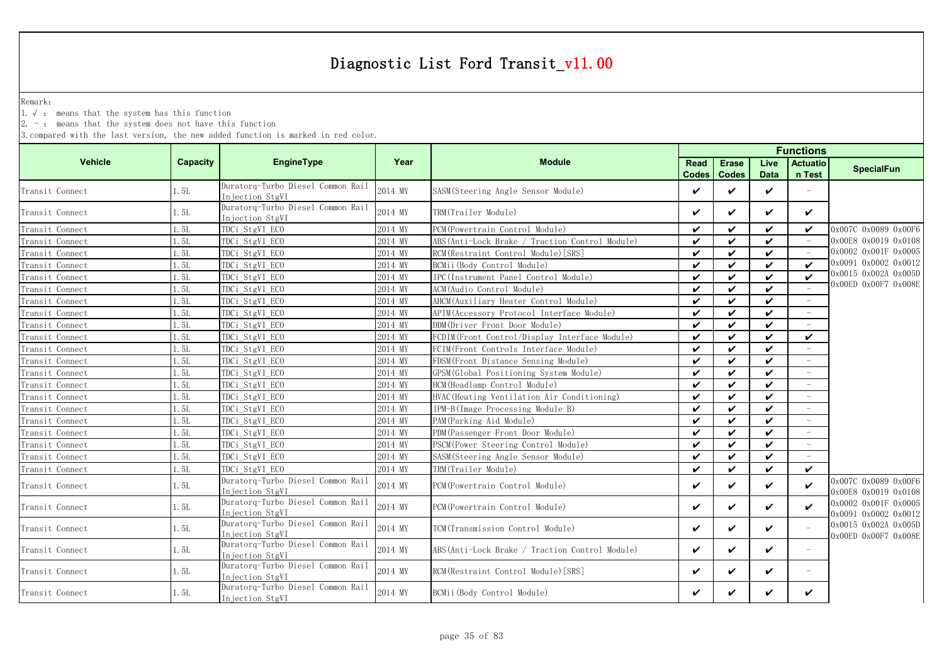Remark:

1.√ : means that the system has this function

2. - : means that the system does not have this function

|                 |          |                                                      |         | <b>Functions</b>                                |                      |                              |                     |                           |                                              |  |
|-----------------|----------|------------------------------------------------------|---------|-------------------------------------------------|----------------------|------------------------------|---------------------|---------------------------|----------------------------------------------|--|
| <b>Vehicle</b>  | Capacity | <b>EngineType</b>                                    | Year    | <b>Module</b>                                   | Read<br><b>Codes</b> | <b>Erase</b><br><b>Codes</b> | Live<br><b>Data</b> | <b>Actuatio</b><br>n Test | <b>SpecialFun</b>                            |  |
| Transit Connect | 1.5L     | Duratorq-Turbo Diesel Common Rail<br>Injection StgVI | 2014 MY | SASM (Steering Angle Sensor Module)             | ✓                    | ✓                            | ✓                   |                           |                                              |  |
| Transit Connect | 1.5L     | Duratorq-Turbo Diesel Common Rail<br>Injection StgVI | 2014 MY | TRM(Trailer Module)                             | ✓                    | ✓                            | ✓                   | ✓                         |                                              |  |
| Transit Connect | 1.5L     | TDCi_StgVI_ECO                                       | 2014 MY | PCM (Powertrain Control Module)                 | $\checkmark$         | ✓                            | $\checkmark$        | $\checkmark$              | 0x007C 0x0089 0x00F6                         |  |
| Transit Connect | 1.5L     | TDCi StgVI ECO                                       | 2014 MY | ABS (Anti-Lock Brake / Traction Control Module) | $\checkmark$         | $\checkmark$                 | $\boldsymbol{\nu}$  |                           | 0x00E8 0x0019 0x0108                         |  |
| Transit Connect | 1.5L     | TDCi_StgVI_ECO                                       | 2014 MY | RCM (Restraint Control Module) [SRS]            | ✓                    | ✓                            | ✓                   |                           | 0x0002 0x001F 0x0005                         |  |
| Transit Connect | 1.5L     | TDCi StgVI ECO                                       | 2014 MY | BCMii(Body Control Module)                      | ✓                    | ✓                            | $\checkmark$        | $\checkmark$              | 0x0091 0x0002 0x0012                         |  |
| Transit Connect | 1.5L     | TDCi StgVI ECO                                       | 2014 MY | IPC(Instrument Panel Control Module)            | V                    | ✓                            | $\checkmark$        | $\checkmark$              | 0x0015 0x002A 0x005D                         |  |
| Transit Connect | 1.5L     | TDCi StgVI ECO                                       | 2014 MY | ACM (Audio Control Module)                      | ✓                    | ✓                            | ✓                   |                           | 0x00ED 0x00F7 0x008E                         |  |
| Transit Connect | 1.5L     | TDCi StgVI ECO                                       | 2014 MY | AHCM (Auxiliary Heater Control Module)          | $\checkmark$         | ✓                            | ✓                   | $\overline{\phantom{a}}$  |                                              |  |
| Transit Connect | 1.5L     | TDCi StgVI ECO                                       | 2014 MY | APIM(Accessory Protocol Interface Module)       | $\checkmark$         | ✓                            | ✓                   | $\overline{\phantom{a}}$  |                                              |  |
| Transit Connect | 1.5L     | TDCi StgVI ECO                                       | 2014 MY | DDM(Driver Front Door Module)                   | $\checkmark$         | ✓                            | ✓                   | $\overline{\phantom{a}}$  |                                              |  |
| Transit Connect | 1.5L     | TDCi StgVI ECO                                       | 2014 MY | FCDIM(Front Control/Display Interface Module)   | $\checkmark$         | ✓                            | ✓                   | $\checkmark$              |                                              |  |
| Transit Connect | 1.5L     | TDCi_StgVI_ECO                                       | 2014 MY | FCIM(Front Controls Interface Module)           | $\checkmark$         | ✓                            | ✓                   |                           |                                              |  |
| Transit Connect | 1.5L     | TDCi StgVI ECO                                       | 2014 MY | FDSM(Front Distance Sensing Module)             | $\checkmark$         | ✓                            | $\checkmark$        |                           |                                              |  |
| Transit Connect | 1.5L     | TDCi StgVI ECO                                       | 2014 MY | GPSM(Global Positioning System Module)          | ✓                    | ✓                            | ✓                   |                           |                                              |  |
| Transit Connect | 1.5L     | TDCi StgVI ECO                                       | 2014 MY | HCM(Headlamp Control Module)                    | ✓                    | ✓                            | ✓                   |                           |                                              |  |
| Transit Connect | 1.5L     | TDCi_StgVI_ECO                                       | 2014 MY | HVAC (Heating Ventilation Air Conditioning)     | ✓                    | ✓                            | ✓                   |                           |                                              |  |
| Transit Connect | 1.5L     | TDCi_StgVI_ECO                                       | 2014 MY | IPM-B(Image Processing Module B)                | ✓                    | ✓                            | $\checkmark$        |                           |                                              |  |
| Transit Connect | 1.5L     | TDCi_StgVI_ECO                                       | 2014 MY | PAM (Parking Aid Module)                        | $\checkmark$         | ✓                            | ✓                   |                           |                                              |  |
| Transit Connect | 1.5L     | TDCi StgVI ECO                                       | 2014 MY | PDM (Passenger Front Door Module)               | $\checkmark$         | ✓                            | ✓                   |                           |                                              |  |
| Transit Connect | 1.5L     | TDCi_StgVI_ECO                                       | 2014 MY | PSCM (Power Steering Control Module)            | $\checkmark$         | $\checkmark$                 | $\checkmark$        |                           |                                              |  |
| Transit Connect | 1.5L     | TDCi_StgVI_ECO                                       | 2014 MY | SASM (Steering Angle Sensor Module)             | $\checkmark$         | $\checkmark$                 | ✓                   |                           |                                              |  |
| Transit Connect | 1.5L     | TDCi StgVI ECO                                       | 2014 MY | TRM(Trailer Module)                             | $\checkmark$         | $\checkmark$                 | $\mathbf v$         | $\checkmark$              |                                              |  |
| Transit Connect | 1.5L     | Duratorg-Turbo Diesel Common Rail<br>Injection StgVI | 2014 MY | PCM (Powertrain Control Module)                 | ✓                    | V                            | $\checkmark$        | $\checkmark$              | 0x007C 0x0089 0x00F6<br>0x00E8 0x0019 0x0108 |  |
| Transit Connect | 1.5L     | Duratorq-Turbo Diesel Common Rail<br>Injection StgVI | 2014 MY | PCM (Powertrain Control Module)                 | ✓                    | ✓                            | ✓                   | $\checkmark$              | 0x0002 0x001F 0x0005<br>0x0091 0x0002 0x0012 |  |
| Transit Connect | 1.5L     | Duratorg-Turbo Diesel Common Rail<br>Injection StgVI | 2014 MY | TCM(Transmission Control Module)                | ✓                    | ✓                            | ✓                   |                           | 0x0015 0x002A 0x005D<br>0x00ED 0x00F7 0x008E |  |
| Transit Connect | 1.5L     | Duratorq-Turbo Diesel Common Rail<br>Injection StgVI | 2014 MY | ABS (Anti-Lock Brake / Traction Control Module) | ✓                    | ✓                            | ✓                   |                           |                                              |  |
| Transit Connect | 1.5L     | Duratorg-Turbo Diesel Common Rail<br>Injection StgVI | 2014 MY | RCM (Restraint Control Module) [SRS]            | ✓                    | ✓                            | ✓                   | $\overline{\phantom{0}}$  |                                              |  |
| Transit Connect | 1.5L     | Duratorq-Turbo Diesel Common Rail<br>Injection StgVI | 2014 MY | BCMii(Body Control Module)                      | ✓                    | ✓                            | ✓                   | ✓                         |                                              |  |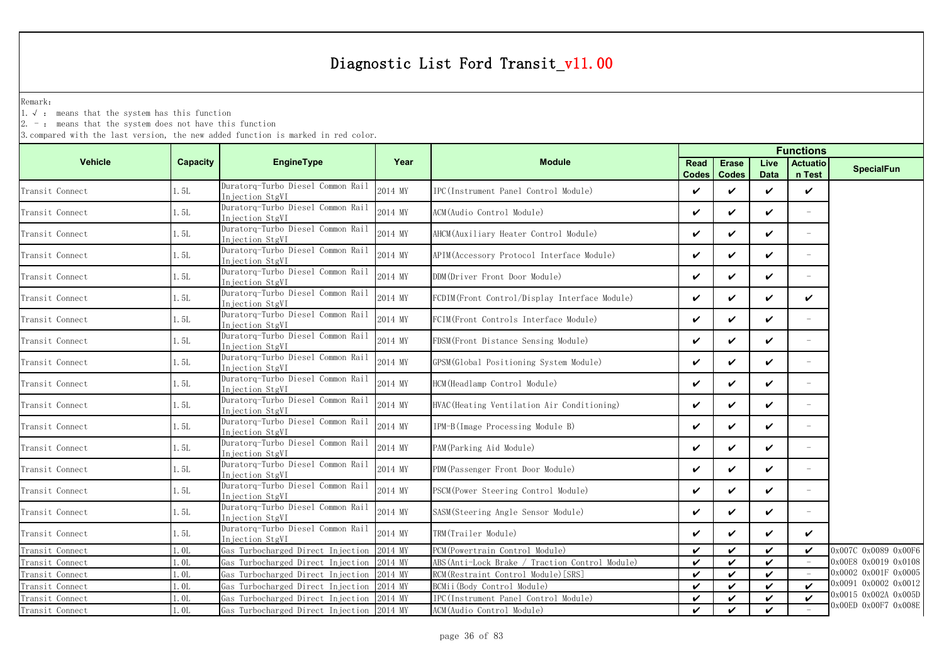Remark:

1.√ : means that the system has this function

 $2. -$ : means that the system does not have this function

|                 |                 |                                                      |         |                                                |                      | <b>Functions</b>             |                     |                           |                      |  |
|-----------------|-----------------|------------------------------------------------------|---------|------------------------------------------------|----------------------|------------------------------|---------------------|---------------------------|----------------------|--|
| <b>Vehicle</b>  | <b>Capacity</b> | <b>EngineType</b>                                    | Year    | <b>Module</b>                                  | Read<br><b>Codes</b> | <b>Erase</b><br><b>Codes</b> | Live<br><b>Data</b> | <b>Actuatio</b><br>n Test | <b>SpecialFun</b>    |  |
| Transit Connect | 1.5L            | Duratorg-Turbo Diesel Common Rail<br>Injection StgVI | 2014 MY | IPC(Instrument Panel Control Module)           | ✓                    | ✓                            | ✓                   | $\checkmark$              |                      |  |
| Transit Connect | 1.5L            | Duratorq-Turbo Diesel Common Rail<br>Injection StgVI | 2014 MY | ACM(Audio Control Module)                      | V                    | ✓                            | $\checkmark$        |                           |                      |  |
| Transit Connect | 1.5L            | Duratorq-Turbo Diesel Common Rail<br>Injection StgVI | 2014 MY | AHCM (Auxiliary Heater Control Module)         | $\checkmark$         | ✓                            | ✓                   |                           |                      |  |
| Transit Connect | 1.5L            | Duratorq-Turbo Diesel Common Rail<br>Injection StgVI | 2014 MY | APIM (Accessory Protocol Interface Module)     | $\checkmark$         | ✓                            | ✓                   | ÷,                        |                      |  |
| Transit Connect | 1.5L            | Duratorq-Turbo Diesel Common Rail<br>Injection StgVI | 2014 MY | DDM(Driver Front Door Module)                  | $\checkmark$         | ✓                            | $\checkmark$        | ÷,                        |                      |  |
| Transit Connect | 1.5L            | Duratorq-Turbo Diesel Common Rail<br>Injection StgVI | 2014 MY | FCDIM(Front Control/Display Interface Module)  | ✓                    | ✓                            | ✓                   | ✓                         |                      |  |
| Transit Connect | 1.5L            | Duratorg-Turbo Diesel Common Rail<br>Injection StgVI | 2014 MY | FCIM(Front Controls Interface Module)          | V                    | ✓                            | ✓                   |                           |                      |  |
| Transit Connect | 1.5L            | Duratorq-Turbo Diesel Common Rail<br>Injection StgVI | 2014 MY | FDSM (Front Distance Sensing Module)           | ✓                    | ✓                            | ✓                   |                           |                      |  |
| Transit Connect | 1.5L            | Duratorq-Turbo Diesel Common Rail<br>Injection StgVI | 2014 MY | GPSM(Global Positioning System Module)         | $\checkmark$         | ✓                            | ✓                   | $\equiv$                  |                      |  |
| Transit Connect | 1.5L            | Duratorg-Turbo Diesel Common Rail<br>Injection StgVI | 2014 MY | HCM (Headlamp Control Module)                  | V                    | ✓                            | ✓                   |                           |                      |  |
| Transit Connect | 1.5L            | Duratorq-Turbo Diesel Common Rail<br>Injection StgVI | 2014 MY | HVAC(Heating Ventilation Air Conditioning)     | ✓                    | ✓                            | ✓                   |                           |                      |  |
| Transit Connect | 1.5L            | Duratorq-Turbo Diesel Common Rail<br>Injection StgVI | 2014 MY | IPM-B(Image Processing Module B)               | ✓                    | ✓                            | ✓                   | $\equiv$                  |                      |  |
| Transit Connect | 1.5L            | Duratorq-Turbo Diesel Common Rail<br>Injection StgVI | 2014 MY | PAM (Parking Aid Module)                       | $\checkmark$         | V                            | ✓                   |                           |                      |  |
| Transit Connect | 1.5L            | Duratorg-Turbo Diesel Common Rail<br>Injection StgVI | 2014 MY | PDM(Passenger Front Door Module)               | ✓                    | ✓                            | ✓                   | ÷,                        |                      |  |
| Transit Connect | $1.5L$          | Duratorq-Turbo Diesel Common Rail<br>Injection StgVI | 2014 MY | PSCM (Power Steering Control Module)           | ✓                    | ✓                            | ✓                   | $\sim$                    |                      |  |
| Transit Connect | 1.5L            | Duratorq-Turbo Diesel Common Rail<br>Injection StgVI | 2014 MY | SASM(Steering Angle Sensor Module)             | $\checkmark$         | ✓                            | ✓                   |                           |                      |  |
| Transit Connect | 1.5L            | Duratorq-Turbo Diesel Common Rail<br>Injection StgVI | 2014 MY | TRM(Trailer Module)                            | ✓                    | ✓                            | ✓                   | $\checkmark$              |                      |  |
| Transit Connect | 1.0L            | Gas Turbocharged Direct Injection                    | 2014 MY | PCM(Powertrain Control Module)                 | ✓                    | ✓                            | ✓                   | V                         | 0x007C 0x0089 0x00F6 |  |
| Transit Connect | 1.0L            | Gas Turbocharged Direct Injection                    | 2014 MY | ABS(Anti-Lock Brake / Traction Control Module) | ✓                    | ✓                            | ✓                   |                           | 0x00E8 0x0019 0x0108 |  |
| Transit Connect | 1.0L            | Gas Turbocharged Direct Injection                    | 2014 MY | RCM(Restraint Control Module) [SRS]            | ✓                    | ✓                            | ✓                   |                           | 0x0002 0x001F 0x0005 |  |
| Transit Connect | 1.0L            | Gas Turbocharged Direct Injection                    | 2014 MY | BCMii (Body Control Module)                    | $\checkmark$         | ✓                            | ✓                   | $\boldsymbol{\nu}$        | 0x0091 0x0002 0x0012 |  |
| Transit Connect | 1.0L            | Gas Turbocharged Direct Injection                    | 2014 MY | IPC(Instrument Panel Control Module)           | $\checkmark$         | ✓                            | $\checkmark$        | $\checkmark$              | 0x0015 0x002A 0x005D |  |
| Transit Connect | 1.0L            | Gas Turbocharged Direct Injection 2014 MY            |         | ACM (Audio Control Module)                     | $\checkmark$         | $\mathbf v$                  | $\checkmark$        |                           | 0x00ED 0x00F7 0x008E |  |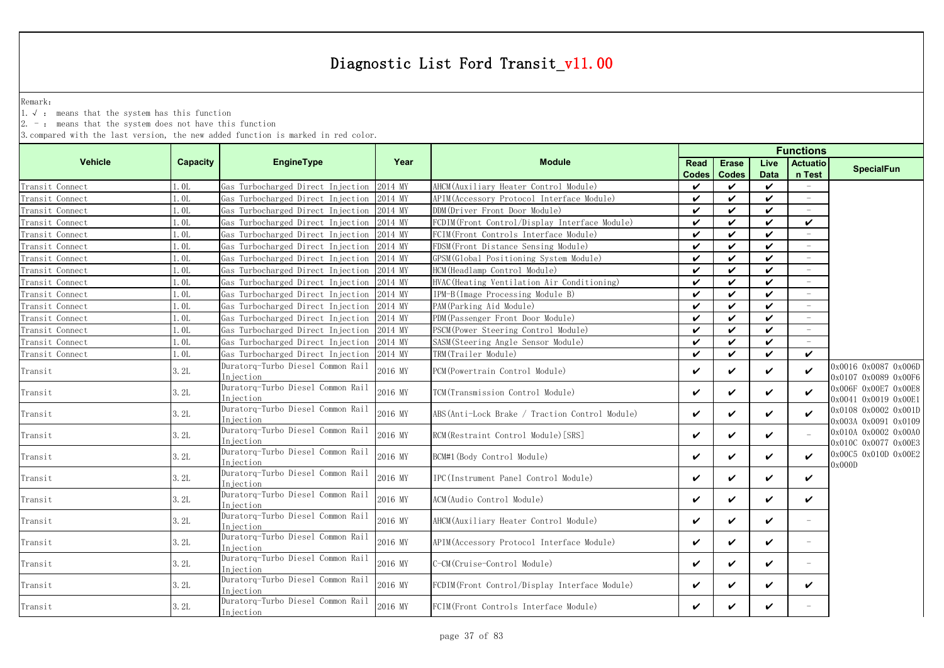Remark:

1.√ : means that the system has this function

 $2. -$ : means that the system does not have this function

| Capacity         | <b>EngineType</b>                              | Year                                                                                                        | <b>Module</b>                                   | <b>Read</b>        | <b>Erase</b>               | Live               | <b>Actuatio</b>          | <b>SpecialFun</b>                            |
|------------------|------------------------------------------------|-------------------------------------------------------------------------------------------------------------|-------------------------------------------------|--------------------|----------------------------|--------------------|--------------------------|----------------------------------------------|
|                  |                                                |                                                                                                             |                                                 | <b>Codes</b>       | <b>Codes</b>               | <b>Data</b>        | n Test                   |                                              |
| 1. OL            | Gas Turbocharged Direct Injection              |                                                                                                             | AHCM (Auxiliary Heater Control Module)          | $\boldsymbol{\nu}$ | ✓                          | $\boldsymbol{\nu}$ | $\overline{\phantom{a}}$ |                                              |
| 1.0L             | Gas Turbocharged Direct Injection              | 2014 MY                                                                                                     | APIM(Accessory Protocol Interface Module)       | ✓                  | ✓                          | ✓                  |                          |                                              |
| 1.0 <sub>L</sub> | Gas Turbocharged Direct Injection              | 2014 MY                                                                                                     | DDM(Driver Front Door Module)                   | $\boldsymbol{\nu}$ | $\boldsymbol{\nu}$         | $\checkmark$       |                          |                                              |
| 1.0 <sub>L</sub> | Gas Turbocharged Direct Injection              | 2014 MY                                                                                                     | FCDIM(Front Control/Display Interface Module)   | $\checkmark$       | $\boldsymbol{\nu}$         | ✓                  | $\checkmark$             |                                              |
| 1.0L             | Gas Turbocharged Direct Injection              | 2014 MY                                                                                                     | FCIM(Front Controls Interface Module)           | $\checkmark$       | $\checkmark$               | $\checkmark$       |                          |                                              |
| 1. OL            | Gas Turbocharged Direct Injection              | 2014 MY                                                                                                     | FDSM(Front Distance Sensing Module)             | ✓                  | $\boldsymbol{\nu}$         | ✓                  |                          |                                              |
| 1.0L             | Gas Turbocharged Direct Injection              | 2014 MY                                                                                                     | GPSM (Global Positioning System Module)         | $\checkmark$       | $\checkmark$               | $\checkmark$       | $\equiv$                 |                                              |
| 1. OL            | Gas Turbocharged Direct Injection              | 2014 MY                                                                                                     | HCM (Headlamp Control Module)                   | $\checkmark$       | $\checkmark$               | $\checkmark$       |                          |                                              |
| 1.0 <sub>L</sub> | Gas Turbocharged Direct Injection              | 2014 MY                                                                                                     | HVAC (Heating Ventilation Air Conditioning)     | $\checkmark$       | $\checkmark$               | $\checkmark$       | $\overline{\phantom{a}}$ |                                              |
| 1.0L             | Gas Turbocharged Direct Injection              | 2014 MY                                                                                                     | IPM-B(Image Processing Module B)                | $\checkmark$       | $\boldsymbol{\nu}$         | $\checkmark$       | $\overline{\phantom{a}}$ |                                              |
| 1. OL            | Gas Turbocharged Direct Injection              |                                                                                                             | PAM (Parking Aid Module)                        | ✓                  | $\boldsymbol{\mathcal{U}}$ | ✓                  | $\overline{\phantom{m}}$ |                                              |
| 1.0L             | Gas Turbocharged Direct Injection              |                                                                                                             | PDM (Passenger Front Door Module)               | $\checkmark$       | $\boldsymbol{\mathcal{U}}$ | ✓                  |                          |                                              |
| 1. OL            | Gas Turbocharged Direct Injection              | 2014 MY                                                                                                     | PSCM (Power Steering Control Module)            | $\checkmark$       | $\boldsymbol{\nu}$         | $\checkmark$       |                          |                                              |
| 1.0L             | Gas Turbocharged Direct Injection              | 2014 MY                                                                                                     | SASM(Steering Angle Sensor Module)              | $\checkmark$       | $\checkmark$               | ✓                  |                          |                                              |
| 0.01             | Gas Turbocharged Direct Injection              | 2014 MY                                                                                                     | TRM(Trailer Module)                             | $\boldsymbol{\nu}$ | $\boldsymbol{\nu}$         | $\checkmark$       | $\boldsymbol{\nu}$       |                                              |
| 3.2L             | Duratorg-Turbo Diesel Common Rail<br>Injection | 2016 MY                                                                                                     | PCM (Powertrain Control Module)                 | $\checkmark$       | ✓                          | ✓                  | $\boldsymbol{\nu}$       | 0x0016 0x0087 0x006D<br>0x0107 0x0089 0x00F6 |
| 3.2L             | Duratorq-Turbo Diesel Common Rail<br>Injection | 2016 MY                                                                                                     | TCM (Transmission Control Module)               | $\checkmark$       | ✓                          | ✓                  | $\boldsymbol{\nu}$       | 0x006F 0x00E7 0x00E8<br>0x0041 0x0019 0x00E1 |
| 3.2L             | Duratorq-Turbo Diesel Common Rail<br>Injection | 2016 MY                                                                                                     | ABS (Anti-Lock Brake / Traction Control Module) | $\checkmark$       | ✓                          | ✓                  | $\boldsymbol{\nu}$       | 0x0108 0x0002 0x001D<br>0x003A 0x0091 0x0109 |
| 3.2L             | Injection                                      | 2016 MY                                                                                                     | RCM (Restraint Control Module) [SRS]            | $\checkmark$       | ✓                          | ✓                  |                          | 0x010A 0x0002 0x00A0<br>0x010C 0x0077 0x00E3 |
| 3.2L             | Duratorq-Turbo Diesel Common Rail<br>Injection | 2016 MY                                                                                                     | BCM#1 (Body Control Module)                     | V                  | ✓                          | ✓                  | ✓                        | 0x00C5 0x010D 0x00E2<br>0x000D               |
| 3.2L             | Duratorq-Turbo Diesel Common Rail<br>Injection | 2016 MY                                                                                                     | IPC(Instrument Panel Control Module)            | V                  | ✓                          | ✓                  | ✓                        |                                              |
| 3.2L             | Injection                                      | 2016 MY                                                                                                     | ACM (Audio Control Module)                      | $\checkmark$       | ✓                          | ✓                  | ✓                        |                                              |
| 3.2L             | Injection                                      | 2016 MY                                                                                                     | AHCM (Auxiliary Heater Control Module)          | $\checkmark$       | ✓                          | ✓                  |                          |                                              |
| 3.2L             | Duratorg-Turbo Diesel Common Rail<br>Injection | 2016 MY                                                                                                     | APIM (Accessory Protocol Interface Module)      | $\checkmark$       | ✓                          | V                  | $\overline{\phantom{a}}$ |                                              |
| 3.2L             | Duratorq-Turbo Diesel Common Rail<br>Injection | 2016 MY                                                                                                     | C-CM(Cruise-Control Module)                     | $\checkmark$       | ✓                          | ✓                  |                          |                                              |
| 3.2L             | Duratorq-Turbo Diesel Common Rail<br>Injection | 2016 MY                                                                                                     | FCDIM(Front Control/Display Interface Module)   | $\checkmark$       | ✓                          | ✓                  | ✓                        |                                              |
| 3.2L             | Duratorq-Turbo Diesel Common Rail<br>Injection | 2016 MY                                                                                                     | FCIM (Front Controls Interface Module)          | ✓                  | ✓                          | ✓                  |                          |                                              |
|                  |                                                | Duratorq-Turbo Diesel Common Rail<br>Duratorq-Turbo Diesel Common Rail<br>Duratorq-Turbo Diesel Common Rail | 2014 MY<br>2014 MY<br>2014 MY                   |                    |                            |                    |                          | <b>Functions</b>                             |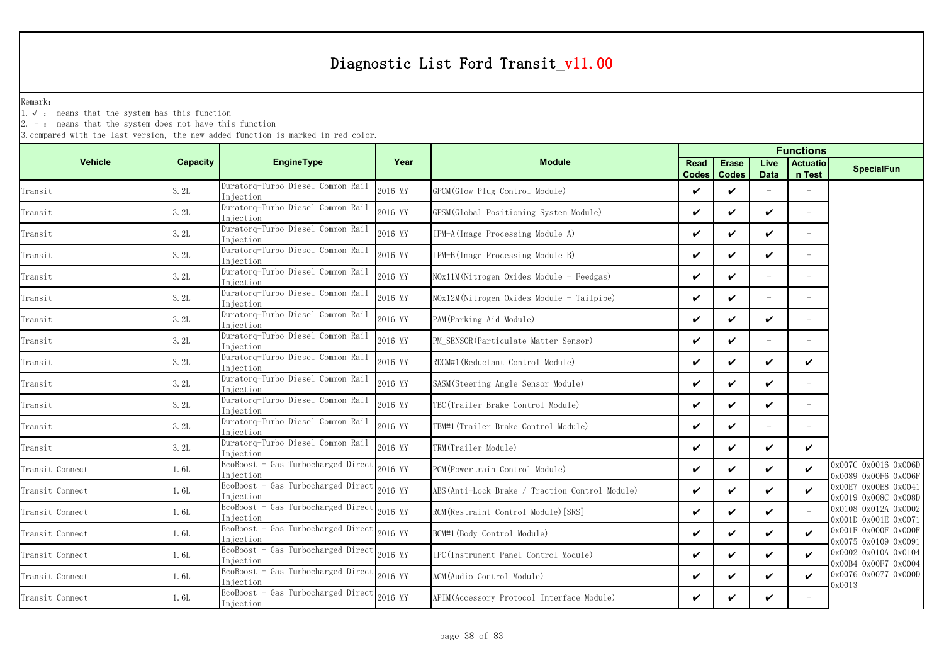Remark:

1.√ : means that the system has this function

2. - : means that the system does not have this function

|                 |          |                                                 |         |                                                 |                             |                              |                     | <b>Functions</b>          |                                              |
|-----------------|----------|-------------------------------------------------|---------|-------------------------------------------------|-----------------------------|------------------------------|---------------------|---------------------------|----------------------------------------------|
| <b>Vehicle</b>  | Capacity | EngineType                                      | Year    | <b>Module</b>                                   | <b>Read</b><br><b>Codes</b> | <b>Erase</b><br><b>Codes</b> | Live<br><b>Data</b> | <b>Actuatio</b><br>n Test | <b>SpecialFun</b>                            |
| Transit         | 3.2L     | Duratorq-Turbo Diesel Common Rail<br>Injection  | 2016 MY | GPCM (Glow Plug Control Module)                 | ✓                           | ✓                            |                     |                           |                                              |
| Transit         | 3.2L     | Duratorg-Turbo Diesel Common Rail<br>Injection  | 2016 MY | GPSM (Global Positioning System Module)         | $\checkmark$                | $\checkmark$                 | $\boldsymbol{\nu}$  | L.                        |                                              |
| Transit         | 3.2L     | Duratorq-Turbo Diesel Common Rail<br>Injection  | 2016 MY | IPM-A(Image Processing Module A)                | ✓                           | V                            | V                   | $\overline{\phantom{0}}$  |                                              |
| Transit         | 3.2L     | Duratorq-Turbo Diesel Common Rail<br>Injection  | 2016 MY | IPM-B(Image Processing Module B)                | ✓                           | $\checkmark$                 | ✓                   | L,                        |                                              |
| Transit         | 3.2L     | Duratorq-Turbo Diesel Common Rail<br>Injection  | 2016 MY | NOx11M(Nitrogen Oxides Module - Feedgas)        | ✓                           | $\checkmark$                 | $\equiv$            |                           |                                              |
| Transit         | 3.2L     | Duratorq-Turbo Diesel Common Rail<br>Injection  | 2016 MY | NOx12M(Nitrogen Oxides Module - Tailpipe)       | ✓                           | $\checkmark$                 | $\equiv$            | L.                        |                                              |
| Transit         | 3.2L     | Duratorq-Turbo Diesel Common Rail<br>Injection  | 2016 MY | PAM (Parking Aid Module)                        | ✓                           | ✓                            | V                   | ÷.                        |                                              |
| Transit         | 3.2L     | Duratorq-Turbo Diesel Common Rail<br>Injection  | 2016 MY | PM_SENSOR(Particulate Matter Sensor)            | ✓                           | $\checkmark$                 | $\sim$              |                           |                                              |
| Transit         | 3.2L     | Duratorq-Turbo Diesel Common Rail<br>Injection  | 2016 MY | RDCM#1 (Reductant Control Module)               | ✓                           | ✓                            | $\checkmark$        | V                         |                                              |
| Transit         | 3.2L     | Duratorq-Turbo Diesel Common Rail<br>Iniection  | 2016 MY | SASM(Steering Angle Sensor Module)              | ✓                           | ✓                            | ✓                   | $\overline{\phantom{0}}$  |                                              |
| Transit         | 3.2L     | Duratorq-Turbo Diesel Common Rail<br>Injection  | 2016 MY | TBC(Trailer Brake Control Module)               | V                           | $\checkmark$                 | V                   |                           |                                              |
| Transit         | 3.2L     | Duratorq-Turbo Diesel Common Rail<br>Injection  | 2016 MY | TBM#1(Trailer Brake Control Module)             | ✓                           | $\checkmark$                 | $\equiv$            | L.                        |                                              |
| Transit         | 3.2L     | Duratorg-Turbo Diesel Common Rail<br>Injection  | 2016 MY | TRM(Trailer Module)                             | ✓                           | $\checkmark$                 | ✓                   | $\checkmark$              |                                              |
| Transit Connect | 1.6L     | EcoBoost - Gas Turbocharged Direct<br>Injection | 2016 MY | PCM (Powertrain Control Module)                 | V                           | ✓                            | $\checkmark$        | ✓                         | 0x007C 0x0016 0x006D<br>0x0089 0x00F6 0x006F |
| Transit Connect | 1.6L     | EcoBoost - Gas Turbocharged Direct<br>Injection | 2016 MY | ABS (Anti-Lock Brake / Traction Control Module) | V                           | $\checkmark$                 | $\boldsymbol{\nu}$  | $\boldsymbol{\nu}$        | 0x00E7 0x00E8 0x0041<br>0x0019 0x008C 0x008D |
| Transit Connect | 1.6L     | EcoBoost - Gas Turbocharged Direct<br>Injection | 2016 MY | RCM (Restraint Control Module) [SRS]            | ✓                           | ✓                            | ✓                   |                           | 0x0108 0x012A 0x0002<br>0x001D 0x001E 0x0071 |
| Transit Connect | 1.6L     | EcoBoost - Gas Turbocharged Direct<br>Injection | 2016 MY | BCM#1 (Body Control Module)                     | ✓                           | $\checkmark$                 | $\boldsymbol{\nu}$  | $\checkmark$              | 0x001F 0x000F 0x000F<br>0x0075 0x0109 0x0091 |
| Transit Connect | 1.6L     | EcoBoost - Gas Turbocharged Direct<br>Injection | 2016 MY | IPC(Instrument Panel Control Module)            | ✓                           | ✓                            | ✓                   | ✓                         | 0x0002 0x010A 0x0104<br>0x00B4 0x00F7 0x0004 |
| Transit Connect | 1.6L     | EcoBoost - Gas Turbocharged Direct<br>Injection | 2016 MY | ACM (Audio Control Module)                      | ✓                           | ✓                            | ✓                   | ✓                         | 0x0076 0x0077 0x000D                         |
| Transit Connect | 1.6L     | EcoBoost - Gas Turbocharged Direct<br>Injection | 2016 MY | APIM (Accessory Protocol Interface Module)      | ✓                           | ✓                            | V                   |                           | )x0013                                       |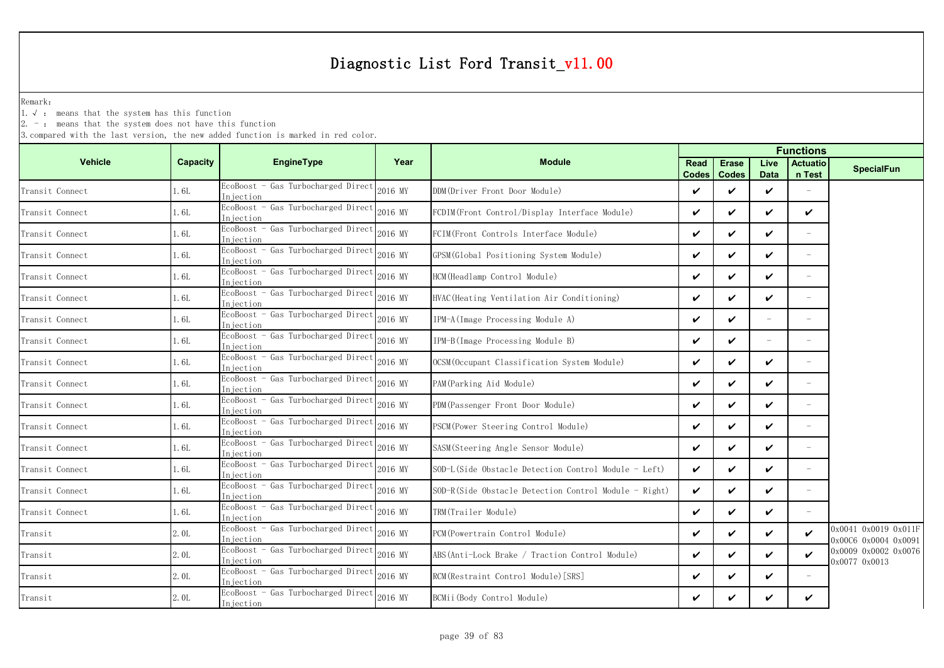Remark:

1.√ : means that the system has this function

 $2. -$ : means that the system does not have this function

|                 |          |                                                 |         | <b>Functions</b>                                      |                      |                              |                          |                           |                                              |
|-----------------|----------|-------------------------------------------------|---------|-------------------------------------------------------|----------------------|------------------------------|--------------------------|---------------------------|----------------------------------------------|
| <b>Vehicle</b>  | Capacity | EngineType                                      | Year    | <b>Module</b>                                         | Read<br><b>Codes</b> | <b>Erase</b><br><b>Codes</b> | Live<br><b>Data</b>      | <b>Actuatio</b><br>n Test | <b>SpecialFun</b>                            |
| Transit Connect | 1.6L     | EcoBoost - Gas Turbocharged Direct<br>Injection | 2016 MY | DDM(Driver Front Door Module)                         | ✓                    | $\checkmark$                 | $\checkmark$             |                           |                                              |
| Transit Connect | 1.6L     | EcoBoost - Gas Turbocharged Direct<br>Iniection | 2016 MY | FCDIM(Front Control/Display Interface Module)         | ✓                    | $\checkmark$                 | ✓                        | ✓                         |                                              |
| Transit Connect | 1.6L     | EcoBoost - Gas Turbocharged Direct<br>Injection | 2016 MY | FCIM(Front Controls Interface Module)                 | ✓                    | ✓                            | V                        | $\equiv$                  |                                              |
| Transit Connect | 1.6L     | EcoBoost - Gas Turbocharged Direct<br>Injection | 2016 MY | GPSM (Global Positioning System Module)               | ✓                    | $\checkmark$                 | ✓                        | L.                        |                                              |
| Transit Connect | 1.6L     | EcoBoost - Gas Turbocharged Direct<br>Injection | 2016 MY | HCM(Headlamp Control Module)                          | ✓                    | ✓                            | ✓                        | $\equiv$                  |                                              |
| Transit Connect | 1.6L     | EcoBoost - Gas Turbocharged Direct<br>Iniection | 2016 MY | HVAC (Heating Ventilation Air Conditioning)           | ✓                    | $\checkmark$                 | ✓                        | $\overline{\phantom{a}}$  |                                              |
| Transit Connect | 1.6L     | EcoBoost - Gas Turbocharged Direct<br>Injection | 2016 MY | IPM-A(Image Processing Module A)                      | ✓                    | ✓                            |                          |                           |                                              |
| Transit Connect | 1.6L     | EcoBoost - Gas Turbocharged Direct<br>Injection | 2016 MY | IPM-B(Image Processing Module B)                      | ✓                    | $\checkmark$                 | $\overline{\phantom{m}}$ |                           |                                              |
| Transit Connect | 1.6L     | EcoBoost - Gas Turbocharged Direct<br>Injection | 2016 MY | OCSM(Occupant Classification System Module)           | ✓                    | ✓                            | ✓                        |                           |                                              |
| Transit Connect | 1.6L     | EcoBoost - Gas Turbocharged Direct<br>Injection | 2016 MY | PAM (Parking Aid Module)                              | ✓                    | $\checkmark$                 | ✓                        | $\overline{\phantom{a}}$  |                                              |
| Transit Connect | 1.6L     | EcoBoost - Gas Turbocharged Direct<br>Injection | 2016 MY | PDM (Passenger Front Door Module)                     | ✓                    | ✓                            | ✓                        |                           |                                              |
| Transit Connect | 1. 6L    | EcoBoost - Gas Turbocharged Direct<br>Injection | 2016 MY | PSCM (Power Steering Control Module)                  | ✓                    | ✓                            | $\checkmark$             | L.                        |                                              |
| Transit Connect | 1.6L     | EcoBoost - Gas Turbocharged Direct<br>Injection | 2016 MY | SASM(Steering Angle Sensor Module)                    | ✓                    | ✓                            | ✓                        |                           |                                              |
| Transit Connect | 1.6L     | EcoBoost - Gas Turbocharged Direct<br>Injection | 2016 MY | SOD-L(Side Obstacle Detection Control Module - Left)  | ✓                    | ✓                            | V                        | $\overline{\phantom{0}}$  |                                              |
| Transit Connect | 1.6L     | EcoBoost - Gas Turbocharged Direct<br>Injection | 2016 MY | SOD-R(Side Obstacle Detection Control Module - Right) | ✓                    | $\checkmark$                 | V                        | $\overline{\phantom{a}}$  |                                              |
| Transit Connect | 1.6L     | EcoBoost - Gas Turbocharged Direct<br>Injection | 2016 MY | TRM(Trailer Module)                                   | ✓                    | ✓                            | V                        |                           |                                              |
| Transit         | 2.0L     | EcoBoost - Gas Turbocharged Direct<br>Injection | 2016 MY | PCM (Powertrain Control Module)                       | ✓                    | $\checkmark$                 | ✓                        | $\checkmark$              | 0x0041 0x0019 0x011F<br>0x00C6 0x0004 0x0091 |
| Transit         | 2.0L     | EcoBoost - Gas Turbocharged Direct<br>Injection | 2016 MY | ABS (Anti-Lock Brake / Traction Control Module)       | ✓                    | ✓                            | $\checkmark$             | ✓                         | 0x0009 0x0002 0x0076                         |
| Transit         | 2.0L     | EcoBoost - Gas Turbocharged Direct<br>Iniection | 2016 MY | RCM (Restraint Control Module) [SRS]                  | ✓                    | $\checkmark$                 | ✓                        | L.                        | 0x0077 0x0013                                |
| Transit         | 2.0L     | EcoBoost - Gas Turbocharged Direct<br>Injection | 2016 MY | BCMii(Body Control Module)                            | ✓                    | ✓                            | ✓                        | ✓                         |                                              |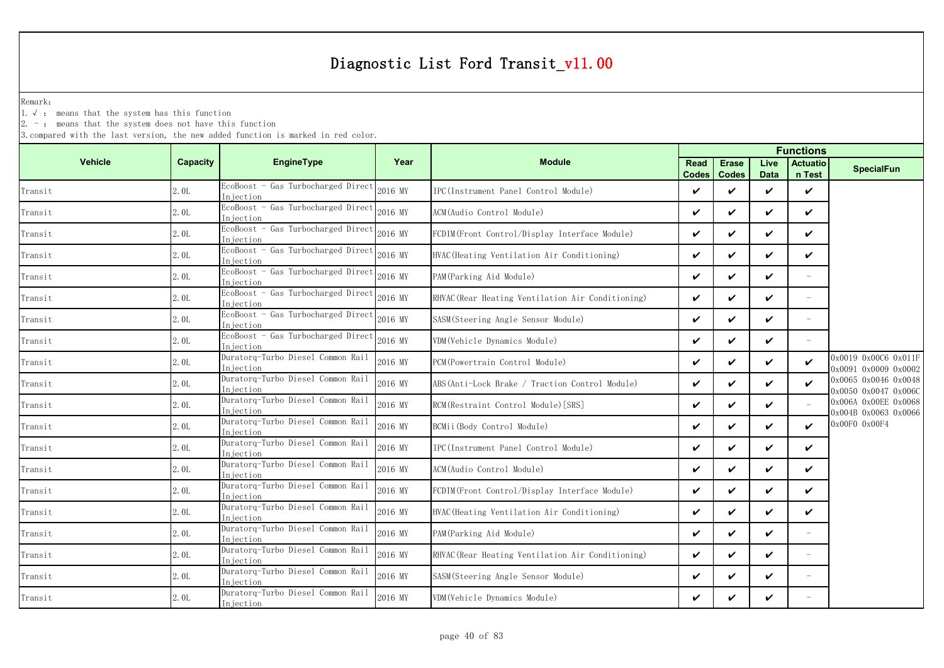Remark:

1.√ : means that the system has this function

 $2. -$ : means that the system does not have this function

|                |          |                                                  |         |                                                   | <b>Functions</b>     |                              |                     |                            |                                              |
|----------------|----------|--------------------------------------------------|---------|---------------------------------------------------|----------------------|------------------------------|---------------------|----------------------------|----------------------------------------------|
| <b>Vehicle</b> | Capacity | <b>EngineType</b>                                | Year    | <b>Module</b>                                     | Read<br><b>Codes</b> | <b>Erase</b><br><b>Codes</b> | Live<br><b>Data</b> | <b>Actuatio</b><br>n Test  | <b>SpecialFun</b>                            |
| Transit        | 2.0L     | EcoBoost - Gas Turbocharged Direct<br>Iniection  | 2016 MY | IPC (Instrument Panel Control Module)             | ✓                    | ✓                            | ✓                   | $\checkmark$               |                                              |
| Transit        | 2.0L     | EcoBoost - Gas Turbocharged Direct<br>Injection  | 2016 MY | ACM(Audio Control Module)                         | ✓                    | ✓                            | ✓                   | ✓                          |                                              |
| Transit        | 2.0L     | EcoBoost - Gas Turbocharged Direct<br>Injection  | 2016 MY | FCDIM(Front Control/Display Interface Module)     | ✓                    | ✓                            | ✓                   | ✓                          |                                              |
| Transit        | 2.0L     | EcoBoost - Gas Turbocharged Direct<br>In iection | 2016 MY | HVAC (Heating Ventilation Air Conditioning)       | V                    | V                            | ✓                   | $\checkmark$               |                                              |
| Transit        | 2.0L     | EcoBoost - Gas Turbocharged Direct<br>Iniection  | 2016 MY | PAM (Parking Aid Module)                          | ✓                    | ✓                            | ✓                   |                            |                                              |
| Transit        | 2.0L     | EcoBoost - Gas Turbocharged Direct<br>Injection  | 2016 MY | RHVAC (Rear Heating Ventilation Air Conditioning) | ✓                    | $\checkmark$                 | ✓                   | $\overline{\phantom{a}}$   |                                              |
| Transit        | 2.0L     | EcoBoost - Gas Turbocharged Direct<br>Injection  | 2016 MY | SASM(Steering Angle Sensor Module)                | ✓                    | ✓                            | ✓                   |                            |                                              |
| Transit        | 2.0L     | EcoBoost - Gas Turbocharged Direct<br>Injection  | 2016 MY | VDM (Vehicle Dynamics Module)                     | ✓                    | ✓                            | ✓                   |                            |                                              |
| Transit        | 2.0L     | Duratorq-Turbo Diesel Common Rail<br>Injection   | 2016 MY | PCM (Powertrain Control Module)                   | ✓                    | ✓                            | ✓                   | $\checkmark$               | 0x0019 0x00C6 0x011F<br>0x0091 0x0009 0x0002 |
| Transit        | 2.0L     | Duratorg-Turbo Diesel Common Rail<br>Injection   | 2016 MY | ABS (Anti-Lock Brake / Traction Control Module)   | ✓                    | ✓                            | ✓                   | $\checkmark$               | 0x0065 0x0046 0x0048<br>0x0050 0x0047 0x006C |
| Transit        | 2.0L     | Duratorq-Turbo Diesel Common Rail<br>Injection   | 2016 MY | RCM(Restraint Control Module)[SRS]                | V                    | V                            | ✓                   |                            | 0x006A 0x00EE 0x0068<br>0x004B 0x0063 0x0066 |
| Transit        | 2.0L     | Duratorq-Turbo Diesel Common Rail<br>Iniection   | 2016 MY | BCMii(Body Control Module)                        | ✓                    | ✓                            | ✓                   | ✓                          | 0x00F0 0x00F4                                |
| Transit        | 2.0L     | Duratorq-Turbo Diesel Common Rail<br>Injection   | 2016 MY | IPC(Instrument Panel Control Module)              | ✓                    | ✓                            | ✓                   | $\boldsymbol{\mathcal{U}}$ |                                              |
| Transit        | 2.0L     | Duratorq-Turbo Diesel Common Rail<br>Injection   | 2016 MY | ACM(Audio Control Module)                         | ✓                    | ✓                            | ✓                   | ✓                          |                                              |
| Transit        | 2.0L     | Duratorq-Turbo Diesel Common Rail<br>Iniection   | 2016 MY | FCDIM(Front Control/Display Interface Module)     | ✓                    | ✓                            | ✓                   | ✓                          |                                              |
| Transit        | 2.0L     | Duratorq-Turbo Diesel Common Rail<br>Injection   | 2016 MY | HVAC (Heating Ventilation Air Conditioning)       | ✓                    | ✓                            | ✓                   | ✓                          |                                              |
| Transit        | 2.0L     | Duratorq-Turbo Diesel Common Rail<br>Injection   | 2016 MY | PAM (Parking Aid Module)                          | V                    | ✓                            | ✓                   | $\overline{\phantom{m}}$   |                                              |
| Transit        | 2.0L     | Duratorq-Turbo Diesel Common Rail<br>Injection   | 2016 MY | RHVAC (Rear Heating Ventilation Air Conditioning) | ✓                    | ✓                            | ✓                   | $\overline{\phantom{0}}$   |                                              |
| Transit        | 2.0L     | Duratorq-Turbo Diesel Common Rail<br>Injection   | 2016 MY | SASM (Steering Angle Sensor Module)               | ✓                    | ✓                            | ✓                   | $\overline{\phantom{a}}$   |                                              |
| Transit        | 2.0L     | Duratorq-Turbo Diesel Common Rail<br>Injection   | 2016 MY | VDM(Vehicle Dynamics Module)                      | ✓                    | ✓                            | ✓                   |                            |                                              |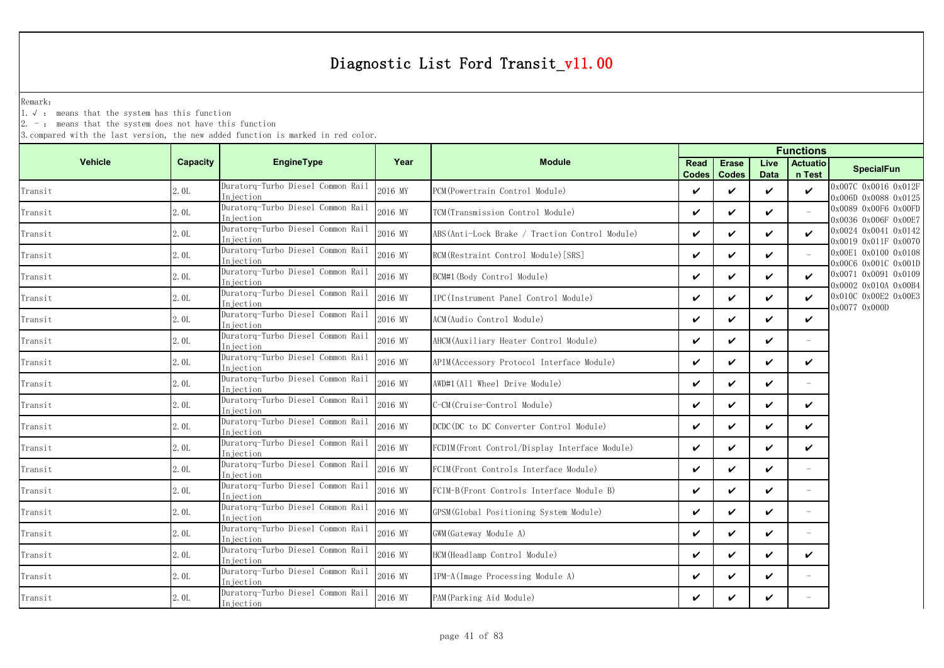Remark:

1.√ : means that the system has this function

 $2. -$ : means that the system does not have this function

|                |          |                                                |         |                                                |              | <b>Functions</b>              |                     |                           |                                              |
|----------------|----------|------------------------------------------------|---------|------------------------------------------------|--------------|-------------------------------|---------------------|---------------------------|----------------------------------------------|
| <b>Vehicle</b> | Capacity | <b>EngineType</b>                              | Year    | <b>Module</b>                                  | <b>Read</b>  | <b>Erase</b><br>Codes   Codes | Live<br><b>Data</b> | <b>Actuatio</b><br>n Test | <b>SpecialFun</b>                            |
| Transit        | 2.0L     | Duratorq-Turbo Diesel Common Rail<br>Injection | 2016 MY | PCM(Powertrain Control Module)                 | $\checkmark$ | ✓                             | ✓                   | $\checkmark$              | 0x007C 0x0016 0x012F<br>0x006D 0x0088 0x0125 |
| Transit        | 2.0L     | Duratorq-Turbo Diesel Common Rail<br>Injection | 2016 MY | TCM (Transmission Control Module)              | $\checkmark$ | $\checkmark$                  | ✓                   |                           | 0x0089 0x00F6 0x00FD<br>0x0036 0x006F 0x00E7 |
| Transit        | 2.0L     | Duratorq-Turbo Diesel Common Rail<br>Iniection | 2016 MY | ABS(Anti-Lock Brake / Traction Control Module) | $\checkmark$ | ✓                             | ✓                   | $\boldsymbol{\nu}$        | 0x0024 0x0041 0x0142<br>0x0019 0x011F 0x0070 |
| Transit        | 2.0L     | Duratorq-Turbo Diesel Common Rail<br>Injection | 2016 MY | RCM (Restraint Control Module) [SRS]           | $\checkmark$ | $\checkmark$                  | ✓                   |                           | 0x00E1 0x0100 0x0108<br>0x00C6 0x001C 0x001D |
| Transit        | 2.0L     | Duratorq-Turbo Diesel Common Rail<br>Iniection | 2016 MY | BCM#1 (Body Control Module)                    | V            | ✓                             | ✓                   | ✓                         | 0x0071 0x0091 0x0109<br>0x0002 0x010A 0x00B4 |
| Transit        | 2.0L     | Duratorq-Turbo Diesel Common Rail<br>Injection | 2016 MY | IPC (Instrument Panel Control Module)          | $\checkmark$ | $\checkmark$                  | ✓                   | $\boldsymbol{\nu}$        | 0x010C 0x00E2 0x00E3<br>0x0077 0x000D        |
| Transit        | 2.0L     | Duratorq-Turbo Diesel Common Rail<br>Injection | 2016 MY | ACM (Audio Control Module)                     | $\checkmark$ | ✓                             | V                   | $\checkmark$              |                                              |
| Transit        | 2.0L     | Duratorq-Turbo Diesel Common Rail<br>Injection | 2016 MY | AHCM (Auxiliary Heater Control Module)         | $\checkmark$ | ✓                             | ✓                   |                           |                                              |
| Transit        | 2.0L     | Duratorq-Turbo Diesel Common Rail<br>Injection | 2016 MY | APIM (Accessory Protocol Interface Module)     | $\checkmark$ | ✓                             | ✓                   | $\checkmark$              |                                              |
| Transit        | 2.0L     | Duratorq-Turbo Diesel Common Rail<br>Iniection | 2016 MY | AWD#1(All Wheel Drive Module)                  | $\checkmark$ | ✓                             | ✓                   |                           |                                              |
| Transit        | 2.0L     | Duratorq-Turbo Diesel Common Rail<br>Injection | 2016 MY | C-CM (Cruise-Control Module)                   | $\checkmark$ | $\checkmark$                  | ✓                   | ✓                         |                                              |
| Transit        | 2.0L     | Duratorq-Turbo Diesel Common Rail<br>Injection | 2016 MY | DCDC (DC to DC Converter Control Module)       | V            | $\checkmark$                  | V                   | ✓                         |                                              |
| Transit        | 2.0L     | Duratorg-Turbo Diesel Common Rail<br>Injection | 2016 MY | FCDIM(Front Control/Display Interface Module)  | $\checkmark$ | ✓                             | ✓                   | ✓                         |                                              |
| Transit        | 2.0L     | Duratorq-Turbo Diesel Common Rail<br>Iniection | 2016 MY | FCIM(Front Controls Interface Module)          | V            | $\checkmark$                  | V                   | $\overline{\phantom{a}}$  |                                              |
| Transit        | 2.0L     | Duratorq-Turbo Diesel Common Rail<br>Injection | 2016 MY | FCIM-B(Front Controls Interface Module B)      | $\checkmark$ | $\checkmark$                  | ✓                   | $\equiv$                  |                                              |
| Transit        | 2.0L     | Duratorg-Turbo Diesel Common Rail<br>Injection | 2016 MY | GPSM (Global Positioning System Module)        | $\checkmark$ | ✓                             | ✓                   |                           |                                              |
| Transit        | 2.0L     | Duratorg-Turbo Diesel Common Rail<br>Injection | 2016 MY | GWM (Gateway Module A)                         | $\checkmark$ | $\checkmark$                  | ✓                   | $\overline{\phantom{a}}$  |                                              |
| Transit        | 2.0L     | Duratorq-Turbo Diesel Common Rail<br>Injection | 2016 MY | HCM(Headlamp Control Module)                   | $\checkmark$ | ✓                             | ✓                   | V                         |                                              |
| Transit        | 2.0L     | Duratorq-Turbo Diesel Common Rail<br>Injection | 2016 MY | IPM-A (Image Processing Module A)              | $\checkmark$ | ✓                             | ✓                   |                           |                                              |
| Transit        | 2.0L     | Duratorg-Turbo Diesel Common Rail<br>Injection | 2016 MY | PAM(Parking Aid Module)                        | V            | ✓                             | ✓                   |                           |                                              |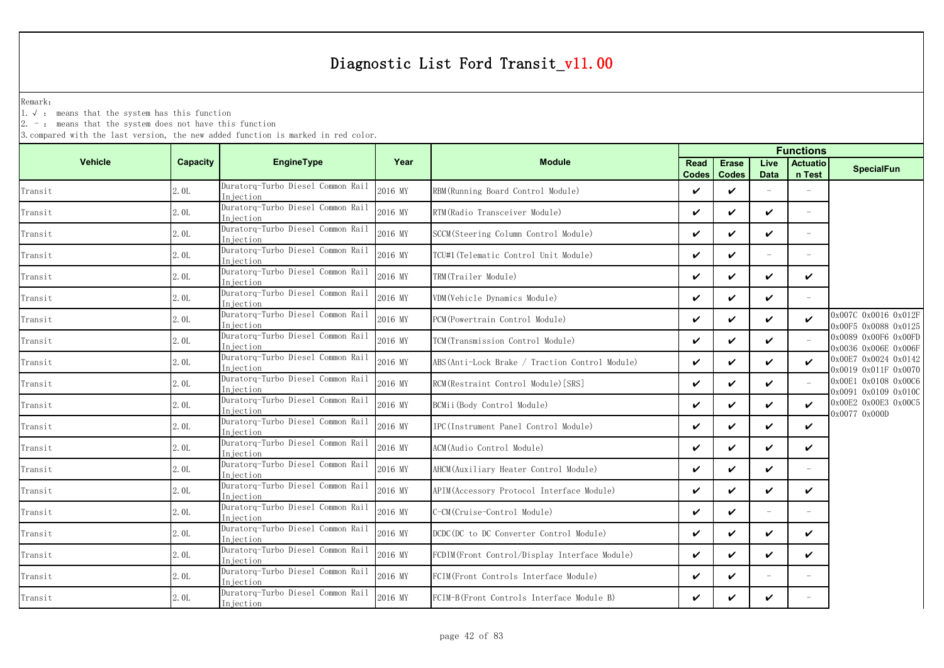Remark:

1.√ : means that the system has this function

2. - : means that the system does not have this function

|                |          |                                                 |         |                                                |                      |                              |                          | <b>Functions</b>          |                                              |  |
|----------------|----------|-------------------------------------------------|---------|------------------------------------------------|----------------------|------------------------------|--------------------------|---------------------------|----------------------------------------------|--|
| <b>Vehicle</b> | Capacity | <b>EngineType</b>                               | Year    | <b>Module</b>                                  | Read<br><b>Codes</b> | <b>Erase</b><br><b>Codes</b> | Live<br><b>Data</b>      | <b>Actuatio</b><br>n Test | <b>SpecialFun</b>                            |  |
| Transit        | 2.0L     | Duratorq-Turbo Diesel Common Rail<br>Injection  | 2016 MY | RBM (Running Board Control Module)             | ✓                    | ✓                            |                          |                           |                                              |  |
| Transit        | 2.0L     | Duratorg-Turbo Diesel Common Rail<br>In jection | 2016 MY | RTM (Radio Transceiver Module)                 | $\checkmark$         | ✓                            | $\boldsymbol{\nu}$       | $\equiv$                  |                                              |  |
| Transit        | 2.0L     | Duratorq-Turbo Diesel Common Rail<br>Injection  | 2016 MY | SCCM (Steering Column Control Module)          | V                    | ✓                            | V                        | $\equiv$                  |                                              |  |
| Transit        | 2.0L     | Duratorq-Turbo Diesel Common Rail<br>Injection  | 2016 MY | TCU#1(Telematic Control Unit Module)           | $\checkmark$         | ✓                            | $\overline{\phantom{a}}$ | $\equiv$                  |                                              |  |
| Transit        | 2.0L     | Duratorq-Turbo Diesel Common Rail<br>Injection  | 2016 MY | TRM(Trailer Module)                            | V                    | ✓                            | V                        | $\checkmark$              |                                              |  |
| Transit        | 2.0L     | Duratorq-Turbo Diesel Common Rail<br>Injection  | 2016 MY | VDM (Vehicle Dynamics Module)                  | $\boldsymbol{\nu}$   | ✓                            | $\boldsymbol{\nu}$       | $\equiv$                  |                                              |  |
| Transit        | 2.0L     | Duratorq-Turbo Diesel Common Rail<br>Injection  | 2016 MY | PCM (Powertrain Control Module)                | $\checkmark$         | ✓                            | V                        | $\checkmark$              | 0x007C 0x0016 0x012F<br>0x00F5 0x0088 0x0125 |  |
| Transit        | 2.0L     | Duratorq-Turbo Diesel Common Rail<br>In iection | 2016 MY | TCM(Transmission Control Module)               | $\checkmark$         | ✓                            | $\checkmark$             |                           | 0x0089 0x00F6 0x00FD<br>0x0036 0x006E 0x006F |  |
| Transit        | 2.0L     | Duratorq-Turbo Diesel Common Rail<br>Injection  | 2016 MY | ABS(Anti-Lock Brake / Traction Control Module) | $\checkmark$         | ✓                            | V                        | $\checkmark$              | 0x00E7 0x0024 0x0142<br>0x0019 0x011F 0x0070 |  |
| Transit        | 2.0L     | Duratorq-Turbo Diesel Common Rail<br>Injection  | 2016 MY | RCM (Restraint Control Module) [SRS]           | $\checkmark$         | ✓                            | $\checkmark$             |                           | 0x00E1 0x0108 0x00C6<br>0x0091 0x0109 0x010C |  |
| Transit        | 2.0L     | Duratorq-Turbo Diesel Common Rail<br>Injection  | 2016 MY | BCMii(Body Control Module)                     | $\checkmark$         | ✓                            | V                        | ✓                         | 0x00E2 0x00E3 0x00C5<br>0x0077 0x000D        |  |
| Transit        | 2.0L     | Duratorq-Turbo Diesel Common Rail<br>Injection  | 2016 MY | IPC(Instrument Panel Control Module)           | $\checkmark$         | ✓                            | $\checkmark$             | $\checkmark$              |                                              |  |
| Transit        | 2.0L     | Duratorg-Turbo Diesel Common Rail<br>Injection  | 2016 MY | ACM(Audio Control Module)                      | $\checkmark$         | ✓                            | $\checkmark$             | $\checkmark$              |                                              |  |
| Transit        | 2.0L     | Duratorq-Turbo Diesel Common Rail<br>Injection  | 2016 MY | AHCM (Auxiliary Heater Control Module)         | V                    | ✓                            | V                        | $\equiv$                  |                                              |  |
| Transit        | 2.0L     | Duratorq-Turbo Diesel Common Rail<br>Injection  | 2016 MY | APIM (Accessory Protocol Interface Module)     | $\checkmark$         | ✓                            | $\checkmark$             | ✓                         |                                              |  |
| Transit        | 2.0L     | Duratorq-Turbo Diesel Common Rail<br>Injection  | 2016 MY | C-CM(Cruise-Control Module)                    | ✓                    | ✓                            |                          |                           |                                              |  |
| Transit        | 2.0L     | Duratorq-Turbo Diesel Common Rail<br>Injection  | 2016 MY | DCDC (DC to DC Converter Control Module)       | $\checkmark$         | ✓                            | $\checkmark$             | $\checkmark$              |                                              |  |
| Transit        | 2.0L     | Duratorq-Turbo Diesel Common Rail<br>Injection  | 2016 MY | FCDIM(Front Control/Display Interface Module)  | ✓                    | ✓                            | V                        | V                         |                                              |  |
| Transit        | 2.0L     | Duratorq-Turbo Diesel Common Rail<br>Injection  | 2016 MY | FCIM(Front Controls Interface Module)          | ✓                    | ✓                            | ÷,                       | $\qquad \qquad -$         |                                              |  |
| Transit        | 2.0L     | Duratorq-Turbo Diesel Common Rail<br>Injection  | 2016 MY | FCIM-B(Front Controls Interface Module B)      | ✓                    | ✓                            | V                        |                           |                                              |  |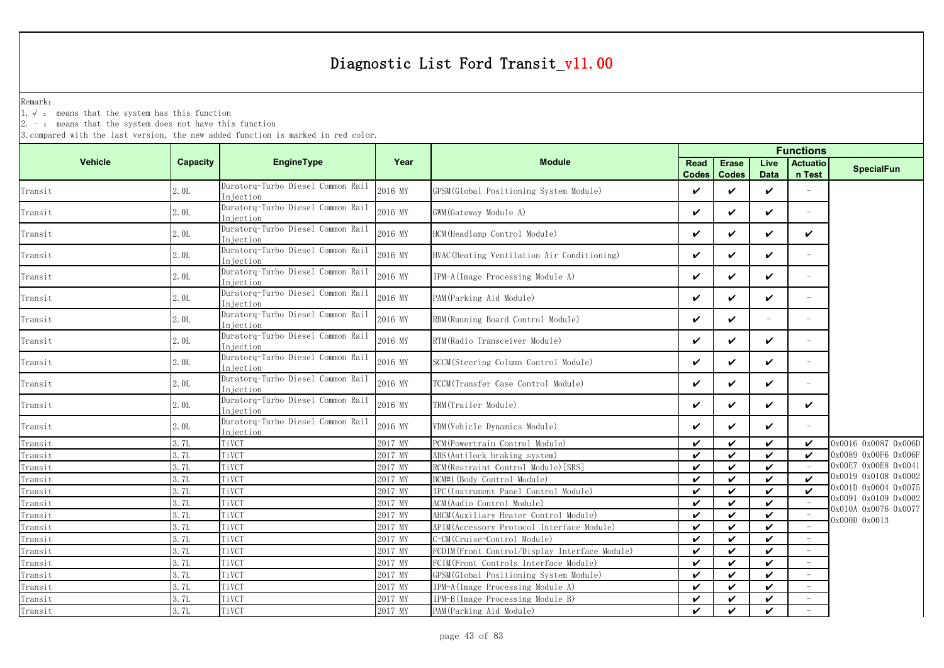Remark:

1.√ : means that the system has this function

 $2. -$ : means that the system does not have this function

|                |                 |                                                |         |                                               | <b>Functions</b>            |                              |                     |                            |                      |  |  |
|----------------|-----------------|------------------------------------------------|---------|-----------------------------------------------|-----------------------------|------------------------------|---------------------|----------------------------|----------------------|--|--|
| <b>Vehicle</b> | <b>Capacity</b> | EngineType                                     | Year    | <b>Module</b>                                 | <b>Read</b><br><b>Codes</b> | <b>Erase</b><br><b>Codes</b> | Live<br><b>Data</b> | <b>Actuatio</b><br>n Test  | <b>SpecialFun</b>    |  |  |
| Transit        | 2.0L            | Duratorq-Turbo Diesel Common Rail<br>Injection | 2016 MY | GPSM (Global Positioning System Module)       | V                           | ✓                            | $\checkmark$        |                            |                      |  |  |
| Transit        | 2.0L            | Duratorq-Turbo Diesel Common Rail<br>Injection | 2016 MY | GWM (Gateway Module A)                        | $\checkmark$                | ✓                            | $\checkmark$        | $\overline{\phantom{m}}$   |                      |  |  |
| Transit        | 2.0L            | Duratorq-Turbo Diesel Common Rail<br>Injection | 2016 MY | HCM (Headlamp Control Module)                 | V                           | ✓                            | $\checkmark$        | $\checkmark$               |                      |  |  |
| Transit        | 2.0L            | Duratorq-Turbo Diesel Common Rail<br>Injection | 2016 MY | HVAC (Heating Ventilation Air Conditioning)   | V                           | ✓                            | $\checkmark$        | $\equiv$                   |                      |  |  |
| Transit        | 2.0L            | Duratorq-Turbo Diesel Common Rail<br>niection  | 2016 MY | IPM-A (Image Processing Module A)             | $\checkmark$                | ✓                            | $\checkmark$        | $\overline{\phantom{m}}$   |                      |  |  |
| Transit        | 2.0L            | Duratorq-Turbo Diesel Common Rail<br>Injection | 2016 MY | PAM (Parking Aid Module)                      | V                           | ✓                            | $\checkmark$        | $\equiv$                   |                      |  |  |
| Transit        | 2.0L            | Duratorq-Turbo Diesel Common Rail<br>Injection | 2016 MY | RBM (Running Board Control Module)            | V                           | ✓                            | $\equiv$            | $\overline{\phantom{a}}$   |                      |  |  |
| Transit        | 2.0L            | Duratorq-Turbo Diesel Common Rail<br>Injection | 2016 MY | RTM (Radio Transceiver Module)                | V                           | ✓                            | $\checkmark$        | $\equiv$                   |                      |  |  |
| Transit        | 2.0L            | Duratorq-Turbo Diesel Common Rail<br>Injection | 2016 MY | SCCM (Steering Column Control Module)         | V                           | ✓                            | $\checkmark$        | $\overline{\phantom{a}}$   |                      |  |  |
| Transit        | 2.0L            | Duratorq-Turbo Diesel Common Rail<br>Injection | 2016 MY | TCCM (Transfer Case Control Module)           | V                           | ✓                            | V                   | $\overline{\phantom{a}}$   |                      |  |  |
| Transit        | 2.0L            | Duratorq-Turbo Diesel Common Rail<br>Injection | 2016 MY | TRM(Trailer Module)                           | V                           | ✓                            | $\checkmark$        | ✓                          |                      |  |  |
| Transit        | 2.0L            | Duratorq-Turbo Diesel Common Rail<br>Injection | 2016 MY | VDM(Vehicle Dynamics Module)                  | V                           | ✓                            | $\checkmark$        | $\equiv$                   |                      |  |  |
| Transit        | 3.7L            | TiVCT                                          | 2017 MY | PCM (Powertrain Control Module)               | $\checkmark$                | ✓                            | $\boldsymbol{\nu}$  | $\boldsymbol{\checkmark}$  | 0x0016 0x0087 0x006D |  |  |
| Transit        | 3. 7L           | TiVCT                                          | 2017 MY | ABS (Antilock braking system)                 | $\checkmark$                | ✓                            | $\boldsymbol{\nu}$  | $\checkmark$               | 0x0089 0x00F6 0x006F |  |  |
| Transit        | 3.7L            | TiVCT                                          | 2017 MY | RCM (Restraint Control Module) [SRS]          | V                           | ✓                            | $\checkmark$        |                            | 0x00E7 0x00E8 0x0041 |  |  |
| Transit        | 3.7L            | TiVCT                                          | 2017 MY | BCM#1 (Body Control Module)                   | $\boldsymbol{\nu}$          | ✓                            | $\boldsymbol{\nu}$  | $\boldsymbol{\mathcal{U}}$ | 0x0019 0x0108 0x0002 |  |  |
| Transit        | 3.7L            | TiVCT                                          | 2017 MY | IPC(Instrument Panel Control Module)          | V                           | ✓                            | $\boldsymbol{\nu}$  | $\checkmark$               | 0x001D 0x0004 0x0075 |  |  |
| Transit        | 3.7L            | TiVCT                                          | 2017 MY | ACM(Audio Control Module)                     | V                           | ✓                            | $\boldsymbol{\nu}$  |                            | 0x0091 0x0109 0x0002 |  |  |
| Transit        | 3.7L            | TiVCT                                          | 2017 MY | AHCM (Auxiliary Heater Control Module)        | $\checkmark$                | ✓                            | $\checkmark$        |                            | 0x010A 0x0076 0x0077 |  |  |
| Transit        | 3.7L            | TiVCT                                          | 2017 MY | APIM (Accessory Protocol Interface Module)    | V                           | ✓                            | $\checkmark$        |                            | 0x000D 0x0013        |  |  |
| Transit        | 3.7L            | TiVCT                                          | 2017 MY | C-CM (Cruise-Control Module)                  | V                           | ✓                            | $\checkmark$        |                            |                      |  |  |
| Transit        | 3.7L            | TiVCT                                          | 2017 MY | FCDIM(Front Control/Display Interface Module) | V                           | ✓                            | $\checkmark$        |                            |                      |  |  |
| Transit        | 3.7L            | TiVCT                                          | 2017 MY | FCIM(Front Controls Interface Module)         | V                           | ✓                            | $\checkmark$        |                            |                      |  |  |
| Transit        | 3.7L            | TiVCT                                          | 2017 MY | GPSM (Global Positioning System Module)       | V                           | ✓                            | $\checkmark$        |                            |                      |  |  |
| Transit        | 3.7L            | TiVCT                                          | 2017 MY | IPM-A (Image Processing Module A)             | V                           | ✓                            | $\checkmark$        |                            |                      |  |  |
| Transit        | 3.7L            | TiVCT                                          | 2017 MY | IPM-B(Image Processing Module B)              | V                           | ✓                            | $\checkmark$        |                            |                      |  |  |
| Transit        | 3.7L            | TiVCT                                          | 2017 MY | PAM (Parking Aid Module)                      | $\boldsymbol{\nu}$          | ✓                            | $\checkmark$        |                            |                      |  |  |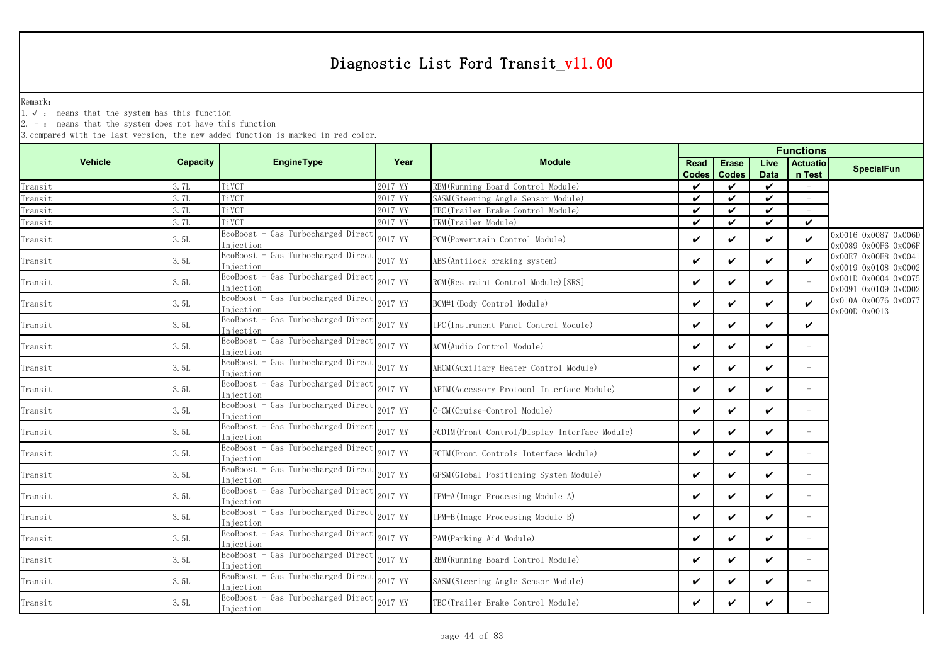Remark:

1.√ : means that the system has this function

 $2. -$ : means that the system does not have this function

|                |          |                                                  |         | <b>Functions</b>                              |              |              |             |                          |                                              |
|----------------|----------|--------------------------------------------------|---------|-----------------------------------------------|--------------|--------------|-------------|--------------------------|----------------------------------------------|
| <b>Vehicle</b> | Capacity | <b>EngineType</b>                                | Year    | <b>Module</b>                                 | Read         | <b>Erase</b> | Live        | <b>Actuatio</b>          | <b>SpecialFun</b>                            |
|                |          |                                                  |         |                                               | <b>Codes</b> | <b>Codes</b> | <b>Data</b> | n Test                   |                                              |
| Transit        | 3.7L     | TiVCT                                            | 2017 MY | RBM (Running Board Control Module)            | V            | ✓            | ✓           | $\overline{\phantom{a}}$ |                                              |
| Transit        | 3.7L     | TiVCT                                            | 2017 MY | SASM(Steering Angle Sensor Module)            | $\checkmark$ | ✓            | ✓           | $\overline{\phantom{a}}$ |                                              |
| Transit        | 3.7L     | TiVCT                                            | 2017 MY | TBC(Trailer Brake Control Module)             | $\checkmark$ | ✓            | ✓           |                          |                                              |
| Transit        | 3.7L     | TiVCT                                            | 2017 MY | TRM(Trailer Module)                           | $\checkmark$ | ✓            | ✓           | $\checkmark$             |                                              |
| Transit        | 3.5L     | EcoBoost - Gas Turbocharged Direct<br>Injection  | 2017 MY | PCM (Powertrain Control Module)               | $\checkmark$ | ✓            | ✓           | $\checkmark$             | 0x0016 0x0087 0x006D<br>0x0089 0x00F6 0x006F |
| Transit        | 3.5L     | EcoBoost - Gas Turbocharged Direct<br>Injection  | 2017 MY | ABS (Antilock braking system)                 | $\checkmark$ | ✓            | ✓           | $\checkmark$             | 0x00E7 0x00E8 0x0041<br>0x0019 0x0108 0x0002 |
| Transit        | 3.5L     | EcoBoost - Gas Turbocharged Direct<br>In iection | 2017 MY | RCM(Restraint Control Module) [SRS]           | ✓            | ✓            | ✓           |                          | 0x001D 0x0004 0x0075<br>0x0091 0x0109 0x0002 |
| Transit        | 3.5L     | EcoBoost - Gas Turbocharged Direct<br>Injection  | 2017 MY | BCM#1 (Body Control Module)                   | V            | ✓            | ✓           | ✓                        | 0x010A 0x0076 0x0077<br>0x000D 0x0013        |
| Transit        | 3. 5L    | EcoBoost - Gas Turbocharged Direct<br>Injection  | 2017 MY | IPC (Instrument Panel Control Module)         | $\checkmark$ | ✓            | ✓           | ✓                        |                                              |
| Transit        | 3.5L     | EcoBoost - Gas Turbocharged Direct<br>Injection  | 2017 MY | ACM (Audio Control Module)                    | $\checkmark$ | ✓            | ✓           | $\overline{\phantom{0}}$ |                                              |
| Transit        | 3. 5L    | EcoBoost - Gas Turbocharged Direct<br>Injection  | 2017 MY | AHCM(Auxiliary Heater Control Module)         | $\checkmark$ | ✓            | ✓           | $\equiv$                 |                                              |
| Transit        | 3.5L     | EcoBoost - Gas Turbocharged Direct<br>Injection  | 2017 MY | APIM (Accessory Protocol Interface Module)    | $\checkmark$ | ✓            | ✓           | $\equiv$                 |                                              |
| Transit        | 3.5L     | EcoBoost - Gas Turbocharged Direct<br>Injection  | 2017 MY | -CM(Cruise-Control Module)                    | ✓            | ✓            | ✓           | $\equiv$                 |                                              |
| Transit        | 3.5L     | EcoBoost - Gas Turbocharged Direct<br>Injection  | 2017 MY | FCDIM(Front Control/Display Interface Module) | ✓            | ✓            | ✓           | $\equiv$                 |                                              |
| Transit        | 3.5L     | EcoBoost - Gas Turbocharged Direct<br>Injection  | 2017 MY | FCIM(Front Controls Interface Module)         | V            | ✓            | ✓           |                          |                                              |
| Transit        | 3. 5L    | EcoBoost - Gas Turbocharged Direct<br>niection   | 2017 MY | GPSM (Global Positioning System Module)       | $\checkmark$ | ✓            | ✓           | $\equiv$                 |                                              |
| Transit        | 3. 5L    | EcoBoost - Gas Turbocharged Direct<br>Injection  | 2017 MY | IPM-A(Image Processing Module A)              | $\checkmark$ | ✓            | ✓           |                          |                                              |
| Transit        | 3.5L     | EcoBoost - Gas Turbocharged Direct<br>Injection  | 2017 MY | IPM-B(Image Processing Module B)              | $\checkmark$ | ✓            | ✓           | $\overline{\phantom{0}}$ |                                              |
| Transit        | 3.5L     | EcoBoost - Gas Turbocharged Direct<br>Injection  | 2017 MY | PAM (Parking Aid Module)                      | ✓            | ✓            | ✓           | $\equiv$                 |                                              |
| Transit        | 3.5L     | EcoBoost - Gas Turbocharged Direct<br>Injection  | 2017 MY | RBM(Running Board Control Module)             | V            | ✓            | ✓           | $\overline{\phantom{m}}$ |                                              |
| Transit        | 3.5L     | EcoBoost - Gas Turbocharged Direct<br>Injection  | 2017 MY | SASM(Steering Angle Sensor Module)            | V            | ✓            | ✓           | $\overline{\phantom{m}}$ |                                              |
| Transit        | 3. 5L    | EcoBoost - Gas Turbocharged Direct<br>Injection  | 2017 MY | TBC(Trailer Brake Control Module)             | ✓            | ✓            | ✓           |                          |                                              |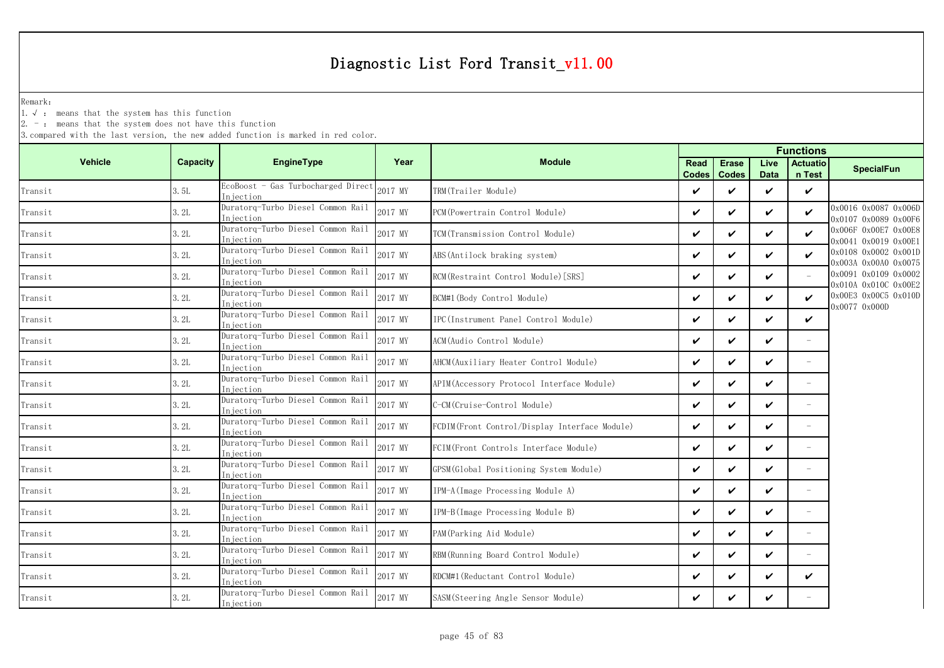Remark:

1.√ : means that the system has this function

 $2. -$ : means that the system does not have this function

|                |                 |                                                 |         |                                               | <b>Functions</b>            |                              |                     |                           |                                              |  |
|----------------|-----------------|-------------------------------------------------|---------|-----------------------------------------------|-----------------------------|------------------------------|---------------------|---------------------------|----------------------------------------------|--|
| <b>Vehicle</b> | <b>Capacity</b> | EngineType                                      | Year    | <b>Module</b>                                 | <b>Read</b><br><b>Codes</b> | <b>Erase</b><br><b>Codes</b> | Live<br><b>Data</b> | <b>Actuatio</b><br>n Test | <b>SpecialFun</b>                            |  |
| Transit        | 3.5L            | EcoBoost - Gas Turbocharged Direct<br>Injection | 2017 MY | TRM(Trailer Module)                           | V                           | ✓                            | $\boldsymbol{\nu}$  | $\checkmark$              |                                              |  |
| Transit        | 3.2L            | Duratorq-Turbo Diesel Common Rail<br>Injection  | 2017 MY | PCM (Powertrain Control Module)               | $\checkmark$                | $\checkmark$                 | ✓                   | $\boldsymbol{\nu}$        | 0x0016 0x0087 0x006D<br>0x0107 0x0089 0x00F6 |  |
| Transit        | 3.2L            | Duratorq-Turbo Diesel Common Rail<br>Injection  | 2017 MY | TCM(Transmission Control Module)              | V                           | ✓                            | ✓                   | $\boldsymbol{\nu}$        | 0x006F 0x00E7 0x00E8<br>0x0041 0x0019 0x00E1 |  |
| Transit        | 3.2L            | Duratorq-Turbo Diesel Common Rail<br>Injection  | 2017 MY | ABS (Antilock braking system)                 | $\checkmark$                | $\checkmark$                 | ✓                   | $\checkmark$              | 0x0108 0x0002 0x001D<br>0x003A 0x00A0 0x0075 |  |
| Transit        | 3.2L            | Duratorq-Turbo Diesel Common Rail<br>Injection  | 2017 MY | RCM (Restraint Control Module) [SRS]          | V                           | ✓                            | ✓                   |                           | 0x0091 0x0109 0x0002<br>0x010A 0x010C 0x00E2 |  |
| Transit        | 3.2L            | Duratorq-Turbo Diesel Common Rail<br>Injection  | 2017 MY | BCM#1 (Body Control Module)                   | $\checkmark$                | $\checkmark$                 | ✓                   | $\checkmark$              | 0x00E3 0x00C5 0x010D<br>0x0077 0x000D        |  |
| Transit        | 3.2L            | Duratorq-Turbo Diesel Common Rail<br>Injection  | 2017 MY | IPC(Instrument Panel Control Module)          | V                           | $\checkmark$                 | ✓                   | V                         |                                              |  |
| Transit        | 3.2L            | Duratorq-Turbo Diesel Common Rail<br>Injection  | 2017 MY | ACM (Audio Control Module)                    | $\checkmark$                | $\checkmark$                 | ✓                   |                           |                                              |  |
| Transit        | 3.2L            | Duratorq-Turbo Diesel Common Rail<br>Injection  | 2017 MY | AHCM(Auxiliary Heater Control Module)         | ✓                           | ✓                            | ✓                   |                           |                                              |  |
| Transit        | 3.2L            | Duratorq-Turbo Diesel Common Rail<br>Injection  | 2017 MY | APIM(Accessory Protocol Interface Module)     | $\checkmark$                | $\checkmark$                 | $\checkmark$        | $\equiv$                  |                                              |  |
| Transit        | 3.2L            | Duratorq-Turbo Diesel Common Rail<br>Injection  | 2017 MY | C-CM(Cruise-Control Module)                   | $\checkmark$                | $\checkmark$                 | $\boldsymbol{\nu}$  |                           |                                              |  |
| Transit        | 3.2L            | Duratorq-Turbo Diesel Common Rail<br>Injection  | 2017 MY | FCDIM(Front Control/Display Interface Module) | $\checkmark$                | $\checkmark$                 | ✓                   | $\overline{\phantom{a}}$  |                                              |  |
| Transit        | 3.2L            | Duratorq-Turbo Diesel Common Rail<br>Injection  | 2017 MY | FCIM (Front Controls Interface Module)        | $\checkmark$                | $\checkmark$                 | ✓                   | $\overline{\phantom{a}}$  |                                              |  |
| Transit        | 3.2L            | Duratorq-Turbo Diesel Common Rail<br>Injection  | 2017 MY | GPSM (Global Positioning System Module)       | $\checkmark$                | $\checkmark$                 | ✓                   | $\overline{\phantom{a}}$  |                                              |  |
| Transit        | 3.2L            | Duratorq-Turbo Diesel Common Rail<br>Injection  | 2017 MY | IPM-A (Image Processing Module A)             | V                           | $\checkmark$                 | ✓                   | $\equiv$                  |                                              |  |
| Transit        | 3.2L            | Duratorq-Turbo Diesel Common Rail<br>Injection  | 2017 MY | IPM-B(Image Processing Module B)              | $\checkmark$                | ✓                            | ✓                   |                           |                                              |  |
| Transit        | 3.2L            | Duratorq-Turbo Diesel Common Rail<br>Injection  | 2017 MY | PAM (Parking Aid Module)                      | $\checkmark$                | $\checkmark$                 | ✓                   | $\overline{\phantom{a}}$  |                                              |  |
| Transit        | 3.2L            | Duratorq-Turbo Diesel Common Rail<br>Injection  | 2017 MY | RBM (Running Board Control Module)            | $\checkmark$                | ✓                            | $\checkmark$        |                           |                                              |  |
| Transit        | 3.2L            | Duratorq-Turbo Diesel Common Rail<br>Injection  | 2017 MY | RDCM#1 (Reductant Control Module)             | $\checkmark$                | ✓                            | V                   | ✓                         |                                              |  |
| Transit        | 3.2L            | Duratorq-Turbo Diesel Common Rail<br>Injection  | 2017 MY | SASM (Steering Angle Sensor Module)           | V                           | ✓                            | V                   |                           |                                              |  |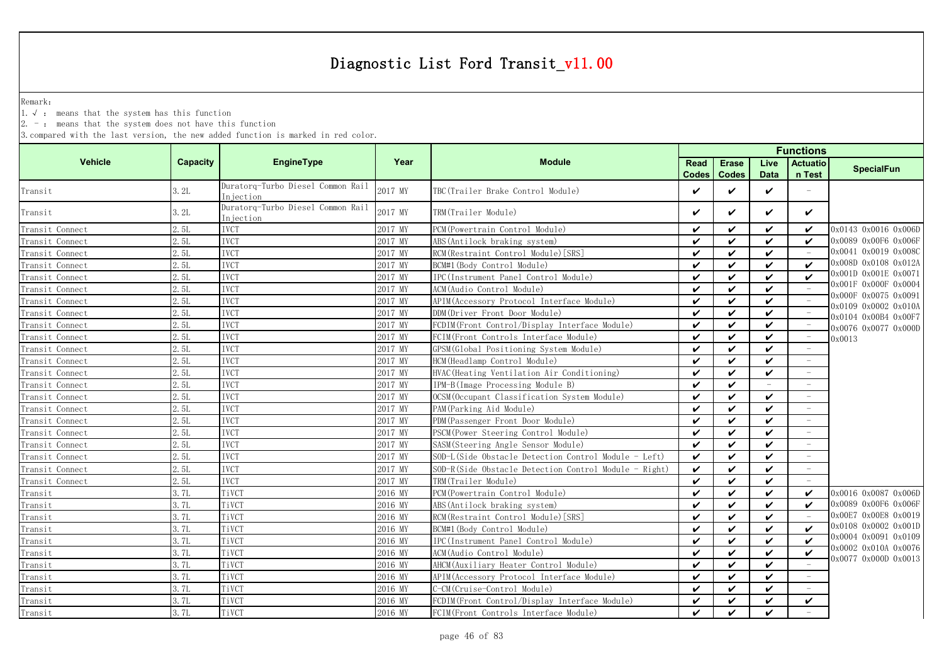Remark:

1.√ : means that the system has this function

2. - : means that the system does not have this function

|                 |                 |                                                |         |                                                          |                    |                    | <b>Functions</b> |                                 |                                              |
|-----------------|-----------------|------------------------------------------------|---------|----------------------------------------------------------|--------------------|--------------------|------------------|---------------------------------|----------------------------------------------|
| <b>Vehicle</b>  | <b>Capacity</b> | <b>EngineType</b>                              | Year    | <b>Module</b>                                            | <b>Read</b>        | <b>Erase</b>       | Live             | <b>Actuatio</b>                 | <b>SpecialFun</b>                            |
|                 |                 |                                                |         |                                                          | <b>Codes</b>       | <b>Codes</b>       | <b>Data</b>      | n Test                          |                                              |
| Transit         | 3.2L            | Duratorg-Turbo Diesel Common Rail<br>Injection | 2017 MY | TBC(Trailer Brake Control Module)                        | ✓                  | $\checkmark$       | $\checkmark$     |                                 |                                              |
| Transit         | 3.2L            | Duratorq-Turbo Diesel Common Rail<br>Injection | 2017 MY | TRM(Trailer Module)                                      | ✓                  | $\checkmark$       | ✓                | $\checkmark$                    |                                              |
| Transit Connect | 2.5L            | <b>IVCT</b>                                    | 2017 MY | PCM (Powertrain Control Module)                          | ✓                  | ✓                  | $\checkmark$     | ✓                               | 0x0143 0x0016 0x006D                         |
| Transit Connect | 2.5L            | <b>IVCT</b>                                    | 2017 MY | ABS (Antilock braking system)                            | ✓                  | $\checkmark$       | $\checkmark$     | ✓                               | 0x0089 0x00F6 0x006F                         |
| Transit Connect | 2.5L            | <b>IVCT</b>                                    | 2017 MY | RCM (Restraint Control Module) [SRS]                     | $\checkmark$       | $\checkmark$       | $\checkmark$     |                                 | 0x0041 0x0019 0x008C                         |
| Transit Connect | 2.5L            | <b>IVCT</b>                                    | 2017 MY | BCM#1 (Body Control Module)                              | ✓                  | $\checkmark$       | $\checkmark$     | ✓                               | 0x008D 0x0108 0x012A                         |
| Transit Connect | 2.5L            | <b>IVCT</b>                                    | 2017 MY | IPC(Instrument Panel Control Module)                     | $\checkmark$       | $\checkmark$       | $\checkmark$     | $\boldsymbol{\nu}$              | 0x001D 0x001E 0x0071                         |
| Transit Connect | 2.5L            | <b>IVCT</b>                                    | 2017 MY | ACM (Audio Control Module)                               | ✓                  | $\boldsymbol{\nu}$ | $\checkmark$     |                                 | 0x001F 0x000F 0x0004                         |
| Transit Connect | 2.5L            | <b>IVCT</b>                                    | 2017 MY | APIM (Accessory Protocol Interface Module)               | $\checkmark$       | $\checkmark$       | $\checkmark$     |                                 | 0x000F 0x0075 0x0091<br>0x0109 0x0002 0x010A |
| Transit Connect | 2.5L            | <b>IVCT</b>                                    | 2017 MY | DDM(Driver Front Door Module)                            | ✓                  | $\checkmark$       | V                | $\hspace{0.1mm}-\hspace{0.1mm}$ | 0x0104 0x00B4 0x00F7                         |
| Transit Connect | 2.5L            | <b>IVCT</b>                                    | 2017 MY | FCDIM (Front Control/Display Interface Module)           | ✓                  | $\checkmark$       | $\checkmark$     |                                 | 0x0076 0x0077 0x000D                         |
| Transit Connect | 2.5L            | <b>IVCT</b>                                    | 2017 MY | FCIM(Front Controls Interface Module)                    | ✓                  | $\checkmark$       | ✓                | $\hspace{0.1mm}-\hspace{0.1mm}$ | 0x0013                                       |
| Transit Connect | 2.5L            | <b>IVCT</b>                                    | 2017 MY | GPSM (Global Positioning System Module)                  | $\checkmark$       | $\checkmark$       | $\checkmark$     |                                 |                                              |
| Transit Connect | 2.5L            | <b>IVCT</b>                                    | 2017 MY | HCM (Headlamp Control Module)                            | ✓                  | $\checkmark$       | $\checkmark$     |                                 |                                              |
| Transit Connect | 2.5L            | <b>IVCT</b>                                    | 2017 MY | HVAC (Heating Ventilation Air Conditioning)              | $\checkmark$       | $\checkmark$       | $\checkmark$     |                                 |                                              |
| Transit Connect | 2.5L            | <b>IVCT</b>                                    | 2017 MY | IPM-B(Image Processing Module B)                         | $\checkmark$       | ✓                  |                  |                                 |                                              |
| Transit Connect | 2.5L            | <b>IVCT</b>                                    | 2017 MY | OCSM (Occupant Classification System Module)             | ✓                  | $\checkmark$       | $\checkmark$     | $\equiv$                        |                                              |
| Transit Connect | 2.5L            | <b>IVCT</b>                                    | 2017 MY | PAM (Parking Aid Module)                                 | $\checkmark$       | $\checkmark$       | $\checkmark$     |                                 |                                              |
| Transit Connect | 2.5L            | <b>IVCT</b>                                    | 2017 MY | PDM (Passenger Front Door Module)                        | ✓                  | $\checkmark$       | $\checkmark$     | $\sim$                          |                                              |
| Transit Connect | 2.5L            | <b>IVCT</b>                                    | 2017 MY | PSCM (Power Steering Control Module)                     | ✓                  | $\checkmark$       | $\checkmark$     | $\equiv$                        |                                              |
| Transit Connect | 2.5L            | <b>IVCT</b>                                    | 2017 MY | SASM (Steering Angle Sensor Module)                      | ✓                  | ✓                  | ✓                |                                 |                                              |
| Transit Connect | 2.5L            | <b>IVCT</b>                                    | 2017 MY | SOD-L(Side Obstacle Detection Control Module - Left)     | $\checkmark$       | $\checkmark$       | ✓                |                                 |                                              |
| Transit Connect | 2.5L            | <b>IVCT</b>                                    | 2017 MY | SOD-R(Side Obstacle Detection Control Module<br>- Right) | ✓                  | $\checkmark$       | ✓                |                                 |                                              |
| Transit Connect | 2.5L            | <b>IVCT</b>                                    | 2017 MY | TRM(Trailer Module)                                      | $\checkmark$       | $\checkmark$       | $\checkmark$     |                                 |                                              |
| Transit         | 3.7L            | TiVCT                                          | 2016 MY | PCM (Powertrain Control Module)                          | $\boldsymbol{\nu}$ | $\boldsymbol{\nu}$ | $\checkmark$     | ✓                               | 0x0016 0x0087 0x006D                         |
| Transit         | 3.7L            | TiVCT                                          | 2016 MY | ABS (Antilock braking system)                            | ✓                  | $\checkmark$       | $\checkmark$     | ✓                               | 0x0089 0x00F6 0x006F                         |
| Transit         | 3.7L            | TiVCT                                          | 2016 MY | RCM (Restraint Control Module) [SRS]                     | $\checkmark$       | $\checkmark$       | $\checkmark$     | $\sim$                          | 0x00E7 0x00E8 0x0019                         |
| Transit         | 3.7L            | TiVCT                                          | 2016 MY | BCM#1 (Body Control Module)                              | ✓                  | $\checkmark$       | $\checkmark$     | ✓                               | 0x0108 0x0002 0x001D                         |
| Transit         | 3.7L            | TiVCT                                          | 2016 MY | IPC(Instrument Panel Control Module)                     | ✓                  | $\boldsymbol{\nu}$ | $\checkmark$     | $\boldsymbol{\nu}$              | 0x0004 0x0091 0x0109                         |
| Transit         | 3.7L            | TiVCT                                          | 2016 MY | ACM (Audio Control Module)                               | ✓                  | ✓                  | $\checkmark$     | ✓                               | 0x0002 0x010A 0x0076                         |
| Transit         | 3.7L            | TiVCT                                          | 2016 MY | AHCM (Auxiliary Heater Control Module)                   | $\checkmark$       | $\checkmark$       | ✓                |                                 | 0x0077 0x000D 0x0013                         |
| Transit         | 3.7L            | TiVCT                                          | 2016 MY | APIM (Accessory Protocol Interface Module)               | ✓                  | $\checkmark$       | $\checkmark$     |                                 |                                              |
| Transit         | 3.7L            | TiVCT                                          | 2016 MY | C-CM (Cruise-Control Module)                             | $\checkmark$       | $\checkmark$       | $\checkmark$     |                                 |                                              |
| Transit         | 3.7L            | TiVCT                                          | 2016 MY | FCDIM(Front Control/Display Interface Module)            | ✓                  | $\checkmark$       | $\checkmark$     | ✓                               |                                              |
| Transit         | 3.7L            | TiVCT                                          | 2016 MY | FCIM(Front Controls Interface Module)                    | ✓                  | $\checkmark$       | ✓                |                                 |                                              |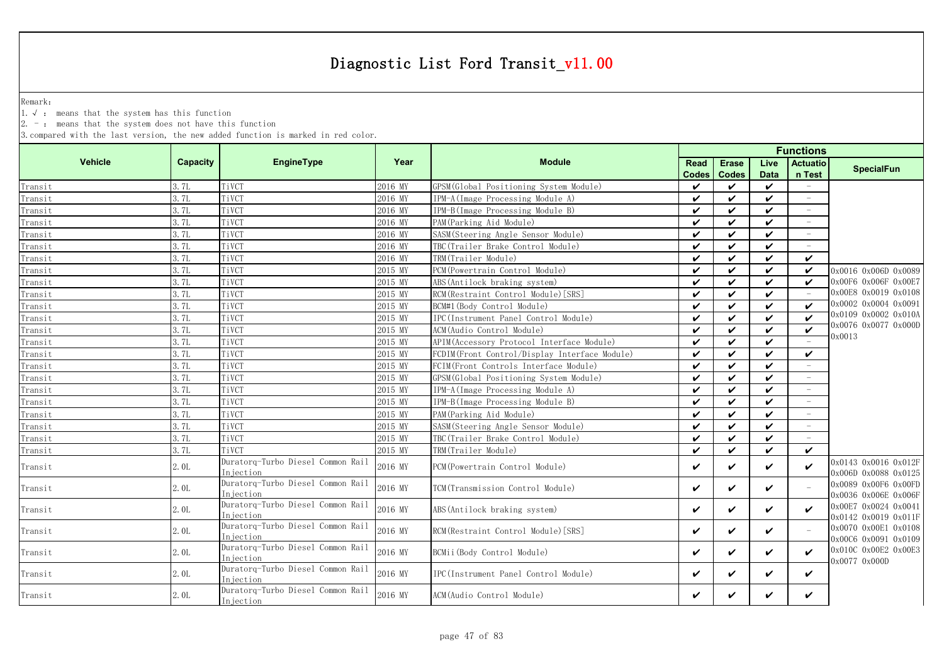Remark:

1.√ : means that the system has this function

2. - : means that the system does not have this function

|                |                 |                                                 |         |                                               | <b>Functions</b>     |                              |                     |                           |                                              |  |
|----------------|-----------------|-------------------------------------------------|---------|-----------------------------------------------|----------------------|------------------------------|---------------------|---------------------------|----------------------------------------------|--|
| <b>Vehicle</b> | <b>Capacity</b> | <b>EngineType</b>                               | Year    | <b>Module</b>                                 | Read<br><b>Codes</b> | <b>Erase</b><br><b>Codes</b> | Live<br><b>Data</b> | <b>Actuatio</b><br>n Test | <b>SpecialFun</b>                            |  |
| Transit        | 3.7L            | TiVCT                                           | 2016 MY | GPSM (Global Positioning System Module)       | $\boldsymbol{\nu}$   | ✓                            | ✓                   |                           |                                              |  |
| Transit        | 3.7L            | TiVCT                                           | 2016 MY | IPM-A(Image Processing Module A)              | $\checkmark$         | $\checkmark$                 | $\boldsymbol{\nu}$  | $\equiv$                  |                                              |  |
| Transit        | 3.7L            | TiVCT                                           | 2016 MY | IPM-B(Image Processing Module B)              | $\checkmark$         | V                            | ✓                   | $\equiv$                  |                                              |  |
| Transit        | 3.7L            | TiVCT                                           | 2016 MY | PAM (Parking Aid Module)                      | $\checkmark$         | ✓                            | $\checkmark$        |                           |                                              |  |
| Transit        | 3. 7L           | TiVCT                                           | 2016 MY | SASM (Steering Angle Sensor Module)           | $\checkmark$         | ✓                            | ✓                   | $\sim$                    |                                              |  |
| Transit        | 3.7L            | TiVCT                                           | 2016 MY | TBC (Trailer Brake Control Module)            | $\checkmark$         | ✓                            | $\checkmark$        | $\sim$                    |                                              |  |
| Transit        | 3.7L            | TiVCT                                           | 2016 MY | TRM(Trailer Module)                           | $\checkmark$         | ✓                            | ✓                   | $\boldsymbol{\nu}$        |                                              |  |
| Transit        | 3.7L            | TiVCT                                           | 2015 MY | PCM (Powertrain Control Module)               | $\checkmark$         | ✓                            | ✓                   | V                         | 0x0016 0x006D 0x0089                         |  |
| Transit        | 3.7L            | TiVCT                                           | 2015 MY | ABS (Antilock braking system)                 | $\checkmark$         | ✓                            | ✓                   | $\checkmark$              | 0x00F6 0x006F 0x00E7                         |  |
| Transit        | 3.7L            | TiVCT                                           | 2015 MY | RCM (Restraint Control Module) [SRS]          | ✓                    | ✓                            | ✓                   |                           | 0x00E8 0x0019 0x0108                         |  |
| Transit        | 3.7L            | TiVCT                                           | 2015 MY | BCM#1 (Body Control Module)                   | $\checkmark$         | ✓                            | ✓                   | $\boldsymbol{\nu}$        | 0x0002 0x0004 0x0091                         |  |
| Transit        | 3.7L            | TiVCT                                           | 2015 MY | IPC(Instrument Panel Control Module)          | $\checkmark$         | ✓                            | ✓                   | $\checkmark$              | 0x0109 0x0002 0x010A                         |  |
| Transit        | 3.7L            | TiVCT                                           | 2015 MY | ACM (Audio Control Module)                    | $\checkmark$         | ✓                            | $\checkmark$        | $\checkmark$              | 0x0076 0x0077 0x000D                         |  |
| Transit        | 3.7L            | TiVCT                                           | 2015 MY | APIM (Accessory Protocol Interface Module)    | $\checkmark$         | ✓                            | ✓                   |                           | 0x0013                                       |  |
| Transit        | 3.7L            | TiVCT                                           | 2015 MY | FCDIM(Front Control/Display Interface Module) | $\boldsymbol{\nu}$   | ✓                            | $\checkmark$        | $\checkmark$              |                                              |  |
| Transit        | 3.7L            | TiVCT                                           | 2015 MY | FCIM(Front Controls Interface Module)         | $\checkmark$         | ✓                            | ✓                   |                           |                                              |  |
| Transit        | 3.7L            | TiVCT                                           | 2015 MY | GPSM (Global Positioning System Module)       | $\checkmark$         | ✓                            | ✓                   |                           |                                              |  |
| Transit        | 3.7L            | TiVCT                                           | 2015 MY | IPM-A(Image Processing Module A)              | $\checkmark$         | ✓                            | $\checkmark$        |                           |                                              |  |
| Transit        | 3.7L            | TiVCT                                           | 2015 MY | IPM-B(Image Processing Module B)              | $\checkmark$         | ✓                            | $\checkmark$        | $\sim$                    |                                              |  |
| Transit        | 3.7L            | TiVCT                                           | 2015 MY | PAM (Parking Aid Module)                      | $\checkmark$         | ✓                            | $\checkmark$        |                           |                                              |  |
| Transit        | 3.7L            | TiVCT                                           | 2015 MY | SASM (Steering Angle Sensor Module)           | $\checkmark$         | ✓                            | $\checkmark$        |                           |                                              |  |
| Transit        | 3. 7L           | TiVCT                                           | 2015 MY | TBC(Trailer Brake Control Module)             | $\checkmark$         | ✓                            | ✓                   | i.                        |                                              |  |
| Transit        | 3.7L            | TiVCT                                           | 2015 MY | TRM(Trailer Module)                           | $\checkmark$         | ✓                            | $\checkmark$        | $\checkmark$              |                                              |  |
| Transit        | 2.0L            | Duratorq-Turbo Diesel Common Rail<br>Injection  | 2016 MY | PCM (Powertrain Control Module)               | $\checkmark$         | ✓                            | ✓                   | $\checkmark$              | 0x0143 0x0016 0x012F<br>0x006D 0x0088 0x0125 |  |
| Transit        | 2.0L            | Duratorq-Turbo Diesel Common Rail<br>Injection  | 2016 MY | TCM (Transmission Control Module)             | ✓                    | ✓                            | ✓                   |                           | 0x0089 0x00F6 0x00FD<br>0x0036 0x006E 0x006F |  |
| Transit        | 2.0L            | Duratorq-Turbo Diesel Common Rail<br>Injection  | 2016 MY | ABS (Antilock braking system)                 | $\checkmark$         | ✓                            | ✓                   | $\boldsymbol{\nu}$        | 0x00E7 0x0024 0x0041<br>0x0142 0x0019 0x011F |  |
| Transit        | 2.0L            | Duratorq-Turbo Diesel Common Rail<br>In iection | 2016 MY | RCM (Restraint Control Module) [SRS]          | $\checkmark$         | ✓                            | ✓                   | $\equiv$                  | 0x0070 0x00E1 0x0108<br>0x00C6 0x0091 0x0109 |  |
| Transit        | 2.0L            | Duratorq-Turbo Diesel Common Rail<br>Injection  | 2016 MY | BCMii(Body Control Module)                    | $\checkmark$         | ✓                            | ✓                   | $\boldsymbol{\nu}$        | 0x010C 0x00E2 0x00E3<br>0x0077 0x000D        |  |
| Transit        | 2.0L            | Duratorq-Turbo Diesel Common Rail<br>Injection  | 2016 MY | IPC(Instrument Panel Control Module)          | $\checkmark$         | ✓                            | ✓                   | ✓                         |                                              |  |
| Transit        | 2.0L            | Duratorq-Turbo Diesel Common Rail<br>Injection  | 2016 MY | ACM (Audio Control Module)                    | ✓                    | ✓                            | ✓                   | ✓                         |                                              |  |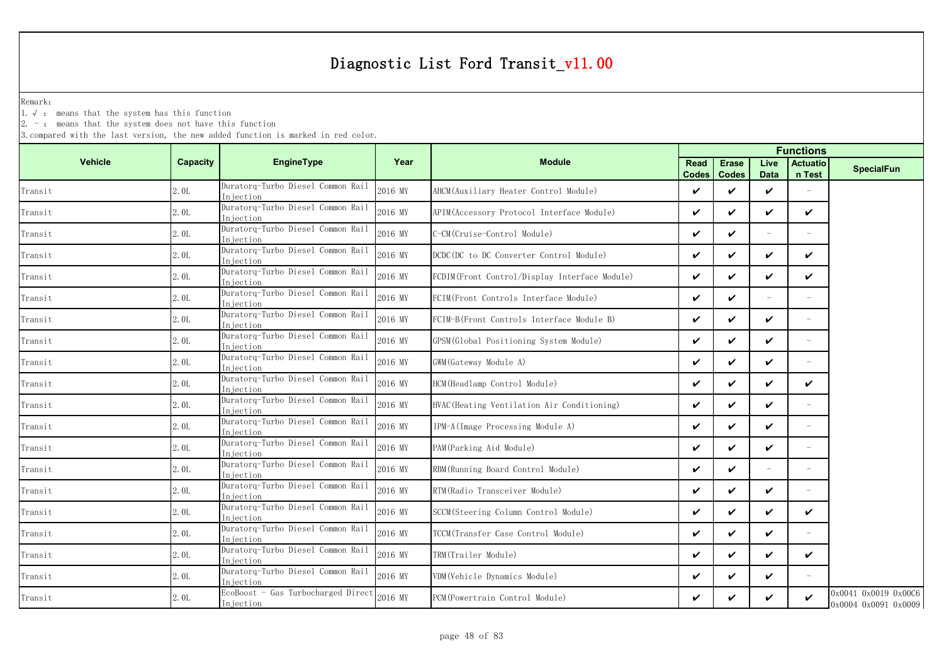Remark:

1.√ : means that the system has this function

 $2. -$ : means that the system does not have this function

| <b>Capacity</b> | <b>EngineType</b>                               | Year                                                                                                                                                                                                        | <b>Module</b>                                 | <b>Read</b><br><b>Codes</b> | <b>Erase</b><br><b>Codes</b> | Live<br>Data             | <b>Actuatio</b><br>n Test | <b>SpecialFun</b>                            |  |
|-----------------|-------------------------------------------------|-------------------------------------------------------------------------------------------------------------------------------------------------------------------------------------------------------------|-----------------------------------------------|-----------------------------|------------------------------|--------------------------|---------------------------|----------------------------------------------|--|
| 2.0L            | Duratorg-Turbo Diesel Common Rail<br>Iniection  | 2016 MY                                                                                                                                                                                                     | AHCM (Auxiliary Heater Control Module)        | ✓                           | ✓                            | ✓                        |                           |                                              |  |
| 2.0L            | Duratorq-Turbo Diesel Common Rail<br>In jection | 2016 MY                                                                                                                                                                                                     | APIM (Accessory Protocol Interface Module)    | ✓                           | ✓                            | ✓                        | ✓                         |                                              |  |
| 2.0L            | Duratorq-Turbo Diesel Common Rail<br>Injection  | 2016 MY                                                                                                                                                                                                     | C-CM (Cruise-Control Module)                  | ✓                           | ✓                            | $\equiv$                 |                           |                                              |  |
| 2.0L            | Duratorq-Turbo Diesel Common Rail               | 2016 MY                                                                                                                                                                                                     | DCDC (DC to DC Converter Control Module)      | ✓                           | ✓                            | ✓                        | ✓                         |                                              |  |
| 2.0L            | Duratorq-Turbo Diesel Common Rail               | 2016 MY                                                                                                                                                                                                     | FCDIM(Front Control/Display Interface Module) | ✓                           | ✓                            | ✓                        | ✓                         |                                              |  |
| 2.0L            | Duratorq-Turbo Diesel Common Rail               | 2016 MY                                                                                                                                                                                                     | FCIM(Front Controls Interface Module)         | ✓                           | $\checkmark$                 | $\overline{\phantom{a}}$ | $\overline{\phantom{a}}$  |                                              |  |
| 2.0L            | Duratorq-Turbo Diesel Common Rail               | 2016 MY                                                                                                                                                                                                     | FCIM-B(Front Controls Interface Module B)     | ✓                           | ✓                            | ✓                        |                           |                                              |  |
| 2.0L            | Duratorq-Turbo Diesel Common Rail               | 2016 MY                                                                                                                                                                                                     | GPSM (Global Positioning System Module)       | ✓                           | ✓                            | ✓                        | $\sim$                    |                                              |  |
| 2.0L            | Duratorq-Turbo Diesel Common Rail               | 2016 MY                                                                                                                                                                                                     | GWM (Gateway Module A)                        | ✓                           | ✓                            | ✓                        |                           |                                              |  |
| 2.0L            | Duratorq-Turbo Diesel Common Rail               | 2016 MY                                                                                                                                                                                                     | HCM (Headlamp Control Module)                 | ✓                           | ✓                            | ✓                        | ✓                         |                                              |  |
| 2.0L            | Duratorq-Turbo Diesel Common Rail               | 2016 MY                                                                                                                                                                                                     | HVAC (Heating Ventilation Air Conditioning)   | ✓                           | ✓                            | ✓                        |                           |                                              |  |
| 2.0L            | Duratorq-Turbo Diesel Common Rail               | 2016 MY                                                                                                                                                                                                     | IPM-A (Image Processing Module A)             | ✓                           | ✓                            | ✓                        | $\sim$                    |                                              |  |
| 2.0L            | Duratorq-Turbo Diesel Common Rail               | 2016 MY                                                                                                                                                                                                     | PAM (Parking Aid Module)                      | ✓                           | ✓                            | ✓                        | $\equiv$                  |                                              |  |
| 2.0L            | Duratorq-Turbo Diesel Common Rail               | 2016 MY                                                                                                                                                                                                     | RBM (Running Board Control Module)            | ✓                           | $\checkmark$                 | $\overline{\phantom{a}}$ | $\sim$                    |                                              |  |
| 2.0L            | Duratorq-Turbo Diesel Common Rail               | 2016 MY                                                                                                                                                                                                     | RTM (Radio Transceiver Module)                | ✓                           | ✓                            | ✓                        | $\equiv$                  |                                              |  |
| 2.0L            | Duratorq-Turbo Diesel Common Rail               | 2016 MY                                                                                                                                                                                                     | SCCM (Steering Column Control Module)         | V                           | ✓                            | ✓                        | ✓                         |                                              |  |
| 2.0L            | Duratorq-Turbo Diesel Common Rail               | 2016 MY                                                                                                                                                                                                     | TCCM (Transfer Case Control Module)           | ✓                           | ✓                            | ✓                        | $\overline{\phantom{a}}$  |                                              |  |
| 2.0L            | Duratorq-Turbo Diesel Common Rail               | 2016 MY                                                                                                                                                                                                     | TRM(Trailer Module)                           | ✓                           | ✓                            | ✓                        | ✓                         |                                              |  |
| 2.0L            | Duratorq-Turbo Diesel Common Rail               | 2016 MY                                                                                                                                                                                                     | VDM (Vehicle Dynamics Module)                 | ✓                           | ✓                            | ✓                        |                           |                                              |  |
| 2. OL           | Injection                                       | 2016 MY                                                                                                                                                                                                     | PCM (Powertrain Control Module)               | ✓                           | ✓                            | ✓                        | ✓                         | 0x0041 0x0019 0x00C6<br>0x0004 0x0091 0x0009 |  |
|                 |                                                 | Injection<br>Injection<br>Injection<br>Injection<br>Injection<br>Injection<br>Iniection<br>Injection<br>Injection<br>niection<br>Injection<br>Injection<br>Injection<br>Injection<br>Injection<br>Injection | EcoBoost - Gas Turbocharged Direct            |                             |                              |                          |                           | <b>Functions</b>                             |  |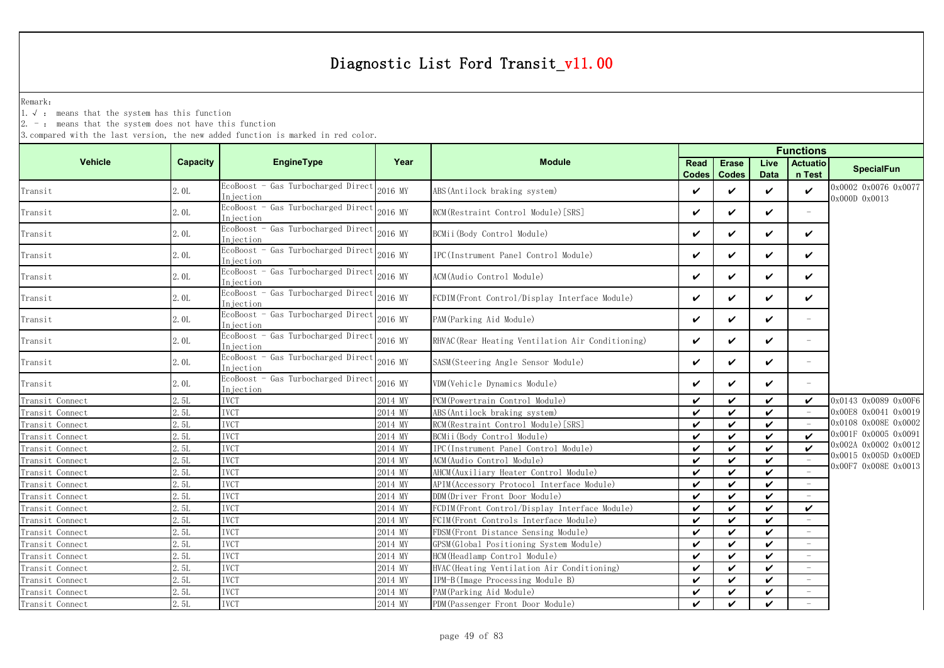Remark:

1.√ : means that the system has this function

 $2. -$ : means that the system does not have this function

|                 |                 |                                                  |         |                                                   | <b>Functions</b>     |                              |                            |                           |                                              |  |  |
|-----------------|-----------------|--------------------------------------------------|---------|---------------------------------------------------|----------------------|------------------------------|----------------------------|---------------------------|----------------------------------------------|--|--|
| <b>Vehicle</b>  | <b>Capacity</b> | <b>EngineType</b>                                | Year    | <b>Module</b>                                     | Read<br><b>Codes</b> | <b>Erase</b><br><b>Codes</b> | Live<br><b>Data</b>        | <b>Actuatio</b><br>n Test | <b>SpecialFun</b>                            |  |  |
| Transit         | 2.0L            | EcoBoost - Gas Turbocharged Direct<br>Injection  | 2016 MY | ABS (Antilock braking system)                     | ✓                    | ✓                            | $\checkmark$               | $\checkmark$              | 0x0002 0x0076 0x0077<br>0x000D 0x0013        |  |  |
| Transit         | 2.0L            | EcoBoost - Gas Turbocharged Direct<br>Injection  | 2016 MY | RCM (Restraint Control Module) [SRS]              | $\boldsymbol{\nu}$   | ✓                            | $\checkmark$               | $\equiv$                  |                                              |  |  |
| Transit         | 2.0L            | EcoBoost - Gas Turbocharged Direct<br>Injection  | 2016 MY | BCMii (Body Control Module)                       | $\checkmark$         | ✓                            | $\checkmark$               | $\checkmark$              |                                              |  |  |
| Transit         | 2.0L            | EcoBoost - Gas Turbocharged Direct<br>Injection  | 2016 MY | IPC(Instrument Panel Control Module)              | $\checkmark$         | ✓                            | $\checkmark$               | $\checkmark$              |                                              |  |  |
| Transit         | 2.0L            | EcoBoost - Gas Turbocharged Direct<br>Injection  | 2016 MY | ACM(Audio Control Module)                         | V                    | ✓                            | $\checkmark$               | $\checkmark$              |                                              |  |  |
| Transit         | 2.0L            | EcoBoost - Gas Turbocharged Direct<br>Iniection  | 2016 MY | FCDIM(Front Control/Display Interface Module)     | V                    | ✓                            | $\checkmark$               | $\checkmark$              |                                              |  |  |
| Transit         | 2.0L            | EcoBoost - Gas Turbocharged Direct<br>Injection  | 2016 MY | PAM (Parking Aid Module)                          | V                    | ✓                            | $\checkmark$               | $\equiv$                  |                                              |  |  |
| Transit         | 2.0L            | EcoBoost - Gas Turbocharged Direct<br>In iection | 2016 MY | RHVAC (Rear Heating Ventilation Air Conditioning) | V                    | ✓                            | $\checkmark$               | $\overline{\phantom{0}}$  |                                              |  |  |
| Transit         | 2.0L            | EcoBoost - Gas Turbocharged Direct<br>Injection  | 2016 MY | SASM(Steering Angle Sensor Module)                | ✓                    | ✓                            | $\checkmark$               | $\overline{\phantom{a}}$  |                                              |  |  |
| Transit         | 2.0L            | EcoBoost - Gas Turbocharged Direct<br>Injection  | 2016 MY | VDM(Vehicle Dynamics Module)                      | V                    | ✓                            | $\checkmark$               | $\equiv$                  |                                              |  |  |
| Transit Connect | 2.5L            | <b>IVCT</b>                                      | 2014 MY | PCM (Powertrain Control Module)                   | $\boldsymbol{\nu}$   | ✓                            | $\boldsymbol{\nu}$         | ✓                         | 0x0143 0x0089 0x00F6                         |  |  |
| Transit Connect | 2.5L            | <b>IVCT</b>                                      | 2014 MY | ABS (Antilock braking system)                     | $\boldsymbol{\nu}$   | $\checkmark$                 | $\boldsymbol{\nu}$         |                           | 0x00E8 0x0041 0x0019                         |  |  |
| Transit Connect | 2.5L            | <b>IVCT</b>                                      | 2014 MY | RCM (Restraint Control Module) [SRS]              | $\boldsymbol{\nu}$   | ✓                            | $\checkmark$               |                           | 0x0108 0x008E 0x0002                         |  |  |
| Transit Connect | 2.5L            | <b>IVCT</b>                                      | 2014 MY | BCMii(Body Control Module)                        | $\boldsymbol{\nu}$   | $\checkmark$                 | $\boldsymbol{\nu}$         | $\checkmark$              | 0x001F 0x0005 0x0091                         |  |  |
| Transit Connect | 2.5L            | <b>IVCT</b>                                      | 2014 MY | IPC(Instrument Panel Control Module)              | $\checkmark$         | ✓                            | $\checkmark$               | $\checkmark$              | 0x002A 0x0002 0x0012                         |  |  |
| Transit Connect | 2.5L            | <b>IVCT</b>                                      | 2014 MY | ACM (Audio Control Module)                        | $\boldsymbol{\nu}$   | ✓                            | $\checkmark$               |                           | 0x0015 0x005D 0x00ED<br>0x00F7 0x008E 0x0013 |  |  |
| Transit Connect | 2.51.           | <b>IVCT</b>                                      | 2014 MY | AHCM (Auxiliary Heater Control Module)            | $\checkmark$         | ✓                            | $\checkmark$               |                           |                                              |  |  |
| Transit Connect | 2.5L            | <b>IVCT</b>                                      | 2014 MY | APIM (Accessory Protocol Interface Module)        | $\checkmark$         | ✓                            | $\boldsymbol{\nu}$         | $\overline{\phantom{a}}$  |                                              |  |  |
| Transit Connect | 2.5L            | <b>IVCT</b>                                      | 2014 MY | DDM (Driver Front Door Module)                    | ✓                    | ✓                            | $\checkmark$               |                           |                                              |  |  |
| Transit Connect | 2.5L            | <b>IVCT</b>                                      | 2014 MY | FCDIM(Front Control/Display Interface Module)     | $\checkmark$         | ✓                            | $\checkmark$               | $\checkmark$              |                                              |  |  |
| Transit Connect | 2.5L            | <b>IVCT</b>                                      | 2014 MY | FCIM(Front Controls Interface Module)             | ✓                    | ✓                            | $\boldsymbol{\mathcal{U}}$ |                           |                                              |  |  |
| Transit Connect | 2.5L            | <b>IVCT</b>                                      | 2014 MY | FDSM (Front Distance Sensing Module)              | $\boldsymbol{\nu}$   | ✓                            | $\boldsymbol{\mathcal{U}}$ |                           |                                              |  |  |
| Transit Connect | 2.5L            | <b>IVCT</b>                                      | 2014 MY | GPSM(Global Positioning System Module)            | ✓                    | ✓                            | $\checkmark$               |                           |                                              |  |  |
| Transit Connect | 2.51.           | <b>IVCT</b>                                      | 2014 MY | HCM (Headlamp Control Module)                     | ✓                    | ✓                            | $\checkmark$               |                           |                                              |  |  |
| Transit Connect | 2.5L            | <b>IVCT</b>                                      | 2014 MY | HVAC (Heating Ventilation Air Conditioning)       | $\checkmark$         | $\checkmark$                 | $\checkmark$               |                           |                                              |  |  |
| Transit Connect | 2.5L            | <b>IVCT</b>                                      | 2014 MY | IPM-B(Image Processing Module B)                  | $\boldsymbol{\nu}$   | ✓                            | $\checkmark$               |                           |                                              |  |  |
| Transit Connect | 2.5L            | <b>IVCT</b>                                      | 2014 MY | PAM (Parking Aid Module)                          | V                    | V                            | $\checkmark$               | $\equiv$                  |                                              |  |  |
| Transit Connect | 2.5L            | <b>IVCT</b>                                      | 2014 MY | PDM (Passenger Front Door Module)                 | $\boldsymbol{\nu}$   | ✓                            | ✓                          |                           |                                              |  |  |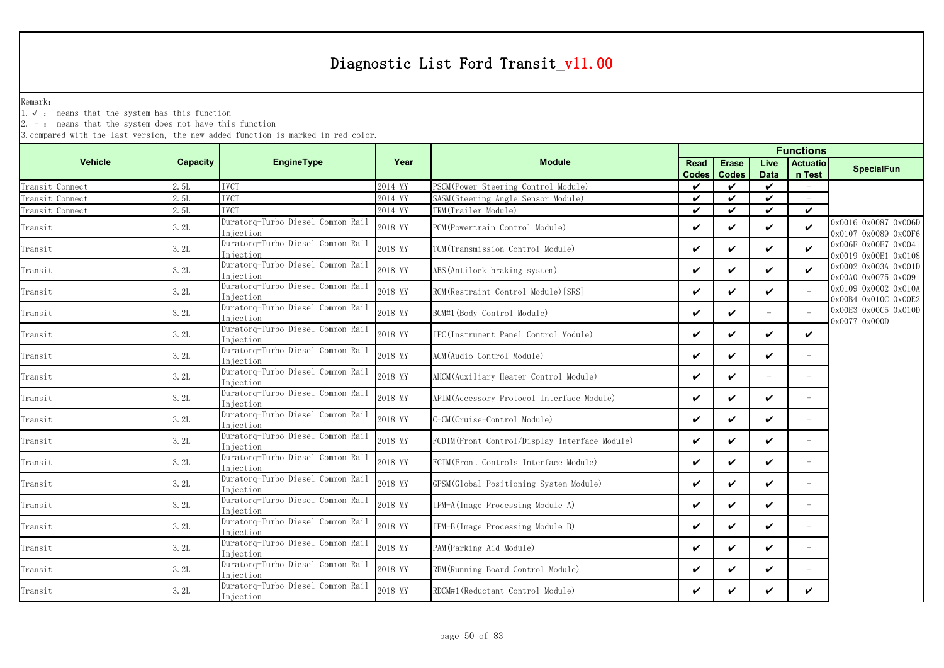Remark:

1.√ : means that the system has this function

 $2. -$ : means that the system does not have this function

|                 |          |                                                 |         |                                                |              |                    | <b>Functions</b>   |                            |                                              |
|-----------------|----------|-------------------------------------------------|---------|------------------------------------------------|--------------|--------------------|--------------------|----------------------------|----------------------------------------------|
| <b>Vehicle</b>  | Capacity | <b>EngineType</b>                               | Year    | <b>Module</b>                                  | <b>Read</b>  | <b>Erase</b>       | Live               | <b>Actuatio</b>            | <b>SpecialFun</b>                            |
|                 |          |                                                 |         |                                                | <b>Codes</b> | <b>Codes</b>       | <b>Data</b>        | n Test                     |                                              |
| Transit Connect | 2.5L     | <b>IVCT</b>                                     | 2014 MY | PSCM (Power Steering Control Module)           | $\checkmark$ | ✓                  | $\checkmark$       |                            |                                              |
| Transit Connect | 2.5L     | <b>IVCT</b>                                     | 2014 MY | SASM (Steering Angle Sensor Module)            | $\checkmark$ | $\checkmark$       | $\checkmark$       | $\sim$                     |                                              |
| Transit Connect | 2.5L     | <b>IVCT</b>                                     | 2014 MY | TRM(Trailer Module)                            | $\checkmark$ | $\checkmark$       | $\checkmark$       | $\checkmark$               |                                              |
| Transit         | 3.2L     | Duratorq-Turbo Diesel Common Rail<br>Injection  | 2018 MY | PCM (Powertrain Control Module)                | $\checkmark$ | ✓                  | $\checkmark$       | $\checkmark$               | 0x0016 0x0087 0x006D<br>0x0107 0x0089 0x00F6 |
| Transit         | 3.2L     | Duratorq-Turbo Diesel Common Rail<br>Injection  | 2018 MY | TCM(Transmission Control Module)               | $\checkmark$ | $\checkmark$       | $\boldsymbol{\nu}$ | $\boldsymbol{\nu}$         | 0x006F 0x00E7 0x0041<br>0x0019 0x00E1 0x0108 |
| Transit         | 3.2L     | Duratorq-Turbo Diesel Common Rail<br>Injection  | 2018 MY | ABS (Antilock braking system)                  | ✓            | ✓                  | ✓                  | $\boldsymbol{\mathcal{U}}$ | 0x0002 0x003A 0x001D<br>0x00A0 0x0075 0x0091 |
| Transit         | 3.2L     | Duratorq-Turbo Diesel Common Rail<br>Injection  | 2018 MY | RCM (Restraint Control Module) [SRS]           | ✓            | $\boldsymbol{\nu}$ | $\checkmark$       |                            | 0x0109 0x0002 0x010A<br>0x00B4 0x010C 0x00E2 |
| Transit         | 3.2L     | Duratorq-Turbo Diesel Common Rail<br>Injection  | 2018 MY | BCM#1 (Body Control Module)                    | $\checkmark$ | ✓                  |                    |                            | 0x00E3 0x00C5 0x010D<br>0x0077 0x000D        |
| Transit         | 3.2L     | Duratorq-Turbo Diesel Common Rail<br>Injection  | 2018 MY | IPC(Instrument Panel Control Module)           | ✓            | $\boldsymbol{\nu}$ | $\boldsymbol{\nu}$ | $\boldsymbol{\nu}$         |                                              |
| Transit         | 3.2L     | Duratorq-Turbo Diesel Common Rail<br>In iection | 2018 MY | ACM(Audio Control Module)                      | $\checkmark$ | ✓                  | $\checkmark$       |                            |                                              |
| Transit         | 3.2L     | Duratorq-Turbo Diesel Common Rail<br>Injection  | 2018 MY | AHCM (Auxiliary Heater Control Module)         | ✓            | ✓                  |                    |                            |                                              |
| Transit         | 3.2L     | Duratorq-Turbo Diesel Common Rail<br>Injection  | 2018 MY | APIM (Accessory Protocol Interface Module)     | $\checkmark$ | ✓                  | $\boldsymbol{\nu}$ |                            |                                              |
| Transit         | 3.2L     | Duratorq-Turbo Diesel Common Rail<br>Injection  | 2018 MY | C-CM(Cruise-Control Module)                    | ✓            | $\boldsymbol{\nu}$ | $\boldsymbol{\nu}$ | $\equiv$                   |                                              |
| Transit         | 3.2L     | Duratorq-Turbo Diesel Common Rail<br>Iniection  | 2018 MY | FCDIM (Front Control/Display Interface Module) | $\checkmark$ | $\checkmark$       | $\checkmark$       | $\overline{\phantom{a}}$   |                                              |
| Transit         | 3.2L     | Duratorq-Turbo Diesel Common Rail<br>Injection  | 2018 MY | FCIM (Front Controls Interface Module)         | $\checkmark$ | $\checkmark$       | $\boldsymbol{\nu}$ | $\overline{\phantom{a}}$   |                                              |
| Transit         | 3.2L     | Duratorq-Turbo Diesel Common Rail<br>Injection  | 2018 MY | GPSM(Global Positioning System Module)         | ✓            | ✓                  | ✓                  | $\overline{\phantom{a}}$   |                                              |
| Transit         | 3.2L     | Duratorq-Turbo Diesel Common Rail<br>Injection  | 2018 MY | IPM-A(Image Processing Module A)               | ✓            | $\checkmark$       | $\boldsymbol{\nu}$ | $\overline{\phantom{a}}$   |                                              |
| Transit         | 3.2L     | Duratorq-Turbo Diesel Common Rail<br>Injection  | 2018 MY | IPM-B(Image Processing Module B)               | $\checkmark$ | ✓                  | $\checkmark$       | $\overline{\phantom{a}}$   |                                              |
| Transit         | 3.2L     | Duratorq-Turbo Diesel Common Rail<br>Injection  | 2018 MY | PAM (Parking Aid Module)                       | $\checkmark$ | $\boldsymbol{\nu}$ | $\boldsymbol{\nu}$ |                            |                                              |
| Transit         | 3.2L     | Duratorq-Turbo Diesel Common Rail<br>Injection  | 2018 MY | RBM (Running Board Control Module)             | ✓            | ✓                  | V                  |                            |                                              |
| Transit         | 3.2L     | Duratorq-Turbo Diesel Common Rail<br>Injection  | 2018 MY | RDCM#1 (Reductant Control Module)              | ✓            | ✓                  | ✓                  | $\checkmark$               |                                              |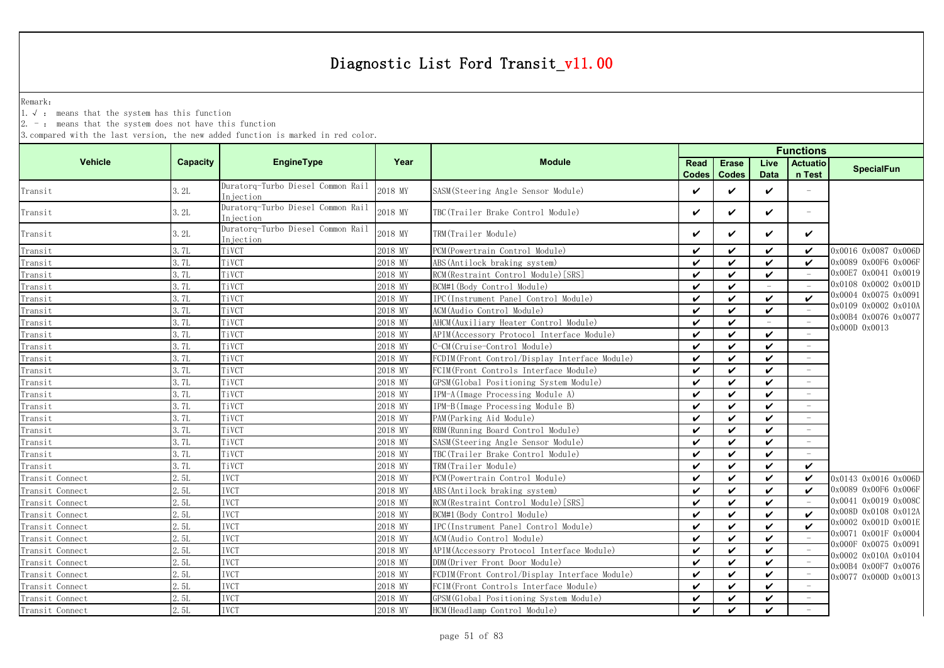Remark:

1.√ : means that the system has this function

2. - : means that the system does not have this function

|                 |          |                                                |         |                                               |                      |                    |                             | <b>Functions</b>                |                                              |  |
|-----------------|----------|------------------------------------------------|---------|-----------------------------------------------|----------------------|--------------------|-----------------------------|---------------------------------|----------------------------------------------|--|
| <b>Vehicle</b>  | Capacity | <b>EngineType</b>                              | Year    | <b>Module</b>                                 | Read<br><b>Codes</b> | <b>Erase</b>       | Live                        | <b>Actuatio</b><br>n Test       | <b>SpecialFun</b>                            |  |
| Transit         | 3.2L     | Duratorq-Turbo Diesel Common Rail<br>Injection | 2018 MY | SASM (Steering Angle Sensor Module)           | V                    | <b>Codes</b><br>✓  | <b>Data</b><br>$\checkmark$ | ÷,                              |                                              |  |
| Transit         | 3.2L     | Duratorq-Turbo Diesel Common Rail<br>Injection | 2018 MY | TBC(Trailer Brake Control Module)             | ✓                    | $\checkmark$       | V                           | $\equiv$                        |                                              |  |
| Transit         | 3.2L     | Duratorq-Turbo Diesel Common Rail<br>Injection | 2018 MY | TRM(Trailer Module)                           | ✓                    | ✓                  | ✓                           | V                               |                                              |  |
| Transit         | 3.7L     | TiVCT                                          | 2018 MY | PCM (Powertrain Control Module)               | ✓                    | $\checkmark$       | $\checkmark$                | ✓                               | 0x0016 0x0087 0x006D                         |  |
| Transit         | 3.7L     | TiVCT                                          | 2018 MY | ABS (Antilock braking system)                 | ✓                    | $\checkmark$       | $\checkmark$                | ✓                               | 0x0089 0x00F6 0x006F                         |  |
| Transit         | 3.7L     | TiVCT                                          | 2018 MY | RCM (Restraint Control Module) [SRS]          | $\checkmark$         | $\checkmark$       | $\checkmark$                | $\hspace{0.1mm}-\hspace{0.1mm}$ | 0x00E7 0x0041 0x0019                         |  |
| Transit         | 3.7L     | TiVCT                                          | 2018 MY | BCM#1 (Body Control Module)                   | ✓                    | V                  | $\equiv$                    | $\equiv$                        | 0x0108 0x0002 0x001D                         |  |
| Transit         | 3.7L     | TiVCT                                          | 2018 MY | IPC(Instrument Panel Control Module)          | ✓                    | ✓                  | $\checkmark$                | ✓                               | 0x0004 0x0075 0x0091                         |  |
| Transit         | 3.7L     | TiVCT                                          | 2018 MY | ACM (Audio Control Module)                    | ✓                    | $\checkmark$       | $\checkmark$                |                                 | 0x0109 0x0002 0x010A                         |  |
| Transit         | 3.7L     | TiVCT                                          | 2018 MY | AHCM (Auxiliary Heater Control Module)        | $\checkmark$         | $\checkmark$       | $\equiv$                    |                                 | 0x00B4 0x0076 0x0077                         |  |
| Transit         | 3.7L     | TiVCT                                          | 2018 MY | APIM (Accessory Protocol Interface Module)    | ✓                    | ✓                  | ✓                           |                                 | 0x000D 0x0013                                |  |
| Transit         | 3.7L     | TiVCT                                          | 2018 MY | C-CM(Cruise-Control Module)                   | ✓                    | $\checkmark$       | $\checkmark$                |                                 |                                              |  |
| Transit         | 3.7L     | TiVCT                                          | 2018 MY | FCDIM(Front Control/Display Interface Module) | $\checkmark$         | $\checkmark$       | $\checkmark$                |                                 |                                              |  |
| Transit         | 3.7L     | TiVCT                                          | 2018 MY | FCIM(Front Controls Interface Module)         | ✓                    | ✓                  | $\checkmark$                |                                 |                                              |  |
| Transit         | 3.7L     | TiVCT                                          | 2018 MY | GPSM(Global Positioning System Module)        | $\checkmark$         | $\checkmark$       | $\checkmark$                | $\sim$                          |                                              |  |
| Transit         | 3.7L     | TiVCT                                          | 2018 MY | IPM-A(Image Processing Module A)              | $\checkmark$         | $\checkmark$       | $\checkmark$                |                                 |                                              |  |
| Transit         | 3.7L     | TiVCT                                          | 2018 MY | IPM-B(Image Processing Module B)              | ✓                    | ✓                  | $\checkmark$                | $\equiv$                        |                                              |  |
| Transit         | 3.7L     | TiVCT                                          | 2018 MY | PAM (Parking Aid Module)                      | ✓                    | ✓                  | $\checkmark$                | $\equiv$                        |                                              |  |
| Transit         | 3.7L     | TiVCT                                          | 2018 MY | RBM (Running Board Control Module)            | ✓                    | $\checkmark$       | $\checkmark$                |                                 |                                              |  |
| Transit         | 3.7L     | TiVCT                                          | 2018 MY | SASM(Steering Angle Sensor Module)            | ✓                    | $\checkmark$       | $\checkmark$                | $\overline{\phantom{a}}$        |                                              |  |
| Transit         | 3.7L     | TiVCT                                          | 2018 MY | TBC(Trailer Brake Control Module)             | ✓                    | $\checkmark$       | ✓                           |                                 |                                              |  |
| Transit         | 3.7L     | TiVCT                                          | 2018 MY | TRM(Trailer Module)                           | ✓                    | $\checkmark$       | ✓                           | $\checkmark$                    |                                              |  |
| Transit Connect | 2.5L     | <b>IVCT</b>                                    | 2018 MY | PCM (Powertrain Control Module)               | $\boldsymbol{\nu}$   | $\boldsymbol{\nu}$ | $\mathbf{v}$                | $\boldsymbol{\nu}$              | 0x0143 0x0016 0x006D                         |  |
| Transit Connect | 2.5L     | <b>IVCT</b>                                    | 2018 MY | ABS (Antilock braking system)                 | $\checkmark$         | $\boldsymbol{\nu}$ | $\checkmark$                | ✓                               | 0x0089 0x00F6 0x006F                         |  |
| Transit Connect | 2.5L     | <b>IVCT</b>                                    | 2018 MY | RCM (Restraint Control Module) [SRS]          | ✓                    | $\checkmark$       | $\checkmark$                |                                 | 0x0041 0x0019 0x008C                         |  |
| Transit Connect | 2.5L     | <b>IVCT</b>                                    | 2018 MY | BCM#1 (Body Control Module)                   | $\boldsymbol{\nu}$   | $\checkmark$       | $\checkmark$                | $\boldsymbol{\nu}$              | 0x008D 0x0108 0x012A                         |  |
| Transit Connect | 2.5L     | <b>IVCT</b>                                    | 2018 MY | IPC(Instrument Panel Control Module)          | ✓                    | $\checkmark$       | $\checkmark$                | $\boldsymbol{\nu}$              | 0x0002 0x001D 0x001E                         |  |
| Transit Connect | 2.5L     | <b>IVCT</b>                                    | 2018 MY | ACM(Audio Control Module)                     | ✓                    | $\checkmark$       | $\checkmark$                |                                 | 0x0071 0x001F 0x0004                         |  |
| Transit Connect | 2.5L     | IVCT                                           | 2018 MY | APIM (Accessory Protocol Interface Module)    | ✓                    | ✓                  | V                           |                                 | 0x000F 0x0075 0x0091                         |  |
| Transit Connect | 2.5L     | IVCT                                           | 2018 MY | DDM (Driver Front Door Module)                | ✓                    | ✓                  | $\checkmark$                |                                 | 0x0002 0x010A 0x0104<br>0x00B4 0x00F7 0x0076 |  |
| Transit Connect | 2.5L     | IVCT                                           | 2018 MY | FCDIM(Front Control/Display Interface Module) | $\checkmark$         | $\checkmark$       | $\checkmark$                |                                 | 0x0077 0x000D 0x0013                         |  |
| Transit Connect | 2.5L     | IVCT                                           | 2018 MY | FCIM (Front Controls Interface Module)        | ✓                    | V                  | V                           |                                 |                                              |  |
| Transit Connect | 2. 5L    | <b>IVCT</b>                                    | 2018 MY | GPSM (Global Positioning System Module)       | ✓                    | $\checkmark$       | $\checkmark$                |                                 |                                              |  |
| Transit Connect | 2.5L     | <b>IVCT</b>                                    | 2018 MY | HCM (Headlamp Control Module)                 | $\boldsymbol{\nu}$   | $\boldsymbol{\nu}$ | $\checkmark$                |                                 |                                              |  |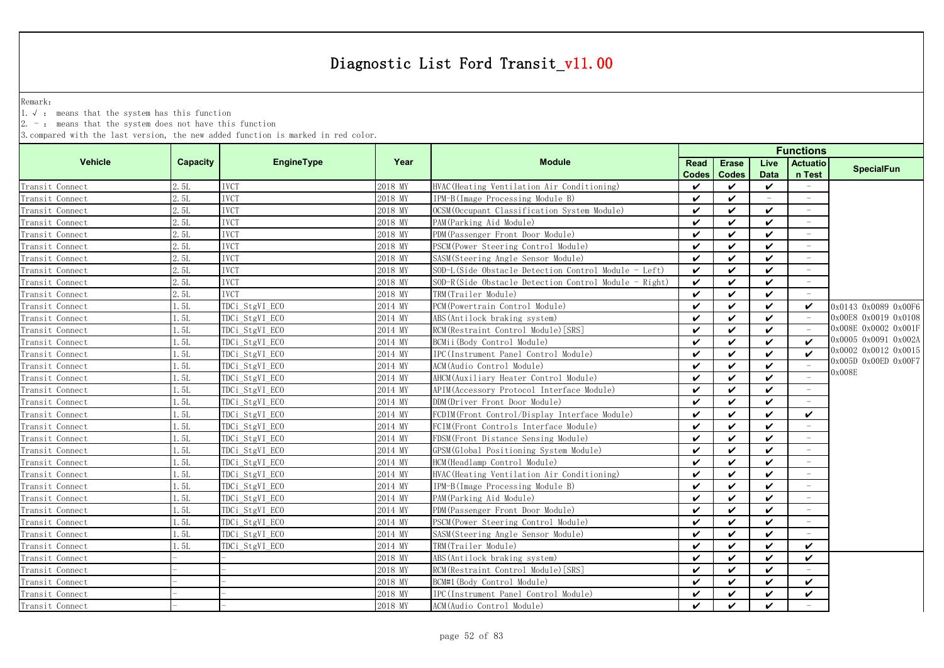Remark:

1.√ : means that the system has this function

2. - : means that the system does not have this function

|                 |          |                   |         |                                                       | <b>Functions</b>   |                            |              |                          |                      |
|-----------------|----------|-------------------|---------|-------------------------------------------------------|--------------------|----------------------------|--------------|--------------------------|----------------------|
| <b>Vehicle</b>  | Capacity | <b>EngineType</b> | Year    | <b>Module</b>                                         | Read               | Erase                      | Live         | <b>Actuatio</b>          | <b>SpecialFun</b>    |
|                 |          |                   |         |                                                       | <b>Codes</b>       | <b>Codes</b>               | <b>Data</b>  | n Test                   |                      |
| Transit Connect | 2.5L     | <b>IVCT</b>       | 2018 MY | HVAC (Heating Ventilation Air Conditioning)           | $\boldsymbol{\nu}$ | ✓                          | $\checkmark$ |                          |                      |
| Transit Connect | 2.5L     | <b>IVCT</b>       | 2018 MY | IPM-B(Image Processing Module B)                      | $\checkmark$       | $\checkmark$               | $\equiv$     | $\equiv$                 |                      |
| Transit Connect | 2.5L     | <b>IVCT</b>       | 2018 MY | OCSM (Occupant Classification System Module)          | ✓                  | $\checkmark$               | ✓            | $\overline{\phantom{m}}$ |                      |
| Transit Connect | 2.5L     | <b>IVCT</b>       | 2018 MY | PAM (Parking Aid Module)                              | ✓                  | $\checkmark$               | V            | $\overline{\phantom{m}}$ |                      |
| Transit Connect | 2.5L     | <b>IVCT</b>       | 2018 MY | PDM (Passenger Front Door Module)                     | ✓                  | $\boldsymbol{\nu}$         | ✓            | $\overline{\phantom{m}}$ |                      |
| Transit Connect | 2.5L     | <b>IVCT</b>       | 2018 MY | PSCM (Power Steering Control Module)                  | ✓                  | $\boldsymbol{\nu}$         | ✓            | $\overline{\phantom{m}}$ |                      |
| Transit Connect | 2.5L     | <b>IVCT</b>       | 2018 MY | SASM (Steering Angle Sensor Module)                   | $\boldsymbol{\nu}$ | $\boldsymbol{\nu}$         | ✓            |                          |                      |
| Transit Connect | 2.5L     | <b>IVCT</b>       | 2018 MY | SOD-L(Side Obstacle Detection Control Module - Left)  | $\checkmark$       | $\boldsymbol{\nu}$         | ✓            |                          |                      |
| Transit Connect | 2.5L     | <b>IVCT</b>       | 2018 MY | SOD-R(Side Obstacle Detection Control Module - Right) | $\checkmark$       | $\checkmark$               | ✓            |                          |                      |
| Transit Connect | 2.5L     | <b>IVCT</b>       | 2018 MY | TRM(Trailer Module)                                   | $\checkmark$       | $\checkmark$               | V            |                          |                      |
| Transit Connect | 1.5L     | TDCi StgVI ECO    | 2014 MY | PCM (Powertrain Control Module)                       | ✓                  | ✓                          | ✓            | ✓                        | 0x0143 0x0089 0x00F6 |
| Transit Connect | 1.5L     | TDCi StgVI ECO    | 2014 MY | ABS (Antilock braking system)                         | $\boldsymbol{\nu}$ | $\boldsymbol{\nu}$         | ✓            |                          | 0x00E8 0x0019 0x0108 |
| Transit Connect | 1.5L     | TDCi_StgVI_ECO    | 2014 MY | RCM (Restraint Control Module) [SRS]                  | $\checkmark$       | $\checkmark$               | $\checkmark$ |                          | 0x008E 0x0002 0x001F |
| Transit Connect | 1.5L     | TDCi_StgVI_ECO    | 2014 MY | BCMii (Body Control Module)                           | $\checkmark$       | $\checkmark$               | $\checkmark$ | $\boldsymbol{\nu}$       | 0x0005 0x0091 0x002A |
| Transit Connect | 1.5L     | TDCi_StgVI_ECO    | 2014 MY | IPC(Instrument Panel Control Module)                  | ✓                  | $\checkmark$               | ✓            | $\checkmark$             | 0x0002 0x0012 0x0015 |
| Transit Connect | 1.5L     | TDCi_StgVI_ECO    | 2014 MY | ACM(Audio Control Module)                             | ✓                  | $\checkmark$               | V            | $\equiv$                 | 0x005D 0x00ED 0x00F7 |
| Transit Connect | 1.5L     | TDCi StgVI ECO    | 2014 MY | AHCM (Auxiliary Heater Control Module)                | ✓                  | $\checkmark$               | ✓            |                          | 0x008E               |
| Transit Connect | 1.5L     | TDCi StgVI ECO    | 2014 MY | APIM (Accessory Protocol Interface Module)            | ✓                  | $\boldsymbol{\nu}$         | ✓            |                          |                      |
| Transit Connect | 1.5L     | TDCi StgVI ECO    | 2014 MY | DDM(Driver Front Door Module)                         | $\boldsymbol{\nu}$ | $\boldsymbol{\mathcal{U}}$ | ✓            |                          |                      |
| Transit Connect | 1.5L     | TDCi StgVI ECO    | 2014 MY | FCDIM(Front Control/Display Interface Module)         | ✓                  | $\boldsymbol{\mathcal{U}}$ | ✓            | ✓                        |                      |
| Transit Connect | 1.5L     | TDCi StgVI ECO    | 2014 MY | FCIM(Front Controls Interface Module)                 | ✓                  | $\checkmark$               | ✓            |                          |                      |
| Transit Connect | 1.5L     | TDCi StgVI ECO    | 2014 MY | FDSM (Front Distance Sensing Module)                  | ✓                  | $\boldsymbol{\mathcal{U}}$ | ✓            | $\overline{\phantom{a}}$ |                      |
| Transit Connect | 1.5L     | TDCi_StgVI_ECO    | 2014 MY | GPSM (Global Positioning System Module)               | ✓                  | $\boldsymbol{\nu}$         | ✓            |                          |                      |
| Transit Connect | 1.5L     | TDCi StgVI ECO    | 2014 MY | HCM (Headlamp Control Module)                         | $\boldsymbol{\nu}$ | $\boldsymbol{\nu}$         | ✓            |                          |                      |
| Transit Connect | 1.5L     | TDCi_StgVI_ECO    | 2014 MY | HVAC (Heating Ventilation Air Conditioning)           | $\checkmark$       | $\checkmark$               | ✓            | $\equiv$                 |                      |
| Transit Connect | 1.5L     | TDCi_StgVI_ECO    | 2014 MY | IPM-B(Image Processing Module B)                      | $\checkmark$       | $\checkmark$               | ✓            | $\overline{\phantom{a}}$ |                      |
| Transit Connect | 1.5L     | TDCi_StgVI_ECO    | 2014 MY | PAM (Parking Aid Module)                              | ✓                  | $\checkmark$               | V            | $\overline{\phantom{a}}$ |                      |
| Transit Connect | 1.5L     | TDCi StgVI ECO    | 2014 MY | PDM (Passenger Front Door Module)                     | ✓                  | $\checkmark$               | ✓            | $\overline{\phantom{m}}$ |                      |
| Transit Connect | 1.5L     | TDCi StgVI ECO    | 2014 MY | PSCM (Power Steering Control Module)                  | ✓                  | ✓                          | ✓            | $\overline{\phantom{m}}$ |                      |
| Transit Connect | 1.5L     | TDCi StgVI ECO    | 2014 MY | SASM (Steering Angle Sensor Module)                   | ✓                  | $\boldsymbol{\mathcal{U}}$ | ✓            |                          |                      |
| Transit Connect | 1.5L     | TDCi StgVI ECO    | 2014 MY | TRM(Trailer Module)                                   | $\boldsymbol{\nu}$ | $\boldsymbol{\mathcal{U}}$ | ✓            | ✓                        |                      |
| Transit Connect |          |                   | 2018 MY | ABS (Antilock braking system)                         | $\checkmark$       | $\checkmark$               | ✓            | ✓                        |                      |
| Transit Connect |          |                   | 2018 MY | RCM (Restraint Control Module) [SRS]                  | ✓                  | ✓                          | ✓            |                          |                      |
| Transit Connect |          |                   | 2018 MY | BCM#1 (Body Control Module)                           | ✓                  | ✓                          | ✓            | ✓                        |                      |
| Transit Connect |          |                   | 2018 MY | IPC(Instrument Panel Control Module)                  | ✓                  | $\boldsymbol{\nu}$         | ✓            | ✓                        |                      |
| Transit Connect |          |                   | 2018 MY | ACM (Audio Control Module)                            | ✓                  | $\boldsymbol{\nu}$         | ✓            |                          |                      |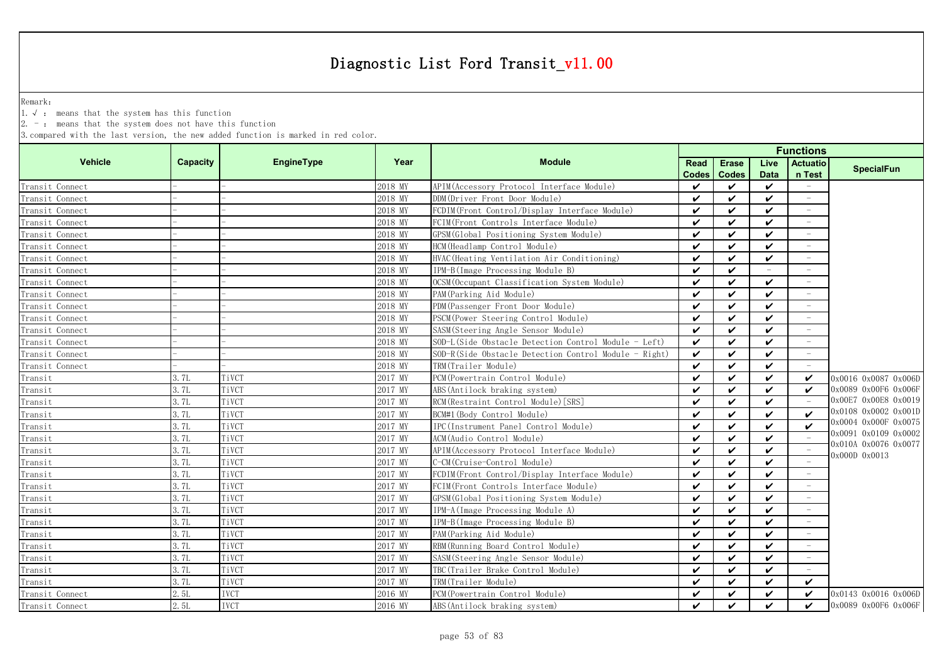Remark:

1.√ : means that the system has this function

2. - : means that the system does not have this function

|                 |          |                   |         |                                                       | <b>Functions</b>     |                              |                     |                           |                      |
|-----------------|----------|-------------------|---------|-------------------------------------------------------|----------------------|------------------------------|---------------------|---------------------------|----------------------|
| <b>Vehicle</b>  | Capacity | <b>EngineType</b> | Year    | <b>Module</b>                                         | Read<br><b>Codes</b> | <b>Erase</b><br><b>Codes</b> | Live<br><b>Data</b> | <b>Actuatio</b><br>n Test | <b>SpecialFun</b>    |
| Transit Connect |          |                   | 2018 MY | APIM (Accessory Protocol Interface Module)            | ✓                    | ✓                            | ✓                   |                           |                      |
| Transit Connect |          |                   | 2018 MY | DDM (Driver Front Door Module)                        | $\checkmark$         | ✓                            | $\checkmark$        |                           |                      |
| Transit Connect |          |                   | 2018 MY | FCDIM(Front Control/Display Interface Module)         | $\checkmark$         | ✓                            | ✓                   | $\overline{\phantom{a}}$  |                      |
| Transit Connect |          |                   | 2018 MY | FCIM(Front Controls Interface Module)                 | $\checkmark$         | ✓                            | $\checkmark$        | $\sim$                    |                      |
| Transit Connect |          |                   | 2018 MY | GPSM (Global Positioning System Module)               | $\checkmark$         | ✓                            | ✓                   |                           |                      |
| Transit Connect |          |                   | 2018 MY | HCM (Headlamp Control Module)                         | $\checkmark$         | ✓                            | ✓                   |                           |                      |
| Transit Connect |          |                   | 2018 MY | HVAC (Heating Ventilation Air Conditioning)           | $\checkmark$         | ✓                            | ✓                   |                           |                      |
| Transit Connect |          |                   | 2018 MY | IPM-B(Image Processing Module B)                      | $\checkmark$         | ✓                            |                     |                           |                      |
| Transit Connect |          |                   | 2018 MY | OCSM (Occupant Classification System Module)          | $\checkmark$         | ✓                            | ✓                   |                           |                      |
| Transit Connect |          |                   | 2018 MY | PAM (Parking Aid Module)                              | $\mathbf{v}$         | ✓                            | $\checkmark$        |                           |                      |
| Transit Connect |          |                   | 2018 MY | PDM (Passenger Front Door Module)                     | $\checkmark$         | ✓                            | ✓                   |                           |                      |
| Transit Connect |          |                   | 2018 MY | PSCM (Power Steering Control Module)                  | $\checkmark$         | ✓                            | $\checkmark$        |                           |                      |
| Transit Connect |          |                   | 2018 MY | SASM(Steering Angle Sensor Module)                    | $\checkmark$         | ✓                            | $\checkmark$        | $\equiv$                  |                      |
| Transit Connect |          |                   | 2018 MY | SOD-L(Side Obstacle Detection Control Module - Left)  | $\checkmark$         | ✓                            | $\checkmark$        |                           |                      |
| Transit Connect |          |                   | 2018 MY | SOD-R(Side Obstacle Detection Control Module - Right) | $\checkmark$         | ✓                            | ✓                   | $\sim$                    |                      |
| Transit Connect |          |                   | 2018 MY | TRM(Trailer Module)                                   | $\checkmark$         | ✓                            | ✓                   |                           |                      |
| Transit         | 3.7L     | TiVCT             | 2017 MY | PCM (Powertrain Control Module)                       | $\checkmark$         | ✓                            | ✓                   | V                         | 0x0016 0x0087 0x006D |
| Transit         | 3.7L     | TiVCT             | 2017 MY | ABS(Antilock braking system)                          | $\checkmark$         | ✓                            | ✓                   | $\boldsymbol{\nu}$        | 0x0089 0x00F6 0x006F |
| Transit         | 3.7L     | TiVCT             | 2017 MY | RCM (Restraint Control Module) [SRS]                  | $\checkmark$         | ✓                            | ✓                   |                           | 0x00E7 0x00E8 0x0019 |
| Transit         | 3.7L     | TiVCT             | 2017 MY | BCM#1 (Body Control Module)                           | $\checkmark$         | ✓                            | ✓                   | $\checkmark$              | 0x0108 0x0002 0x001D |
| Transit         | 3.7L     | TiVCT             | 2017 MY | IPC(Instrument Panel Control Module)                  | $\mathbf{v}$         | ✓                            | $\checkmark$        | $\boldsymbol{\nu}$        | 0x0004 0x000F 0x0075 |
| Transit         | 3.7L     | TiVCT             | 2017 MY | ACM (Audio Control Module)                            | $\boldsymbol{\nu}$   | ✓                            | $\checkmark$        |                           | 0x0091 0x0109 0x0002 |
| Transit         | 3.7L     | TiVCT             | 2017 MY | APIM (Accessory Protocol Interface Module)            | $\checkmark$         | ✓                            | $\checkmark$        |                           | 0x010A 0x0076 0x0077 |
| Transit         | 3.7L     | TiVCT             | 2017 MY | C-CM (Cruise-Control Module)                          | $\checkmark$         | ✓                            | $\checkmark$        |                           | 0x000D 0x0013        |
| Transit         | 3.7L     | TiVCT             | 2017 MY | FCDIM(Front Control/Display Interface Module)         | $\checkmark$         | ✓                            | ✓                   |                           |                      |
| Transit         | 3. 7L    | TiVCT             | 2017 MY | FCIM(Front Controls Interface Module)                 | $\checkmark$         | ✓                            | ✓                   | $\overline{\phantom{a}}$  |                      |
| Transit         | 3.7L     | TiVCT             | 2017 MY | GPSM (Global Positioning System Module)               | $\checkmark$         | ✓                            | ✓                   | $\overline{\phantom{a}}$  |                      |
| Transit         | 3.7L     | TiVCT             | 2017 MY | IPM-A (Image Processing Module A)                     | $\checkmark$         | ✓                            | ✓                   |                           |                      |
| Transit         | 3.7L     | TiVCT             | 2017 MY | IPM-B(Image Processing Module B)                      | $\checkmark$         | ✓                            | ✓                   |                           |                      |
| Transit         | 3.7L     | TiVCT             | 2017 MY | PAM (Parking Aid Module)                              | $\checkmark$         | ✓                            | ✓                   |                           |                      |
| Transit         | 3.7L     | TiVCT             | 2017 MY | RBM (Running Board Control Module)                    | $\checkmark$         | ✓                            | ✓                   |                           |                      |
| Transit         | 3. 7L    | TiVCT             | 2017 MY | SASM(Steering Angle Sensor Module)                    | $\checkmark$         | ✓                            | ✓                   |                           |                      |
| Transit         | 3.7L     | TiVCT             | 2017 MY | TBC(Trailer Brake Control Module)                     | $\checkmark$         | ✓                            | ✓                   |                           |                      |
| Transit         | 3.7L     | TiVCT             | 2017 MY | TRM(Trailer Module)                                   | $\mathbf{v}$         | ✓                            | ✓                   | $\checkmark$              |                      |
| Transit Connect | 2.5L     | <b>IVCT</b>       | 2016 MY | PCM (Powertrain Control Module)                       | ✓                    | ✓                            | ✓                   | $\checkmark$              | 0x0143 0x0016 0x006D |
| Transit Connect | 2.5L     | <b>IVCT</b>       | 2016 MY | ABS (Antilock braking system)                         | $\checkmark$         | ✓                            | $\boldsymbol{\nu}$  | $\boldsymbol{\nu}$        | 0x0089 0x00F6 0x006F |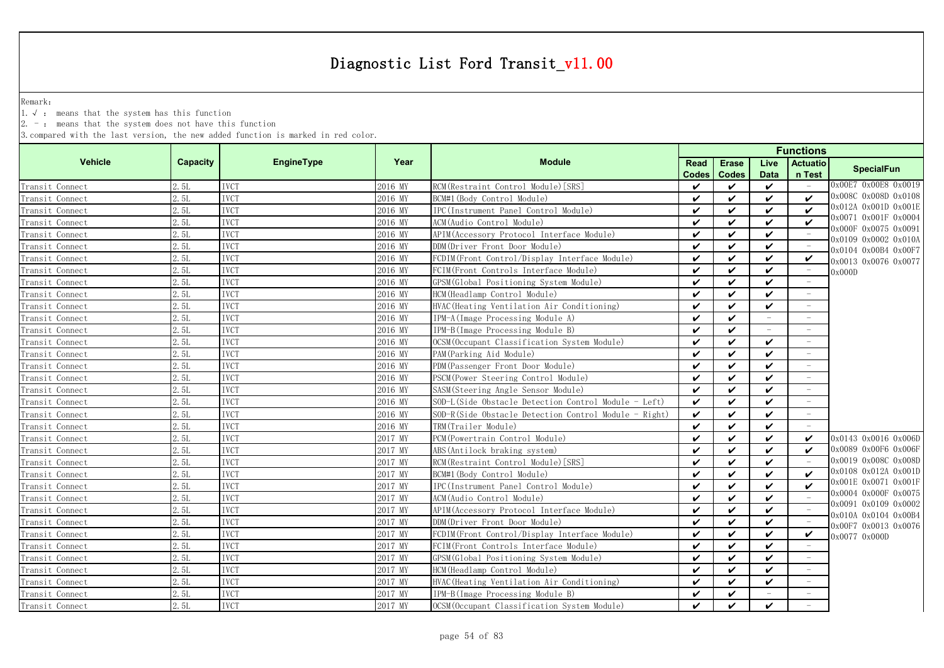Remark:

1.√ : means that the system has this function

2. - : means that the system does not have this function

| <b>Vehicle</b>  | Capacity | EngineType  | Year    | <b>Module</b>                                         | Read         | <b>Erase</b>       | Live               | <b>Actuatio</b>    | <b>SpecialFun</b>                            |
|-----------------|----------|-------------|---------|-------------------------------------------------------|--------------|--------------------|--------------------|--------------------|----------------------------------------------|
|                 |          |             |         |                                                       | <b>Codes</b> | <b>Codes</b>       | <b>Data</b>        | n Test             |                                              |
| Transit Connect | 2.5L     | <b>IVCT</b> | 2016 MY | RCM (Restraint Control Module) [SRS]                  | ✓            | $\checkmark$       | $\checkmark$       | $\sim$             | 0x00E7 0x00E8 0x0019                         |
| Transit Connect | 2.5L     | <b>IVCT</b> | 2016 MY | BCM#1 (Body Control Module)                           | ✓            | $\checkmark$       | $\mathbf{v}$       | $\mathbf{v}$       | 0x008C 0x008D 0x0108                         |
| Transit Connect | 2.5L     | <b>IVCT</b> | 2016 MY | IPC(Instrument Panel Control Module)                  | ✓            | $\checkmark$       | $\checkmark$       | $\boldsymbol{\nu}$ | 0x012A 0x001D 0x001E                         |
| Transit Connect | 2.5L     | <b>IVCT</b> | 2016 MY | ACM(Audio Control Module)                             | ✓            | ✓                  | $\boldsymbol{\nu}$ | ✓                  | 0x0071 0x001F 0x0004<br>0x000F 0x0075 0x0091 |
| Transit Connect | 2.5L     | <b>IVCT</b> | 2016 MY | APIM (Accessory Protocol Interface Module)            | ✓            | $\checkmark$       | $\checkmark$       |                    | 0x0109 0x0002 0x010A                         |
| Transit Connect | 2.5L     | <b>IVCT</b> | 2016 MY | DDM(Driver Front Door Module)                         | ✓            | $\checkmark$       | $\checkmark$       |                    | 0x0104 0x00B4 0x00F7                         |
| Transit Connect | 2.5L     | <b>IVCT</b> | 2016 MY | FCDIM(Front Control/Display Interface Module)         | ✓            | $\checkmark$       | $\checkmark$       | ✓                  | 0x0013 0x0076 0x0077                         |
| Transit Connect | 2.5L     | <b>IVCT</b> | 2016 MY | FCIM(Front Controls Interface Module)                 | ✓            | $\checkmark$       | ✓                  |                    | 0x000D                                       |
| Transit Connect | 2.5L     | <b>IVCT</b> | 2016 MY | GPSM (Global Positioning System Module)               | ✓            | ✓                  | $\boldsymbol{\nu}$ |                    |                                              |
| Transit Connect | 2.5L     | <b>IVCT</b> | 2016 MY | HCM (Headlamp Control Module)                         | $\checkmark$ | $\checkmark$       | $\mathbf{v}$       |                    |                                              |
| Transit Connect | 2.5L     | <b>IVCT</b> | 2016 MY | HVAC (Heating Ventilation Air Conditioning)           | ✓            | ✓                  | $\checkmark$       |                    |                                              |
| Transit Connect | 2.5L     | <b>IVCT</b> | 2016 MY | IPM-A (Image Processing Module A)                     | ✓            | $\checkmark$       |                    |                    |                                              |
| Transit Connect | 2.5L     | <b>IVCT</b> | 2016 MY | IPM-B(Image Processing Module B)                      | ✓            | $\checkmark$       |                    |                    |                                              |
| Transit Connect | 2.5L     | <b>IVCT</b> | 2016 MY | OCSM (Occupant Classification System Module)          | ✓            | $\checkmark$       | $\checkmark$       |                    |                                              |
| Transit Connect | 2.5L     | <b>IVCT</b> | 2016 MY | PAM (Parking Aid Module)                              | ✓            | $\checkmark$       | $\checkmark$       |                    |                                              |
| Transit Connect | 2.5L     | <b>IVCT</b> | 2016 MY | PDM (Passenger Front Door Module)                     | ✓            | $\checkmark$       | $\checkmark$       |                    |                                              |
| Transit Connect | 2.5L     | <b>IVCT</b> | 2016 MY | PSCM(Power Steering Control Module)                   | ✓            | ✓                  | $\boldsymbol{\nu}$ |                    |                                              |
| Transit Connect | 2.5L     | <b>IVCT</b> | 2016 MY | SASM(Steering Angle Sensor Module)                    | ✓            | ✓                  | $\checkmark$       |                    |                                              |
| Transit Connect | 2.5L     | <b>IVCT</b> | 2016 MY | SOD-L(Side Obstacle Detection Control Module - Left)  | ✓            | $\checkmark$       | $\checkmark$       |                    |                                              |
| Transit Connect | 2.5L     | <b>IVCT</b> | 2016 MY | SOD-R(Side Obstacle Detection Control Module - Right) | ✓            | $\checkmark$       | $\checkmark$       |                    |                                              |
| Transit Connect | 2.5L     | <b>IVCT</b> | 2016 MY | TRM(Trailer Module)                                   | ✓            | $\checkmark$       | $\checkmark$       |                    |                                              |
| Transit Connect | 2.5L     | <b>IVCT</b> | 2017 MY | PCM (Powertrain Control Module)                       | ✓            | $\checkmark$       | $\checkmark$       | ✓                  | 0x0143 0x0016 0x006D                         |
| Transit Connect | 2.5L     | <b>IVCT</b> | 2017 MY | ABS (Antilock braking system)                         | ✓            | $\checkmark$       | $\checkmark$       | ✓                  | 0x0089 0x00F6 0x006F                         |
| Transit Connect | 2.5L     | <b>IVCT</b> | 2017 MY | RCM (Restraint Control Module) [SRS]                  | ✓            | $\checkmark$       | $\checkmark$       |                    | 0x0019 0x008C 0x008D                         |
| Transit Connect | 2.5L     | <b>IVCT</b> | 2017 MY | BCM#1 (Body Control Module)                           | ✓            | $\checkmark$       | $\checkmark$       | $\boldsymbol{\nu}$ | 0x0108 0x012A 0x001D                         |
| Transit Connect | 2.5L     | <b>IVCT</b> | 2017 MY | IPC(Instrument Panel Control Module)                  | $\checkmark$ | $\checkmark$       | $\checkmark$       | $\boldsymbol{\nu}$ | 0x001E 0x0071 0x001F                         |
| Transit Connect | 2.5L     | <b>IVCT</b> | 2017 MY | ACM (Audio Control Module)                            | $\checkmark$ | $\checkmark$       | $\mathbf{v}$       |                    | 0x0004 0x000F 0x0075                         |
| Transit_Connect | 2.5L     | <b>IVCT</b> | 2017 MY | APIM (Accessory Protocol Interface Module)            | ✓            | V                  | $\checkmark$       |                    | 0x0091 0x0109 0x0002<br>0x010A 0x0104 0x00B4 |
| Transit Connect | 2.5L     | <b>IVCT</b> | 2017 MY | DDM(Driver Front Door Module)                         | ✓            | $\checkmark$       | V                  |                    | 0x00F7 0x0013 0x0076                         |
| Transit Connect | 2.5L     | <b>IVCT</b> | 2017 MY | FCDIM(Front Control/Display Interface Module)         | ✓            | $\checkmark$       | $\boldsymbol{\nu}$ | $\boldsymbol{\nu}$ | 0x0077 0x000D                                |
| Transit Connect | 2.5L     | <b>IVCT</b> | 2017 MY | FCIM(Front Controls Interface Module)                 | ✓            | $\checkmark$       | ✓                  |                    |                                              |
| Transit Connect | 2.5L     | <b>IVCT</b> | 2017 MY | GPSM(Global Positioning System Module)                | ✓            | $\checkmark$       | ✓                  |                    |                                              |
| Transit Connect | 2.5L     | <b>IVCT</b> | 2017 MY | HCM(Headlamp Control Module)                          | ✓            | $\checkmark$       | $\checkmark$       |                    |                                              |
| Transit Connect | 2.5L     | <b>IVCT</b> | 2017 MY | HVAC(Heating Ventilation Air Conditioning)            | ✓            | ✓                  | $\checkmark$       |                    |                                              |
| Transit Connect | 2.5L     | <b>IVCT</b> | 2017 MY | IPM-B(Image Processing Module B)                      | ✓            | ✓                  |                    |                    |                                              |
| Transit Connect | 2.5L     | <b>IVCT</b> | 2017 MY | OCSM (Occupant Classification System Module)          | ✓            | $\boldsymbol{\nu}$ | $\checkmark$       |                    |                                              |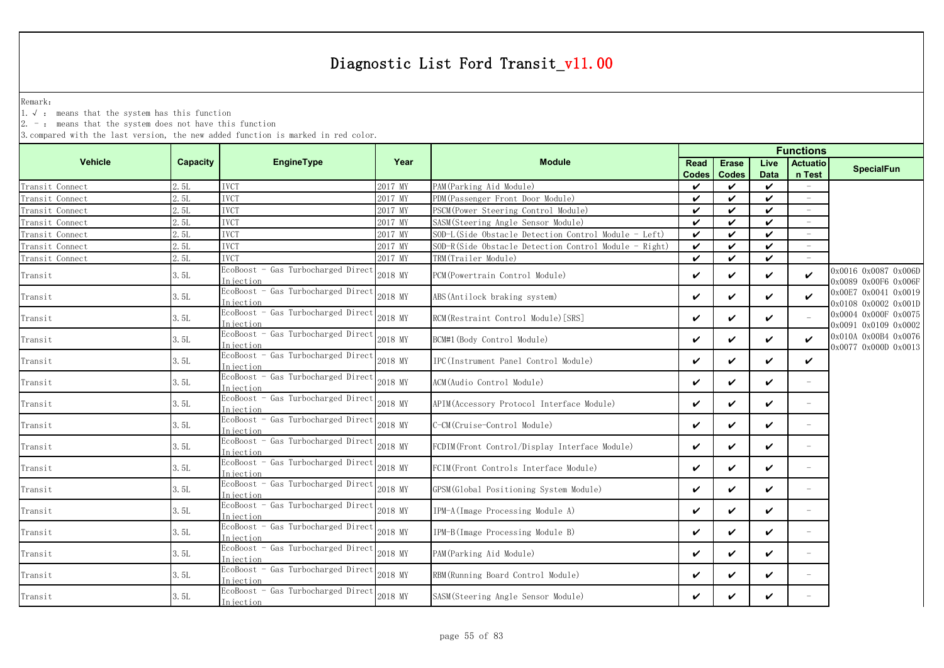Remark:

1.√ : means that the system has this function

 $2. -$ : means that the system does not have this function

| <b>Vehicle</b>  | <b>Capacity</b> | <b>EngineType</b>                                | Year    | <b>Module</b>                                         | Read<br><b>Codes</b> | <b>Erase</b><br><b>Codes</b> | Live<br><b>Data</b> | <b>Actuatio</b><br>n Test  | <b>SpecialFun</b>                            |
|-----------------|-----------------|--------------------------------------------------|---------|-------------------------------------------------------|----------------------|------------------------------|---------------------|----------------------------|----------------------------------------------|
| Transit Connect | 2.5L            | <b>IVCT</b>                                      | 2017 MY | PAM (Parking Aid Module)                              | ✓                    | ✓                            | $\checkmark$        |                            |                                              |
| Transit Connect | 2.5L            | <b>IVCT</b>                                      | 2017 MY | PDM (Passenger Front Door Module)                     | ✓                    | $\checkmark$                 | $\mathbf{v}$        | ÷,                         |                                              |
| Transit Connect | 2.5L            | <b>IVCT</b>                                      | 2017 MY | PSCM (Power Steering Control Module)                  | ✓                    | $\checkmark$                 | $\boldsymbol{\nu}$  | $\overline{\phantom{a}}$   |                                              |
| Transit Connect | 2.5L            | <b>IVCT</b>                                      | 2017 MY | SASM (Steering Angle Sensor Module)                   | ✓                    | $\checkmark$                 | ✓                   | $\overline{\phantom{m}}$   |                                              |
| Transit Connect | 2.5L            | <b>IVCT</b>                                      | 2017 MY | SOD-L(Side Obstacle Detection Control Module - Left)  | V                    | $\checkmark$                 | ✓                   | $\overline{\phantom{a}}$   |                                              |
| Transit Connect | 2.5L            | <b>IVCT</b>                                      | 2017 MY | SOD-R(Side Obstacle Detection Control Module - Right) | ✓                    | $\checkmark$                 | $\checkmark$        |                            |                                              |
| Transit Connect | 2.5L            | <b>IVCT</b>                                      | 2017 MY | TRM(Trailer Module)                                   | $\checkmark$         | $\checkmark$                 | ✓                   |                            |                                              |
| Transit         | 3.5L            | EcoBoost - Gas Turbocharged Direct<br>Injection  | 2018 MY | PCM (Powertrain Control Module)                       | ✓                    | $\checkmark$                 | $\checkmark$        | $\boldsymbol{\mathcal{U}}$ | 0x0016 0x0087 0x006D<br>0x0089 0x00F6 0x006F |
| Transit         | 3.5L            | EcoBoost - Gas Turbocharged Direct<br>Injection  | 2018 MY | ABS (Antilock braking system)                         | ✓                    | ✓                            | V                   | ✓                          | 0x00E7 0x0041 0x0019<br>0x0108 0x0002 0x001D |
| Transit         | 3.5L            | EcoBoost - Gas Turbocharged Direct<br>Injection  | 2018 MY | RCM(Restraint Control Module) [SRS]                   | ✓                    | $\checkmark$                 | $\checkmark$        |                            | 0x0004 0x000F 0x0075<br>0x0091 0x0109 0x0002 |
| Transit         | 3.5L            | EcoBoost - Gas Turbocharged Direct<br>Injection  | 2018 MY | BCM#1 (Body Control Module)                           | ✓                    | ✓                            | $\checkmark$        | ✓                          | 0x010A 0x00B4 0x0076<br>0x0077 0x000D 0x0013 |
| Transit         | 3.5L            | EcoBoost - Gas Turbocharged Direct<br>Injection  | 2018 MY | IPC(Instrument Panel Control Module)                  | V                    | $\checkmark$                 | ✓                   | ✓                          |                                              |
| Transit         | 3.5L            | EcoBoost - Gas Turbocharged Direct<br>Injection  | 2018 MY | ACM(Audio Control Module)                             | ✓                    | V                            | V                   | $\equiv$                   |                                              |
| Transit         | 3.5L            | EcoBoost - Gas Turbocharged Direct<br>In jection | 2018 MY | APIM (Accessory Protocol Interface Module)            | ✓                    | $\checkmark$                 | $\boldsymbol{\nu}$  | $=$                        |                                              |
| Transit         | 3.5L            | EcoBoost - Gas Turbocharged Direct<br>Injection  | 2018 MY | C-CM(Cruise-Control Module)                           | ✓                    | ✓                            | ✓                   | $\equiv$                   |                                              |
| Transit         | 3.5L            | EcoBoost - Gas Turbocharged Direct<br>Iniection  | 2018 MY | FCDIM(Front Control/Display Interface Module)         | ✓                    | $\checkmark$                 | $\boldsymbol{\nu}$  | $\overline{\phantom{m}}$   |                                              |
| Transit         | 3.5L            | EcoBoost - Gas Turbocharged Direct<br>Injection  | 2018 MY | FCIM(Front Controls Interface Module)                 | ✓                    | ✓                            | $\checkmark$        | $\equiv$                   |                                              |
| Transit         | 3.5L            | EcoBoost - Gas Turbocharged Direct<br>Iniection  | 2018 MY | GPSM (Global Positioning System Module)               | ✓                    | $\checkmark$                 | ✓                   | $\overline{\phantom{0}}$   |                                              |
| Transit         | 3.5L            | EcoBoost - Gas Turbocharged Direct<br>Injection  | 2018 MY | IPM-A (Image Processing Module A)                     | ✓                    | ✓                            | V                   |                            |                                              |
| Transit         | 3.5L            | EcoBoost - Gas Turbocharged Direct<br>Injection  | 2018 MY | IPM-B(Image Processing Module B)                      | ✓                    | ✓                            | ✓                   | $\overline{\phantom{0}}$   |                                              |
| Transit         | 3. 5L           | EcoBoost - Gas Turbocharged Direct<br>Injection  | 2018 MY | PAM (Parking Aid Module)                              | ✓                    | V                            | V                   | $\qquad \qquad -$          |                                              |
| Transit         | 3. 5L           | EcoBoost - Gas Turbocharged Direct<br>Injection  | 2018 MY | RBM (Running Board Control Module)                    | ✓                    | ✓                            | V                   | $\equiv$                   |                                              |
| Transit         | 3. 5L           | EcoBoost - Gas Turbocharged Direct<br>Injection  | 2018 MY | SASM(Steering Angle Sensor Module)                    | ✓                    | ✓                            | ✓                   |                            |                                              |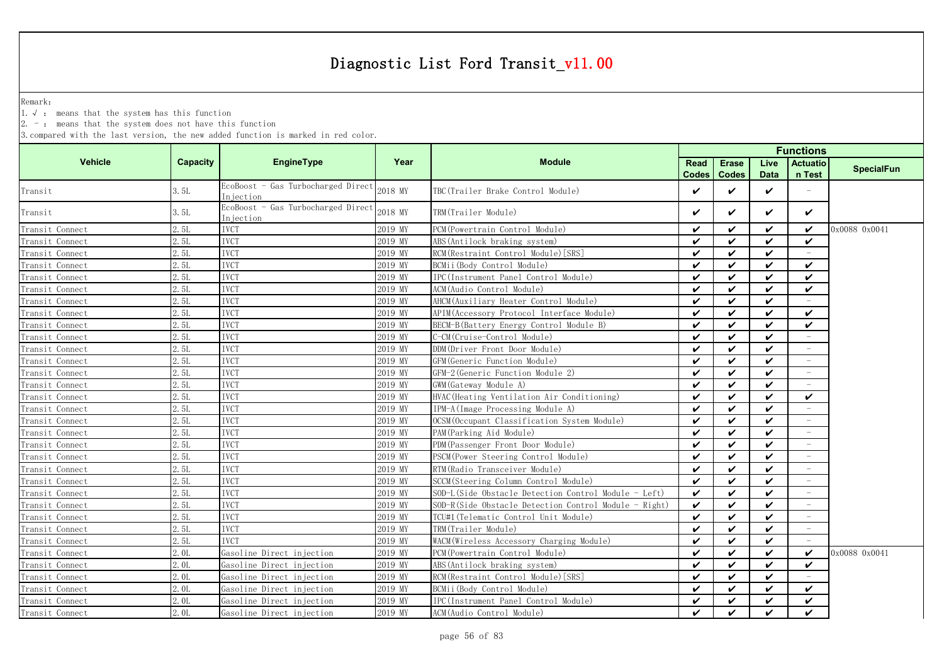Remark:

1.√ : means that the system has this function

 $2. -$ : means that the system does not have this function

|                 |                 |                                                 |         |                                                       |                      |                              |                     | <b>Functions</b>          |                   |
|-----------------|-----------------|-------------------------------------------------|---------|-------------------------------------------------------|----------------------|------------------------------|---------------------|---------------------------|-------------------|
| <b>Vehicle</b>  | <b>Capacity</b> | <b>EngineType</b>                               | Year    | <b>Module</b>                                         | Read<br><b>Codes</b> | <b>Erase</b><br><b>Codes</b> | Live<br><b>Data</b> | <b>Actuatio</b><br>n Test | <b>SpecialFun</b> |
| Transit         | 3.5L            | EcoBoost - Gas Turbocharged Direct<br>Injection | 2018 MY | TBC(Trailer Brake Control Module)                     | ✓                    | $\checkmark$                 | $\checkmark$        |                           |                   |
| Transit         | 3.5L            | EcoBoost - Gas Turbocharged Direct<br>Injection | 2018 MY | TRM(Trailer Module)                                   | ✓                    | $\checkmark$                 | ✓                   | $\checkmark$              |                   |
| Transit Connect | 2.5L            | <b>IVCT</b>                                     | 2019 MY | PCM(Powertrain Control Module)                        | ✓                    | ✓                            | ✓                   | ✓                         | 0x0088 0x0041     |
| Transit Connect | 2.5L            | <b>IVCT</b>                                     | 2019 MY | ABS (Antilock braking system)                         | ✓                    | $\checkmark$                 | ✓                   | ✓                         |                   |
| Transit Connect | 2.5L            | <b>IVCT</b>                                     | 2019 MY | RCM(Restraint Control Module) [SRS]                   | ✓                    | $\checkmark$                 | $\checkmark$        |                           |                   |
| Transit Connect | 2.5L            | <b>IVCT</b>                                     | 2019 MY | BCMii(Body Control Module)                            | ✓                    | ✓                            | $\boldsymbol{\nu}$  | $\boldsymbol{\nu}$        |                   |
| Transit Connect | 2.5L            | <b>IVCT</b>                                     | 2019 MY | IPC(Instrument Panel Control Module)                  | ✓                    | ✓                            | ✓                   | $\boldsymbol{\nu}$        |                   |
| Transit Connect | 2.5L            | <b>IVCT</b>                                     | 2019 MY | ACM (Audio Control Module)                            | $\checkmark$         | $\checkmark$                 | $\mathbf{v}$        | $\boldsymbol{\nu}$        |                   |
| Transit Connect | 2.5L            | <b>IVCT</b>                                     | 2019 MY | AHCM (Auxiliary Heater Control Module)                | ✓                    | $\checkmark$                 | $\boldsymbol{\nu}$  |                           |                   |
| Transit Connect | 2.5L            | <b>IVCT</b>                                     | 2019 MY | APIM (Accessory Protocol Interface Module)            | ✓                    | $\checkmark$                 | ✓                   | ✓                         |                   |
| Transit Connect | 2.5L            | <b>IVCT</b>                                     | 2019 MY | BECM-B (Battery Energy Control Module B)              | ✓                    | $\checkmark$                 | $\checkmark$        | ✓                         |                   |
| Transit Connect | 2.5L            | <b>IVCT</b>                                     | 2019 MY | C-CM(Cruise-Control Module)                           | ✓                    | $\checkmark$                 | $\checkmark$        |                           |                   |
| Transit Connect | 2.5L            | <b>IVCT</b>                                     | 2019 MY | DDM(Driver Front Door Module)                         | ✓                    | $\checkmark$                 | ✓                   |                           |                   |
| Transit Connect | 2.5L            | <b>IVCT</b>                                     | 2019 MY | GFM(Generic Function Module)                          | ✓                    | $\checkmark$                 | ✓                   |                           |                   |
| Transit Connect | 2.5L            | <b>IVCT</b>                                     | 2019 MY | GFM-2 (Generic Function Module 2)                     | ✓                    | $\checkmark$                 | $\boldsymbol{\nu}$  |                           |                   |
| Transit Connect | 2.5L            | <b>IVCT</b>                                     | 2019 MY | GWM (Gateway Module A)                                | ✓                    | ✓                            | ✓                   |                           |                   |
| Transit Connect | 2.5L            | <b>IVCT</b>                                     | 2019 MY | HVAC (Heating Ventilation Air Conditioning)           | ✓                    | $\checkmark$                 | $\boldsymbol{\nu}$  | $\checkmark$              |                   |
| Transit Connect | 2.5L            | <b>IVCT</b>                                     | 2019 MY | IPM-A (Image Processing Module A)                     | $\checkmark$         | $\checkmark$                 | $\boldsymbol{\nu}$  |                           |                   |
| Transit Connect | 2.5L            | <b>IVCT</b>                                     | 2019 MY | OCSM (Occupant Classification System Module)          | ✓                    | $\checkmark$                 | $\boldsymbol{\nu}$  | $\overline{\phantom{a}}$  |                   |
| Transit Connect | 2. 5L           | <b>IVCT</b>                                     | 2019 MY | PAM (Parking Aid Module)                              | ✓                    | ✓                            | ✓                   | $\overline{\phantom{m}}$  |                   |
| Transit Connect | 2.5L            | <b>IVCT</b>                                     | 2019 MY | PDM (Passenger Front Door Module)                     | ✓                    | ✓                            | ✓                   |                           |                   |
| Transit Connect | 2.5L            | <b>IVCT</b>                                     | 2019 MY | PSCM(Power Steering Control Module)                   | ✓                    | $\checkmark$                 | $\checkmark$        |                           |                   |
| Transit Connect | 2.5L            | <b>IVCT</b>                                     | 2019 MY | RTM (Radio Transceiver Module)                        | ✓                    | $\checkmark$                 | $\checkmark$        |                           |                   |
| Transit Connect | 2.5L            | <b>IVCT</b>                                     | 2019 MY | SCCM (Steering Column Control Module)                 | ✓                    | ✓                            | $\boldsymbol{\nu}$  |                           |                   |
| Transit Connect | 2.5L            | <b>IVCT</b>                                     | 2019 MY | SOD-L(Side Obstacle Detection Control Module - Left)  | $\checkmark$         | ✓                            | $\boldsymbol{\nu}$  |                           |                   |
| Transit Connect | 2.5L            | <b>IVCT</b>                                     | 2019 MY | SOD-R(Side Obstacle Detection Control Module - Right) | V                    | $\checkmark$                 | $\boldsymbol{\nu}$  | $\overline{\phantom{a}}$  |                   |
| Transit Connect | 2.5L            | <b>IVCT</b>                                     | 2019 MY | TCU#1 (Telematic Control Unit Module)                 | ✓                    | $\checkmark$                 | $\boldsymbol{\nu}$  | ÷                         |                   |
| Transit Connect | 2. 5L           | <b>IVCT</b>                                     | 2019 MY | TRM(Trailer Module)                                   | ✓                    | $\checkmark$                 | $\boldsymbol{\nu}$  | $\equiv$                  |                   |
| Transit Connect | 2.5L            | <b>IVCT</b>                                     | 2019 MY | WACM (Wireless Accessory Charging Module)             | ✓                    | $\boldsymbol{\nu}$           | $\boldsymbol{\nu}$  | $\overline{\phantom{a}}$  |                   |
| Transit Connect | 2.0L            | Gasoline Direct injection                       | 2019 MY | PCM (Powertrain Control Module)                       | ✓                    | ✓                            | ✓                   | ✓                         | 0x0088 0x0041     |
| Transit Connect | 2.0L            | Gasoline Direct injection                       | 2019 MY | ABS (Antilock braking system)                         | ✓                    | $\checkmark$                 | $\boldsymbol{\nu}$  | ✓                         |                   |
| Transit Connect | 2. OL           | Gasoline Direct injection                       | 2019 MY | RCM(Restraint Control Module) [SRS]                   | ✓                    | $\checkmark$                 | ✓                   |                           |                   |
| Transit Connect | 2.0L            | Gasoline Direct injection                       | 2019 MY | BCMii (Body Control Module)                           | ✓                    | $\checkmark$                 | $\checkmark$        | $\checkmark$              |                   |
| Transit Connect | 2.0L            | Gasoline Direct injection                       | 2019 MY | IPC(Instrument Panel Control Module)                  | V                    | ✓                            | $\checkmark$        | ✓                         |                   |
| Transit Connect | 2.0L            | Gasoline Direct injection                       | 2019 MY | ACM (Audio Control Module)                            | ✓                    | $\checkmark$                 | $\checkmark$        | V                         |                   |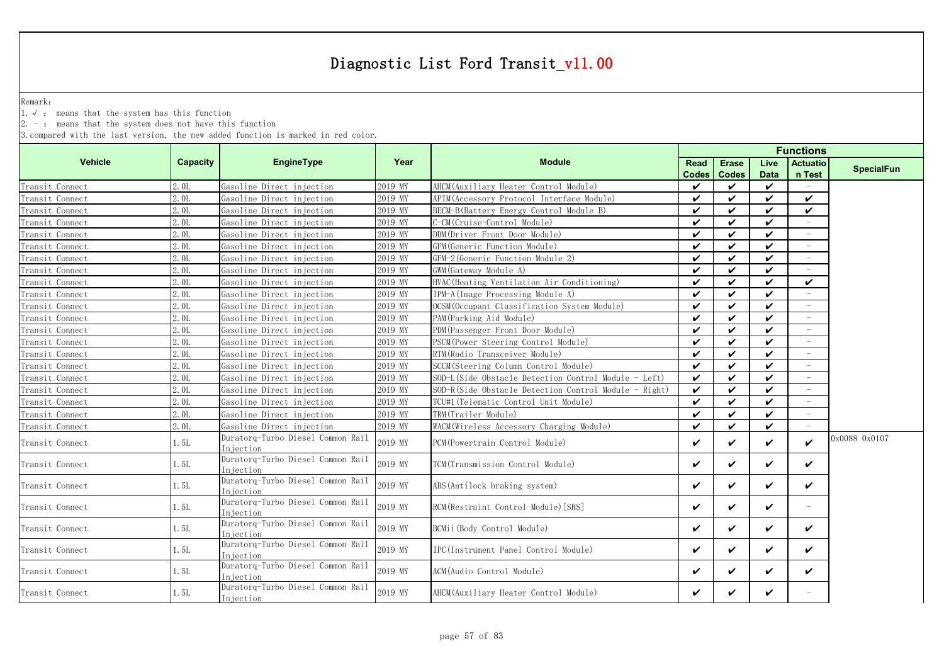Remark:

1.√ : means that the system has this function

 $2. -$ : means that the system does not have this function

|                 |          |                                                 |         | <b>Functions</b>                                      |                      |                              |                     |                           |                   |
|-----------------|----------|-------------------------------------------------|---------|-------------------------------------------------------|----------------------|------------------------------|---------------------|---------------------------|-------------------|
| <b>Vehicle</b>  | Capacity | <b>EngineType</b>                               | Year    | <b>Module</b>                                         | Read<br><b>Codes</b> | <b>Erase</b><br><b>Codes</b> | Live<br><b>Data</b> | <b>Actuatio</b><br>n Test | <b>SpecialFun</b> |
| Transit Connect | 2.0L     | Gasoline Direct injection                       | 2019 MY | AHCM (Auxiliary Heater Control Module)                | $\boldsymbol{\nu}$   | ✓                            | ✓                   | $\equiv$                  |                   |
| Transit Connect | 2.0L     | Gasoline Direct injection                       | 2019 MY | APIM (Accessory Protocol Interface Module)            | $\checkmark$         | ✓                            | ✓                   | $\checkmark$              |                   |
| Transit Connect | 2.0L     | Gasoline Direct injection                       | 2019 MY | BECM-B (Battery Energy Control Module B)              | $\checkmark$         | ✓                            | ✓                   | $\checkmark$              |                   |
| Transit Connect | 2.0L     | Gasoline Direct injection                       | 2019 MY | C-CM (Cruise-Control Module)                          | $\checkmark$         | ✓                            | ✓                   |                           |                   |
| Transit Connect | 2.0L     | Gasoline Direct injection                       | 2019 MY | DDM(Driver Front Door Module)                         | $\checkmark$         | ✓                            | ✓                   | $\overline{\phantom{a}}$  |                   |
| Transit Connect | 2.0L     | Gasoline Direct injection                       | 2019 MY | GFM (Generic Function Module)                         | $\checkmark$         | ✓                            | ✓                   | $\overline{\phantom{a}}$  |                   |
| Transit Connect | 2.0L     | Gasoline Direct injection                       | 2019 MY | GFM-2 (Generic Function Module 2)                     | $\checkmark$         | ✓                            | ✓                   |                           |                   |
| Transit Connect | 2.0L     | Gasoline Direct injection                       | 2019 MY | GWM (Gateway Module A)                                | $\checkmark$         | ✓                            | ✓                   |                           |                   |
| Transit Connect | 2.0L     | Gasoline Direct injection                       | 2019 MY | HVAC (Heating Ventilation Air Conditioning)           | ✓                    | ✓                            | ✓                   | $\checkmark$              |                   |
| Transit Connect | 2.0L     | Gasoline Direct injection                       | 2019 MY | IPM-A (Image Processing Module A)                     | ✓                    | ✓                            | ✓                   |                           |                   |
| Transit Connect | 2.0L     | Gasoline Direct injection                       | 2019 MY | OCSM (Occupant Classification System Module)          | $\checkmark$         | ✓                            | ✓                   |                           |                   |
| Transit Connect | 2.0L     | Gasoline Direct injection                       | 2019 MY | PAM(Parking Aid Module)                               | $\checkmark$         | ✓                            | ✓                   |                           |                   |
| Transit Connect | 2.0L     | Gasoline Direct injection                       | 2019 MY | PDM(Passenger Front Door Module)                      | $\checkmark$         | ✓                            | ✓                   |                           |                   |
| Transit Connect | 2.0L     | Gasoline Direct injection                       | 2019 MY | PSCM(Power Steering Control Module)                   | $\checkmark$         | ✓                            | ✓                   |                           |                   |
| Transit Connect | 2.0L     | Gasoline Direct injection                       | 2019 MY | RTM(Radio Transceiver Module)                         | $\checkmark$         | ✓                            | ✓                   |                           |                   |
| Transit Connect | 2.0L     | Gasoline Direct injection                       | 2019 MY | SCCM(Steering Column Control Module)                  | $\mathbf{v}$         | ✓                            | ✓                   |                           |                   |
| Transit Connect | 2.0L     | Gasoline Direct injection                       | 2019 MY | SOD-L(Side Obstacle Detection Control Module - Left)  | $\checkmark$         | ✓                            | ✓                   |                           |                   |
| Transit Connect | 2.0L     | Gasoline Direct injection                       | 2019 MY | SOD-R(Side Obstacle Detection Control Module - Right) | $\mathbf{v}$         | ✓                            | ✓                   |                           |                   |
| Transit Connect | 2.0L     | Gasoline Direct injection                       | 2019 MY | TCU#1 (Telematic Control Unit Module)                 | $\checkmark$         | ✓                            | ✓                   |                           |                   |
| Transit Connect | 2.0L     | Gasoline Direct injection                       | 2019 MY | TRM(Trailer Module)                                   | $\checkmark$         | ✓                            | $\checkmark$        |                           |                   |
| Transit Connect | 2.0L     | Gasoline Direct injection                       | 2019 MY | WACM (Wireless Accessory Charging Module)             | $\checkmark$         | ✓                            | $\checkmark$        |                           |                   |
| Transit Connect | 1. 5L    | Duratorq-Turbo Diesel Common Rail<br>Injection  | 2019 MY | PCM (Powertrain Control Module)                       | $\checkmark$         | ✓                            | ✓                   | $\boldsymbol{\nu}$        | 0x0088 0x0107     |
| Transit Connect | 1. 5L    | Duratorq-Turbo Diesel Common Rail<br>Injection  | 2019 MY | TCM(Transmission Control Module)                      | $\checkmark$         | ✓                            | ✓                   | ✓                         |                   |
| Transit Connect | 1.5L     | Duratorq-Turbo Diesel Common Rail<br>Injection  | 2019 MY | ABS (Antilock braking system)                         | $\checkmark$         | ✓                            | ✓                   | ✓                         |                   |
| Transit Connect | 1.5L     | Duratorg-Turbo Diesel Common Rail<br>Injection  | 2019 MY | RCM (Restraint Control Module) [SRS]                  | $\checkmark$         | ✓                            | ✓                   |                           |                   |
| Transit Connect | 1.5L     | Duratorq-Turbo Diesel Common Rail<br>Iniection  | 2019 MY | BCMii(Body Control Module)                            | $\checkmark$         | ✓                            | ✓                   | ✓                         |                   |
| Transit Connect | 1.5L     | Duratorq-Turbo Diesel Common Rail<br>Injection  | 2019 MY | IPC (Instrument Panel Control Module)                 | $\checkmark$         | ✓                            | ✓                   | ✓                         |                   |
| Transit Connect | 1.5L     | Duratorq-Turbo Diesel Common Rail<br>In iection | 2019 MY | ACM(Audio Control Module)                             | $\checkmark$         | ✓                            | ✓                   | ✓                         |                   |
| Transit Connect | 1. 5L    | Duratorg-Turbo Diesel Common Rail<br>Injection  | 2019 MY | AHCM(Auxiliary Heater Control Module)                 | ✓                    | ✓                            | ✓                   |                           |                   |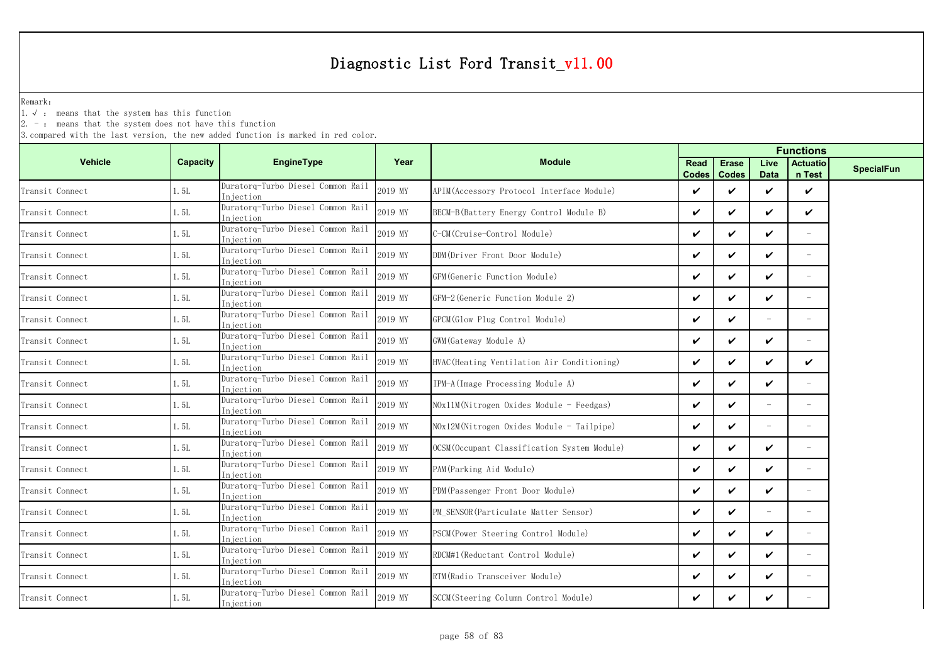Remark:

1.√ : means that the system has this function

 $2. -$ : means that the system does not have this function

|                 |          |                                                |         |                                              | <b>Functions</b>   |                              |                     |                           |                   |
|-----------------|----------|------------------------------------------------|---------|----------------------------------------------|--------------------|------------------------------|---------------------|---------------------------|-------------------|
| <b>Vehicle</b>  | Capacity | EngineType                                     | Year    | <b>Module</b>                                | Read<br>Codes      | <b>Erase</b><br><b>Codes</b> | Live<br><b>Data</b> | <b>Actuatio</b><br>n Test | <b>SpecialFun</b> |
| Transit Connect | 1.5L     | Duratorg-Turbo Diesel Common Rail<br>Injection | 2019 MY | APIM (Accessory Protocol Interface Module)   | $\boldsymbol{\nu}$ | $\boldsymbol{\nu}$           | $\checkmark$        | $\checkmark$              |                   |
| Transit Connect | 1.5L     | Duratorq-Turbo Diesel Common Rail<br>Iniection | 2019 MY | BECM-B (Battery Energy Control Module B)     | V                  | ✓                            | V                   | $\checkmark$              |                   |
| Transit Connect | 1.5L     | Duratorq-Turbo Diesel Common Rail<br>Injection | 2019 MY | C-CM(Cruise-Control Module)                  | V                  | $\boldsymbol{\checkmark}$    | ✓                   | $-$                       |                   |
| Transit Connect | 1.5L     | Duratorq-Turbo Diesel Common Rail<br>Injection | 2019 MY | DDM(Driver Front Door Module)                | V                  | $\boldsymbol{\nu}$           | ✓                   | $\overline{\phantom{0}}$  |                   |
| Transit Connect | 1.5L     | Duratorq-Turbo Diesel Common Rail<br>Injection | 2019 MY | GFM (Generic Function Module)                | ✓                  | ✓                            | ✓                   |                           |                   |
| Transit Connect | 1.5L     | Duratorq-Turbo Diesel Common Rail<br>Injection | 2019 MY | GFM-2 (Generic Function Module 2)            | V                  | $\boldsymbol{\nu}$           | V                   | $\overline{\phantom{0}}$  |                   |
| Transit Connect | 1.5L     | Duratorq-Turbo Diesel Common Rail<br>Injection | 2019 MY | GPCM(Glow Plug Control Module)               | V                  | ✓                            |                     |                           |                   |
| Transit Connect | 1. 5L    | Duratorq-Turbo Diesel Common Rail<br>Injection | 2019 MY | GWM (Gateway Module A)                       | V                  | $\boldsymbol{\nu}$           | $\checkmark$        | $\overline{\phantom{a}}$  |                   |
| Transit Connect | 1.5L     | Duratorq-Turbo Diesel Common Rail<br>Injection | 2019 MY | HVAC (Heating Ventilation Air Conditioning)  | ✓                  | ✓                            | V                   | ✓                         |                   |
| Transit Connect | 1.5L     | Duratorq-Turbo Diesel Common Rail<br>Injection | 2019 MY | IPM-A(Image Processing Module A)             | V                  | ✓                            | V                   | $\equiv$                  |                   |
| Transit Connect | 1.5L     | Duratorq-Turbo Diesel Common Rail<br>Injection | 2019 MY | $N0x11M(Nitrogen 0xides Module - Feedgas)$   | ✓                  | $\boldsymbol{\nu}$           |                     | $\equiv$                  |                   |
| Transit Connect | 1.5L     | Duratorq-Turbo Diesel Common Rail<br>Injection | 2019 MY | NOx12M(Nitrogen Oxides Module - Tailpipe)    | $\boldsymbol{\nu}$ | $\boldsymbol{\nu}$           |                     | $\overline{\phantom{0}}$  |                   |
| Transit Connect | 1.5L     | Duratorg-Turbo Diesel Common Rail<br>Injection | 2019 MY | OCSM (Occupant Classification System Module) | ✓                  | ✓                            | ✓                   |                           |                   |
| Transit Connect | 1.5L     | Duratorq-Turbo Diesel Common Rail<br>Injection | 2019 MY | PAM (Parking Aid Module)                     | V                  | $\checkmark$                 | V                   | $\overline{\phantom{0}}$  |                   |
| Transit Connect | 1.5L     | Duratorq-Turbo Diesel Common Rail<br>Injection | 2019 MY | PDM (Passenger Front Door Module)            | V                  | ✓                            | V                   | $\overline{\phantom{a}}$  |                   |
| Transit Connect | 1.5L     | Duratorq-Turbo Diesel Common Rail<br>Injection | 2019 MY | PM SENSOR (Particulate Matter Sensor)        | V                  | ✓                            |                     | $-$                       |                   |
| Transit Connect | 1.5L     | Duratorq-Turbo Diesel Common Rail<br>Injection | 2019 MY | PSCM (Power Steering Control Module)         | V                  | ✓                            | ✓                   | $=$                       |                   |
| Transit Connect | 1.5L     | Duratorq-Turbo Diesel Common Rail<br>Injection | 2019 MY | RDCM#1 (Reductant Control Module)            | V                  | $\checkmark$                 | V                   | $=$                       |                   |
| Transit Connect | 1.5L     | Duratorq-Turbo Diesel Common Rail<br>Injection | 2019 MY | RTM (Radio Transceiver Module)               | V                  | ✓                            | V                   | $\overline{\phantom{0}}$  |                   |
| Transit Connect | 1.5L     | Duratorq-Turbo Diesel Common Rail<br>Injection | 2019 MY | SCCM (Steering Column Control Module)        | V                  | V                            | ✓                   |                           |                   |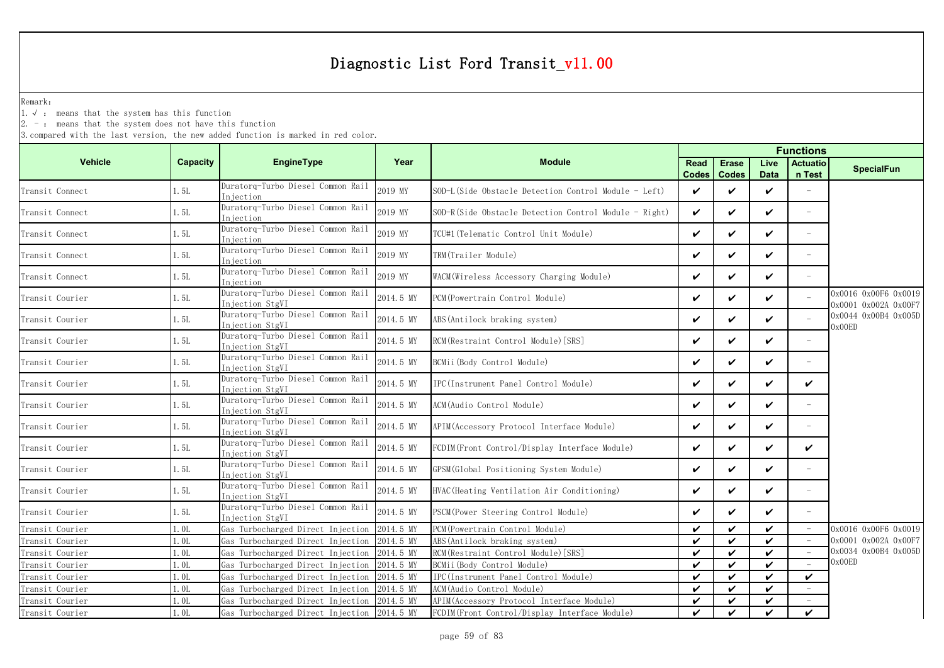Remark:

1.√ : means that the system has this function

2. - : means that the system does not have this function

|                 |                  |                                                      |           |                                                          | <b>Functions</b>     |                              |                     |                                 |                                              |  |
|-----------------|------------------|------------------------------------------------------|-----------|----------------------------------------------------------|----------------------|------------------------------|---------------------|---------------------------------|----------------------------------------------|--|
| <b>Vehicle</b>  | Capacity         | <b>EngineType</b>                                    | Year      | <b>Module</b>                                            | Read<br><b>Codes</b> | <b>Erase</b><br><b>Codes</b> | Live<br><b>Data</b> | <b>Actuatio</b><br>n Test       | <b>SpecialFun</b>                            |  |
| Transit Connect | 1.5L             | Duratorq-Turbo Diesel Common Rail<br>Injection       | 2019 MY   | SOD-L(Side Obstacle Detection Control Module - Left)     | V                    | ✓                            | $\checkmark$        |                                 |                                              |  |
| Transit Connect | 1.5L             | Duratorq-Turbo Diesel Common Rail<br>Iniection       | 2019 MY   | $SOD-R(Side Obstackel Detection Control Module - Right)$ | $\checkmark$         | ✓                            | $\checkmark$        | $\equiv$                        |                                              |  |
| Transit Connect | 1.5L             | Duratorq-Turbo Diesel Common Rail<br>Injection       | 2019 MY   | TCU#1(Telematic Control Unit Module)                     | $\checkmark$         | ✓                            | $\checkmark$        | $\equiv$                        |                                              |  |
| Transit Connect | 1. 5L            | Duratorq-Turbo Diesel Common Rail<br>Injection       | 2019 MY   | TRM(Trailer Module)                                      | $\checkmark$         | ✓                            | $\checkmark$        | $\equiv$                        |                                              |  |
| Transit Connect | 1.5L             | Duratorq-Turbo Diesel Common Rail<br>Injection       | 2019 MY   | WACM (Wireless Accessory Charging Module)                | $\checkmark$         | ✓                            | $\checkmark$        |                                 |                                              |  |
| Transit Courier | 1.5L             | Duratorq-Turbo Diesel Common Rail<br>Injection StgVI | 2014.5 MY | PCM (Powertrain Control Module)                          | $\checkmark$         | ✓                            | $\checkmark$        | $\equiv$                        | 0x0016 0x00F6 0x0019<br>0x0001 0x002A 0x00F7 |  |
| Transit Courier | 1.5L             | Duratorg-Turbo Diesel Common Rail<br>Injection StgVI | 2014.5 MY | ABS (Antilock braking system)                            | V                    | ✓                            | $\boldsymbol{\nu}$  |                                 | 0x0044 0x00B4 0x005D<br>0x00ED               |  |
| Transit Courier | 1.5L             | Duratorg-Turbo Diesel Common Rail<br>Injection StgVI | 2014.5 MY | RCM (Restraint Control Module) [SRS]                     | $\checkmark$         | ✓                            | V                   |                                 |                                              |  |
| Transit Courier | 1.5L             | Duratorq-Turbo Diesel Common Rail<br>Injection StgVI | 2014.5 MY | BCMii(Body Control Module)                               | V                    | ✓                            | $\checkmark$        | $\overline{\phantom{0}}$        |                                              |  |
| Transit Courier | 1.5L             | Duratorq-Turbo Diesel Common Rail<br>Injection StgVI | 2014.5 MY | IPC(Instrument Panel Control Module)                     | V                    | ✓                            | $\checkmark$        | $\checkmark$                    |                                              |  |
| Transit Courier | 1.5L             | Duratorq-Turbo Diesel Common Rail<br>Injection StgVI | 2014.5 MY | ACM(Audio Control Module)                                | $\checkmark$         | ✓                            | $\checkmark$        | $\equiv$                        |                                              |  |
| Transit Courier | 1.5L             | Duratorq-Turbo Diesel Common Rail<br>Injection StgVI | 2014.5 MY | APIM(Accessory Protocol Interface Module)                | $\checkmark$         | ✓                            | $\checkmark$        | $\overline{\phantom{a}}$        |                                              |  |
| Transit Courier | 1.5L             | Duratorq-Turbo Diesel Common Rail<br>Injection StgVI | 2014.5 MY | FCDIM(Front Control/Display Interface Module)            | $\checkmark$         | V                            | $\checkmark$        | $\checkmark$                    |                                              |  |
| Transit Courier | 1.5L             | Duratorq-Turbo Diesel Common Rail<br>Injection StgVI | 2014.5 MY | GPSM (Global Positioning System Module)                  | $\checkmark$         | ✓                            | $\checkmark$        | $\equiv$                        |                                              |  |
| Transit Courier | 1.5L             | Duratorg-Turbo Diesel Common Rail<br>Injection StgVI | 2014.5 MY | HVAC (Heating Ventilation Air Conditioning)              | $\checkmark$         | ✓                            | $\boldsymbol{\nu}$  | $\overline{\phantom{a}}$        |                                              |  |
| Transit Courier | 1.5L             | Duratorq-Turbo Diesel Common Rail<br>Injection StgVI | 2014.5 MY | PSCM (Power Steering Control Module)                     | $\checkmark$         | ✓                            | $\checkmark$        |                                 |                                              |  |
| Transit Courier | 1.0L             | Gas Turbocharged Direct Injection                    | 2014.5 MY | PCM (Powertrain Control Module)                          | $\checkmark$         | ✓                            | $\checkmark$        |                                 | 0x0016 0x00F6 0x0019                         |  |
| Transit Courier | 1.0 <sub>L</sub> | Gas Turbocharged Direct Injection                    | 2014.5 MY | ABS (Antilock braking system)                            | $\checkmark$         | ✓                            | $\boldsymbol{\nu}$  | $\sim$                          | 0x0001 0x002A 0x00F7                         |  |
| Transit Courier | 1.0L             | Gas Turbocharged Direct Injection                    | 2014.5 MY | RCM (Restraint Control Module) [SRS]                     | $\checkmark$         | V                            | $\checkmark$        | $\hspace{0.1mm}-\hspace{0.1mm}$ | 0x0034 0x00B4 0x005D                         |  |
| Transit Courier | 1.0L             | Gas Turbocharged Direct Injection                    | 2014.5 MY | BCMii (Body Control Module)                              | $\checkmark$         | $\checkmark$                 | $\checkmark$        |                                 | 0x00ED                                       |  |
| Transit Courier | 1.0L             | Gas Turbocharged Direct Injection                    | 2014.5 MY | IPC(Instrument Panel Control Module)                     | ✓                    | ✓                            | $\checkmark$        | $\checkmark$                    |                                              |  |
| Transit Courier | 1.0L             | Gas Turbocharged Direct Injection                    | 2014.5 MY | ACM (Audio Control Module)                               | ✓                    | ✓                            | $\checkmark$        |                                 |                                              |  |
| Transit Courier | 1.0L             | Gas Turbocharged Direct Injection                    | 2014.5 MY | APIM (Accessory Protocol Interface Module)               | V                    | ✓                            | $\checkmark$        |                                 |                                              |  |
| Transit Courier | 1.0L             | Gas Turbocharged Direct Injection 2014.5 MY          |           | FCDIM(Front Control/Display Interface Module)            | $\checkmark$         | $\checkmark$                 | $\boldsymbol{\nu}$  | $\checkmark$                    |                                              |  |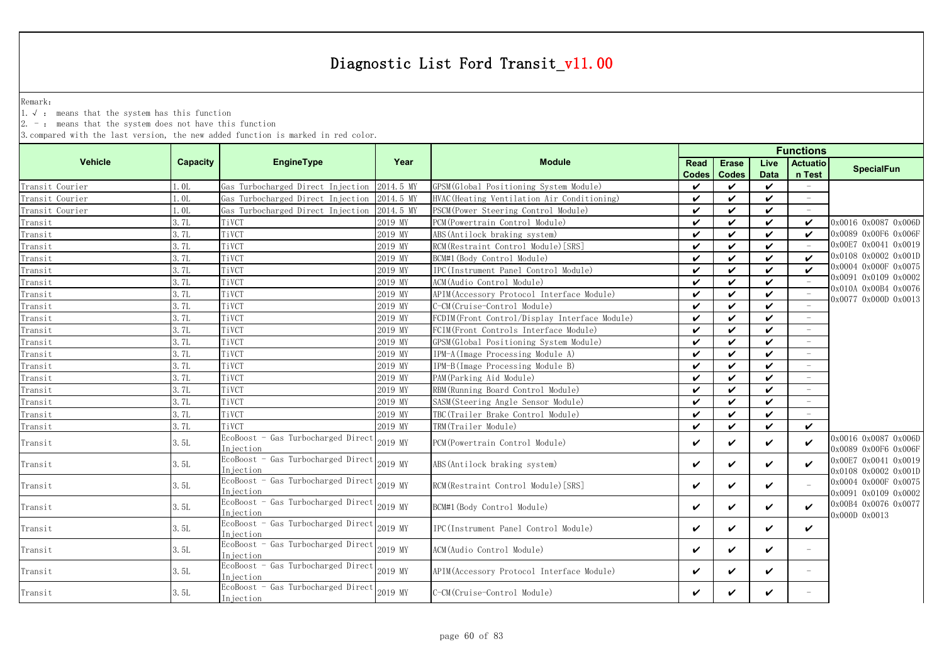Remark:

1.√ : means that the system has this function

 $2. -$ : means that the system does not have this function

|                 |                  |                                                         |           |                                               | <b>Functions</b>     |                              |                     |                           |                                              |  |
|-----------------|------------------|---------------------------------------------------------|-----------|-----------------------------------------------|----------------------|------------------------------|---------------------|---------------------------|----------------------------------------------|--|
| <b>Vehicle</b>  | Capacity         | <b>EngineType</b>                                       | Year      | <b>Module</b>                                 | Read<br><b>Codes</b> | <b>Erase</b><br><b>Codes</b> | Live<br><b>Data</b> | <b>Actuatio</b><br>n Test | <b>SpecialFun</b>                            |  |
| Transit Courier | 1.0L             | Gas Turbocharged Direct Injection                       | 2014.5 MY | GPSM (Global Positioning System Module)       | ✓                    | ✓                            | ✓                   | $\overline{\phantom{a}}$  |                                              |  |
| Transit Courier | 1.0 <sub>L</sub> | Gas Turbocharged Direct Injection                       | 2014.5 MY | HVAC (Heating Ventilation Air Conditioning)   | $\checkmark$         | ✓                            | $\checkmark$        |                           |                                              |  |
| Transit Courier | 1.0L             | Gas Turbocharged Direct Injection                       | 2014.5 MY | PSCM (Power Steering Control Module)          | ✓                    | ✓                            | ✓                   |                           |                                              |  |
| Transit         | 3.7L             | TiVCT                                                   | 2019 MY   | PCM (Powertrain Control Module)               | ✓                    | ✓                            | ✓                   | $\boldsymbol{\nu}$        | 0x0016 0x0087 0x006D                         |  |
| Transit         | 3.7L             | TiVCT                                                   | 2019 MY   | ABS (Antilock braking system)                 | ✓                    | ✓                            | ✓                   | $\checkmark$              | 0x0089 0x00F6 0x006F                         |  |
| Transit         | 3.7L             | TiVCT                                                   | 2019 MY   | RCM (Restraint Control Module) [SRS]          | ✓                    | ✓                            | ✓                   |                           | 0x00E7 0x0041 0x0019                         |  |
| Transit         | 3.7L             | TiVCT                                                   | 2019 MY   | BCM#1 (Body Control Module)                   | ✓                    | ✓                            | ✓                   | $\boldsymbol{\nu}$        | 0x0108 0x0002 0x001D                         |  |
| Transit         | 3.7L             | TiVCT                                                   | 2019 MY   | IPC(Instrument Panel Control Module)          | ✓                    | ✓                            | ✓                   |                           | 0x0004 0x000F 0x0075                         |  |
| Transit         | 3.7L             | TiVCT                                                   | 2019 MY   | ACM (Audio Control Module)                    | ✓                    | ✓                            | ✓                   |                           | 0x0091 0x0109 0x0002                         |  |
| Transit         | 3.7L             | TiVCT                                                   | 2019 MY   | APIM (Accessory Protocol Interface Module)    | ✓                    | ✓                            | ✓                   |                           | 0x010A 0x00B4 0x0076<br>0x0077 0x000D 0x0013 |  |
| Transit         | 3.7L             | TiVCT                                                   | 2019 MY   | C-CM(Cruise-Control Module)                   | ✓                    | ✓                            | ✓                   |                           |                                              |  |
| Transit         | 3.7L             | TiVCT                                                   | 2019 MY   | FCDIM(Front Control/Display Interface Module) | ✓                    | ✓                            | ✓                   |                           |                                              |  |
| Transit         | 3.7L             | TiVCT                                                   | 2019 MY   | FCIM(Front Controls Interface Module)         | ✓                    | ✓                            | ✓                   |                           |                                              |  |
| Transit         | 3.7L             | TiVCT                                                   | 2019 MY   | GPSM(Global Positioning System Module)        | ✓                    | ✓                            | ✓                   |                           |                                              |  |
| Transit         | 3.7L             | TiVCT                                                   | 2019 MY   | IPM-A(Image Processing Module A)              | ✓                    | ✓                            | ✓                   |                           |                                              |  |
| Transit         | 3.7L             | TiVCT                                                   | 2019 MY   | IPM-B(Image Processing Module B)              | ✓                    | ✓                            | ✓                   |                           |                                              |  |
| Transit         | 3.7L             | TiVCT                                                   | 2019 MY   | PAM (Parking Aid Module)                      | ✓                    | ✓                            | ✓                   |                           |                                              |  |
| Transit         | 3.7L             | TiVCT                                                   | 2019 MY   | RBM (Running Board Control Module)            | ✓                    | ✓                            | ✓                   |                           |                                              |  |
| Transit         | 3.7L             | TiVCT                                                   | 2019 MY   | SASM(Steering Angle Sensor Module)            | $\checkmark$         | ✓                            | ✓                   |                           |                                              |  |
| Transit         | 3.7L             | TiVCT                                                   | 2019 MY   | TBC(Trailer Brake Control Module)             | ✓                    | ✓                            | ✓                   |                           |                                              |  |
| Transit         | 3. 7L            | TiVCT                                                   | 2019 MY   | TRM(Trailer Module)                           | $\checkmark$         | ✓                            | $\checkmark$        | $\boldsymbol{\nu}$        |                                              |  |
| Transit         | 3.5L             | EcoBoost - Gas Turbocharged Direct<br>Injection         | 2019 MY   | PCM (Powertrain Control Module)               | ✓                    | ✓                            | ✓                   | $\checkmark$              | 0x0016 0x0087 0x006D<br>0x0089 0x00F6 0x006F |  |
| Transit         | 3. 5L            | EcoBoost - Gas Turbocharged Direct<br>Injection         | 2019 MY   | ABS (Antilock braking system)                 | ✓                    | ✓                            | ✓                   | $\checkmark$              | 0x00E7 0x0041 0x0019<br>0x0108 0x0002 0x001D |  |
| Transit         | 3. 5L            | EcoBoost - Gas Turbocharged Direct<br>Injection         | 2019 MY   | RCM (Restraint Control Module) [SRS]          | $\checkmark$         | ✓                            | ✓                   |                           | 0x0004 0x000F 0x0075<br>0x0091 0x0109 0x0002 |  |
| Transit         | 3.5L             | EcoBoost - Gas Turbocharged Direct<br>Injection         | 2019 MY   | BCM#1 (Body Control Module)                   | ✓                    | ✓                            | ✓                   | ✓                         | 0x00B4 0x0076 0x0077<br>0x000D 0x0013        |  |
| Transit         | 3.5L             | EcoBoost - Gas Turbocharged Direct<br>Injection         | 2019 MY   | IPC (Instrument Panel Control Module)         | ✓                    | ✓                            | ✓                   | $\checkmark$              |                                              |  |
| Transit         | 3.5L             | EcoBoost - Gas Turbocharged Direct 2019 MY<br>Injection |           | ACM (Audio Control Module)                    | ✓                    | ✓                            | ✓                   |                           |                                              |  |
| Transit         | 3. 5L            | EcoBoost - Gas Turbocharged Direct 2019 MY<br>Injection |           | APIM (Accessory Protocol Interface Module)    | $\checkmark$         | ✓                            | ✓                   | $\overline{\phantom{m}}$  |                                              |  |
| Transit         | 3.5L             | EcoBoost - Gas Turbocharged Direct 2019 MY<br>Injection |           | C-CM(Cruise-Control Module)                   | ✓                    | ✓                            | ✓                   |                           |                                              |  |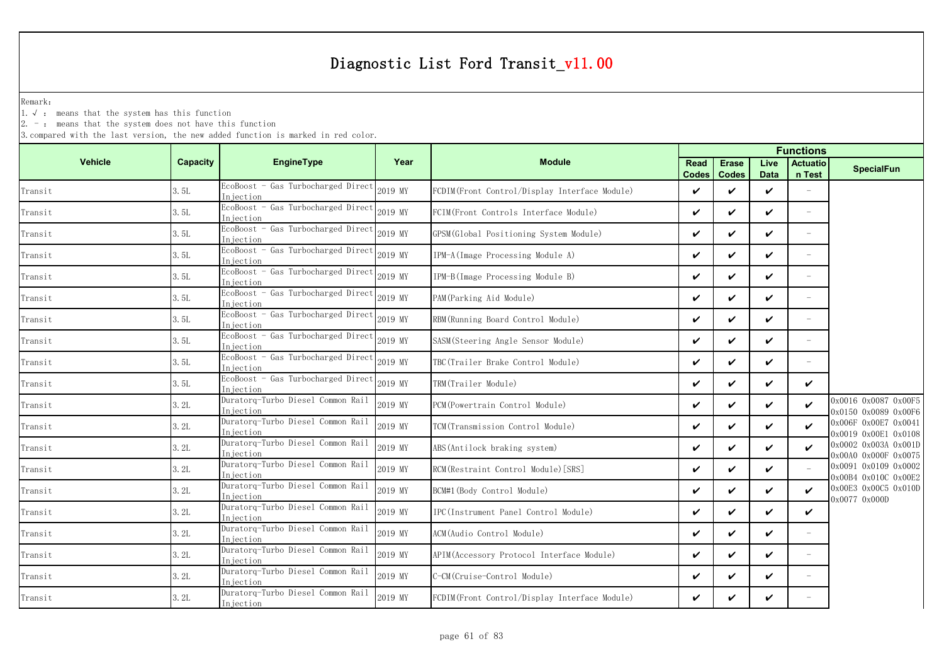Remark:

1.√ : means that the system has this function

 $2. -$ : means that the system does not have this function

|                                             |                 |                                                         |         | <b>Functions</b>                              |                      |                              |                     |                           |                                              |
|---------------------------------------------|-----------------|---------------------------------------------------------|---------|-----------------------------------------------|----------------------|------------------------------|---------------------|---------------------------|----------------------------------------------|
| <b>Vehicle</b>                              | <b>Capacity</b> | <b>EngineType</b>                                       | Year    | <b>Module</b>                                 | Read<br><b>Codes</b> | <b>Erase</b><br><b>Codes</b> | Live<br><b>Data</b> | <b>Actuatio</b><br>n Test | <b>SpecialFun</b>                            |
| Transit                                     | 3.5L            | EcoBoost - Gas Turbocharged Direct<br>Injection         | 2019 MY | FCDIM(Front Control/Display Interface Module) | ✓                    | ✓                            | ✓                   |                           |                                              |
| Transit                                     | 3.5L            | EcoBoost - Gas Turbocharged Direct 2019 MY<br>Injection |         | FCIM(Front Controls Interface Module)         | ✓                    | $\checkmark$                 | ✓                   | $\equiv$                  |                                              |
| Transit                                     | 3.5L            | $EcoBoost - Gas$ Turbocharged Direct<br>Injection       | 2019 MY | GPSM (Global Positioning System Module)       | ✓                    | ✓                            | ✓                   | $\overline{\phantom{a}}$  |                                              |
| Transit                                     | 3.5L            | EcoBoost - Gas Turbocharged Direct<br>Injection         | 2019 MY | IPM-A (Image Processing Module A)             | ✓                    | ✓                            | ✓                   | $\overline{\phantom{a}}$  |                                              |
| Transit                                     | 3.5L            | EcoBoost - Gas Turbocharged Direct<br>In jection        | 2019 MY | IPM-B(Image Processing Module B)              | ✓                    | ✓                            | ✓                   |                           |                                              |
| Transit                                     | 3.5L            | EcoBoost - Gas Turbocharged Direct<br>Injection         | 2019 MY | PAM (Parking Aid Module)                      | ✓                    | ✓                            | ✓                   | $\overline{\phantom{a}}$  |                                              |
| Transit                                     | 3.5L            | EcoBoost - Gas Turbocharged Direct<br>Injection         | 2019 MY | RBM (Running Board Control Module)            | ✓                    | ✓                            | ✓                   | $\overline{\phantom{a}}$  |                                              |
| Transit                                     | 3.5L            | EcoBoost - Gas Turbocharged Direct<br>Injection         | 2019 MY | SASM (Steering Angle Sensor Module)           | ✓                    | ✓                            | ✓                   | $\overline{\phantom{a}}$  |                                              |
| Transit                                     | 3.5L            | EcoBoost - Gas Turbocharged Direct<br>Injection         | 2019 MY | TBC(Trailer Brake Control Module)             | ✓                    | ✓                            | ✓                   |                           |                                              |
| Transit                                     | 3.5L            | EcoBoost - Gas Turbocharged Direct<br>Injection         | 2019 MY | TRM(Trailer Module)                           | V                    | ✓                            | ✓                   | ✓                         |                                              |
| Transit                                     | 3.2L            | Duratorq-Turbo Diesel Common Rail<br>Injection          | 2019 MY | PCM (Powertrain Control Module)               | ✓                    | ✓                            | ✓                   | $\boldsymbol{\nu}$        | 0x0016 0x0087 0x00F5<br>0x0150 0x0089 0x00F6 |
| Transit                                     | 3.2L            | Duratorq-Turbo Diesel Common Rail<br>Injection          | 2019 MY | TCM (Transmission Control Module)             | ✓                    | ✓                            | ✓                   | ✓                         | 0x006F 0x00E7 0x0041<br>0x0019 0x00E1 0x0108 |
| Transit                                     | 3.2L            | Duratorq-Turbo Diesel Common Rail<br>Injection          | 2019 MY | ABS (Antilock braking system)                 | ✓                    | ✓                            | ✓                   | ✓                         | 0x0002 0x003A 0x001D                         |
| Transit                                     | 3.2L            | Duratorq-Turbo Diesel Common Rail<br>Injection          | 2019 MY | RCM (Restraint Control Module) [SRS]          | ✓                    | ✓                            | ✓                   |                           | 0x00A0 0x000F 0x0075<br>0x0091 0x0109 0x0002 |
| Transit                                     | 3.2L            | Duratorq-Turbo Diesel Common Rail<br>Injection          | 2019 MY | BCM#1 (Body Control Module)                   | ✓                    | ✓                            | ✓                   | ✓                         | 0x00B4 0x010C 0x00E2<br>0x00E3 0x00C5 0x010D |
| $\label{eq:transit} \operatorname{Transit}$ | 3.2L            | Duratorq-Turbo Diesel Common Rail<br>Injection          | 2019 MY | IPC(Instrument Panel Control Module)          | ✓                    | ✓                            | ✓                   | ✓                         | 0x0077 0x000D                                |
| Transit                                     | 3.2L            | Duratorq-Turbo Diesel Common Rail<br>Iniection          | 2019 MY | ACM(Audio Control Module)                     | V                    | ✓                            | ✓                   | $\equiv$                  |                                              |
| Transit                                     | 3.2L            | Duratorq-Turbo Diesel Common Rail<br>Injection          | 2019 MY | APIM (Accessory Protocol Interface Module)    | ✓                    | ✓                            | ✓                   | $\equiv$                  |                                              |
| Transit                                     | 3.2L            | Duratorq-Turbo Diesel Common Rail<br>In iection         | 2019 MY | C-CM (Cruise-Control Module)                  | ✓                    | ✓                            | V                   |                           |                                              |
| Transit                                     | 3.2L            | Duratorq-Turbo Diesel Common Rail<br>Injection          | 2019 MY | FCDIM(Front Control/Display Interface Module) | ✓                    | ✓                            | ✓                   |                           |                                              |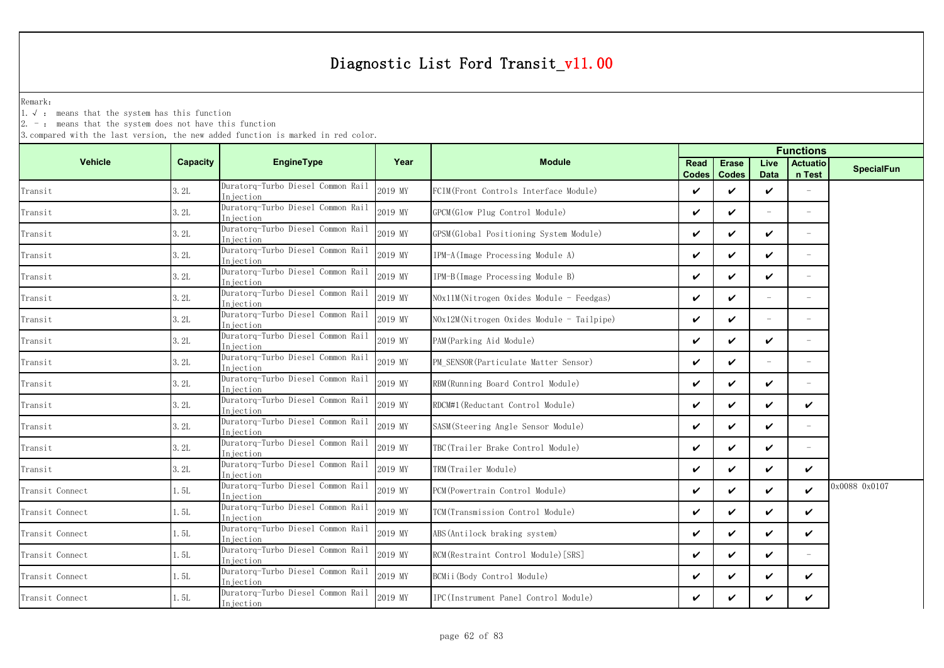Remark:

1.√ : means that the system has this function

 $2. -$ : means that the system does not have this function

|                 |          |                                                 |         | <b>Functions</b>                          |               |                              |              |                           |                   |
|-----------------|----------|-------------------------------------------------|---------|-------------------------------------------|---------------|------------------------------|--------------|---------------------------|-------------------|
| <b>Vehicle</b>  | Capacity | <b>EngineType</b>                               | Year    | <b>Module</b>                             | Read<br>Codes | <b>Erase</b><br><b>Codes</b> | Live<br>Data | <b>Actuatio</b><br>n Test | <b>SpecialFun</b> |
| Transit         | 3.2L     | Duratorg-Turbo Diesel Common Rail<br>Injection  | 2019 MY | FCIM(Front Controls Interface Module)     | ✓             | ✓                            | ✓            |                           |                   |
| Transit         | 3.2L     | Duratorq-Turbo Diesel Common Rail<br>Injection  | 2019 MY | GPCM (Glow Plug Control Module)           | ✓             | ✓                            | $\equiv$     | $\overline{\phantom{a}}$  |                   |
| Transit         | 3.2L     | Duratorq-Turbo Diesel Common Rail<br>Iniection  | 2019 MY | GPSM(Global Positioning System Module)    | ✓             | ✓                            | ✓            | $\equiv$                  |                   |
| Transit         | 3.2L     | Duratorg-Turbo Diesel Common Rail<br>Injection  | 2019 MY | IPM-A (Image Processing Module A)         | ✓             | ✓                            | $\checkmark$ | $\equiv$                  |                   |
| Transit         | 3.2L     | Duratorq-Turbo Diesel Common Rail<br>Injection  | 2019 MY | IPM-B(Image Processing Module B)          | V             | ✓                            | ✓            | $\equiv$                  |                   |
| Transit         | 3.2L     | Duratorq-Turbo Diesel Common Rail<br>Injection  | 2019 MY | NOx11M(Nitrogen Oxides Module - Feedgas)  | ✓             | $\checkmark$                 | $\equiv$     | $\overline{\phantom{a}}$  |                   |
| Transit         | 3.2L     | Duratorq-Turbo Diesel Common Rail<br>Injection  | 2019 MY | NOx12M(Nitrogen Oxides Module - Tailpipe) | ✓             | ✓                            |              |                           |                   |
| Transit         | 3.2L     | Duratorq-Turbo Diesel Common Rail<br>Injection  | 2019 MY | PAM (Parking Aid Module)                  | ✓             | ✓                            | ✓            | $\overline{\phantom{a}}$  |                   |
| Transit         | 3.2L     | Duratorq-Turbo Diesel Common Rail<br>Injection  | 2019 MY | PM SENSOR (Particulate Matter Sensor)     | ✓             | ✓                            |              |                           |                   |
| Transit         | 3.2L     | Duratorq-Turbo Diesel Common Rail<br>Iniection  | 2019 MY | RBM (Running Board Control Module)        | ✓             | ✓                            | ✓            | $\overline{\phantom{a}}$  |                   |
| Transit         | 3.2L     | Duratorq-Turbo Diesel Common Rail<br>Injection  | 2019 MY | RDCM#1 (Reductant Control Module)         | ✓             | $\checkmark$                 | $\checkmark$ | ✓                         |                   |
| Transit         | 3.2L     | Duratorq-Turbo Diesel Common Rail<br>Injection  | 2019 MY | SASM (Steering Angle Sensor Module)       | ✓             | ✓                            | V            | $\overline{\phantom{a}}$  |                   |
| Transit         | 3.2L     | Duratorg-Turbo Diesel Common Rail<br>Injection  | 2019 MY | TBC (Trailer Brake Control Module)        | ✓             | ✓                            | ✓            | $\overline{\phantom{a}}$  |                   |
| Transit         | 3.2L     | Duratorq-Turbo Diesel Common Rail<br>In iection | 2019 MY | TRM(Trailer Module)                       | ✓             | ✓                            | ✓            | ✓                         |                   |
| Transit Connect | 1.5L     | Duratorg-Turbo Diesel Common Rail<br>In iection | 2019 MY | PCM (Powertrain Control Module)           | ✓             | ✓                            | ✓            | ✓                         | 0x0088 0x0107     |
| Transit Connect | 1.5L     | Duratorg-Turbo Diesel Common Rail<br>Injection  | 2019 MY | TCM (Transmission Control Module)         | ✓             | ✓                            | ✓            | ✓                         |                   |
| Transit Connect | 1.5L     | Duratorg-Turbo Diesel Common Rail<br>Iniection  | 2019 MY | ABS (Antilock braking system)             | ✓             | ✓                            | ✓            | ✓                         |                   |
| Transit Connect | 1. 5L    | Duratorq-Turbo Diesel Common Rail<br>Injection  | 2019 MY | RCM (Restraint Control Module) [SRS]      | ✓             | ✓                            | V            | $\equiv$                  |                   |
| Transit Connect | 1.5L     | Duratorq-Turbo Diesel Common Rail<br>In iection | 2019 MY | BCMii(Body Control Module)                | ✓             | ✓                            | ✓            | ✓                         |                   |
| Transit Connect | 1.5L     | Duratorg-Turbo Diesel Common Rail<br>Injection  | 2019 MY | IPC (Instrument Panel Control Module)     | ✓             | ✓                            | ✓            | ✓                         |                   |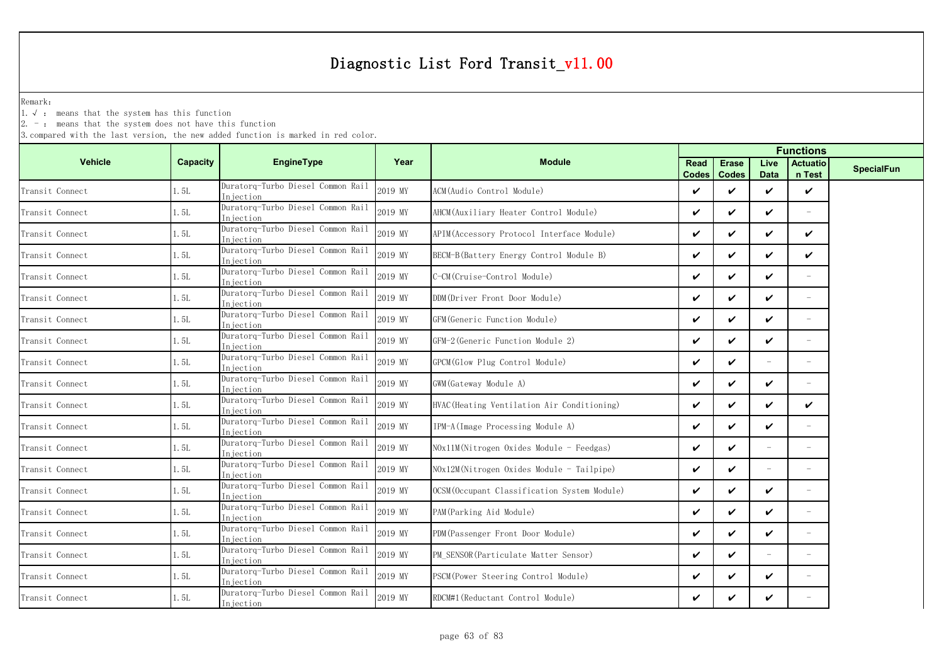Remark:

1.√ : means that the system has this function

 $2. -$ : means that the system does not have this function

|                 |          |                                                |         |                                              | <b>Functions</b>     |                              |                     |                           |                   |
|-----------------|----------|------------------------------------------------|---------|----------------------------------------------|----------------------|------------------------------|---------------------|---------------------------|-------------------|
| <b>Vehicle</b>  | Capacity | <b>EngineType</b>                              | Year    | <b>Module</b>                                | Read<br><b>Codes</b> | <b>Erase</b><br><b>Codes</b> | Live<br><b>Data</b> | <b>Actuatio</b><br>n Test | <b>SpecialFun</b> |
| Transit Connect | 1. 5L    | Duratorg-Turbo Diesel Common Rail<br>Injection | 2019 MY | ACM(Audio Control Module)                    | V                    | ✓                            | ✓                   | $\checkmark$              |                   |
| Transit Connect | 1. 5L    | Duratorq-Turbo Diesel Common Rail<br>Iniection | 2019 MY | AHCM (Auxiliary Heater Control Module)       | V                    | $\checkmark$                 | V                   | $\overline{\phantom{a}}$  |                   |
| Transit Connect | 1. 5L    | Duratorq-Turbo Diesel Common Rail<br>Injection | 2019 MY | APIM (Accessory Protocol Interface Module)   | V                    | $\checkmark$                 | V                   | ✓                         |                   |
| Transit Connect | l. 5L    | Duratorq-Turbo Diesel Common Rail<br>Injection | 2019 MY | BECM-B (Battery Energy Control Module B)     | V                    | ✓                            | V                   | ✓                         |                   |
| Transit Connect | 1.5L     | Duratorq-Turbo Diesel Common Rail<br>Injection | 2019 MY | C-CM(Cruise-Control Module)                  | V                    | ✓                            | V                   |                           |                   |
| Transit Connect | 1. 5L    | Duratorq-Turbo Diesel Common Rail<br>Injection | 2019 MY | DDM(Driver Front Door Module)                | ✓                    | $\checkmark$                 | ✓                   | $\overline{\phantom{a}}$  |                   |
| Transit Connect | 1.5L     | Duratorq-Turbo Diesel Common Rail<br>Injection | 2019 MY | GFM (Generic Function Module)                | V                    | ✓                            | ✓                   | $-$                       |                   |
| Transit Connect | 1. 5L    | Duratorq-Turbo Diesel Common Rail<br>Injection | 2019 MY | GFM-2 (Generic Function Module 2)            | V                    | $\boldsymbol{\nu}$           | $\boldsymbol{\nu}$  | $\overline{\phantom{0}}$  |                   |
| Transit Connect | 1. 5L    | Duratorg-Turbo Diesel Common Rail<br>Injection | 2019 MY | GPCM(Glow Plug Control Module)               | V                    | $\boldsymbol{\nu}$           |                     |                           |                   |
| Transit Connect | 1. 5L    | Duratorq-Turbo Diesel Common Rail<br>Injection | 2019 MY | GWM (Gateway Module A)                       | V                    | ✓                            | ✓                   | $\overline{\phantom{a}}$  |                   |
| Transit Connect | 1. 5L    | Duratorg-Turbo Diesel Common Rail<br>Injection | 2019 MY | HVAC (Heating Ventilation Air Conditioning)  | V                    | ✓                            | ✓                   | ✓                         |                   |
| Transit Connect | 1.5L     | Duratorq-Turbo Diesel Common Rail<br>Injection | 2019 MY | IPM-A(Image Processing Module A)             | V                    | ✓                            | V                   |                           |                   |
| Transit Connect | 1.5L     | Duratorg-Turbo Diesel Common Rail<br>Injection | 2019 MY | NOx11M(Nitrogen Oxides Module - Feedgas)     | ✓                    | $\boldsymbol{\nu}$           |                     | $=$                       |                   |
| Transit Connect | 1.5L     | Duratorq-Turbo Diesel Common Rail<br>Injection | 2019 MY | NOx12M(Nitrogen Oxides Module - Tailpipe)    | V                    | $\checkmark$                 | $\equiv$            | $-$                       |                   |
| Transit Connect | 1. 5L    | Duratorq-Turbo Diesel Common Rail<br>Injection | 2019 MY | OCSM (Occupant Classification System Module) | V                    | $\boldsymbol{\nu}$           | $\boldsymbol{\nu}$  | $=$                       |                   |
| Transit Connect | 1. 5L    | Duratorq-Turbo Diesel Common Rail<br>Injection | 2019 MY | PAM (Parking Aid Module)                     | V                    | ✓                            | V                   |                           |                   |
| Transit Connect | 1.5L     | Duratorq-Turbo Diesel Common Rail<br>Injection | 2019 MY | PDM (Passenger Front Door Module)            | V                    | $\boldsymbol{\nu}$           | $\checkmark$        | $=$                       |                   |
| Transit Connect | 1. 5L    | Duratorg-Turbo Diesel Common Rail<br>Injection | 2019 MY | PM SENSOR (Particulate Matter Sensor)        | V                    | $\boldsymbol{\mathcal{U}}$   |                     |                           |                   |
| Transit Connect | 1. 5L    | Duratorq-Turbo Diesel Common Rail<br>Injection | 2019 MY | PSCM (Power Steering Control Module)         | V                    | ✓                            | V                   | $\overline{\phantom{a}}$  |                   |
| Transit Connect | 1. 5L    | Duratorq-Turbo Diesel Common Rail<br>Injection | 2019 MY | RDCM#1 (Reductant Control Module)            | ✓                    | ✓                            | ✓                   |                           |                   |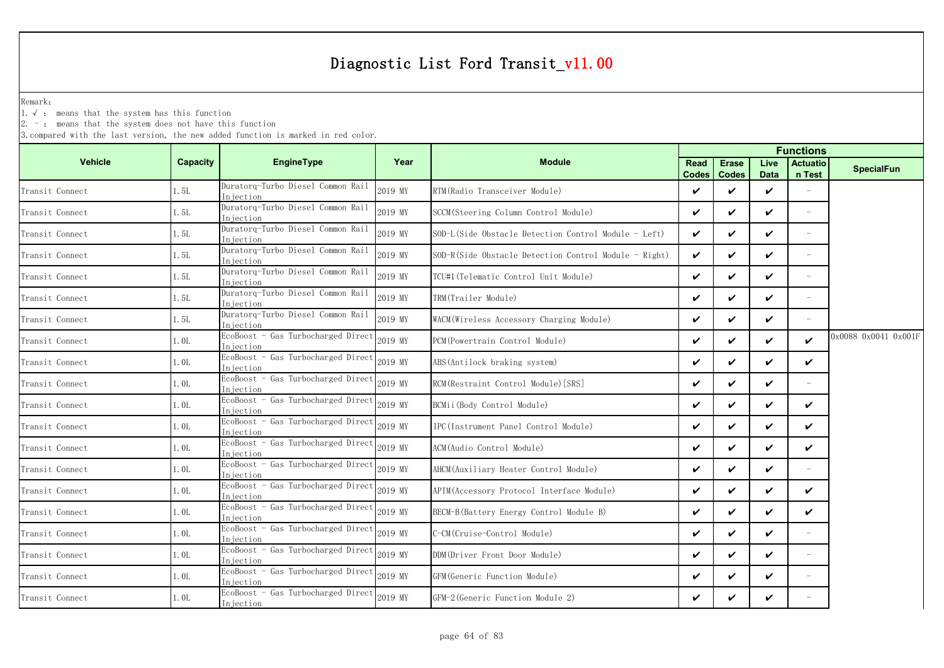Remark:

1.√ : means that the system has this function

 $2. -$ : means that the system does not have this function

| Capacity | <b>EngineType</b>                               | Year                                                                                                                                                                                             | <b>Module</b>                                         | <b>Read</b>  | <b>Erase</b><br><b>Codes</b> | Live<br><b>Data</b> | <b>Actuatio</b><br>n Test | <b>SpecialFun</b>    |
|----------|-------------------------------------------------|--------------------------------------------------------------------------------------------------------------------------------------------------------------------------------------------------|-------------------------------------------------------|--------------|------------------------------|---------------------|---------------------------|----------------------|
| 1.5L     | Duratorg-Turbo Diesel Common Rail<br>Iniection  | 2019 MY                                                                                                                                                                                          | RTM(Radio Transceiver Module)                         | $\checkmark$ | ✓                            | ✓                   |                           |                      |
| 1.5L     | Duratorg-Turbo Diesel Common Rail<br>Injection  | 2019 MY                                                                                                                                                                                          | SCCM (Steering Column Control Module)                 | $\checkmark$ | ✓                            | ✓                   | $\equiv$                  |                      |
| 1.5L     | Duratorq-Turbo Diesel Common Rail<br>Injection  | 2019 MY                                                                                                                                                                                          | SOD-L(Side Obstacle Detection Control Module - Left)  | $\checkmark$ | $\checkmark$                 | ✓                   | $\overline{\phantom{a}}$  |                      |
| 1.5L     | Duratorq-Turbo Diesel Common Rail               | 2019 MY                                                                                                                                                                                          | SOD-R(Side Obstacle Detection Control Module - Right) | $\checkmark$ | $\boldsymbol{\nu}$           | ✓                   | $\equiv$                  |                      |
| 1.5L     | Duratorq-Turbo Diesel Common Rail               | 2019 MY                                                                                                                                                                                          | TCU#1(Telematic Control Unit Module)                  | $\checkmark$ | ✓                            | ✓                   | $\sim$                    |                      |
| 1.5L     | Duratorg-Turbo Diesel Common Rail<br>Injection  | 2019 MY                                                                                                                                                                                          | TRM(Trailer Module)                                   | $\checkmark$ | $\checkmark$                 | ✓                   | $\overline{\phantom{a}}$  |                      |
| 1.5L     | Duratorq-Turbo Diesel Common Rail               | 2019 MY                                                                                                                                                                                          | WACM(Wireless Accessory Charging Module)              | $\checkmark$ | $\checkmark$                 | ✓                   |                           |                      |
| l. OL    | EcoBoost - Gas Turbocharged Direct              | 2019 MY                                                                                                                                                                                          | PCM (Powertrain Control Module)                       | $\checkmark$ | ✓                            | ✓                   | V                         | 0x0088 0x0041 0x001F |
| 1.0L     | EcoBoost - Gas Turbocharged Direct              | 2019 MY                                                                                                                                                                                          | ABS (Antilock braking system)                         | $\checkmark$ | ✓                            | ✓                   | ✓                         |                      |
| 1. OL    | EcoBoost - Gas Turbocharged Direct              | 2019 MY                                                                                                                                                                                          | RCM(Restraint Control Module)[SRS]                    | $\checkmark$ | ✓                            | ✓                   | $\overline{\phantom{a}}$  |                      |
| 1.0L     | EcoBoost - Gas Turbocharged Direct              | 2019 MY                                                                                                                                                                                          | BCMii(Body Control Module)                            | $\checkmark$ | ✓                            | ✓                   | $\checkmark$              |                      |
| 1.0L     | EcoBoost - Gas Turbocharged Direct              | 2019 MY                                                                                                                                                                                          | IPC(Instrument Panel Control Module)                  | $\checkmark$ | ✓                            | ✓                   | ✓                         |                      |
| 1.0L     | EcoBoost - Gas Turbocharged Direct              | 2019 MY                                                                                                                                                                                          | ACM (Audio Control Module)                            | $\checkmark$ | $\checkmark$                 | ✓                   | ✓                         |                      |
| 1.0L     | EcoBoost - Gas Turbocharged Direct              | 2019 MY                                                                                                                                                                                          | AHCM(Auxiliary Heater Control Module)                 | $\checkmark$ | ✓                            | V                   | $\overline{\phantom{a}}$  |                      |
| 1.0L     | EcoBoost - Gas Turbocharged Direct              | 2019 MY                                                                                                                                                                                          | APIM (Accessory Protocol Interface Module)            | $\checkmark$ | $\checkmark$                 | ✓                   | ✓                         |                      |
| 1.0L     | EcoBoost - Gas Turbocharged Direct              | 2019 MY                                                                                                                                                                                          | BECM-B(Battery Energy Control Module B)               | $\checkmark$ | ✓                            | ✓                   | $\checkmark$              |                      |
| 1.0L     | EcoBoost - Gas Turbocharged Direct              | 2019 MY                                                                                                                                                                                          | C-CM(Cruise-Control Module)                           | $\checkmark$ | ✓                            | ✓                   | $\equiv$                  |                      |
| 1.0L     | EcoBoost - Gas Turbocharged Direct              | 2019 MY                                                                                                                                                                                          | DDM(Driver Front Door Module)                         | $\checkmark$ | $\checkmark$                 | V                   | $\overline{\phantom{a}}$  |                      |
| 1.0L     | EcoBoost - Gas Turbocharged Direct              | 2019 MY                                                                                                                                                                                          | GFM(Generic Function Module)                          | $\checkmark$ | ✓                            | ✓                   | $\overline{\phantom{a}}$  |                      |
| 1.0L     | EcoBoost - Gas Turbocharged Direct<br>Injection | 2019 MY                                                                                                                                                                                          | GFM-2(Generic Function Module 2)                      | ✓            | ✓                            | ✓                   |                           |                      |
|          |                                                 | Injection<br>Injection<br>Injection<br>In jection<br>Injection<br>Injection<br>Injection<br>Injection<br>Injection<br>Injection<br>Injection<br>Injection<br>Injection<br>Injection<br>Injection |                                                       |              |                              | Codes <sup> </sup>  |                           | <b>Functions</b>     |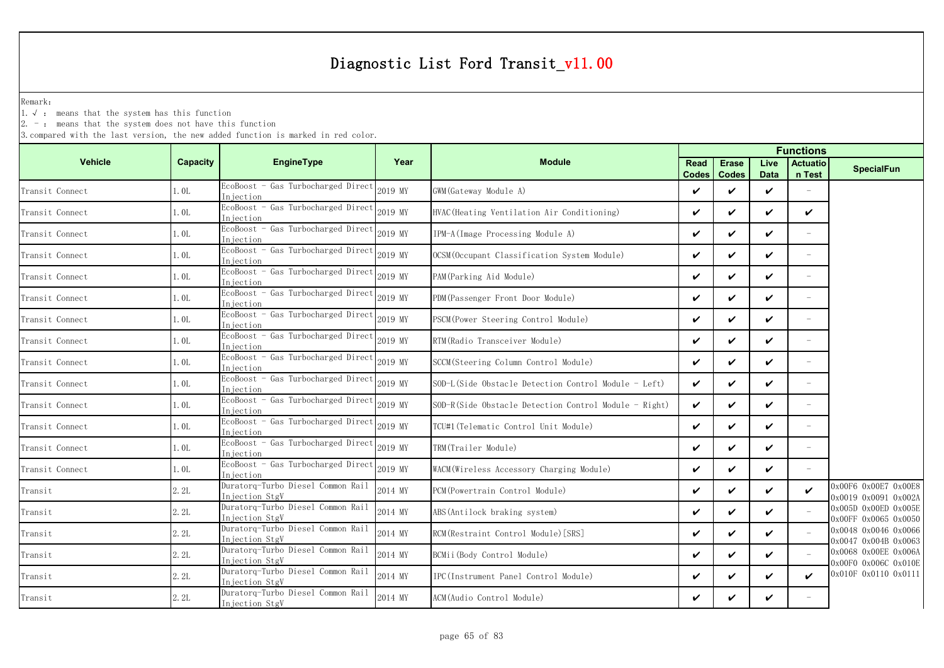Remark:

1.√ : means that the system has this function

2. - : means that the system does not have this function

|                    |                 |                                                     | <b>Functions</b> |                                                       |                      |                              |                     |                           |                                                                          |
|--------------------|-----------------|-----------------------------------------------------|------------------|-------------------------------------------------------|----------------------|------------------------------|---------------------|---------------------------|--------------------------------------------------------------------------|
| <b>Vehicle</b>     | <b>Capacity</b> | <b>EngineType</b>                                   | Year             | <b>Module</b>                                         | Read<br><b>Codes</b> | <b>Erase</b><br><b>Codes</b> | Live<br><b>Data</b> | <b>Actuatio</b><br>n Test | <b>SpecialFun</b>                                                        |
| Transit Connect    | 1.0L            | EcoBoost - Gas Turbocharged Direct<br>Iniection     | 2019 MY          | GWM (Gateway Module A)                                | ✓                    | ✓                            | ✓                   |                           |                                                                          |
| Transit Connect    | 1.0L            | EcoBoost - Gas Turbocharged Direct<br>In jection    | 2019 MY          | HVAC (Heating Ventilation Air Conditioning)           | ✓                    | $\checkmark$                 | $\checkmark$        | ✓                         |                                                                          |
| Transit Connect    | 1. OL           | EcoBoost - Gas Turbocharged Direct<br>Injection     | 2019 MY          | IPM-A (Image Processing Module A)                     | ✓                    | V                            | V                   | $\overline{\phantom{a}}$  |                                                                          |
| Transit Connect    | 1.0L            | EcoBoost - Gas Turbocharged Direct<br>Injection     | 2019 MY          | OCSM (Occupant Classification System Module)          | ✓                    | ✓                            | ✓                   |                           |                                                                          |
| Transit Connect    | 1.0L            | EcoBoost - Gas Turbocharged Direct<br>In iection    | 2019 MY          | PAM(Parking Aid Module)                               | ✓                    | ✓                            | ✓                   | $\overline{\phantom{a}}$  |                                                                          |
| Transit Connect    | 1.0L            | EcoBoost - Gas Turbocharged Direct<br>Injection     | 2019 MY          | PDM (Passenger Front Door Module)                     | ✓                    | ✓                            | ✓                   | $\equiv$                  |                                                                          |
| Transit Connect    | 1.0L            | EcoBoost - Gas Turbocharged Direct<br>Injection     | 2019 MY          | PSCM (Power Steering Control Module)                  | ✓                    | $\checkmark$                 | ✓                   | $\overline{\phantom{a}}$  |                                                                          |
| Transit Connect    | 1.0L            | EcoBoost - Gas Turbocharged Direct<br>Iniection     | 2019 MY          | RTM (Radio Transceiver Module)                        | ✓                    | ✓                            | ✓                   | $\overline{\phantom{a}}$  |                                                                          |
| Transit Connect    | 1.0L            | EcoBoost - Gas Turbocharged Direct<br>Injection     | 2019 MY          | SCCM (Steering Column Control Module)                 | ✓                    | ✓                            | ✓                   |                           |                                                                          |
| Transit Connect    | 1.0L            | EcoBoost - Gas Turbocharged Direct<br>Injection     | 2019 MY          | SOD-L(Side Obstacle Detection Control Module - Left)  | V                    | $\checkmark$                 | ✓                   | $\overline{\phantom{a}}$  |                                                                          |
| Transit Connect    | 1.0L            | EcoBoost - Gas Turbocharged Direct<br>Injection     | 2019 MY          | SOD-R(Side Obstacle Detection Control Module - Right) | ✓                    | $\checkmark$                 | ✓                   |                           |                                                                          |
| Transit Connect    | 1.0L            | EcoBoost - Gas Turbocharged Direct<br>Injection     | 2019 MY          | TCU#1(Telematic Control Unit Module)                  | ✓                    | ✓                            | ✓                   | $\overline{\phantom{a}}$  |                                                                          |
| Transit Connect    | 1.0L            | EcoBoost - Gas Turbocharged Direct<br>In iection    | 2019 MY          | TRM(Trailer Module)                                   | ✓                    | ✓                            | ✓                   |                           |                                                                          |
| Transit Connect    | 1.0L            | EcoBoost - Gas Turbocharged Direct<br>Injection     | 2019 MY          | WACM(Wireless Accessory Charging Module)              | ✓                    | ✓                            | V                   | $\overline{\phantom{a}}$  |                                                                          |
| $\mathtt{Transit}$ | 2.2L            | Duratorq-Turbo Diesel Common Rail<br>Injection StgV | 2014 MY          | PCM (Powertrain Control Module)                       | ✓                    | ✓                            | ✓                   | ✓                         | 0x00F6 0x00E7 0x00E8<br>$0 \times 0019$ $0 \times 0091$ $0 \times 002$ A |
| Transit            | 2.2L            | Duratorq-Turbo Diesel Common Rail<br>Injection StgV | 2014 MY          | ABS (Antilock braking system)                         | ✓                    | ✓                            | ✓                   |                           | 0x005D 0x00ED 0x005E<br>0x00FF 0x0065 0x0050                             |
| Transit            | 2.2L            | Duratorq-Turbo Diesel Common Rail<br>Injection StgV | 2014 MY          | RCM (Restraint Control Module) [SRS]                  | ✓                    | $\checkmark$                 | ✓                   |                           | 0x0048 0x0046 0x0066<br>0x0047 0x004B 0x0063                             |
| Transit            | 2.2L            | Duratorq-Turbo Diesel Common Rail<br>Injection StgV | 2014 MY          | BCMii(Body Control Module)                            | ✓                    | $\checkmark$                 | V                   |                           | 0x0068 0x00EE 0x006A                                                     |
| Transit            | 2.2L            | Duratorq-Turbo Diesel Common Rail<br>Injection StgV | 2014 MY          | IPC (Instrument Panel Control Module)                 | ✓                    | ✓                            | ✓                   | ✓                         | 0x00F0 0x006C 0x010E<br>0x010F 0x0110 0x0111                             |
| Transit            | 2.2L            | Duratorq-Turbo Diesel Common Rail<br>Injection StgV | 2014 MY          | ACM(Audio Control Module)                             | ✓                    | ✓                            | ✓                   |                           |                                                                          |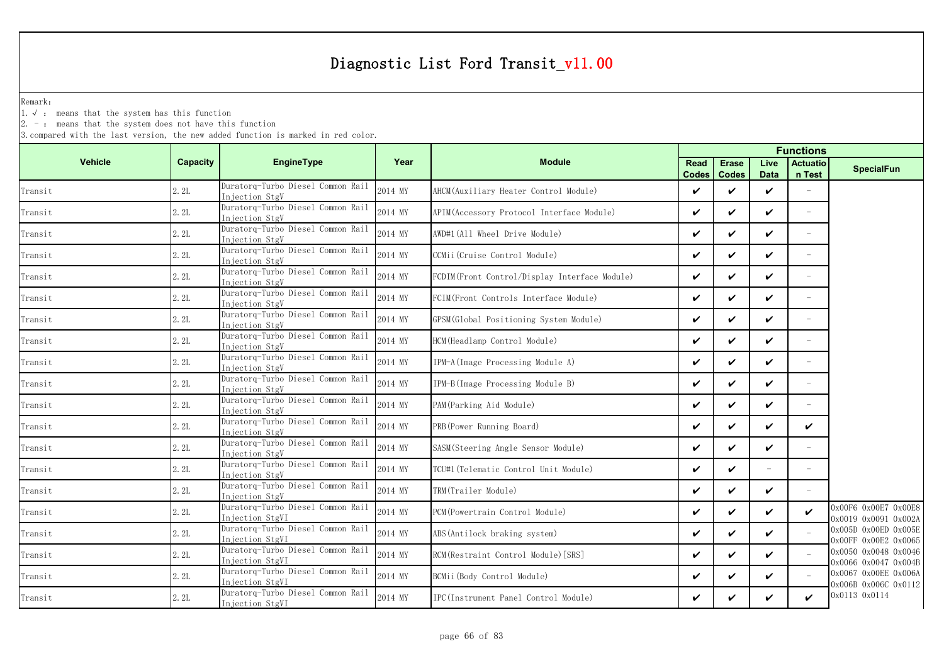Remark:

1.√ : means that the system has this function

2. - : means that the system does not have this function

|                                       |                 |                                                      |         |                                                |      |                               | <b>Functions</b>    |                           |                                              |  |
|---------------------------------------|-----------------|------------------------------------------------------|---------|------------------------------------------------|------|-------------------------------|---------------------|---------------------------|----------------------------------------------|--|
| <b>Vehicle</b>                        | <b>Capacity</b> | EngineType                                           | Year    | <b>Module</b>                                  | Read | <b>Erase</b><br>Codes   Codes | Live<br><b>Data</b> | <b>Actuatio</b><br>n Test | <b>SpecialFun</b>                            |  |
| Transit                               | 2.2L            | Duratorq-Turbo Diesel Common Rail<br>Injection StgV  | 2014 MY | AHCM (Auxiliary Heater Control Module)         | ✓    | ✓                             | ✓                   |                           |                                              |  |
| Transit                               | 2.2L            | Duratorq-Turbo Diesel Common Rail<br>Injection StgV  | 2014 MY | APIM (Accessory Protocol Interface Module)     | V    | ✓                             | $\checkmark$        | $\equiv$                  |                                              |  |
| Transit                               | 2.2L            | Duratorq-Turbo Diesel Common Rail<br>Injection StgV  | 2014 MY | AWD#1(All Wheel Drive Module)                  | ✓    | $\checkmark$                  | ✓                   | $\overline{\phantom{a}}$  |                                              |  |
| $\label{eq:transit} \texttt{Transit}$ | 2.2L            | Duratorq-Turbo Diesel Common Rail<br>Injection StgV  | 2014 MY | CCMii (Cruise Control Module)                  | ✓    | ✓                             | ✓                   | $\overline{\phantom{a}}$  |                                              |  |
| $\label{eq:transit} \texttt{Transit}$ | 2.2L            | Duratorq-Turbo Diesel Common Rail<br>Injection StgV  | 2014 MY | FCDIM (Front Control/Display Interface Module) | V    | ✓                             | ✓                   | $\sim$                    |                                              |  |
| Transit                               | 2.2L            | Duratorq-Turbo Diesel Common Rail<br>Injection StgV  | 2014 MY | FCIM(Front Controls Interface Module)          | V    | $\checkmark$                  | ✓                   | $\equiv$                  |                                              |  |
| Transit                               | 2.2L            | Duratorq-Turbo Diesel Common Rail<br>Injection StgV  | 2014 MY | GPSM(Global Positioning System Module)         | ✓    | $\checkmark$                  | ✓                   | $\overline{\phantom{a}}$  |                                              |  |
| Transit                               | 2.2L            | Duratorq-Turbo Diesel Common Rail<br>Injection StgV  | 2014 MY | HCM (Headlamp Control Module)                  | ✓    | ✓                             | $\checkmark$        | $\equiv$                  |                                              |  |
| Transit                               | 2.2L            | Duratorq-Turbo Diesel Common Rail<br>Injection StgV  | 2014 MY | IPM-A (Image Processing Module A)              | ✓    | ✓                             | ✓                   |                           |                                              |  |
| Transit                               | 2.2L            | Duratorq-Turbo Diesel Common Rail<br>Injection StgV  | 2014 MY | IPM-B(Image Processing Module B)               | ✓    | ✓                             | ✓                   | $\overline{\phantom{a}}$  |                                              |  |
| Transit                               | 2.2L            | Duratorq-Turbo Diesel Common Rail<br>Injection StgV  | 2014 MY | PAM (Parking Aid Module)                       | ✓    | ✓                             | ✓                   |                           |                                              |  |
| Transit                               | 2.2L            | Duratorq-Turbo Diesel Common Rail<br>Injection StgV  | 2014 MY | PRB (Power Running Board)                      | V    | ✓                             | ✓                   | ✓                         |                                              |  |
| Transit                               | 2.2L            | Duratorq-Turbo Diesel Common Rail<br>Injection StgV  | 2014 MY | SASM(Steering Angle Sensor Module)             | ✓    | ✓                             | ✓                   |                           |                                              |  |
| Transit                               | 2.2L            | Duratorq-Turbo Diesel Common Rail<br>Injection StgV  | 2014 MY | TCU#1 (Telematic Control Unit Module)          | V    | $\checkmark$                  | $\equiv$            | $\overline{\phantom{a}}$  |                                              |  |
| Transit                               | 2.2L            | Duratorq-Turbo Diesel Common Rail<br>Injection StgV  | 2014 MY | TRM(Trailer Module)                            | ✓    | ✓                             | ✓                   |                           |                                              |  |
| Transit                               | 2.2L            | Duratorq-Turbo Diesel Common Rail<br>Injection StgVI | 2014 MY | PCM (Powertrain Control Module)                | ✓    | ✓                             | ✓                   | ✓                         | 0x00F6 0x00E7 0x00E8<br>0x0019 0x0091 0x002A |  |
| Transit                               | 2.2L            | Duratorq-Turbo Diesel Common Rail<br>Injection StgVI | 2014 MY | ABS (Antilock braking system)                  | ✓    | $\checkmark$                  | $\checkmark$        |                           | 0x005D 0x00ED 0x005E<br>0x00FF 0x00E2 0x0065 |  |
| Transit                               | 2.2L            | Duratorq-Turbo Diesel Common Rail<br>Injection StgVI | 2014 MY | RCM (Restraint Control Module) [SRS]           | ✓    | $\checkmark$                  | ✓                   |                           | 0x0050 0x0048 0x0046<br>0x0066 0x0047 0x004B |  |
| Transit                               | 2.2L            | Duratorq-Turbo Diesel Common Rail<br>Injection StgVI | 2014 MY | BCMii (Body Control Module)                    | ✓    | ✓                             | ✓                   |                           | 0x0067 0x00EE 0x006A<br>0x006B 0x006C 0x0112 |  |
| Transit                               | 2.2L            | Duratorq-Turbo Diesel Common Rail<br>Injection StgVI | 2014 MY | IPC(Instrument Panel Control Module)           | ✓    | ✓                             | ✓                   | ✓                         | 0x0113 0x0114                                |  |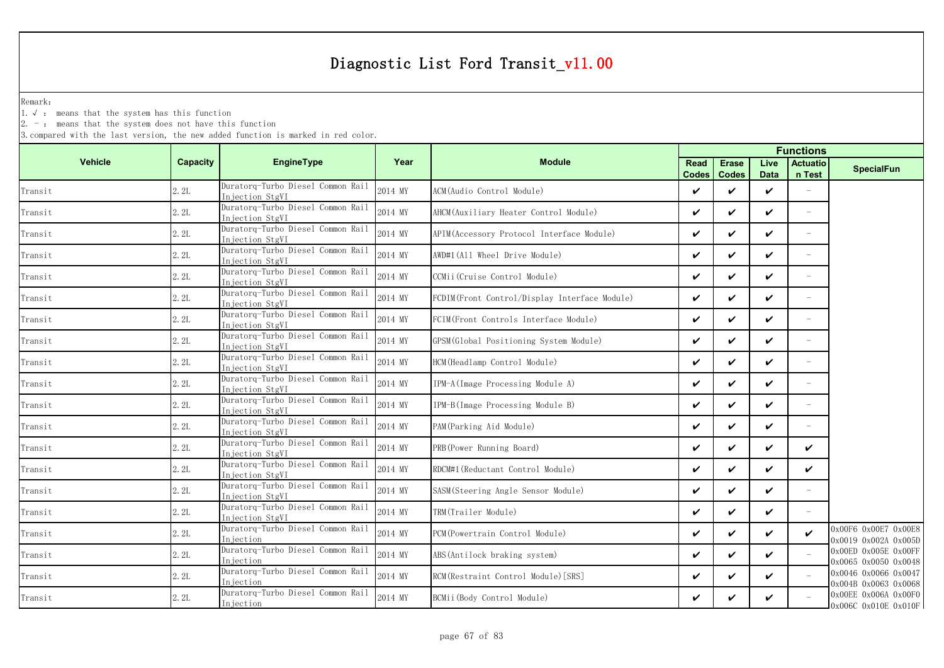Remark:

1.√ : means that the system has this function

2. - : means that the system does not have this function

|                                       |                 |                                                      |         |                                                |                      |                              | <b>Functions</b>    |                           |                                                    |
|---------------------------------------|-----------------|------------------------------------------------------|---------|------------------------------------------------|----------------------|------------------------------|---------------------|---------------------------|----------------------------------------------------|
| <b>Vehicle</b>                        | <b>Capacity</b> | EngineType                                           | Year    | <b>Module</b>                                  | Read<br><b>Codes</b> | <b>Erase</b><br><b>Codes</b> | Live<br><b>Data</b> | <b>Actuatio</b><br>n Test | <b>SpecialFun</b>                                  |
| Transit                               | 2.2L            | Duratorq-Turbo Diesel Common Rail<br>Injection StgVI | 2014 MY | ACM (Audio Control Module)                     | ✓                    | ✓                            | ✓                   |                           |                                                    |
| Transit                               | 2.2L            | Duratorq-Turbo Diesel Common Rail<br>Injection StgVI | 2014 MY | AHCM (Auxiliary Heater Control Module)         | V                    | ✓                            | ✓                   | ÷,                        |                                                    |
| Transit                               | 2.2L            | Duratorq-Turbo Diesel Common Rail<br>Injection StgVI | 2014 MY | APIM (Accessory Protocol Interface Module)     | ✓                    | ✓                            | ✓                   |                           |                                                    |
| Transit                               | 2.2L            | Duratorq-Turbo Diesel Common Rail<br>Injection StgVI | 2014 MY | AWD#1(All Wheel Drive Module)                  | ✓                    | ✓                            | ✓                   | $\overline{\phantom{m}}$  |                                                    |
| Transit                               | 2.2L            | Duratorq-Turbo Diesel Common Rail<br>Injection StgVI | 2014 MY | CCMii(Cruise Control Module)                   | ✓                    | ✓                            | ✓                   |                           |                                                    |
| Transit                               | 2.2L            | Duratorq-Turbo Diesel Common Rail<br>Injection StgVI | 2014 MY | FCDIM (Front Control/Display Interface Module) | ✓                    | $\checkmark$                 | ✓                   | $\overline{\phantom{m}}$  |                                                    |
| Transit                               | 2.2L            | Duratorq-Turbo Diesel Common Rail<br>Injection StgVI | 2014 MY | FCIM (Front Controls Interface Module)         | ✓                    | ✓                            | ✓                   |                           |                                                    |
| Transit                               | 2.2L            | Duratorq-Turbo Diesel Common Rail<br>Injection StgVI | 2014 MY | GPSM (Global Positioning System Module)        | V                    | ✓                            | ✓                   |                           |                                                    |
| Transit                               | 2.2L            | Duratorq-Turbo Diesel Common Rail<br>Injection StgVI | 2014 MY | HCM (Headlamp Control Module)                  | ✓                    | ✓                            | ✓                   |                           |                                                    |
| Transit                               | 2.2L            | Duratorq-Turbo Diesel Common Rail<br>Injection StgVI | 2014 MY | IPM-A(Image Processing Module A)               | ✓                    | $\checkmark$                 | ✓                   | $\overline{\phantom{m}}$  |                                                    |
| $\mathtt{Transit}$                    | 2.2L            | Duratorq-Turbo Diesel Common Rail<br>Injection StgVI | 2014 MY | IPM-B(Image Processing Module B)               | ✓                    | ✓                            | ✓                   |                           |                                                    |
| Transit                               | 2.2L            | Duratorq-Turbo Diesel Common Rail<br>Injection StgVI | 2014 MY | PAM (Parking Aid Module)                       | ✓                    | ✓                            | ✓                   | $\equiv$                  |                                                    |
| Transit                               | 2.2L            | Duratorq-Turbo Diesel Common Rail<br>Injection StgVI | 2014 MY | PRB (Power Running Board)                      | ✓                    | ✓                            | ✓                   | ✓                         |                                                    |
| Transit                               | 2.2L            | Duratorq-Turbo Diesel Common Rail<br>Injection StgVI | 2014 MY | RDCM#1 (Reductant Control Module)              | ✓                    | ✓                            | ✓                   | ✓                         |                                                    |
| Transit                               | 2.2L            | Duratorq-Turbo Diesel Common Rail<br>Injection StgVI | 2014 MY | SASM (Steering Angle Sensor Module)            | ✓                    | ✓                            | ✓                   | ÷,                        |                                                    |
| Transit                               | 2.2L            | Duratorq-Turbo Diesel Common Rail<br>Injection StgVI | 2014 MY | TRM(Trailer Module)                            | ✓                    | ✓                            | ✓                   |                           |                                                    |
| $\label{eq:transit} \texttt{Transit}$ | 2.2L            | Duratorq-Turbo Diesel Common Rail<br>Injection       | 2014 MY | PCM(Powertrain Control Module)                 | ✓                    | ✓                            | ✓                   | $\checkmark$              | 0x00F6 0x00E7 0x00E8<br>0x0019 0x002A 0x005D       |
| Transit                               | 2.2L            | Duratorq-Turbo Diesel Common Rail<br>Injection       | 2014 MY | ABS (Antilock braking system)                  | V                    | V                            | ✓                   |                           | $0x00ED$ $0x005E$ $0x00FF$<br>0x0065 0x0050 0x0048 |
| Transit                               | 2.2L            | Duratorq-Turbo Diesel Common Rail<br>Injection       | 2014 MY | RCM(Restraint Control Module) [SRS]            | ✓                    | ✓                            | ✓                   |                           | 0x0046 0x0066 0x0047<br>0x004B 0x0063 0x0068       |
| Transit                               | 2.2L            | Duratorq-Turbo Diesel Common Rail<br>Injection       | 2014 MY | BCMii (Body Control Module)                    | ✓                    | ✓                            | ✓                   |                           | 0x00EE 0x006A 0x00F0<br>0x006C 0x010E 0x010F       |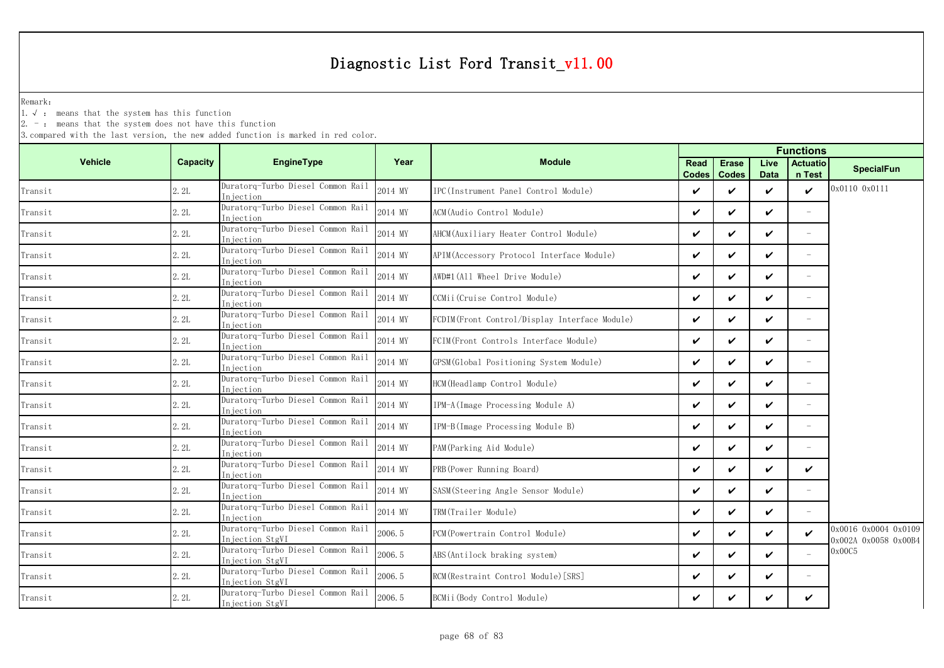Remark:

1.√ : means that the system has this function

 $2. -$ : means that the system does not have this function

|                |                 |                                                      |         |                                               |             |                               |                     | <b>Functions</b>          |                                              |
|----------------|-----------------|------------------------------------------------------|---------|-----------------------------------------------|-------------|-------------------------------|---------------------|---------------------------|----------------------------------------------|
| <b>Vehicle</b> | <b>Capacity</b> | <b>EngineType</b>                                    | Year    | <b>Module</b>                                 | <b>Read</b> | <b>Erase</b><br>Codes   Codes | Live<br><b>Data</b> | <b>Actuatio</b><br>n Test | <b>SpecialFun</b>                            |
| Transit        | 2.2L            | Duratorg-Turbo Diesel Common Rail<br>Injection       | 2014 MY | IPC(Instrument Panel Control Module)          | ✓           | ✓                             | $\checkmark$        | $\checkmark$              | 0x0110 0x0111                                |
| Transit        | 2.2L            | Duratorq-Turbo Diesel Common Rail<br>Iniection       | 2014 MY | ACM(Audio Control Module)                     | ✓           | ✓                             | ✓                   | $\overline{\phantom{a}}$  |                                              |
| Transit        | 2.2L            | Duratorq-Turbo Diesel Common Rail<br>Injection       | 2014 MY | AHCM(Auxiliary Heater Control Module)         | ✓           | ✓                             | ✓                   | $\equiv$                  |                                              |
| Transit        | 2.2L            | Duratorq-Turbo Diesel Common Rail<br>In iection      | 2014 MY | APIM (Accessory Protocol Interface Module)    | ✓           | ✓                             | V                   | $\equiv$                  |                                              |
| Transit        | 2.2L            | Duratorq-Turbo Diesel Common Rail<br>Injection       | 2014 MY | AWD#1 (All Wheel Drive Module)                | ✓           | ✓                             | ✓                   |                           |                                              |
| Transit        | 2.2L            | Duratorq-Turbo Diesel Common Rail<br>Iniection       | 2014 MY | CCMii(Cruise Control Module)                  | ✓           | ✓                             | ✓                   | $\overline{\phantom{m}}$  |                                              |
| Transit        | 2.2L            | Duratorq-Turbo Diesel Common Rail<br>Injection       | 2014 MY | FCDIM(Front Control/Display Interface Module) | V           | ✓                             | ✓                   |                           |                                              |
| Transit        | 2.2L            | Duratorq-Turbo Diesel Common Rail<br>Injection       | 2014 MY | FCIM(Front Controls Interface Module)         | ✓           | ✓                             | ✓                   |                           |                                              |
| Transit        | 2.2L            | Duratorq-Turbo Diesel Common Rail<br>Injection       | 2014 MY | GPSM (Global Positioning System Module)       | ✓           | ✓                             | $\checkmark$        |                           |                                              |
| Transit        | 2.2L            | Duratorq-Turbo Diesel Common Rail<br>Injection       | 2014 MY | HCM (Headlamp Control Module)                 | ✓           | ✓                             | $\checkmark$        | $\overline{\phantom{a}}$  |                                              |
| Transit        | 2.2L            | Duratorq-Turbo Diesel Common Rail<br>Injection       | 2014 MY | IPM-A(Image Processing Module A)              | ✓           | ✓                             | $\checkmark$        | $\equiv$                  |                                              |
| Transit        | 2.2L            | Duratorq-Turbo Diesel Common Rail<br>Injection       | 2014 MY | IPM-B(Image Processing Module B)              | ✓           | ✓                             | ✓                   | $\overline{\phantom{m}}$  |                                              |
| Transit        | 2.2L            | Duratorq-Turbo Diesel Common Rail<br>Injection       | 2014 MY | PAM (Parking Aid Module)                      | ✓           | ✓                             | $\checkmark$        |                           |                                              |
| Transit        | 2.2L            | Duratorq-Turbo Diesel Common Rail<br>Injection       | 2014 MY | PRB (Power Running Board)                     | ✓           | ✓                             | $\checkmark$        | ✓                         |                                              |
| Transit        | 2.2L            | Duratorq-Turbo Diesel Common Rail<br>Injection       | 2014 MY | SASM(Steering Angle Sensor Module)            | ✓           | ✓                             | ✓                   | $\overline{\phantom{a}}$  |                                              |
| Transit        | 2.2L            | Duratorq-Turbo Diesel Common Rail<br>Injection       | 2014 MY | TRM(Trailer Module)                           | ✓           | ✓                             | ✓                   |                           |                                              |
| Transit        | 2.2L            | Duratorq-Turbo Diesel Common Rail<br>Injection StgVI | 2006.5  | PCM(Powertrain Control Module)                | ✓           | ✓                             | ✓                   | ✓                         | 0x0016 0x0004 0x0109<br>0x002A 0x0058 0x00B4 |
| Transit        | 2.2L            | Duratorq-Turbo Diesel Common Rail<br>Injection StgVI | 2006.5  | ABS (Antilock braking system)                 | ✓           | ✓                             | ✓                   |                           | 0x00C5                                       |
| Transit        | 2.2L            | Duratorq-Turbo Diesel Common Rail<br>Injection StgVI | 2006.5  | RCM (Restraint Control Module) [SRS]          | ✓           | ✓                             | ✓                   | $\equiv$                  |                                              |
| Transit        | 2.2L            | Duratorq-Turbo Diesel Common Rail<br>Injection StgVI | 2006.5  | BCMii (Body Control Module)                   | ✓           | ✓                             | ✓                   | ✓                         |                                              |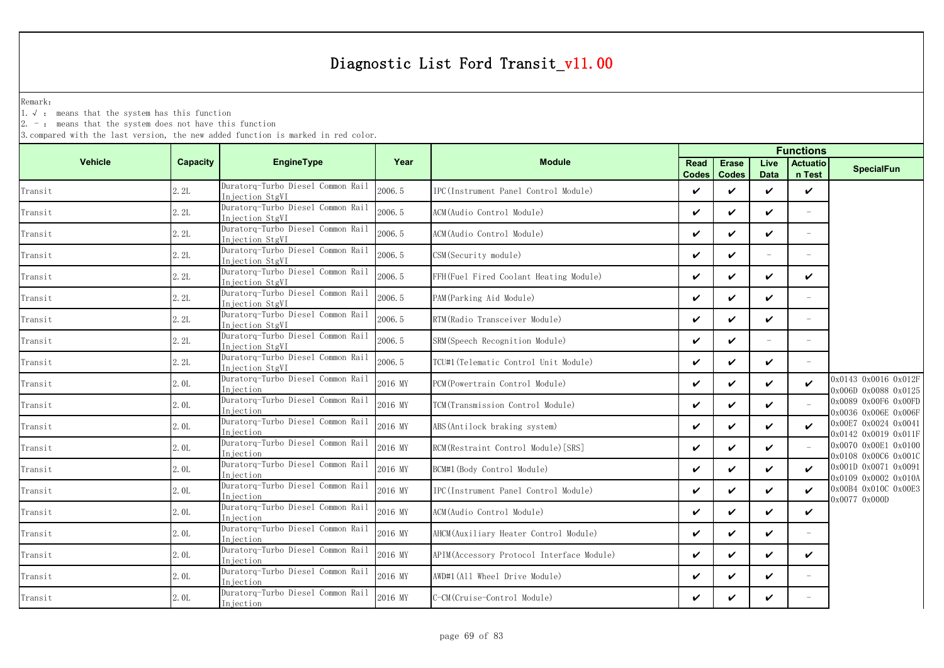Remark:

1.√ : means that the system has this function

2. - : means that the system does not have this function

|                |          |                                                      |         |                                           |                      |                              |                     | <b>Functions</b>          |                                              |
|----------------|----------|------------------------------------------------------|---------|-------------------------------------------|----------------------|------------------------------|---------------------|---------------------------|----------------------------------------------|
| <b>Vehicle</b> | Capacity | EngineType                                           | Year    | <b>Module</b>                             | Read<br><b>Codes</b> | <b>Erase</b><br><b>Codes</b> | Live<br><b>Data</b> | <b>Actuatio</b><br>n Test | <b>SpecialFun</b>                            |
| Transit        | 2.2L     | Duratorq-Turbo Diesel Common Rail<br>Injection StgVI | 2006.5  | IPC (Instrument Panel Control Module)     | ✓                    | ✓                            | ✓                   | $\checkmark$              |                                              |
| Transit        | 2.2L     | Duratorq-Turbo Diesel Common Rail<br>Injection StgVI | 2006.5  | ACM(Audio Control Module)                 | $\checkmark$         | ✓                            | $\checkmark$        |                           |                                              |
| Transit        | 2.2L     | Duratorq-Turbo Diesel Common Rail<br>Injection StgVI | 2006.5  | ACM(Audio Control Module)                 | $\checkmark$         | ✓                            | ✓                   |                           |                                              |
| Transit        | 2.2L     | Duratorq-Turbo Diesel Common Rail<br>Injection StgVI | 2006.5  | CSM (Security module)                     | $\checkmark$         | ✓                            | $\equiv$            |                           |                                              |
| Transit        | 2.2L     | Duratorq-Turbo Diesel Common Rail<br>Injection StgVI | 2006.5  | FFH(Fuel Fired Coolant Heating Module)    | ✓                    | ✓                            | ✓                   | ✓                         |                                              |
| Transit        | 2.2L     | Duratorq-Turbo Diesel Common Rail<br>Injection StgVI | 2006.5  | PAM (Parking Aid Module)                  | ✓                    | ✓                            | ✓                   | $\equiv$                  |                                              |
| Transit        | 2.2L     | Duratorq-Turbo Diesel Common Rail<br>Injection StgVI | 2006.5  | RTM (Radio Transceiver Module)            | ✓                    | ✓                            | ✓                   | $\equiv$                  |                                              |
| Transit        | 2.2L     | Duratorq-Turbo Diesel Common Rail<br>Injection StgVI | 2006.5  | SRM (Speech Recognition Module)           | ✓                    | ✓                            | $\sim$              | $\equiv$                  |                                              |
| Transit        | 2.2L     | Duratorq-Turbo Diesel Common Rail<br>Injection StgVI | 2006.5  | TCU#1 (Telematic Control Unit Module)     | ✓                    | ✓                            | ✓                   |                           |                                              |
| Transit        | 2.0L     | Duratorq-Turbo Diesel Common Rail<br>Injection       | 2016 MY | PCM (Powertrain Control Module)           | $\checkmark$         | ✓                            | ✓                   | ✓                         | 0x0143 0x0016 0x012F<br>0x006D 0x0088 0x0125 |
| Transit        | 2.0L     | Duratorq-Turbo Diesel Common Rail<br>Injection       | 2016 MY | TCM(Transmission Control Module)          | $\checkmark$         | ✓                            | ✓                   |                           | 0x0089 0x00F6 0x00FD<br>0x0036 0x006E 0x006F |
| Transit        | 2.0L     | Duratorq-Turbo Diesel Common Rail<br>Injection       | 2016 MY | ABS (Antilock braking system)             | ✓                    | ✓                            | ✓                   | ✓                         | 0x00E7 0x0024 0x0041<br>0x0142 0x0019 0x011F |
| Transit        | 2.0L     | Duratorq-Turbo Diesel Common Rail<br>Injection       | 2016 MY | RCM(Restraint Control Module) [SRS]       | $\checkmark$         | ✓                            | ✓                   |                           | 0x0070 0x00E1 0x0100<br>0x0108 0x00C6 0x001C |
| Transit        | 2.0L     | Duratorq-Turbo Diesel Common Rail<br>Injection       | 2016 MY | BCM#1 (Body Control Module)               | $\checkmark$         | ✓                            | ✓                   | ✓                         | 0x001D 0x0071 0x0091<br>0x0109 0x0002 0x010A |
| Transit        | 2.0L     | Duratorq-Turbo Diesel Common Rail<br>Injection       | 2016 MY | IPC(Instrument Panel Control Module)      | V                    | ✓                            | ✓                   | ✓                         | 0x00B4 0x010C 0x00E3<br>0x0077 0x000D        |
| Transit        | 2.0L     | Duratorq-Turbo Diesel Common Rail<br>Injection       | 2016 MY | ACM(Audio Control Module)                 | ✓                    | ✓                            | ✓                   | ✓                         |                                              |
| Transit        | 2.0L     | Duratorq-Turbo Diesel Common Rail<br>Injection       | 2016 MY | AHCM (Auxiliary Heater Control Module)    | ✓                    | ✓                            | ✓                   | L.                        |                                              |
| Transit        | 2.0L     | Duratorq-Turbo Diesel Common Rail<br>Injection       | 2016 MY | APIM(Accessory Protocol Interface Module) | ✓                    | ✓                            | ✓                   | ✓                         |                                              |
| Transit        | 2.0L     | Duratorq-Turbo Diesel Common Rail<br>Injection       | 2016 MY | AWD#1(All Wheel Drive Module)             | ✓                    | ✓                            | ✓                   |                           |                                              |
| Transit        | 2.0L     | Duratorg-Turbo Diesel Common Rail<br>Injection       | 2016 MY | C-CM(Cruise-Control Module)               | ✓                    | ✓                            | ✓                   |                           |                                              |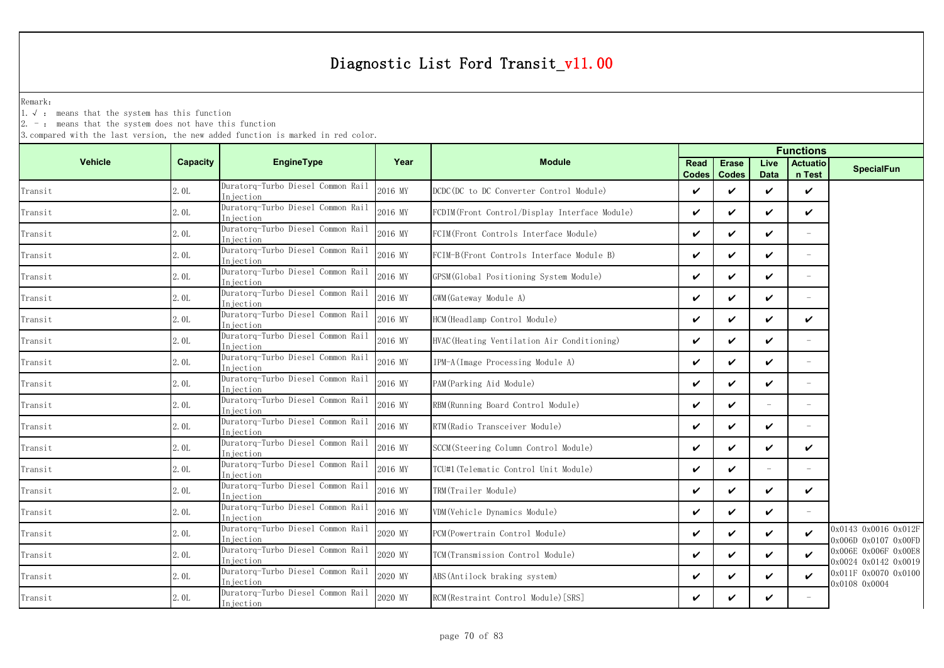Remark:

1.√ : means that the system has this function

 $2. -$ : means that the system does not have this function

|                |          |                                                 |         |                                                |                      |                              | <b>Functions</b>    |                           |                                              |  |
|----------------|----------|-------------------------------------------------|---------|------------------------------------------------|----------------------|------------------------------|---------------------|---------------------------|----------------------------------------------|--|
| <b>Vehicle</b> | Capacity | <b>EngineType</b>                               | Year    | <b>Module</b>                                  | Read<br><b>Codes</b> | <b>Erase</b><br><b>Codes</b> | Live<br><b>Data</b> | <b>Actuatio</b><br>n Test | <b>SpecialFun</b>                            |  |
| Transit        | 2.0L     | Duratorq-Turbo Diesel Common Rail<br>Injection  | 2016 MY | DCDC(DC to DC Converter Control Module)        | ✓                    | ✓                            | ✓                   | $\checkmark$              |                                              |  |
| Transit        | 2.0L     | Duratorq-Turbo Diesel Common Rail<br>Injection  | 2016 MY | FCDIM (Front Control/Display Interface Module) | $\checkmark$         | ✓                            | ✓                   | $\checkmark$              |                                              |  |
| Transit        | 2.0L     | Duratorg-Turbo Diesel Common Rail<br>Iniection  | 2016 MY | FCIM(Front Controls Interface Module)          | ✓                    | ✓                            | ✓                   | $\overline{\phantom{0}}$  |                                              |  |
| Transit        | 2.0L     | Duratorq-Turbo Diesel Common Rail<br>Injection  | 2016 MY | FCIM-B(Front Controls Interface Module B)      | ✓                    | ✓                            | ✓                   | $\equiv$                  |                                              |  |
| Transit        | 2.0L     | Duratorq-Turbo Diesel Common Rail<br>Injection  | 2016 MY | GPSM (Global Positioning System Module)        | ✓                    | ✓                            | ✓                   | $\equiv$                  |                                              |  |
| Transit        | 2.0L     | Duratorq-Turbo Diesel Common Rail<br>Iniection  | 2016 MY | GWM (Gateway Module A)                         | ✓                    | ✓                            | ✓                   | $\overline{\phantom{m}}$  |                                              |  |
| Transit        | 2.0L     | Duratorq-Turbo Diesel Common Rail<br>Injection  | 2016 MY | HCM (Headlamp Control Module)                  | ✓                    | ✓                            | ✓                   | ✓                         |                                              |  |
| Transit        | 2.0L     | Duratorq-Turbo Diesel Common Rail<br>In iection | 2016 MY | HVAC (Heating Ventilation Air Conditioning)    | V                    | ✓                            | ✓                   |                           |                                              |  |
| Transit        | 2.0L     | Duratorq-Turbo Diesel Common Rail<br>Injection  | 2016 MY | IPM-A (Image Processing Module A)              | V                    | ✓                            | ✓                   |                           |                                              |  |
| Transit        | 2.0L     | Duratorq-Turbo Diesel Common Rail<br>Injection  | 2016 MY | PAM (Parking Aid Module)                       | ✓                    | ✓                            | ✓                   | $\overline{\phantom{m}}$  |                                              |  |
| Transit        | 2.0L     | Duratorq-Turbo Diesel Common Rail<br>Injection  | 2016 MY | RBM (Running Board Control Module)             | ✓                    | ✓                            |                     |                           |                                              |  |
| Transit        | 2.0L     | Duratorq-Turbo Diesel Common Rail<br>Injection  | 2016 MY | RTM (Radio Transceiver Module)                 | ✓                    | ✓                            | ✓                   |                           |                                              |  |
| Transit        | 2.0L     | Duratorq-Turbo Diesel Common Rail<br>Injection  | 2016 MY | SCCM (Steering Column Control Module)          | V                    | ✓                            | ✓                   | $\checkmark$              |                                              |  |
| Transit        | 2.0L     | Duratorg-Turbo Diesel Common Rail<br>Iniection  | 2016 MY | TCU#1(Telematic Control Unit Module)           | ✓                    | ✓                            | $\equiv$            | ÷,                        |                                              |  |
| Transit        | 2.0L     | Duratorq-Turbo Diesel Common Rail<br>Injection  | 2016 MY | TRM(Trailer Module)                            | V                    | ✓                            | ✓                   | $\checkmark$              |                                              |  |
| Transit        | 2.0L     | Duratorq-Turbo Diesel Common Rail<br>Injection  | 2016 MY | VDM (Vehicle Dynamics Module)                  | ✓                    | ✓                            | ✓                   |                           |                                              |  |
| Transit        | 2.0L     | Duratorq-Turbo Diesel Common Rail<br>Injection  | 2020 MY | PCM(Powertrain Control Module)                 | ✓                    | ✓                            | ✓                   | $\boldsymbol{\nu}$        | 0x0143 0x0016 0x012F<br>0x006D 0x0107 0x00FD |  |
| Transit        | 2.0L     | Duratorq-Turbo Diesel Common Rail<br>Injection  | 2020 MY | TCM(Transmission Control Module)               | ✓                    | ✓                            | ✓                   | $\boldsymbol{\nu}$        | 0x006E 0x006F 0x00E8<br>0x0024 0x0142 0x0019 |  |
| Transit        | 2.0L     | Duratorq-Turbo Diesel Common Rail<br>Injection  | 2020 MY | ABS (Antilock braking system)                  | ✓                    | ✓                            | ✓                   | $\checkmark$              | 0x011F 0x0070 0x0100<br>0x0108 0x0004        |  |
| Transit        | 2.0L     | Duratorq-Turbo Diesel Common Rail<br>Injection  | 2020 MY | RCM(Restraint Control Module) [SRS]            | ✓                    | ✓                            | ✓                   |                           |                                              |  |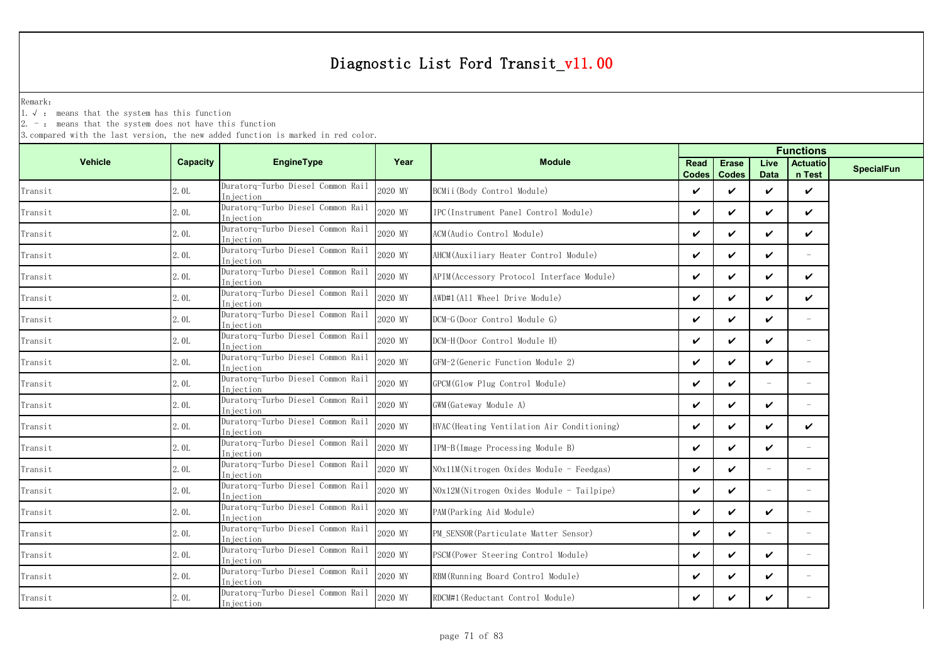Remark:

1.√ : means that the system has this function

 $2. -$ : means that the system does not have this function

|                                       |                 |                                                 |         |                                             |                      |                              | <b>Functions</b>    |                           |                   |
|---------------------------------------|-----------------|-------------------------------------------------|---------|---------------------------------------------|----------------------|------------------------------|---------------------|---------------------------|-------------------|
| <b>Vehicle</b>                        | <b>Capacity</b> | <b>EngineType</b>                               | Year    | <b>Module</b>                               | Read<br><b>Codes</b> | <b>Erase</b><br><b>Codes</b> | Live<br><b>Data</b> | <b>Actuatio</b><br>n Test | <b>SpecialFun</b> |
| Transit                               | 2.0L            | Duratorq-Turbo Diesel Common Rail<br>Injection  | 2020 MY | BCMii(Body Control Module)                  | $\checkmark$         | ✓                            | ✓                   | $\checkmark$              |                   |
| Transit                               | 2.0L            | Duratorq-Turbo Diesel Common Rail<br>Injection  | 2020 MY | IPC (Instrument Panel Control Module)       | $\checkmark$         | $\checkmark$                 | V                   | ✓                         |                   |
| Transit                               | 2.0L            | Duratorq-Turbo Diesel Common Rail<br>Injection  | 2020 MY | ACM(Audio Control Module)                   | $\checkmark$         | ✓                            | V                   | ✓                         |                   |
| Transit                               | 2.0L            | Duratorq-Turbo Diesel Common Rail<br>Injection  | 2020 MY | AHCM (Auxiliary Heater Control Module)      | $\boldsymbol{\nu}$   | ✓                            | ✓                   | $\overline{\phantom{a}}$  |                   |
| Transit                               | 2.0L            | Duratorq-Turbo Diesel Common Rail<br>Injection  | 2020 MY | APIM (Accessory Protocol Interface Module)  | $\checkmark$         | ✓                            | V                   | ✓                         |                   |
| $\mbox{{\sc Tr}ansit}$                | 2.0L            | Duratorq-Turbo Diesel Common Rail<br>Injection  | 2020 MY | AWD#1(All Wheel Drive Module)               | $\boldsymbol{\nu}$   | $\checkmark$                 | ✓                   | ✓                         |                   |
| Transit                               | 2.0L            | Duratorq-Turbo Diesel Common Rail<br>Injection  | 2020 MY | DCM-G(Door Control Module G)                | $\checkmark$         | ✓                            | V                   | $-$                       |                   |
| Transit                               | 2.0L            | Duratorq-Turbo Diesel Common Rail<br>Injection  | 2020 MY | DCM-H(Door Control Module H)                | $\checkmark$         | ✓                            | ✓                   | $\overline{\phantom{a}}$  |                   |
| Transit                               | 2.0L            | Duratorq-Turbo Diesel Common Rail<br>Injection  | 2020 MY | GFM-2 (Generic Function Module 2)           | $\checkmark$         | ✓                            | V                   |                           |                   |
| Transit                               | 2.0L            | Duratorq-Turbo Diesel Common Rail<br>Injection  | 2020 MY | GPCM(Glow Plug Control Module)              | $\checkmark$         | ✓                            | $\equiv$            | $\overline{\phantom{a}}$  |                   |
| Transit                               | 2.0L            | Duratorq-Turbo Diesel Common Rail<br>Injection  | 2020 MY | GWM (Gateway Module A)                      | $\checkmark$         | ✓                            | ✓                   |                           |                   |
| Transit                               | 2.0L            | Duratorq-Turbo Diesel Common Rail<br>Injection  | 2020 MY | HVAC (Heating Ventilation Air Conditioning) | $\checkmark$         | ✓                            | V                   | ✓                         |                   |
| Transit                               | 2.0L            | Duratorq-Turbo Diesel Common Rail<br>Injection  | 2020 MY | IPM-B(Image Processing Module B)            | $\boldsymbol{\nu}$   | ✓                            | ✓                   | $=$                       |                   |
| Transit                               | 2.0L            | Duratorq-Turbo Diesel Common Rail<br>In iection | 2020 MY | $N0x11M(Nitrogen 0xides Module - Feedgas)$  | $\checkmark$         | $\checkmark$                 |                     | $-$                       |                   |
| Transit                               | 2.0L            | Duratorq-Turbo Diesel Common Rail<br>Injection  | 2020 MY | $N0x12M(Nitrogen Oxides Module - Tailpipe)$ | $\checkmark$         | $\checkmark$                 |                     | $\equiv$                  |                   |
| $\label{eq:transit} \texttt{Transit}$ | 2.0L            | Duratorq-Turbo Diesel Common Rail<br>Injection  | 2020 MY | PAM (Parking Aid Module)                    | V                    | ✓                            | V                   |                           |                   |
| Transit                               | 2.0L            | Duratorq-Turbo Diesel Common Rail<br>In iection | 2020 MY | PM SENSOR (Particulate Matter Sensor)       | $\checkmark$         | $\checkmark$                 |                     | $\equiv$                  |                   |
| Transit                               | 2.0L            | Duratorq-Turbo Diesel Common Rail<br>Injection  | 2020 MY | PSCM(Power Steering Control Module)         | V                    | ✓                            | V                   |                           |                   |
| Transit                               | 2.0L            | Duratorq-Turbo Diesel Common Rail<br>Injection  | 2020 MY | RBM (Running Board Control Module)          | $\checkmark$         | ✓                            | V                   | $\overline{\phantom{a}}$  |                   |
| Transit                               | 2.0L            | Duratorq-Turbo Diesel Common Rail<br>Injection  | 2020 MY | RDCM#1 (Reductant Control Module)           | V                    | ✓                            | V                   |                           |                   |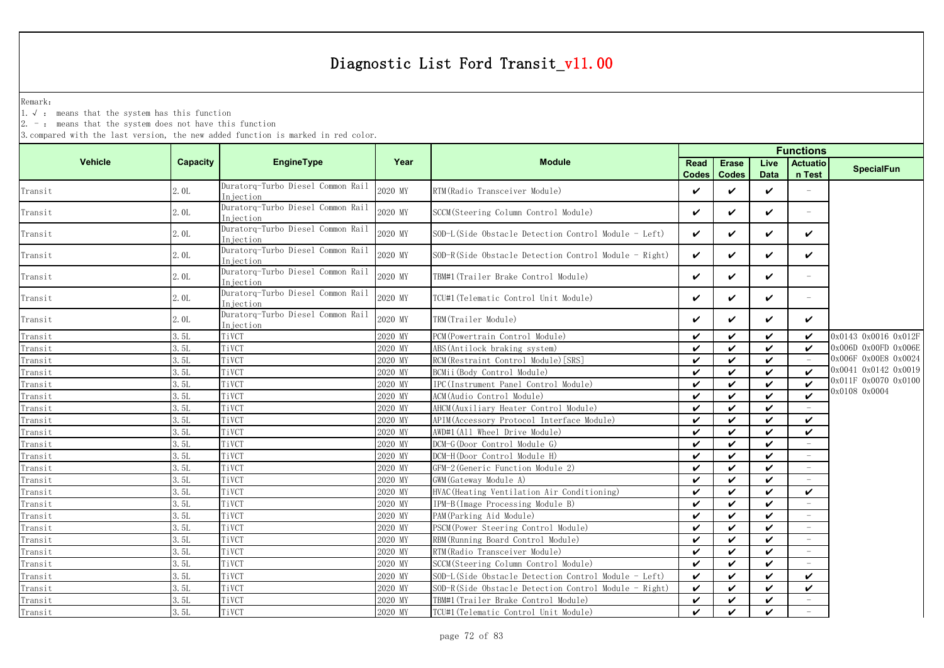Remark:

1.√ : means that the system has this function

2. - : means that the system does not have this function

|                        |                 |                                                |         |                                                         |                      |                              | <b>Functions</b>    |                           |                      |  |  |  |
|------------------------|-----------------|------------------------------------------------|---------|---------------------------------------------------------|----------------------|------------------------------|---------------------|---------------------------|----------------------|--|--|--|
| <b>Vehicle</b>         | <b>Capacity</b> | EngineType                                     | Year    | <b>Module</b>                                           | Read<br><b>Codes</b> | <b>Erase</b><br><b>Codes</b> | Live<br><b>Data</b> | <b>Actuatio</b><br>n Test | <b>SpecialFun</b>    |  |  |  |
| Transit                | 2.0L            | Duratorg-Turbo Diesel Common Rail<br>Injection | 2020 MY | RTM (Radio Transceiver Module)                          | V                    | ✓                            | $\checkmark$        | $\equiv$                  |                      |  |  |  |
| Transit                | 2.0L            | Duratorq-Turbo Diesel Common Rail<br>Injection | 2020 MY | SCCM (Steering Column Control Module)                   | ✓                    | ✓                            | $\checkmark$        | $\overline{\phantom{0}}$  |                      |  |  |  |
| Transit                | 2.0L            | Duratorq-Turbo Diesel Common Rail<br>Injection | 2020 MY | SOD-L(Side Obstacle Detection Control Module - Left)    | $\checkmark$         | ✓                            | $\checkmark$        | $\checkmark$              |                      |  |  |  |
| Transit                | 2.0L            | Duratorq-Turbo Diesel Common Rail<br>Injection | 2020 MY | $SOD-R(Side Obstackc[Detection Control Module - Right)$ | V                    | ✓                            | $\checkmark$        | $\checkmark$              |                      |  |  |  |
| Transit                | 2.0L            | Duratorq-Turbo Diesel Common Rail<br>Injection | 2020 MY | TBM#1 (Trailer Brake Control Module)                    | $\checkmark$         | ✓                            | $\checkmark$        | $\overline{\phantom{a}}$  |                      |  |  |  |
| Transit                | 2.0L            | Duratorq-Turbo Diesel Common Rail<br>Injection | 2020 MY | TCU#1 (Telematic Control Unit Module)                   | $\checkmark$         | ✓                            | $\checkmark$        | $\equiv$                  |                      |  |  |  |
| $\mbox{{\sc Tr}ansit}$ | 2.0L            | Duratorq-Turbo Diesel Common Rail<br>Injection | 2020 MY | TRM(Trailer Module)                                     | ✓                    | ✓                            | $\checkmark$        | $\checkmark$              |                      |  |  |  |
| Transit                | 3.5L            | TiVCT                                          | 2020 MY | PCM (Powertrain Control Module)                         | $\checkmark$         | ✓                            | $\checkmark$        | $\checkmark$              | 0x0143 0x0016 0x012F |  |  |  |
| Transit                | 3.5L            | TiVCT                                          | 2020 MY | ABS(Antilock braking system)                            | ✓                    | ✓                            | $\boldsymbol{\nu}$  | ✓                         | 0x006D 0x00FD 0x006E |  |  |  |
| Transit                | 3.5L            | TiVCT                                          | 2020 MY | RCM (Restraint Control Module) [SRS]                    | $\checkmark$         | ✓                            | $\boldsymbol{\nu}$  |                           | 0x006F 0x00E8 0x0024 |  |  |  |
| Transit                | 3.5L            | TiVCT                                          | 2020 MY | BCMii (Body Control Module)                             | $\checkmark$         | $\checkmark$                 | $\boldsymbol{\nu}$  | $\boldsymbol{\nu}$        | 0x0041 0x0142 0x0019 |  |  |  |
| Transit                | 3.5L            | TiVCT                                          | 2020 MY | IPC(Instrument Panel Control Module)                    | $\checkmark$         | $\checkmark$                 | $\checkmark$        | $\checkmark$              | 0x011F 0x0070 0x0100 |  |  |  |
| Transit                | 3.5L            | TiVCT                                          | 2020 MY | ACM(Audio Control Module)                               | $\boldsymbol{\nu}$   | ✓                            | $\checkmark$        | $\boldsymbol{\nu}$        | 0x0108 0x0004        |  |  |  |
| Transit                | 3.5L            | TiVCT                                          | 2020 MY | AHCM (Auxiliary Heater Control Module)                  | $\checkmark$         | ✓                            | $\checkmark$        |                           |                      |  |  |  |
| Transit                | 3.5L            | TiVCT                                          | 2020 MY | APIM (Accessory Protocol Interface Module)              | $\boldsymbol{\nu}$   | ✓                            | $\checkmark$        | $\checkmark$              |                      |  |  |  |
| Transit                | 3.5L            | TiVCT                                          | 2020 MY | AWD#1(All Wheel Drive Module)                           | $\checkmark$         | ✓                            | $\checkmark$        | V                         |                      |  |  |  |
| Transit                | 3.5L            | TiVCT                                          | 2020 MY | DCM-G(Door Control Module G)                            | $\checkmark$         | ✓                            | $\checkmark$        |                           |                      |  |  |  |
| Transit                | 3. 5L           | TiVCT                                          | 2020 MY | DCM-H(Door Control Module H)                            | $\checkmark$         | ✓                            | $\boldsymbol{\nu}$  | $\overline{\phantom{m}}$  |                      |  |  |  |
| Transit                | 3.5L            | TiVCT                                          | 2020 MY | GFM-2 (Generic Function Module 2)                       | $\boldsymbol{\nu}$   | ✓                            | $\checkmark$        |                           |                      |  |  |  |
| Transit                | 3.51            | TiVCT                                          | 2020 MY | GWM (Gateway Module A)                                  | $\boldsymbol{\nu}$   | ✓                            | $\checkmark$        |                           |                      |  |  |  |
| Transit                | 3.5L            | TiVCT                                          | 2020 MY | HVAC (Heating Ventilation Air Conditioning)             | ✓                    | $\checkmark$                 | $\checkmark$        | $\checkmark$              |                      |  |  |  |
| Transit                | 3.5L            | TiVCT                                          | 2020 MY | IPM-B(Image Processing Module B)                        | $\boldsymbol{\nu}$   | $\checkmark$                 | $\checkmark$        |                           |                      |  |  |  |
| Transit                | 3.5L            | TiVCT                                          | 2020 MY | PAM (Parking Aid Module)                                | $\checkmark$         | ✓                            | $\checkmark$        | $\overline{\phantom{m}}$  |                      |  |  |  |
| Transit                | 3.5L            | TiVCT                                          | 2020 MY | PSCM (Power Steering Control Module)                    | $\checkmark$         | ✓                            | $\boldsymbol{\nu}$  | $\overline{\phantom{m}}$  |                      |  |  |  |
| Transit                | 3.5L            | TiVCT                                          | 2020 MY | RBM (Running Board Control Module)                      | $\checkmark$         | ✓                            | $\checkmark$        | $\overline{\phantom{m}}$  |                      |  |  |  |
| Transit                | 3.5L            | TiVCT                                          | 2020 MY | RTM (Radio Transceiver Module)                          | $\checkmark$         | ✓                            | $\checkmark$        | $\overline{\phantom{a}}$  |                      |  |  |  |
| Transit                | 3. 5L           | TiVCT                                          | 2020 MY | SCCM(Steering Column Control Module)                    | $\checkmark$         | ✓                            | $\boldsymbol{\nu}$  |                           |                      |  |  |  |
| Transit                | 3.5L            | TiVCT                                          | 2020 MY | SOD-L(Side Obstacle Detection Control Module - Left)    | $\checkmark$         | ✓                            | $\checkmark$        | $\checkmark$              |                      |  |  |  |
| Transit                | 3.5L            | TiVCT                                          | 2020 MY | SOD-R(Side Obstacle Detection Control Module - Right)   | $\checkmark$         | ✓                            | $\checkmark$        | $\checkmark$              |                      |  |  |  |
| $Transit$              | 3.5L            | TiVCT                                          | 2020 MY | TBM#1(Trailer Brake Control Module)                     | ✓                    | ✓                            | $\checkmark$        |                           |                      |  |  |  |
| Transit                | 3.5L            | TiVCT                                          | 2020 MY | TCU#1 (Telematic Control Unit Module)                   | $\checkmark$         | ✓                            | $\checkmark$        |                           |                      |  |  |  |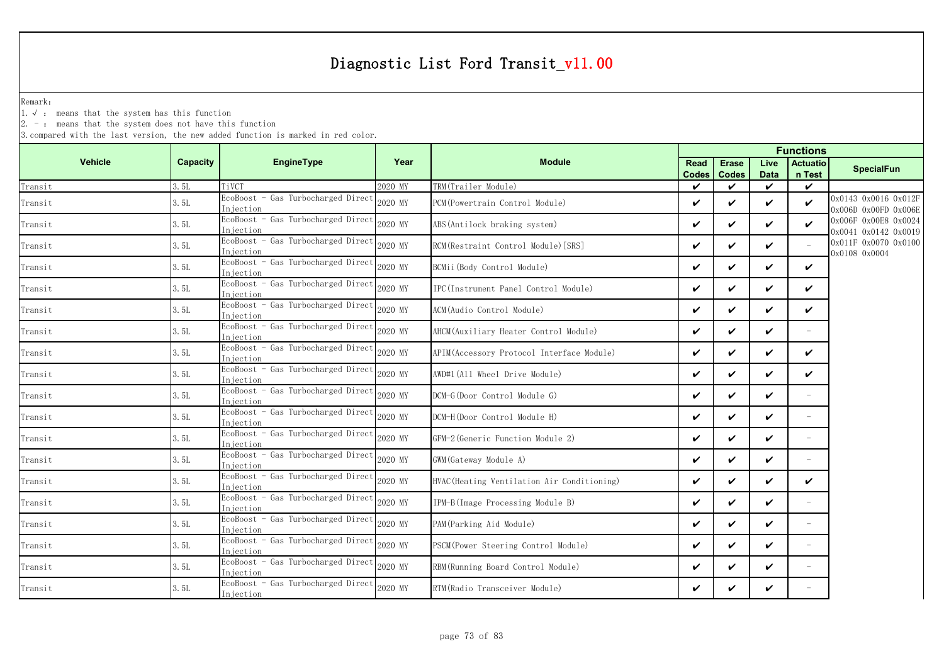Remark:

1.√ : means that the system has this function

2. - : means that the system does not have this function

|                |          |                                                  |         |                                             |                      |                              |                     | <b>Functions</b>          |                                                    |
|----------------|----------|--------------------------------------------------|---------|---------------------------------------------|----------------------|------------------------------|---------------------|---------------------------|----------------------------------------------------|
| <b>Vehicle</b> | Capacity | EngineType                                       | Year    | <b>Module</b>                               | Read<br><b>Codes</b> | <b>Erase</b><br><b>Codes</b> | Live<br><b>Data</b> | <b>Actuatio</b><br>n Test | <b>SpecialFun</b>                                  |
| Transit        | 3.5L     | TiVCT                                            | 2020 MY | TRM(Trailer Module)                         | $\boldsymbol{\nu}$   | ✓                            | $\boldsymbol{\nu}$  | $\checkmark$              |                                                    |
| Transit        | 3.5L     | EcoBoost - Gas Turbocharged Direct<br>Iniection  | 2020 MY | PCM (Powertrain Control Module)             | ✓                    | ✓                            | $\boldsymbol{\nu}$  | $\checkmark$              | 0x0143 0x0016 0x012F<br>$0x006D$ $0x00FD$ $0x006E$ |
| Transit        | 3.5L     | EcoBoost - Gas Turbocharged Direct<br>Injection  | 2020 MY | ABS(Antilock braking system)                | V                    | ✓                            | ✓                   | $\checkmark$              | 0x006F 0x00E8 0x0024<br>0x0041 0x0142 0x0019       |
| Transit        | 3.5L     | EcoBoost - Gas Turbocharged Direct<br>Injection  | 2020 MY | RCM (Restraint Control Module) [SRS]        | $\boldsymbol{\nu}$   | ✓                            | $\boldsymbol{\nu}$  |                           | 0x011F 0x0070 0x0100<br>0x0108 0x0004              |
| Transit        | 3.5L     | EcoBoost - Gas Turbocharged Direct<br>Injection  | 2020 MY | BCMii(Body Control Module)                  | ✓                    | ✓                            | ✓                   | V                         |                                                    |
| Transit        | 3.5L     | EcoBoost - Gas Turbocharged Direct<br>Injection  | 2020 MY | IPC(Instrument Panel Control Module)        | ✓                    | ✓                            | $\boldsymbol{\nu}$  | V                         |                                                    |
| Transit        | 3.5L     | EcoBoost - Gas Turbocharged Direct<br>Injection  | 2020 MY | ACM(Audio Control Module)                   | ✓                    | ✓                            | $\checkmark$        | ✓                         |                                                    |
| Transit        | 3.5L     | EcoBoost - Gas Turbocharged Direct<br>Injection  | 2020 MY | AHCM(Auxiliary Heater Control Module)       | ✓                    | ✓                            | $\boldsymbol{\nu}$  | $\overline{\phantom{a}}$  |                                                    |
| Transit        | 3.5L     | EcoBoost - Gas Turbocharged Direct<br>In iection | 2020 MY | APIM (Accessory Protocol Interface Module)  | $\checkmark$         | ✓                            | $\checkmark$        | V                         |                                                    |
| Transit        | 3.5L     | EcoBoost - Gas Turbocharged Direct<br>In jection | 2020 MY | AWD#1(All Wheel Drive Module)               | ✓                    | ✓                            | $\boldsymbol{\nu}$  | V                         |                                                    |
| Transit        | 3.5L     | EcoBoost - Gas Turbocharged Direct<br>Injection  | 2020 MY | DCM-G(Door Control Module G)                | ✓                    | ✓                            | ✓                   |                           |                                                    |
| Transit        | 3.5L     | EcoBoost - Gas Turbocharged Direct<br>Injection  | 2020 MY | DCM-H(Door Control Module H)                | ✓                    | ✓                            | ✓                   | $\equiv$                  |                                                    |
| Transit        | 3.5L     | EcoBoost - Gas Turbocharged Direct<br>Injection  | 2020 MY | GFM-2 (Generic Function Module 2)           | $\checkmark$         | ✓                            | V                   | $\overline{\phantom{a}}$  |                                                    |
| Transit        | 3.5L     | EcoBoost - Gas Turbocharged Direct<br>Injection  | 2020 MY | GWM (Gateway Module A)                      | ✓                    | ✓                            | $\boldsymbol{\nu}$  | $\overline{\phantom{a}}$  |                                                    |
| Transit        | 3.5L     | EcoBoost - Gas Turbocharged Direct<br>Injection  | 2020 MY | HVAC (Heating Ventilation Air Conditioning) | ✓                    | ✓                            | ✓                   | ✓                         |                                                    |
| Transit        | 3.5L     | EcoBoost - Gas Turbocharged Direct<br>Injection  | 2020 MY | IPM-B(Image Processing Module B)            | ✓                    | ✓                            | $\boldsymbol{\nu}$  | $\overline{\phantom{a}}$  |                                                    |
| Transit        | 3.5L     | EcoBoost - Gas Turbocharged Direct<br>Injection  | 2020 MY | PAM (Parking Aid Module)                    | $\checkmark$         | ✓                            | V                   | $\overline{\phantom{a}}$  |                                                    |
| Transit        | 3.5L     | EcoBoost - Gas Turbocharged Direct<br>In jection | 2020 MY | PSCM (Power Steering Control Module)        | ✓                    | $\boldsymbol{\nu}$           | $\boldsymbol{\nu}$  | $\overline{\phantom{a}}$  |                                                    |
| Transit        | 3.5L     | EcoBoost - Gas Turbocharged Direct<br>In jection | 2020 MY | RBM (Running Board Control Module)          | V                    | ✓                            | V                   | $\overline{\phantom{a}}$  |                                                    |
| Transit        | 3.5L     | EcoBoost - Gas Turbocharged Direct<br>Injection  | 2020 MY | RTM (Radio Transceiver Module)              | ✓                    | ✓                            | ✓                   |                           |                                                    |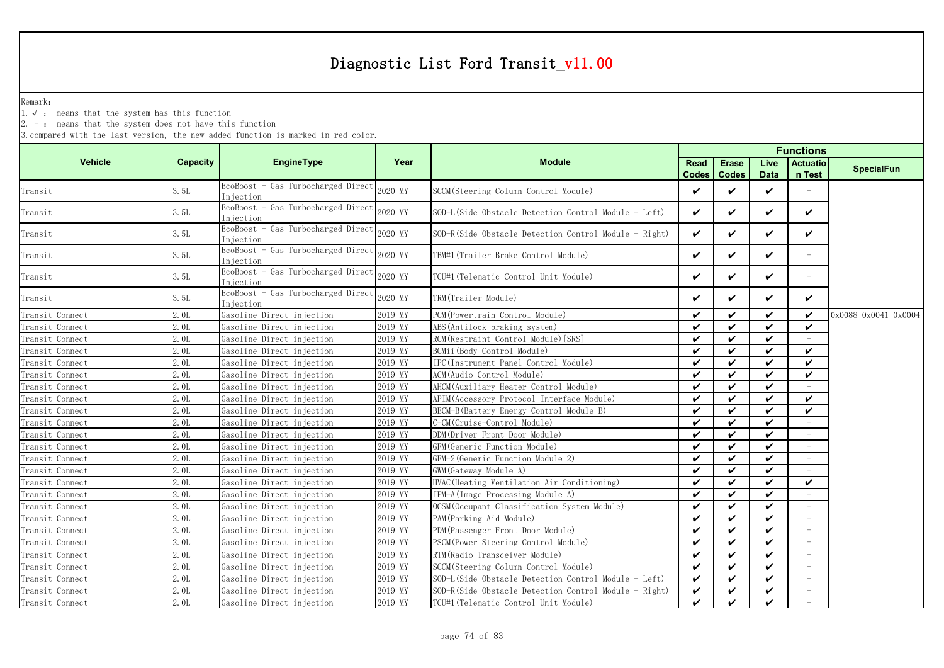Remark:

1.√ : means that the system has this function

 $2. -$ : means that the system does not have this function

| <b>Vehicle</b>  | <b>Capacity</b>  | <b>EngineType</b>                               | Year    | <b>Module</b>                                         | Read<br><b>Codes</b> | <b>Erase</b><br><b>Codes</b> | Live<br><b>Data</b>        | <b>Actuatio</b><br>n Test | <b>SpecialFun</b>    |
|-----------------|------------------|-------------------------------------------------|---------|-------------------------------------------------------|----------------------|------------------------------|----------------------------|---------------------------|----------------------|
| Transit         | 3.5L             | EcoBoost - Gas Turbocharged Direct<br>Injection | 2020 MY | SCCM(Steering Column Control Module)                  | $\checkmark$         | ✓                            | $\checkmark$               |                           |                      |
| Transit         | 3.5L             | EcoBoost - Gas Turbocharged Direct<br>Iniection | 2020 MY | SOD-L(Side Obstacle Detection Control Module - Left)  | $\checkmark$         | ✓                            | $\boldsymbol{\nu}$         | $\checkmark$              |                      |
| Transit         | 3.5L             | EcoBoost - Gas Turbocharged Direct<br>Iniection | 2020 MY | SOD-R(Side Obstacle Detection Control Module - Right) | $\checkmark$         | ✓                            | V                          | V                         |                      |
| Transit         | 3.5L             | EcoBoost - Gas Turbocharged Direct<br>Injection | 2020 MY | TBM#1(Trailer Brake Control Module)                   | $\checkmark$         | ✓                            | $\checkmark$               | $\overline{\phantom{a}}$  |                      |
| Transit         | 3.5L             | EcoBoost - Gas Turbocharged Direct<br>Injection | 2020 MY | TCU#1(Telematic Control Unit Module)                  | V                    | ✓                            | V                          | $\overline{\phantom{a}}$  |                      |
| Transit         | 3.5L             | EcoBoost - Gas Turbocharged Direct<br>Injection | 2020 MY | TRM(Trailer Module)                                   | ✓                    | ✓                            | ✓                          | V                         |                      |
| Transit Connect | 2.0L             | Gasoline Direct injection                       | 2019 MY | PCM(Powertrain Control Module)                        | $\checkmark$         | ✓                            | $\boldsymbol{\nu}$         | V                         | 0x0088 0x0041 0x0004 |
| Transit Connect | 2.0L             | Gasoline Direct injection                       | 2019 MY | ABS(Antilock braking system)                          | $\checkmark$         | ✓                            | ✓                          | V                         |                      |
| Transit Connect | 2.0L             | Gasoline Direct injection                       | 2019 MY | RCM(Restraint Control Module)[SRS]                    | ✓                    | $\boldsymbol{\nu}$           | $\boldsymbol{\nu}$         |                           |                      |
| Transit Connect | 2.0 <sub>L</sub> | Gasoline Direct injection                       | 2019 MY | BCMii (Body Control Module)                           | $\checkmark$         | ✓                            | V                          | V                         |                      |
| Transit Connect | 2.0L             | Gasoline Direct injection                       | 2019 MY | IPC(Instrument Panel Control Module)                  | $\boldsymbol{\nu}$   | $\boldsymbol{\nu}$           | ✓                          | ✓                         |                      |
| Transit Connect | 2.0L             | Gasoline Direct injection                       | 2019 MY | ACM (Audio Control Module)                            | $\boldsymbol{\nu}$   | $\boldsymbol{\nu}$           | $\boldsymbol{\nu}$         | $\checkmark$              |                      |
| Transit Connect | 2.0L             | Gasoline Direct injection                       | 2019 MY | AHCM(Auxiliary Heater Control Module)                 | $\checkmark$         | ✓                            | ✓                          |                           |                      |
| Transit Connect | 2.0L             | Gasoline Direct injection                       | 2019 MY | APIM(Accessory Protocol Interface Module)             | $\boldsymbol{\nu}$   | $\boldsymbol{\nu}$           | $\boldsymbol{\nu}$         | $\checkmark$              |                      |
| Transit Connect | 2.0L             | Gasoline Direct injection                       | 2019 MY | BECM-B (Battery Energy Control Module B)              | $\checkmark$         | ✓                            | $\checkmark$               | V                         |                      |
| Transit Connect | 2.0L             | Gasoline Direct injection                       | 2019 MY | C-CM (Cruise-Control Module)                          | ✓                    | ✓                            | ✓                          |                           |                      |
| Transit Connect | 2.0 <sub>L</sub> | Gasoline Direct injection                       | 2019 MY | DDM (Driver Front Door Module)                        | $\checkmark$         | ✓                            | ✓                          | $\overline{\phantom{a}}$  |                      |
| Transit Connect | 2.0L             | Gasoline Direct injection                       | 2019 MY | GFM (Generic Function Module)                         | $\checkmark$         | ✓                            | V                          | $\overline{\phantom{a}}$  |                      |
| Transit Connect | 2. OL            | Gasoline Direct injection                       | 2019 MY | GFM-2 (Generic Function Module 2)                     | $\checkmark$         | ✓                            | ✓                          |                           |                      |
| Transit Connect | 2.0L             | Gasoline Direct injection                       | 2019 MY | GWM (Gateway Module A)                                | V                    | ✓                            | V                          |                           |                      |
| Transit Connect | 2.0L             | Gasoline Direct injection                       | 2019 MY | HVAC (Heating Ventilation Air Conditioning)           | $\boldsymbol{\nu}$   | ✓                            | $\boldsymbol{\mathcal{U}}$ | ✓                         |                      |
| Transit Connect | 2. OL            | Gasoline Direct injection                       | 2019 MY | IPM-A(Image Processing Module A)                      | ✓                    | ✓                            | ✓                          |                           |                      |
| Transit Connect | 2. OL            | Gasoline Direct injection                       | 2019 MY | OCSM(Occupant Classification System Module)           | $\checkmark$         | $\boldsymbol{\nu}$           | ✓                          |                           |                      |
| Transit Connect | 2.0L             | Gasoline Direct injection                       | 2019 MY | PAM (Parking Aid Module)                              | $\boldsymbol{\nu}$   | ✓                            | ✓                          |                           |                      |
| Transit Connect | 2.0L             | Gasoline Direct injection                       | 2019 MY | PDM(Passenger Front Door Module)                      | $\checkmark$         | $\boldsymbol{\nu}$           | $\boldsymbol{\nu}$         |                           |                      |
| Transit Connect | 2.0L             | Gasoline Direct injection                       | 2019 MY | PSCM(Power Steering Control Module)                   | $\boldsymbol{\nu}$   | ✓                            | ✓                          |                           |                      |
| Transit Connect | 2.0L             | Gasoline Direct injection                       | 2019 MY | RTM (Radio Transceiver Module)                        | $\boldsymbol{\nu}$   | $\boldsymbol{\nu}$           | $\boldsymbol{\nu}$         |                           |                      |
| Transit Connect | 2.0L             | Gasoline Direct injection                       | 2019 MY | SCCM(Steering Column Control Module)                  | $\boldsymbol{\nu}$   | $\checkmark$                 | $\boldsymbol{\mathcal{U}}$ |                           |                      |
| Transit Connect | 2.0L             | Gasoline Direct injection                       | 2019 MY | SOD-L(Side Obstacle Detection Control Module - Left)  | $\checkmark$         | $\boldsymbol{\nu}$           | $\boldsymbol{\nu}$         |                           |                      |
| Transit Connect | 2.0L             | Gasoline Direct injection                       | 2019 MY | SOD-R(Side Obstacle Detection Control Module - Right) | $\checkmark$         | $\boldsymbol{\nu}$           | $\checkmark$               |                           |                      |
| Transit Connect | 2.0L             | Gasoline Direct injection                       | 2019 MY | TCU#1 (Telematic Control Unit Module)                 | ✓                    | ✓                            | ✓                          |                           |                      |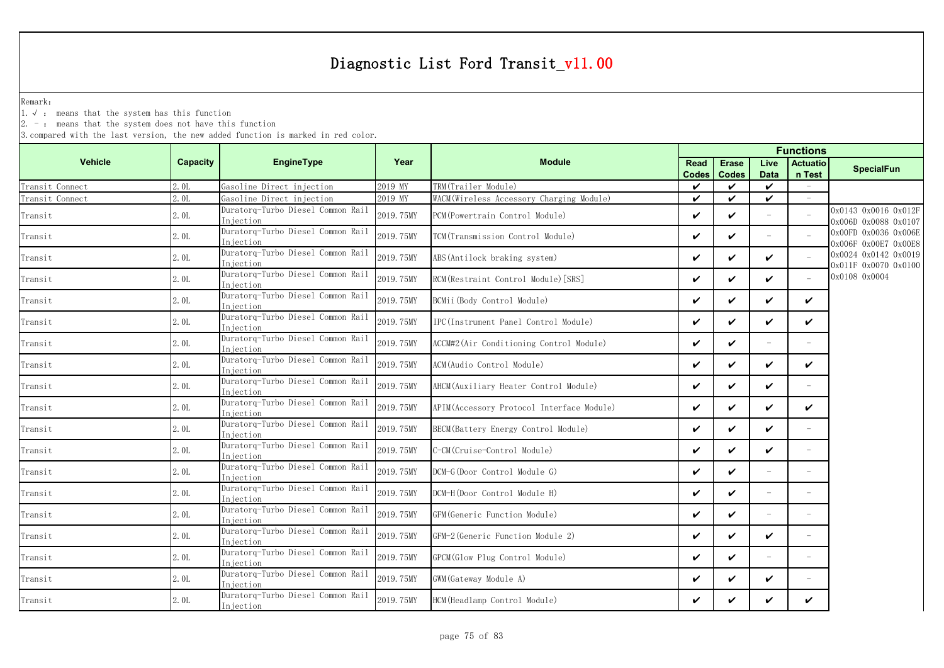Remark:

1.√ : means that the system has this function

 $2. -$ : means that the system does not have this function

|                                       |                 |                                                 |           |                                           |                      | <b>Functions</b>             |                          |                           |                                              |  |
|---------------------------------------|-----------------|-------------------------------------------------|-----------|-------------------------------------------|----------------------|------------------------------|--------------------------|---------------------------|----------------------------------------------|--|
| <b>Vehicle</b>                        | <b>Capacity</b> | EngineType                                      | Year      | <b>Module</b>                             | Read<br><b>Codes</b> | <b>Erase</b><br><b>Codes</b> | Live<br><b>Data</b>      | <b>Actuatio</b><br>n Test | <b>SpecialFun</b>                            |  |
| Transit Connect                       | 2.0L            | Gasoline Direct injection                       | 2019 MY   | TRM(Trailer Module)                       | $\checkmark$         | $\checkmark$                 | $\boldsymbol{\nu}$       |                           |                                              |  |
| Transit Connect                       | 2.0L            | Gasoline Direct injection                       | 2019 MY   | WACM (Wireless Accessory Charging Module) | $\checkmark$         | $\checkmark$                 | $\checkmark$             |                           |                                              |  |
| Transit                               | 2.0L            | Duratorq-Turbo Diesel Common Rail<br>Injection  | 2019.75MY | PCM (Powertrain Control Module)           | $\checkmark$         | ✓                            |                          |                           | 0x0143 0x0016 0x012F<br>0x006D 0x0088 0x0107 |  |
| Transit                               | 2.0L            | Duratorq-Turbo Diesel Common Rail<br>Iniection  | 2019.75MY | TCM(Transmission Control Module)          | $\checkmark$         | ✓                            | $\overline{\phantom{a}}$ |                           | 0x00FD 0x0036 0x006E<br>0x006F 0x00E7 0x00E8 |  |
| Transit                               | 2.0L            | Duratorq-Turbo Diesel Common Rail<br>Injection  | 2019.75MY | ABS(Antilock braking system)              | $\checkmark$         | $\checkmark$                 | $\checkmark$             |                           | 0x0024 0x0142 0x0019<br>0x011F 0x0070 0x0100 |  |
| Transit                               | 2.0L            | Duratorq-Turbo Diesel Common Rail<br>Injection  | 2019.75MY | RCM (Restraint Control Module) [SRS]      | $\checkmark$         | $\checkmark$                 | ✓                        |                           | 0x0108 0x0004                                |  |
| Transit                               | 2.0L            | Duratorq-Turbo Diesel Common Rail<br>Injection  | 2019.75MY | BCMii(Body Control Module)                | $\checkmark$         | $\checkmark$                 | $\checkmark$             | $\checkmark$              |                                              |  |
| Transit                               | 2.0L            | Duratorq-Turbo Diesel Common Rail<br>Injection  | 2019.75MY | IPC(Instrument Panel Control Module)      | $\checkmark$         | $\checkmark$                 | ✓                        | ✓                         |                                              |  |
| Transit                               | 2.0L            | Duratorq-Turbo Diesel Common Rail<br>Injection  | 2019.75MY | ACCM#2(Air Conditioning Control Module)   | $\checkmark$         | $\checkmark$                 |                          |                           |                                              |  |
| Transit                               | 2.0L            | Duratorq-Turbo Diesel Common Rail<br>Injection  | 2019.75MY | ACM(Audio Control Module)                 | $\checkmark$         | ✓                            | $\boldsymbol{\nu}$       | ✓                         |                                              |  |
| Transit                               | 2.0L            | Duratorq-Turbo Diesel Common Rail<br>Iniection  | 2019.75MY | AHCM(Auxiliary Heater Control Module)     | $\checkmark$         | ✓                            | ✓                        |                           |                                              |  |
| Transit                               | 2.0L            | Duratorq-Turbo Diesel Common Rail<br>Injection  | 2019.75MY | APIM(Accessory Protocol Interface Module) | V                    | ✓                            | ✓                        | ✓                         |                                              |  |
| Transit                               | 2.0L            | Duratorq-Turbo Diesel Common Rail<br>Injection  | 2019.75MY | BECM (Battery Energy Control Module)      | $\checkmark$         | ✓                            | ✓                        |                           |                                              |  |
| Transit                               | 2.0L            | Duratorq-Turbo Diesel Common Rail<br>Injection  | 2019.75MY | C-CM(Cruise-Control Module)               | $\checkmark$         | $\boldsymbol{\nu}$           | ✓                        |                           |                                              |  |
| Transit                               | 2.0L            | Duratorq-Turbo Diesel Common Rail<br>In iection | 2019.75MY | DCM-G(Door Control Module G)              | $\checkmark$         | ✓                            | $\overline{\phantom{a}}$ | $\overline{\phantom{a}}$  |                                              |  |
| Transit                               | 2.0L            | Duratorq-Turbo Diesel Common Rail<br>Injection  | 2019.75MY | DCM-H(Door Control Module H)              | $\checkmark$         | ✓                            | $\equiv$                 | $\equiv$                  |                                              |  |
| $\label{eq:transit} \texttt{Transit}$ | 2.0L            | Duratorq-Turbo Diesel Common Rail<br>Injection  | 2019.75MY | GFM(Generic Function Module)              | $\checkmark$         | $\boldsymbol{\nu}$           |                          |                           |                                              |  |
| Transit                               | 2.0L            | Duratorq-Turbo Diesel Common Rail<br>Injection  | 2019.75MY | GFM-2 (Generic Function Module 2)         | $\checkmark$         | $\boldsymbol{\nu}$           | ✓                        | $\overline{\phantom{m}}$  |                                              |  |
| Transit                               | 2.0L            | Duratorq-Turbo Diesel Common Rail<br>Injection  | 2019.75MY | GPCM(Glow Plug Control Module)            | $\checkmark$         | ✓                            |                          |                           |                                              |  |
| Transit                               | 2.0L            | Duratorq-Turbo Diesel Common Rail<br>Injection  | 2019.75MY | GWM (Gateway Module A)                    | $\checkmark$         | ✓                            | ✓                        |                           |                                              |  |
| Transit                               | 2.0L            | Duratorq-Turbo Diesel Common Rail<br>Injection  | 2019.75MY | HCM (Headlamp Control Module)             | $\checkmark$         |                              | ✓                        | V                         |                                              |  |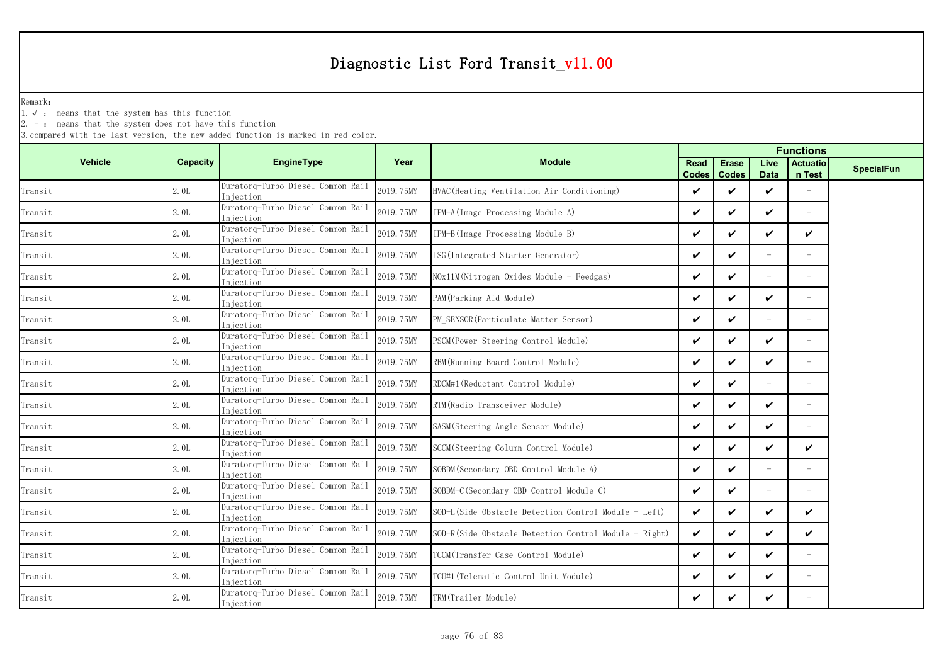Remark:

1.√ : means that the system has this function

2. - : means that the system does not have this function

|                |          |                                                 |           |                                                       |                      | <b>Functions</b>             |                          |                           |                   |  |  |
|----------------|----------|-------------------------------------------------|-----------|-------------------------------------------------------|----------------------|------------------------------|--------------------------|---------------------------|-------------------|--|--|
| <b>Vehicle</b> | Capacity | <b>EngineType</b>                               | Year      | <b>Module</b>                                         | Read<br><b>Codes</b> | <b>Erase</b><br><b>Codes</b> | Live<br><b>Data</b>      | <b>Actuatio</b><br>n Test | <b>SpecialFun</b> |  |  |
| Transit        | 2.0L     | Duratorq-Turbo Diesel Common Rail<br>Injection  | 2019.75MY | HVAC (Heating Ventilation Air Conditioning)           | ✓                    | ✓                            | ✓                        |                           |                   |  |  |
| Transit        | 2.0L     | Duratorq-Turbo Diesel Common Rail<br>Injection  | 2019.75MY | IPM-A (Image Processing Module A)                     | $\checkmark$         | ✓                            | ✓                        | $\overline{\phantom{0}}$  |                   |  |  |
| Transit        | 2.0L     | Duratorq-Turbo Diesel Common Rail<br>Injection  | 2019.75MY | IPM-B(Image Processing Module B)                      | ✓                    | ✓                            | ✓                        | ✓                         |                   |  |  |
| Transit        | 2.0L     | Duratorq-Turbo Diesel Common Rail<br>In iection | 2019.75MY | ISG (Integrated Starter Generator)                    | ✓                    | ✓                            | $\equiv$                 |                           |                   |  |  |
| Transit        | 2.0L     | Duratorq-Turbo Diesel Common Rail<br>Injection  | 2019.75MY | NOx11M(Nitrogen Oxides Module - Feedgas)              | ✓                    | ✓                            | $\equiv$                 |                           |                   |  |  |
| Transit        | 2.0L     | Duratorq-Turbo Diesel Common Rail<br>Injection  | 2019.75MY | PAM (Parking Aid Module)                              | ✓                    | ✓                            | ✓                        | $\equiv$                  |                   |  |  |
| Transit        | 2.0L     | Duratorq-Turbo Diesel Common Rail<br>Injection  | 2019.75MY | PM SENSOR (Particulate Matter Sensor)                 | ✓                    | ✓                            | $\equiv$                 | $\overline{\phantom{0}}$  |                   |  |  |
| Transit        | 2.0L     | Duratorg-Turbo Diesel Common Rail<br>Injection  | 2019.75MY | PSCM(Power Steering Control Module)                   | ✓                    | ✓                            | ✓                        | $\equiv$                  |                   |  |  |
| Transit        | 2.0L     | Duratorq-Turbo Diesel Common Rail<br>Injection  | 2019.75MY | RBM (Running Board Control Module)                    | ✓                    | ✓                            | ✓                        |                           |                   |  |  |
| Transit        | 2.0L     | Duratorq-Turbo Diesel Common Rail<br>Injection  | 2019.75MY | RDCM#1 (Reductant Control Module)                     | ✓                    | ✓                            | $\overline{\phantom{0}}$ |                           |                   |  |  |
| Transit        | 2.0L     | Duratorq-Turbo Diesel Common Rail<br>Injection  | 2019.75MY | RTM (Radio Transceiver Module)                        | ✓                    | ✓                            | ✓                        | $\overline{\phantom{0}}$  |                   |  |  |
| Transit        | 2.0L     | Duratorg-Turbo Diesel Common Rail<br>Injection  | 2019.75MY | SASM (Steering Angle Sensor Module)                   | ✓                    | ✓                            | ✓                        |                           |                   |  |  |
| Transit        | 2.0L     | Duratorq-Turbo Diesel Common Rail<br>Injection  | 2019.75MY | SCCM (Steering Column Control Module)                 | ✓                    | ✓                            | ✓                        | $\checkmark$              |                   |  |  |
| Transit        | 2.0L     | Duratorq-Turbo Diesel Common Rail<br>Injection  | 2019.75MY | SOBDM (Secondary OBD Control Module A)                | V                    | ✓                            | $\equiv$                 |                           |                   |  |  |
| Transit        | 2.0L     | Duratorg-Turbo Diesel Common Rail<br>In iection | 2019.75MY | SOBDM-C (Secondary OBD Control Module C)              | ✓                    | ✓                            | $\equiv$                 |                           |                   |  |  |
| Transit        | 2.0L     | Duratorq-Turbo Diesel Common Rail<br>Injection  | 2019.75MY | SOD-L(Side Obstacle Detection Control Module - Left)  | ✓                    | ✓                            | ✓                        | $\boldsymbol{\nu}$        |                   |  |  |
| Transit        | 2.0L     | Duratorq-Turbo Diesel Common Rail<br>Injection  | 2019.75MY | SOD-R(Side Obstacle Detection Control Module - Right) | ✓                    | ✓                            | ✓                        | $\checkmark$              |                   |  |  |
| Transit        | 2.0L     | Duratorq-Turbo Diesel Common Rail<br>Injection  | 2019.75MY | TCCM (Transfer Case Control Module)                   | ✓                    | ✓                            | ✓                        |                           |                   |  |  |
| Transit        | 2.0L     | Duratorq-Turbo Diesel Common Rail<br>Injection  | 2019.75MY | TCU#1 (Telematic Control Unit Module)                 | ✓                    | ✓                            | ✓                        |                           |                   |  |  |
| Transit        | 2.0L     | Duratorq-Turbo Diesel Common Rail<br>Injection  | 2019.75MY | TRM(Trailer Module)                                   | ✓                    | ✓                            | ✓                        |                           |                   |  |  |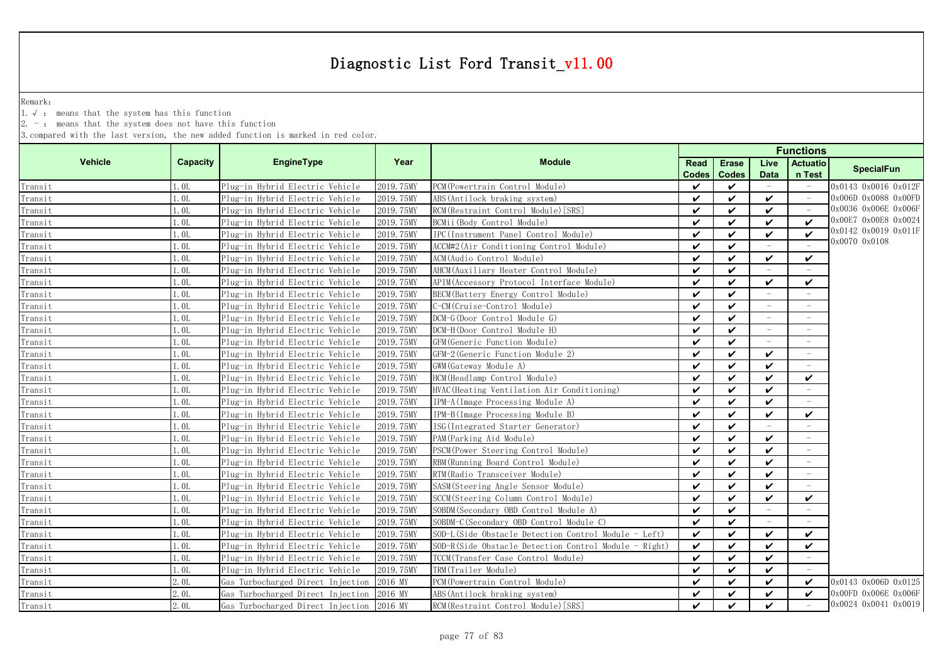Remark:

1.√ : means that the system has this function

 $2. -$ : means that the system does not have this function

| <b>Vehicle</b><br><b>EngineType</b><br>Year<br><b>Module</b><br><b>Capacity</b><br><b>Actuatio</b><br>Live<br><b>Read</b><br><b>Erase</b><br><b>SpecialFun</b><br>n Test<br><b>Codes</b><br><b>Codes</b><br><b>Data</b><br>2019.75MY<br>l.OL<br>Plug-in Hybrid Electric Vehicle<br>PCM (Powertrain Control Module)<br>$\checkmark$<br>✓<br>0x0143 0x0016 0x012F<br>$\overline{\phantom{a}}$<br>Transit<br>✓<br>0x006D 0x0088 0x00FD<br>1.0 <sub>L</sub><br>Plug-in Hybrid Electric Vehicle<br>2019.75MY<br>ABS (Antilock braking system)<br>$\checkmark$<br>$\boldsymbol{\nu}$<br>Transit<br>$\overline{\phantom{a}}$<br>0x0036 0x006E 0x006F<br>1.0 <sub>L</sub><br>Plug-in Hybrid Electric Vehicle<br>2019.75MY<br>RCM (Restraint Control Module) [SRS]<br>$\boldsymbol{\nu}$<br>$\boldsymbol{\nu}$<br>✓<br>Transit<br>0x00E7 0x00E8 0x0024<br>✓<br>1.01<br>BCMii (Body Control Module)<br>$\checkmark$<br>$\boldsymbol{\nu}$<br>Transit<br>Plug-in Hybrid Electric Vehicle<br>2019.75MY<br>$\boldsymbol{\nu}$<br>0x0142 0x0019 0x011F<br>$\boldsymbol{\nu}$<br>✓<br>1.0L<br>2019.75MY<br>IPC(Instrument Panel Control Module)<br>$\checkmark$<br>$\boldsymbol{\nu}$<br>Transit<br>Plug-in Hybrid Electric Vehicle<br>0x0070 0x0108<br>$\checkmark$<br>1.0 <sub>L</sub><br>2019.75MY<br>ACCM#2(Air Conditioning Control Module)<br>$\checkmark$<br>Transit<br>Plug-in Hybrid Electric Vehicle<br>2019.75MY<br>1.0 <sub>L</sub><br>Plug-in Hybrid Electric Vehicle<br>ACM (Audio Control Module)<br>$\boldsymbol{\nu}$<br>$\boldsymbol{\nu}$<br>$\boldsymbol{\nu}$<br>$\checkmark$<br>Transit<br>AHCM (Auxiliary Heater Control Module)<br>1.0 <sub>L</sub><br>Plug-in Hybrid Electric Vehicle<br>2019.75MY<br>$\boldsymbol{\nu}$<br>$\boldsymbol{\nu}$<br>Transit<br>✓<br>Plug-in Hybrid Electric Vehicle<br>2019.75MY<br>$\checkmark$<br>$\checkmark$<br>$\checkmark$<br>1.0L<br>APIM (Accessory Protocol Interface Module)<br>Transit<br>Plug-in Hybrid Electric Vehicle<br>2019.75MY<br>BECM (Battery Energy Control Module)<br>$\checkmark$<br>1.0L<br>$\checkmark$<br>Transit<br>$\overline{\phantom{a}}$<br>$\sim$<br>1.0 <sub>L</sub><br>2019.75MY<br>C-CM (Cruise-Control Module)<br>$\checkmark$<br>$\boldsymbol{\nu}$<br>Plug-in Hybrid Electric Vehicle<br>Transit<br>$\overline{\phantom{a}}$<br>$\overline{\phantom{a}}$<br>DCM-G(Door Control Module G)<br>1.0L<br>Plug-in Hybrid Electric Vehicle<br>2019.75MY<br>$\boldsymbol{\mathcal{U}}$<br>$\boldsymbol{\nu}$<br>Transit<br>$\overline{\phantom{a}}$<br>$\overline{\phantom{a}}$<br>DCM-H(Door Control Module H)<br>1. OL<br>Plug-in Hybrid Electric Vehicle<br>2019.75MY<br>$\checkmark$<br>$\boldsymbol{\mathcal{U}}$<br>Transit<br>$\sim$<br>1.0L<br>$\checkmark$<br>$\boldsymbol{\nu}$<br>2019.75MY<br>GFM (Generic Function Module)<br>Transit<br>Plug-in Hybrid Electric Vehicle<br>2019.75MY<br>GFM-2 (Generic Function Module 2)<br>$\checkmark$<br>$\boldsymbol{\nu}$<br>l.OL<br>Plug-in Hybrid Electric Vehicle<br>✓<br>Transit<br>$\overline{\phantom{a}}$<br>2019.75MY<br>GWM (Gateway Module A)<br>$\boldsymbol{\nu}$<br>1.0 <sub>L</sub><br>Plug-in Hybrid Electric Vehicle<br>$\checkmark$<br>✓<br>Transit<br>1.0L<br>Plug-in Hybrid Electric Vehicle<br>2019.75MY<br>HCM (Headlamp Control Module)<br>$\checkmark$<br>$\checkmark$<br>$\checkmark$<br>✓<br>Transit<br>$\checkmark$<br>$\checkmark$<br>✓<br>1.0 <sub>L</sub><br>Plug-in Hybrid Electric Vehicle<br>2019.75MY<br>HVAC (Heating Ventilation Air Conditioning)<br>Transit<br>$\overline{\phantom{a}}$<br>2019.75MY<br>1.0L<br>Plug-in Hybrid Electric Vehicle<br>IPM-A (Image Processing Module A)<br>$\checkmark$<br>$\checkmark$<br>✓<br>Transit<br>$\overline{\phantom{a}}$<br>2019.75MY<br>IPM-B(Image Processing Module B)<br>$\checkmark$<br>$\boldsymbol{\mathcal{U}}$<br>✓<br>0.01<br>Plug-in Hybrid Electric Vehicle<br>$\checkmark$<br>Transit<br>1.0L<br>2019.75MY<br>Plug-in Hybrid Electric Vehicle<br>ISG (Integrated Starter Generator)<br>$\checkmark$<br>✓<br>$\equiv$<br>Transit<br>1.0 <sub>L</sub><br>2019.75MY<br>PAM (Parking Aid Module)<br>Plug-in Hybrid Electric Vehicle<br>$\checkmark$<br>$\checkmark$<br>✓<br>Transit<br>1.0L<br>$\checkmark$<br>$\checkmark$<br>✓<br>Transit<br>2019.75MY<br>PSCM (Power Steering Control Module)<br>Plug-in Hybrid Electric Vehicle<br>1.0 <sub>L</sub><br>Plug-in Hybrid Electric Vehicle<br>2019.75MY<br>RBM (Running Board Control Module)<br>$\checkmark$<br>✓<br>Transit<br>✓<br>2019.75MY<br>$\checkmark$<br>.01<br>Plug-in Hybrid Electric Vehicle<br>RTM (Radio Transceiver Module)<br>$\checkmark$<br>$\checkmark$<br>Transit<br>$\mathsf{L}$ . OL<br>Plug-in Hybrid Electric Vehicle<br>2019.75MY<br>$\checkmark$<br>$\checkmark$<br>✓<br>SASM (Steering Angle Sensor Module)<br>Transit<br>$\mathbf{v}$<br>$\checkmark$<br>$\checkmark$<br>$\checkmark$<br>Plug-in Hybrid Electric Vehicle<br>2019.75MY<br>SCCM (Steering Column Control Module)<br>l.OL<br>Transit<br>2019.75MY<br>$\mathbf{0}$ .<br>Plug-in Hybrid Electric Vehicle<br>SOBDM (Secondary OBD Control Module A)<br>$\checkmark$<br>$\checkmark$<br>$\equiv$<br>Transit<br>$\overline{\phantom{a}}$<br>2019.75MY<br>SOBDM-C (Secondary OBD Control Module C)<br>$\checkmark$<br>1.0 <sub>L</sub><br>Plug-in Hybrid Electric Vehicle<br>$\boldsymbol{\nu}$<br>Transit<br>$\equiv$<br>$\overline{\phantom{a}}$<br>2019.75MY<br>✓<br>l.OL<br>Plug-in Hybrid Electric Vehicle<br>SOD-L(Side Obstacle Detection Control Module - Left)<br>$\checkmark$<br>✓<br>V<br>Transit<br>✓<br>1.0L<br>Plug-in Hybrid Electric Vehicle<br>2019.75MY<br>SOD-R(Side Obstacle Detection Control Module -<br>$\checkmark$<br>$\checkmark$<br>✓<br>Right)<br>Transit<br>$\checkmark$<br>1.0L<br>$\checkmark$<br>✓<br>Plug-in Hybrid Electric Vehicle<br>2019.75MY<br>TCCM (Transfer Case Control Module)<br>Transit<br>1.0L<br>2019.75MY<br>TRM(Trailer Module)<br>$\checkmark$<br>$\checkmark$<br>✓<br>Plug-in Hybrid Electric Vehicle<br>Transit<br>2.0 <sub>L</sub><br>Gas Turbocharged Direct Injection<br>2016 MY<br>PCM (Powertrain Control Module)<br>$\checkmark$<br>$\boldsymbol{\nu}$<br>✓<br>Transit<br>✓<br>2016 MY<br>ABS (Antilock braking system)<br>$\checkmark$<br>✓<br>2.0L<br>Gas Turbocharged Direct Injection<br>$\checkmark$<br>✓<br>Transit<br>0x0024 0x0041 0x0019<br>$\boldsymbol{\nu}$<br>✓<br>2.0L<br>Gas Turbocharged Direct Injection<br>2016 MY<br>RCM (Restraint Control Module) [SRS]<br>$\checkmark$<br>Transit |  |  |  |  | <b>Functions</b> |                      |
|------------------------------------------------------------------------------------------------------------------------------------------------------------------------------------------------------------------------------------------------------------------------------------------------------------------------------------------------------------------------------------------------------------------------------------------------------------------------------------------------------------------------------------------------------------------------------------------------------------------------------------------------------------------------------------------------------------------------------------------------------------------------------------------------------------------------------------------------------------------------------------------------------------------------------------------------------------------------------------------------------------------------------------------------------------------------------------------------------------------------------------------------------------------------------------------------------------------------------------------------------------------------------------------------------------------------------------------------------------------------------------------------------------------------------------------------------------------------------------------------------------------------------------------------------------------------------------------------------------------------------------------------------------------------------------------------------------------------------------------------------------------------------------------------------------------------------------------------------------------------------------------------------------------------------------------------------------------------------------------------------------------------------------------------------------------------------------------------------------------------------------------------------------------------------------------------------------------------------------------------------------------------------------------------------------------------------------------------------------------------------------------------------------------------------------------------------------------------------------------------------------------------------------------------------------------------------------------------------------------------------------------------------------------------------------------------------------------------------------------------------------------------------------------------------------------------------------------------------------------------------------------------------------------------------------------------------------------------------------------------------------------------------------------------------------------------------------------------------------------------------------------------------------------------------------------------------------------------------------------------------------------------------------------------------------------------------------------------------------------------------------------------------------------------------------------------------------------------------------------------------------------------------------------------------------------------------------------------------------------------------------------------------------------------------------------------------------------------------------------------------------------------------------------------------------------------------------------------------------------------------------------------------------------------------------------------------------------------------------------------------------------------------------------------------------------------------------------------------------------------------------------------------------------------------------------------------------------------------------------------------------------------------------------------------------------------------------------------------------------------------------------------------------------------------------------------------------------------------------------------------------------------------------------------------------------------------------------------------------------------------------------------------------------------------------------------------------------------------------------------------------------------------------------------------------------------------------------------------------------------------------------------------------------------------------------------------------------------------------------------------------------------------------------------------------------------------------------------------------------------------------------------------------------------------------------------------------------------------------------------------------------------------------------------------------------------------------------------------------------------------------------------------------------------------------------------------------------------------------------------------------------------------------------------------------------------------------------------------------------------------------------------------------------------------------------------------------------------------------------------------------------------------------------------------------------------------------------------------------------------------------------------------------------------------------------------------------------------------------------------------------------------------------------------------------------------------------------------------------------------------------------------------------------------------------------------------------------------------------------------------------------------------------------------------------------------------------------------------------------------------------------------------------------------------------------------------------------------------------------------------------------------|--|--|--|--|------------------|----------------------|
|                                                                                                                                                                                                                                                                                                                                                                                                                                                                                                                                                                                                                                                                                                                                                                                                                                                                                                                                                                                                                                                                                                                                                                                                                                                                                                                                                                                                                                                                                                                                                                                                                                                                                                                                                                                                                                                                                                                                                                                                                                                                                                                                                                                                                                                                                                                                                                                                                                                                                                                                                                                                                                                                                                                                                                                                                                                                                                                                                                                                                                                                                                                                                                                                                                                                                                                                                                                                                                                                                                                                                                                                                                                                                                                                                                                                                                                                                                                                                                                                                                                                                                                                                                                                                                                                                                                                                                                                                                                                                                                                                                                                                                                                                                                                                                                                                                                                                                                                                                                                                                                                                                                                                                                                                                                                                                                                                                                                                                                                                                                                                                                                                                                                                                                                                                                                                                                                                                                                                                                                                                                                                                                                                                                                                                                                                                                                                                                                                                                                                                                        |  |  |  |  |                  |                      |
|                                                                                                                                                                                                                                                                                                                                                                                                                                                                                                                                                                                                                                                                                                                                                                                                                                                                                                                                                                                                                                                                                                                                                                                                                                                                                                                                                                                                                                                                                                                                                                                                                                                                                                                                                                                                                                                                                                                                                                                                                                                                                                                                                                                                                                                                                                                                                                                                                                                                                                                                                                                                                                                                                                                                                                                                                                                                                                                                                                                                                                                                                                                                                                                                                                                                                                                                                                                                                                                                                                                                                                                                                                                                                                                                                                                                                                                                                                                                                                                                                                                                                                                                                                                                                                                                                                                                                                                                                                                                                                                                                                                                                                                                                                                                                                                                                                                                                                                                                                                                                                                                                                                                                                                                                                                                                                                                                                                                                                                                                                                                                                                                                                                                                                                                                                                                                                                                                                                                                                                                                                                                                                                                                                                                                                                                                                                                                                                                                                                                                                                        |  |  |  |  |                  |                      |
|                                                                                                                                                                                                                                                                                                                                                                                                                                                                                                                                                                                                                                                                                                                                                                                                                                                                                                                                                                                                                                                                                                                                                                                                                                                                                                                                                                                                                                                                                                                                                                                                                                                                                                                                                                                                                                                                                                                                                                                                                                                                                                                                                                                                                                                                                                                                                                                                                                                                                                                                                                                                                                                                                                                                                                                                                                                                                                                                                                                                                                                                                                                                                                                                                                                                                                                                                                                                                                                                                                                                                                                                                                                                                                                                                                                                                                                                                                                                                                                                                                                                                                                                                                                                                                                                                                                                                                                                                                                                                                                                                                                                                                                                                                                                                                                                                                                                                                                                                                                                                                                                                                                                                                                                                                                                                                                                                                                                                                                                                                                                                                                                                                                                                                                                                                                                                                                                                                                                                                                                                                                                                                                                                                                                                                                                                                                                                                                                                                                                                                                        |  |  |  |  |                  |                      |
|                                                                                                                                                                                                                                                                                                                                                                                                                                                                                                                                                                                                                                                                                                                                                                                                                                                                                                                                                                                                                                                                                                                                                                                                                                                                                                                                                                                                                                                                                                                                                                                                                                                                                                                                                                                                                                                                                                                                                                                                                                                                                                                                                                                                                                                                                                                                                                                                                                                                                                                                                                                                                                                                                                                                                                                                                                                                                                                                                                                                                                                                                                                                                                                                                                                                                                                                                                                                                                                                                                                                                                                                                                                                                                                                                                                                                                                                                                                                                                                                                                                                                                                                                                                                                                                                                                                                                                                                                                                                                                                                                                                                                                                                                                                                                                                                                                                                                                                                                                                                                                                                                                                                                                                                                                                                                                                                                                                                                                                                                                                                                                                                                                                                                                                                                                                                                                                                                                                                                                                                                                                                                                                                                                                                                                                                                                                                                                                                                                                                                                                        |  |  |  |  |                  |                      |
|                                                                                                                                                                                                                                                                                                                                                                                                                                                                                                                                                                                                                                                                                                                                                                                                                                                                                                                                                                                                                                                                                                                                                                                                                                                                                                                                                                                                                                                                                                                                                                                                                                                                                                                                                                                                                                                                                                                                                                                                                                                                                                                                                                                                                                                                                                                                                                                                                                                                                                                                                                                                                                                                                                                                                                                                                                                                                                                                                                                                                                                                                                                                                                                                                                                                                                                                                                                                                                                                                                                                                                                                                                                                                                                                                                                                                                                                                                                                                                                                                                                                                                                                                                                                                                                                                                                                                                                                                                                                                                                                                                                                                                                                                                                                                                                                                                                                                                                                                                                                                                                                                                                                                                                                                                                                                                                                                                                                                                                                                                                                                                                                                                                                                                                                                                                                                                                                                                                                                                                                                                                                                                                                                                                                                                                                                                                                                                                                                                                                                                                        |  |  |  |  |                  |                      |
|                                                                                                                                                                                                                                                                                                                                                                                                                                                                                                                                                                                                                                                                                                                                                                                                                                                                                                                                                                                                                                                                                                                                                                                                                                                                                                                                                                                                                                                                                                                                                                                                                                                                                                                                                                                                                                                                                                                                                                                                                                                                                                                                                                                                                                                                                                                                                                                                                                                                                                                                                                                                                                                                                                                                                                                                                                                                                                                                                                                                                                                                                                                                                                                                                                                                                                                                                                                                                                                                                                                                                                                                                                                                                                                                                                                                                                                                                                                                                                                                                                                                                                                                                                                                                                                                                                                                                                                                                                                                                                                                                                                                                                                                                                                                                                                                                                                                                                                                                                                                                                                                                                                                                                                                                                                                                                                                                                                                                                                                                                                                                                                                                                                                                                                                                                                                                                                                                                                                                                                                                                                                                                                                                                                                                                                                                                                                                                                                                                                                                                                        |  |  |  |  |                  |                      |
|                                                                                                                                                                                                                                                                                                                                                                                                                                                                                                                                                                                                                                                                                                                                                                                                                                                                                                                                                                                                                                                                                                                                                                                                                                                                                                                                                                                                                                                                                                                                                                                                                                                                                                                                                                                                                                                                                                                                                                                                                                                                                                                                                                                                                                                                                                                                                                                                                                                                                                                                                                                                                                                                                                                                                                                                                                                                                                                                                                                                                                                                                                                                                                                                                                                                                                                                                                                                                                                                                                                                                                                                                                                                                                                                                                                                                                                                                                                                                                                                                                                                                                                                                                                                                                                                                                                                                                                                                                                                                                                                                                                                                                                                                                                                                                                                                                                                                                                                                                                                                                                                                                                                                                                                                                                                                                                                                                                                                                                                                                                                                                                                                                                                                                                                                                                                                                                                                                                                                                                                                                                                                                                                                                                                                                                                                                                                                                                                                                                                                                                        |  |  |  |  |                  |                      |
|                                                                                                                                                                                                                                                                                                                                                                                                                                                                                                                                                                                                                                                                                                                                                                                                                                                                                                                                                                                                                                                                                                                                                                                                                                                                                                                                                                                                                                                                                                                                                                                                                                                                                                                                                                                                                                                                                                                                                                                                                                                                                                                                                                                                                                                                                                                                                                                                                                                                                                                                                                                                                                                                                                                                                                                                                                                                                                                                                                                                                                                                                                                                                                                                                                                                                                                                                                                                                                                                                                                                                                                                                                                                                                                                                                                                                                                                                                                                                                                                                                                                                                                                                                                                                                                                                                                                                                                                                                                                                                                                                                                                                                                                                                                                                                                                                                                                                                                                                                                                                                                                                                                                                                                                                                                                                                                                                                                                                                                                                                                                                                                                                                                                                                                                                                                                                                                                                                                                                                                                                                                                                                                                                                                                                                                                                                                                                                                                                                                                                                                        |  |  |  |  |                  |                      |
|                                                                                                                                                                                                                                                                                                                                                                                                                                                                                                                                                                                                                                                                                                                                                                                                                                                                                                                                                                                                                                                                                                                                                                                                                                                                                                                                                                                                                                                                                                                                                                                                                                                                                                                                                                                                                                                                                                                                                                                                                                                                                                                                                                                                                                                                                                                                                                                                                                                                                                                                                                                                                                                                                                                                                                                                                                                                                                                                                                                                                                                                                                                                                                                                                                                                                                                                                                                                                                                                                                                                                                                                                                                                                                                                                                                                                                                                                                                                                                                                                                                                                                                                                                                                                                                                                                                                                                                                                                                                                                                                                                                                                                                                                                                                                                                                                                                                                                                                                                                                                                                                                                                                                                                                                                                                                                                                                                                                                                                                                                                                                                                                                                                                                                                                                                                                                                                                                                                                                                                                                                                                                                                                                                                                                                                                                                                                                                                                                                                                                                                        |  |  |  |  |                  |                      |
|                                                                                                                                                                                                                                                                                                                                                                                                                                                                                                                                                                                                                                                                                                                                                                                                                                                                                                                                                                                                                                                                                                                                                                                                                                                                                                                                                                                                                                                                                                                                                                                                                                                                                                                                                                                                                                                                                                                                                                                                                                                                                                                                                                                                                                                                                                                                                                                                                                                                                                                                                                                                                                                                                                                                                                                                                                                                                                                                                                                                                                                                                                                                                                                                                                                                                                                                                                                                                                                                                                                                                                                                                                                                                                                                                                                                                                                                                                                                                                                                                                                                                                                                                                                                                                                                                                                                                                                                                                                                                                                                                                                                                                                                                                                                                                                                                                                                                                                                                                                                                                                                                                                                                                                                                                                                                                                                                                                                                                                                                                                                                                                                                                                                                                                                                                                                                                                                                                                                                                                                                                                                                                                                                                                                                                                                                                                                                                                                                                                                                                                        |  |  |  |  |                  |                      |
|                                                                                                                                                                                                                                                                                                                                                                                                                                                                                                                                                                                                                                                                                                                                                                                                                                                                                                                                                                                                                                                                                                                                                                                                                                                                                                                                                                                                                                                                                                                                                                                                                                                                                                                                                                                                                                                                                                                                                                                                                                                                                                                                                                                                                                                                                                                                                                                                                                                                                                                                                                                                                                                                                                                                                                                                                                                                                                                                                                                                                                                                                                                                                                                                                                                                                                                                                                                                                                                                                                                                                                                                                                                                                                                                                                                                                                                                                                                                                                                                                                                                                                                                                                                                                                                                                                                                                                                                                                                                                                                                                                                                                                                                                                                                                                                                                                                                                                                                                                                                                                                                                                                                                                                                                                                                                                                                                                                                                                                                                                                                                                                                                                                                                                                                                                                                                                                                                                                                                                                                                                                                                                                                                                                                                                                                                                                                                                                                                                                                                                                        |  |  |  |  |                  |                      |
|                                                                                                                                                                                                                                                                                                                                                                                                                                                                                                                                                                                                                                                                                                                                                                                                                                                                                                                                                                                                                                                                                                                                                                                                                                                                                                                                                                                                                                                                                                                                                                                                                                                                                                                                                                                                                                                                                                                                                                                                                                                                                                                                                                                                                                                                                                                                                                                                                                                                                                                                                                                                                                                                                                                                                                                                                                                                                                                                                                                                                                                                                                                                                                                                                                                                                                                                                                                                                                                                                                                                                                                                                                                                                                                                                                                                                                                                                                                                                                                                                                                                                                                                                                                                                                                                                                                                                                                                                                                                                                                                                                                                                                                                                                                                                                                                                                                                                                                                                                                                                                                                                                                                                                                                                                                                                                                                                                                                                                                                                                                                                                                                                                                                                                                                                                                                                                                                                                                                                                                                                                                                                                                                                                                                                                                                                                                                                                                                                                                                                                                        |  |  |  |  |                  |                      |
|                                                                                                                                                                                                                                                                                                                                                                                                                                                                                                                                                                                                                                                                                                                                                                                                                                                                                                                                                                                                                                                                                                                                                                                                                                                                                                                                                                                                                                                                                                                                                                                                                                                                                                                                                                                                                                                                                                                                                                                                                                                                                                                                                                                                                                                                                                                                                                                                                                                                                                                                                                                                                                                                                                                                                                                                                                                                                                                                                                                                                                                                                                                                                                                                                                                                                                                                                                                                                                                                                                                                                                                                                                                                                                                                                                                                                                                                                                                                                                                                                                                                                                                                                                                                                                                                                                                                                                                                                                                                                                                                                                                                                                                                                                                                                                                                                                                                                                                                                                                                                                                                                                                                                                                                                                                                                                                                                                                                                                                                                                                                                                                                                                                                                                                                                                                                                                                                                                                                                                                                                                                                                                                                                                                                                                                                                                                                                                                                                                                                                                                        |  |  |  |  |                  |                      |
|                                                                                                                                                                                                                                                                                                                                                                                                                                                                                                                                                                                                                                                                                                                                                                                                                                                                                                                                                                                                                                                                                                                                                                                                                                                                                                                                                                                                                                                                                                                                                                                                                                                                                                                                                                                                                                                                                                                                                                                                                                                                                                                                                                                                                                                                                                                                                                                                                                                                                                                                                                                                                                                                                                                                                                                                                                                                                                                                                                                                                                                                                                                                                                                                                                                                                                                                                                                                                                                                                                                                                                                                                                                                                                                                                                                                                                                                                                                                                                                                                                                                                                                                                                                                                                                                                                                                                                                                                                                                                                                                                                                                                                                                                                                                                                                                                                                                                                                                                                                                                                                                                                                                                                                                                                                                                                                                                                                                                                                                                                                                                                                                                                                                                                                                                                                                                                                                                                                                                                                                                                                                                                                                                                                                                                                                                                                                                                                                                                                                                                                        |  |  |  |  |                  |                      |
|                                                                                                                                                                                                                                                                                                                                                                                                                                                                                                                                                                                                                                                                                                                                                                                                                                                                                                                                                                                                                                                                                                                                                                                                                                                                                                                                                                                                                                                                                                                                                                                                                                                                                                                                                                                                                                                                                                                                                                                                                                                                                                                                                                                                                                                                                                                                                                                                                                                                                                                                                                                                                                                                                                                                                                                                                                                                                                                                                                                                                                                                                                                                                                                                                                                                                                                                                                                                                                                                                                                                                                                                                                                                                                                                                                                                                                                                                                                                                                                                                                                                                                                                                                                                                                                                                                                                                                                                                                                                                                                                                                                                                                                                                                                                                                                                                                                                                                                                                                                                                                                                                                                                                                                                                                                                                                                                                                                                                                                                                                                                                                                                                                                                                                                                                                                                                                                                                                                                                                                                                                                                                                                                                                                                                                                                                                                                                                                                                                                                                                                        |  |  |  |  |                  |                      |
|                                                                                                                                                                                                                                                                                                                                                                                                                                                                                                                                                                                                                                                                                                                                                                                                                                                                                                                                                                                                                                                                                                                                                                                                                                                                                                                                                                                                                                                                                                                                                                                                                                                                                                                                                                                                                                                                                                                                                                                                                                                                                                                                                                                                                                                                                                                                                                                                                                                                                                                                                                                                                                                                                                                                                                                                                                                                                                                                                                                                                                                                                                                                                                                                                                                                                                                                                                                                                                                                                                                                                                                                                                                                                                                                                                                                                                                                                                                                                                                                                                                                                                                                                                                                                                                                                                                                                                                                                                                                                                                                                                                                                                                                                                                                                                                                                                                                                                                                                                                                                                                                                                                                                                                                                                                                                                                                                                                                                                                                                                                                                                                                                                                                                                                                                                                                                                                                                                                                                                                                                                                                                                                                                                                                                                                                                                                                                                                                                                                                                                                        |  |  |  |  |                  |                      |
|                                                                                                                                                                                                                                                                                                                                                                                                                                                                                                                                                                                                                                                                                                                                                                                                                                                                                                                                                                                                                                                                                                                                                                                                                                                                                                                                                                                                                                                                                                                                                                                                                                                                                                                                                                                                                                                                                                                                                                                                                                                                                                                                                                                                                                                                                                                                                                                                                                                                                                                                                                                                                                                                                                                                                                                                                                                                                                                                                                                                                                                                                                                                                                                                                                                                                                                                                                                                                                                                                                                                                                                                                                                                                                                                                                                                                                                                                                                                                                                                                                                                                                                                                                                                                                                                                                                                                                                                                                                                                                                                                                                                                                                                                                                                                                                                                                                                                                                                                                                                                                                                                                                                                                                                                                                                                                                                                                                                                                                                                                                                                                                                                                                                                                                                                                                                                                                                                                                                                                                                                                                                                                                                                                                                                                                                                                                                                                                                                                                                                                                        |  |  |  |  |                  |                      |
|                                                                                                                                                                                                                                                                                                                                                                                                                                                                                                                                                                                                                                                                                                                                                                                                                                                                                                                                                                                                                                                                                                                                                                                                                                                                                                                                                                                                                                                                                                                                                                                                                                                                                                                                                                                                                                                                                                                                                                                                                                                                                                                                                                                                                                                                                                                                                                                                                                                                                                                                                                                                                                                                                                                                                                                                                                                                                                                                                                                                                                                                                                                                                                                                                                                                                                                                                                                                                                                                                                                                                                                                                                                                                                                                                                                                                                                                                                                                                                                                                                                                                                                                                                                                                                                                                                                                                                                                                                                                                                                                                                                                                                                                                                                                                                                                                                                                                                                                                                                                                                                                                                                                                                                                                                                                                                                                                                                                                                                                                                                                                                                                                                                                                                                                                                                                                                                                                                                                                                                                                                                                                                                                                                                                                                                                                                                                                                                                                                                                                                                        |  |  |  |  |                  |                      |
|                                                                                                                                                                                                                                                                                                                                                                                                                                                                                                                                                                                                                                                                                                                                                                                                                                                                                                                                                                                                                                                                                                                                                                                                                                                                                                                                                                                                                                                                                                                                                                                                                                                                                                                                                                                                                                                                                                                                                                                                                                                                                                                                                                                                                                                                                                                                                                                                                                                                                                                                                                                                                                                                                                                                                                                                                                                                                                                                                                                                                                                                                                                                                                                                                                                                                                                                                                                                                                                                                                                                                                                                                                                                                                                                                                                                                                                                                                                                                                                                                                                                                                                                                                                                                                                                                                                                                                                                                                                                                                                                                                                                                                                                                                                                                                                                                                                                                                                                                                                                                                                                                                                                                                                                                                                                                                                                                                                                                                                                                                                                                                                                                                                                                                                                                                                                                                                                                                                                                                                                                                                                                                                                                                                                                                                                                                                                                                                                                                                                                                                        |  |  |  |  |                  |                      |
|                                                                                                                                                                                                                                                                                                                                                                                                                                                                                                                                                                                                                                                                                                                                                                                                                                                                                                                                                                                                                                                                                                                                                                                                                                                                                                                                                                                                                                                                                                                                                                                                                                                                                                                                                                                                                                                                                                                                                                                                                                                                                                                                                                                                                                                                                                                                                                                                                                                                                                                                                                                                                                                                                                                                                                                                                                                                                                                                                                                                                                                                                                                                                                                                                                                                                                                                                                                                                                                                                                                                                                                                                                                                                                                                                                                                                                                                                                                                                                                                                                                                                                                                                                                                                                                                                                                                                                                                                                                                                                                                                                                                                                                                                                                                                                                                                                                                                                                                                                                                                                                                                                                                                                                                                                                                                                                                                                                                                                                                                                                                                                                                                                                                                                                                                                                                                                                                                                                                                                                                                                                                                                                                                                                                                                                                                                                                                                                                                                                                                                                        |  |  |  |  |                  |                      |
|                                                                                                                                                                                                                                                                                                                                                                                                                                                                                                                                                                                                                                                                                                                                                                                                                                                                                                                                                                                                                                                                                                                                                                                                                                                                                                                                                                                                                                                                                                                                                                                                                                                                                                                                                                                                                                                                                                                                                                                                                                                                                                                                                                                                                                                                                                                                                                                                                                                                                                                                                                                                                                                                                                                                                                                                                                                                                                                                                                                                                                                                                                                                                                                                                                                                                                                                                                                                                                                                                                                                                                                                                                                                                                                                                                                                                                                                                                                                                                                                                                                                                                                                                                                                                                                                                                                                                                                                                                                                                                                                                                                                                                                                                                                                                                                                                                                                                                                                                                                                                                                                                                                                                                                                                                                                                                                                                                                                                                                                                                                                                                                                                                                                                                                                                                                                                                                                                                                                                                                                                                                                                                                                                                                                                                                                                                                                                                                                                                                                                                                        |  |  |  |  |                  |                      |
|                                                                                                                                                                                                                                                                                                                                                                                                                                                                                                                                                                                                                                                                                                                                                                                                                                                                                                                                                                                                                                                                                                                                                                                                                                                                                                                                                                                                                                                                                                                                                                                                                                                                                                                                                                                                                                                                                                                                                                                                                                                                                                                                                                                                                                                                                                                                                                                                                                                                                                                                                                                                                                                                                                                                                                                                                                                                                                                                                                                                                                                                                                                                                                                                                                                                                                                                                                                                                                                                                                                                                                                                                                                                                                                                                                                                                                                                                                                                                                                                                                                                                                                                                                                                                                                                                                                                                                                                                                                                                                                                                                                                                                                                                                                                                                                                                                                                                                                                                                                                                                                                                                                                                                                                                                                                                                                                                                                                                                                                                                                                                                                                                                                                                                                                                                                                                                                                                                                                                                                                                                                                                                                                                                                                                                                                                                                                                                                                                                                                                                                        |  |  |  |  |                  |                      |
|                                                                                                                                                                                                                                                                                                                                                                                                                                                                                                                                                                                                                                                                                                                                                                                                                                                                                                                                                                                                                                                                                                                                                                                                                                                                                                                                                                                                                                                                                                                                                                                                                                                                                                                                                                                                                                                                                                                                                                                                                                                                                                                                                                                                                                                                                                                                                                                                                                                                                                                                                                                                                                                                                                                                                                                                                                                                                                                                                                                                                                                                                                                                                                                                                                                                                                                                                                                                                                                                                                                                                                                                                                                                                                                                                                                                                                                                                                                                                                                                                                                                                                                                                                                                                                                                                                                                                                                                                                                                                                                                                                                                                                                                                                                                                                                                                                                                                                                                                                                                                                                                                                                                                                                                                                                                                                                                                                                                                                                                                                                                                                                                                                                                                                                                                                                                                                                                                                                                                                                                                                                                                                                                                                                                                                                                                                                                                                                                                                                                                                                        |  |  |  |  |                  |                      |
|                                                                                                                                                                                                                                                                                                                                                                                                                                                                                                                                                                                                                                                                                                                                                                                                                                                                                                                                                                                                                                                                                                                                                                                                                                                                                                                                                                                                                                                                                                                                                                                                                                                                                                                                                                                                                                                                                                                                                                                                                                                                                                                                                                                                                                                                                                                                                                                                                                                                                                                                                                                                                                                                                                                                                                                                                                                                                                                                                                                                                                                                                                                                                                                                                                                                                                                                                                                                                                                                                                                                                                                                                                                                                                                                                                                                                                                                                                                                                                                                                                                                                                                                                                                                                                                                                                                                                                                                                                                                                                                                                                                                                                                                                                                                                                                                                                                                                                                                                                                                                                                                                                                                                                                                                                                                                                                                                                                                                                                                                                                                                                                                                                                                                                                                                                                                                                                                                                                                                                                                                                                                                                                                                                                                                                                                                                                                                                                                                                                                                                                        |  |  |  |  |                  |                      |
|                                                                                                                                                                                                                                                                                                                                                                                                                                                                                                                                                                                                                                                                                                                                                                                                                                                                                                                                                                                                                                                                                                                                                                                                                                                                                                                                                                                                                                                                                                                                                                                                                                                                                                                                                                                                                                                                                                                                                                                                                                                                                                                                                                                                                                                                                                                                                                                                                                                                                                                                                                                                                                                                                                                                                                                                                                                                                                                                                                                                                                                                                                                                                                                                                                                                                                                                                                                                                                                                                                                                                                                                                                                                                                                                                                                                                                                                                                                                                                                                                                                                                                                                                                                                                                                                                                                                                                                                                                                                                                                                                                                                                                                                                                                                                                                                                                                                                                                                                                                                                                                                                                                                                                                                                                                                                                                                                                                                                                                                                                                                                                                                                                                                                                                                                                                                                                                                                                                                                                                                                                                                                                                                                                                                                                                                                                                                                                                                                                                                                                                        |  |  |  |  |                  |                      |
|                                                                                                                                                                                                                                                                                                                                                                                                                                                                                                                                                                                                                                                                                                                                                                                                                                                                                                                                                                                                                                                                                                                                                                                                                                                                                                                                                                                                                                                                                                                                                                                                                                                                                                                                                                                                                                                                                                                                                                                                                                                                                                                                                                                                                                                                                                                                                                                                                                                                                                                                                                                                                                                                                                                                                                                                                                                                                                                                                                                                                                                                                                                                                                                                                                                                                                                                                                                                                                                                                                                                                                                                                                                                                                                                                                                                                                                                                                                                                                                                                                                                                                                                                                                                                                                                                                                                                                                                                                                                                                                                                                                                                                                                                                                                                                                                                                                                                                                                                                                                                                                                                                                                                                                                                                                                                                                                                                                                                                                                                                                                                                                                                                                                                                                                                                                                                                                                                                                                                                                                                                                                                                                                                                                                                                                                                                                                                                                                                                                                                                                        |  |  |  |  |                  |                      |
|                                                                                                                                                                                                                                                                                                                                                                                                                                                                                                                                                                                                                                                                                                                                                                                                                                                                                                                                                                                                                                                                                                                                                                                                                                                                                                                                                                                                                                                                                                                                                                                                                                                                                                                                                                                                                                                                                                                                                                                                                                                                                                                                                                                                                                                                                                                                                                                                                                                                                                                                                                                                                                                                                                                                                                                                                                                                                                                                                                                                                                                                                                                                                                                                                                                                                                                                                                                                                                                                                                                                                                                                                                                                                                                                                                                                                                                                                                                                                                                                                                                                                                                                                                                                                                                                                                                                                                                                                                                                                                                                                                                                                                                                                                                                                                                                                                                                                                                                                                                                                                                                                                                                                                                                                                                                                                                                                                                                                                                                                                                                                                                                                                                                                                                                                                                                                                                                                                                                                                                                                                                                                                                                                                                                                                                                                                                                                                                                                                                                                                                        |  |  |  |  |                  |                      |
|                                                                                                                                                                                                                                                                                                                                                                                                                                                                                                                                                                                                                                                                                                                                                                                                                                                                                                                                                                                                                                                                                                                                                                                                                                                                                                                                                                                                                                                                                                                                                                                                                                                                                                                                                                                                                                                                                                                                                                                                                                                                                                                                                                                                                                                                                                                                                                                                                                                                                                                                                                                                                                                                                                                                                                                                                                                                                                                                                                                                                                                                                                                                                                                                                                                                                                                                                                                                                                                                                                                                                                                                                                                                                                                                                                                                                                                                                                                                                                                                                                                                                                                                                                                                                                                                                                                                                                                                                                                                                                                                                                                                                                                                                                                                                                                                                                                                                                                                                                                                                                                                                                                                                                                                                                                                                                                                                                                                                                                                                                                                                                                                                                                                                                                                                                                                                                                                                                                                                                                                                                                                                                                                                                                                                                                                                                                                                                                                                                                                                                                        |  |  |  |  |                  |                      |
|                                                                                                                                                                                                                                                                                                                                                                                                                                                                                                                                                                                                                                                                                                                                                                                                                                                                                                                                                                                                                                                                                                                                                                                                                                                                                                                                                                                                                                                                                                                                                                                                                                                                                                                                                                                                                                                                                                                                                                                                                                                                                                                                                                                                                                                                                                                                                                                                                                                                                                                                                                                                                                                                                                                                                                                                                                                                                                                                                                                                                                                                                                                                                                                                                                                                                                                                                                                                                                                                                                                                                                                                                                                                                                                                                                                                                                                                                                                                                                                                                                                                                                                                                                                                                                                                                                                                                                                                                                                                                                                                                                                                                                                                                                                                                                                                                                                                                                                                                                                                                                                                                                                                                                                                                                                                                                                                                                                                                                                                                                                                                                                                                                                                                                                                                                                                                                                                                                                                                                                                                                                                                                                                                                                                                                                                                                                                                                                                                                                                                                                        |  |  |  |  |                  |                      |
|                                                                                                                                                                                                                                                                                                                                                                                                                                                                                                                                                                                                                                                                                                                                                                                                                                                                                                                                                                                                                                                                                                                                                                                                                                                                                                                                                                                                                                                                                                                                                                                                                                                                                                                                                                                                                                                                                                                                                                                                                                                                                                                                                                                                                                                                                                                                                                                                                                                                                                                                                                                                                                                                                                                                                                                                                                                                                                                                                                                                                                                                                                                                                                                                                                                                                                                                                                                                                                                                                                                                                                                                                                                                                                                                                                                                                                                                                                                                                                                                                                                                                                                                                                                                                                                                                                                                                                                                                                                                                                                                                                                                                                                                                                                                                                                                                                                                                                                                                                                                                                                                                                                                                                                                                                                                                                                                                                                                                                                                                                                                                                                                                                                                                                                                                                                                                                                                                                                                                                                                                                                                                                                                                                                                                                                                                                                                                                                                                                                                                                                        |  |  |  |  |                  |                      |
|                                                                                                                                                                                                                                                                                                                                                                                                                                                                                                                                                                                                                                                                                                                                                                                                                                                                                                                                                                                                                                                                                                                                                                                                                                                                                                                                                                                                                                                                                                                                                                                                                                                                                                                                                                                                                                                                                                                                                                                                                                                                                                                                                                                                                                                                                                                                                                                                                                                                                                                                                                                                                                                                                                                                                                                                                                                                                                                                                                                                                                                                                                                                                                                                                                                                                                                                                                                                                                                                                                                                                                                                                                                                                                                                                                                                                                                                                                                                                                                                                                                                                                                                                                                                                                                                                                                                                                                                                                                                                                                                                                                                                                                                                                                                                                                                                                                                                                                                                                                                                                                                                                                                                                                                                                                                                                                                                                                                                                                                                                                                                                                                                                                                                                                                                                                                                                                                                                                                                                                                                                                                                                                                                                                                                                                                                                                                                                                                                                                                                                                        |  |  |  |  |                  |                      |
|                                                                                                                                                                                                                                                                                                                                                                                                                                                                                                                                                                                                                                                                                                                                                                                                                                                                                                                                                                                                                                                                                                                                                                                                                                                                                                                                                                                                                                                                                                                                                                                                                                                                                                                                                                                                                                                                                                                                                                                                                                                                                                                                                                                                                                                                                                                                                                                                                                                                                                                                                                                                                                                                                                                                                                                                                                                                                                                                                                                                                                                                                                                                                                                                                                                                                                                                                                                                                                                                                                                                                                                                                                                                                                                                                                                                                                                                                                                                                                                                                                                                                                                                                                                                                                                                                                                                                                                                                                                                                                                                                                                                                                                                                                                                                                                                                                                                                                                                                                                                                                                                                                                                                                                                                                                                                                                                                                                                                                                                                                                                                                                                                                                                                                                                                                                                                                                                                                                                                                                                                                                                                                                                                                                                                                                                                                                                                                                                                                                                                                                        |  |  |  |  |                  |                      |
|                                                                                                                                                                                                                                                                                                                                                                                                                                                                                                                                                                                                                                                                                                                                                                                                                                                                                                                                                                                                                                                                                                                                                                                                                                                                                                                                                                                                                                                                                                                                                                                                                                                                                                                                                                                                                                                                                                                                                                                                                                                                                                                                                                                                                                                                                                                                                                                                                                                                                                                                                                                                                                                                                                                                                                                                                                                                                                                                                                                                                                                                                                                                                                                                                                                                                                                                                                                                                                                                                                                                                                                                                                                                                                                                                                                                                                                                                                                                                                                                                                                                                                                                                                                                                                                                                                                                                                                                                                                                                                                                                                                                                                                                                                                                                                                                                                                                                                                                                                                                                                                                                                                                                                                                                                                                                                                                                                                                                                                                                                                                                                                                                                                                                                                                                                                                                                                                                                                                                                                                                                                                                                                                                                                                                                                                                                                                                                                                                                                                                                                        |  |  |  |  |                  |                      |
|                                                                                                                                                                                                                                                                                                                                                                                                                                                                                                                                                                                                                                                                                                                                                                                                                                                                                                                                                                                                                                                                                                                                                                                                                                                                                                                                                                                                                                                                                                                                                                                                                                                                                                                                                                                                                                                                                                                                                                                                                                                                                                                                                                                                                                                                                                                                                                                                                                                                                                                                                                                                                                                                                                                                                                                                                                                                                                                                                                                                                                                                                                                                                                                                                                                                                                                                                                                                                                                                                                                                                                                                                                                                                                                                                                                                                                                                                                                                                                                                                                                                                                                                                                                                                                                                                                                                                                                                                                                                                                                                                                                                                                                                                                                                                                                                                                                                                                                                                                                                                                                                                                                                                                                                                                                                                                                                                                                                                                                                                                                                                                                                                                                                                                                                                                                                                                                                                                                                                                                                                                                                                                                                                                                                                                                                                                                                                                                                                                                                                                                        |  |  |  |  |                  |                      |
|                                                                                                                                                                                                                                                                                                                                                                                                                                                                                                                                                                                                                                                                                                                                                                                                                                                                                                                                                                                                                                                                                                                                                                                                                                                                                                                                                                                                                                                                                                                                                                                                                                                                                                                                                                                                                                                                                                                                                                                                                                                                                                                                                                                                                                                                                                                                                                                                                                                                                                                                                                                                                                                                                                                                                                                                                                                                                                                                                                                                                                                                                                                                                                                                                                                                                                                                                                                                                                                                                                                                                                                                                                                                                                                                                                                                                                                                                                                                                                                                                                                                                                                                                                                                                                                                                                                                                                                                                                                                                                                                                                                                                                                                                                                                                                                                                                                                                                                                                                                                                                                                                                                                                                                                                                                                                                                                                                                                                                                                                                                                                                                                                                                                                                                                                                                                                                                                                                                                                                                                                                                                                                                                                                                                                                                                                                                                                                                                                                                                                                                        |  |  |  |  |                  |                      |
|                                                                                                                                                                                                                                                                                                                                                                                                                                                                                                                                                                                                                                                                                                                                                                                                                                                                                                                                                                                                                                                                                                                                                                                                                                                                                                                                                                                                                                                                                                                                                                                                                                                                                                                                                                                                                                                                                                                                                                                                                                                                                                                                                                                                                                                                                                                                                                                                                                                                                                                                                                                                                                                                                                                                                                                                                                                                                                                                                                                                                                                                                                                                                                                                                                                                                                                                                                                                                                                                                                                                                                                                                                                                                                                                                                                                                                                                                                                                                                                                                                                                                                                                                                                                                                                                                                                                                                                                                                                                                                                                                                                                                                                                                                                                                                                                                                                                                                                                                                                                                                                                                                                                                                                                                                                                                                                                                                                                                                                                                                                                                                                                                                                                                                                                                                                                                                                                                                                                                                                                                                                                                                                                                                                                                                                                                                                                                                                                                                                                                                                        |  |  |  |  |                  | 0x0143 0x006D 0x0125 |
|                                                                                                                                                                                                                                                                                                                                                                                                                                                                                                                                                                                                                                                                                                                                                                                                                                                                                                                                                                                                                                                                                                                                                                                                                                                                                                                                                                                                                                                                                                                                                                                                                                                                                                                                                                                                                                                                                                                                                                                                                                                                                                                                                                                                                                                                                                                                                                                                                                                                                                                                                                                                                                                                                                                                                                                                                                                                                                                                                                                                                                                                                                                                                                                                                                                                                                                                                                                                                                                                                                                                                                                                                                                                                                                                                                                                                                                                                                                                                                                                                                                                                                                                                                                                                                                                                                                                                                                                                                                                                                                                                                                                                                                                                                                                                                                                                                                                                                                                                                                                                                                                                                                                                                                                                                                                                                                                                                                                                                                                                                                                                                                                                                                                                                                                                                                                                                                                                                                                                                                                                                                                                                                                                                                                                                                                                                                                                                                                                                                                                                                        |  |  |  |  |                  | 0x00FD 0x006E 0x006F |
|                                                                                                                                                                                                                                                                                                                                                                                                                                                                                                                                                                                                                                                                                                                                                                                                                                                                                                                                                                                                                                                                                                                                                                                                                                                                                                                                                                                                                                                                                                                                                                                                                                                                                                                                                                                                                                                                                                                                                                                                                                                                                                                                                                                                                                                                                                                                                                                                                                                                                                                                                                                                                                                                                                                                                                                                                                                                                                                                                                                                                                                                                                                                                                                                                                                                                                                                                                                                                                                                                                                                                                                                                                                                                                                                                                                                                                                                                                                                                                                                                                                                                                                                                                                                                                                                                                                                                                                                                                                                                                                                                                                                                                                                                                                                                                                                                                                                                                                                                                                                                                                                                                                                                                                                                                                                                                                                                                                                                                                                                                                                                                                                                                                                                                                                                                                                                                                                                                                                                                                                                                                                                                                                                                                                                                                                                                                                                                                                                                                                                                                        |  |  |  |  |                  |                      |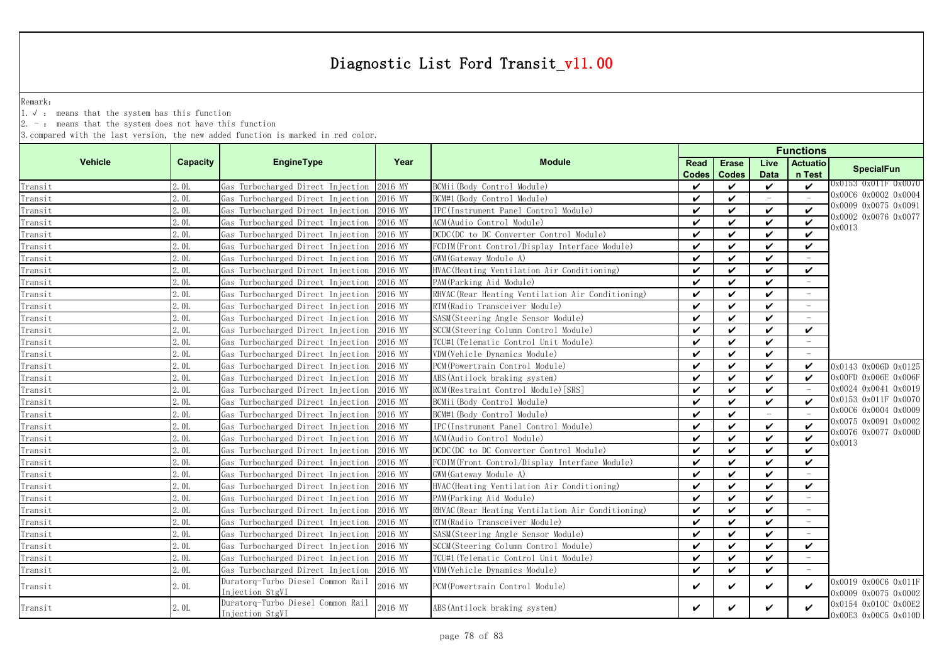Remark:

1.√ : means that the system has this function

2. - : means that the system does not have this function

|                |                 |                                                      |         |                                                   |                    | <b>Functions</b>           |                          |                                 |                                              |  |  |
|----------------|-----------------|------------------------------------------------------|---------|---------------------------------------------------|--------------------|----------------------------|--------------------------|---------------------------------|----------------------------------------------|--|--|
| <b>Vehicle</b> | <b>Capacity</b> | <b>EngineType</b>                                    | Year    | <b>Module</b>                                     | Read               | <b>Erase</b>               | Live                     | <b>Actuatio</b>                 | <b>SpecialFun</b>                            |  |  |
|                |                 |                                                      |         |                                                   | <b>Codes</b>       | <b>Codes</b>               | <b>Data</b>              | n Test                          |                                              |  |  |
| Transit        | 2. OL           | Gas Turbocharged Direct Injection                    | 2016 MY | BCMii (Body Control Module)                       | $\checkmark$       | $\checkmark$               | $\checkmark$             | $\checkmark$                    | 0x0153 0x011F 0x0070                         |  |  |
| Transit        | 2.01            | Gas Turbocharged Direct Injection                    | 2016 MY | BCM#1 (Body Control Module)                       | ✓                  | $\checkmark$               | $\equiv$                 | $\sim$                          | 0x00C6 0x0002 0x0004                         |  |  |
| Transit        | 2.0L            | Gas Turbocharged Direct Injection                    | 2016 MY | IPC(Instrument Panel Control Module)              | $\checkmark$       | $\checkmark$               | $\checkmark$             | ✓                               | 0x0009 0x0075 0x0091                         |  |  |
| Transit        | 2. OL           | Gas Turbocharged Direct Injection                    | 2016 MY | ACM (Audio Control Module)                        | ✓                  | $\boldsymbol{\mathcal{U}}$ | $\checkmark$             | ✓                               | 0x0002 0x0076 0x0077<br>0x0013               |  |  |
| Transit        | 2. OL           | Gas Turbocharged Direct Injection                    | 2016 MY | DCDC (DC to DC Converter Control Module)          | $\checkmark$       | $\checkmark$               | V                        | $\checkmark$                    |                                              |  |  |
| Transit        | 2. OL           | Gas Turbocharged Direct Injection                    | 2016 MY | FCDIM(Front Control/Display Interface Module)     | ✓                  | $\checkmark$               | V                        | ✓                               |                                              |  |  |
| Transit        | 2.01            | Gas Turbocharged Direct Injection                    | 2016 MY | GWM (Gateway Module A)                            | $\boldsymbol{\nu}$ | $\checkmark$               | $\checkmark$             |                                 |                                              |  |  |
| Transit        | 2. OL           | Gas Turbocharged Direct Injection                    | 2016 MY | HVAC (Heating Ventilation Air Conditioning)       | $\checkmark$       | $\checkmark$               | $\checkmark$             | ✓                               |                                              |  |  |
| Transit        | 2. OL           | Gas Turbocharged Direct Injection                    | 2016 MY | PAM (Parking Aid Module)                          | $\checkmark$       | $\checkmark$               | $\checkmark$             | $\overline{\phantom{a}}$        |                                              |  |  |
| Transit        | 2.OL            | Gas Turbocharged Direct Injection                    | 2016 MY | RHVAC (Rear Heating Ventilation Air Conditioning) | $\checkmark$       | $\checkmark$               | $\checkmark$             |                                 |                                              |  |  |
| Transit        | 2.01            | Gas Turbocharged Direct Injection                    | 2016 MY | RTM (Radio Transceiver Module)                    | $\checkmark$       | $\checkmark$               | $\checkmark$             | $\hspace{0.1mm}-\hspace{0.1mm}$ |                                              |  |  |
| Transit        | 2. OL           | Gas Turbocharged Direct Injection                    | 2016 MY | SASM(Steering Angle Sensor Module)                | $\boldsymbol{\nu}$ | $\boldsymbol{\mathcal{U}}$ | $\checkmark$             |                                 |                                              |  |  |
| Transit        | 2.0L            | Gas Turbocharged Direct Injection                    | 2016 MY | SCCM (Steering Column Control Module)             | ✓                  | ✓                          | $\checkmark$             | ✓                               |                                              |  |  |
| Transit        | 2. OL           | Gas Turbocharged Direct Injection                    | 2016 MY | TCU#1(Telematic Control Unit Module)              | ✓                  | $\checkmark$               | ✓                        |                                 |                                              |  |  |
| Transit        | 2. OL           | Gas Turbocharged Direct Injection                    | 2016 MY | VDM(Vehicle Dynamics Module)                      | ✓                  | $\checkmark$               | $\checkmark$             |                                 |                                              |  |  |
| Transit        | 2. OL           | Gas Turbocharged Direct Injection                    | 2016 MY | PCM (Powertrain Control Module)                   | $\checkmark$       | $\checkmark$               | $\checkmark$             | V                               | 0x0143 0x006D 0x0125                         |  |  |
| Transit        | 2. OL           | Gas Turbocharged Direct Injection                    | 2016 MY | ABS (Antilock braking system)                     | $\checkmark$       | $\checkmark$               | $\checkmark$             | $\boldsymbol{\mathcal{U}}$      | 0x00FD 0x006E 0x006F                         |  |  |
| Transit        | 2.01            | Gas Turbocharged Direct Injection                    | 2016 MY | RCM (Restraint Control Module) [SRS]              | $\checkmark$       | $\checkmark$               | $\checkmark$             |                                 | 0x0024 0x0041 0x0019                         |  |  |
| Transit        | 2. OL           | Gas Turbocharged Direct Injection                    | 2016 MY | BCMii(Body Control Module)                        | ✓                  | $\checkmark$               | $\checkmark$             | ✓                               | 0x0153 0x011F 0x0070                         |  |  |
| Transit        | 2. OL           | Gas Turbocharged Direct Injection                    | 2016 MY | BCM#1 (Body Control Module)                       | ✓                  | ✓                          | $\overline{\phantom{a}}$ |                                 | 0x00C6 0x0004 0x0009                         |  |  |
| Transit        | 2.0L            | Gas Turbocharged Direct Injection                    | 2016 MY | IPC (Instrument Panel Control Module)             | ✓                  | $\checkmark$               | $\checkmark$             | $\checkmark$                    | 0x0075 0x0091 0x0002                         |  |  |
| Transit        | 2. OL           | Gas Turbocharged Direct Injection                    | 2016 MY | ACM(Audio Control Module)                         | $\checkmark$       | $\checkmark$               | V                        | $\checkmark$                    | 0x0076 0x0077 0x000D<br>0x0013               |  |  |
| Transit        | 2. OL           | Gas Turbocharged Direct Injection                    | 2016 MY | DCDC (DC to DC Converter Control Module)          | ✓                  | $\checkmark$               | ✓                        | $\checkmark$                    |                                              |  |  |
| Transit        | 2. OL           | Gas Turbocharged Direct Injection                    | 2016 MY | FCDIM (Front Control/Display Interface Module)    | ✓                  | $\checkmark$               | $\checkmark$             | $\checkmark$                    |                                              |  |  |
| Transit        | 2.0L            | Gas Turbocharged Direct Injection                    | 2016 MY | GWM (Gateway Module A)                            | ✓                  | $\checkmark$               | $\checkmark$             |                                 |                                              |  |  |
| Transit        | 2. OL           | Gas Turbocharged Direct Injection                    | 2016 MY | HVAC (Heating Ventilation Air Conditioning)       | $\checkmark$       | $\checkmark$               | $\checkmark$             | $\checkmark$                    |                                              |  |  |
| Transit        | 2. OL           | Gas Turbocharged Direct Injection                    | 2016 MY | PAM (Parking Aid Module)                          | ✓                  | V                          | V                        | $\overline{\phantom{a}}$        |                                              |  |  |
| Transit        | 2.01            | Gas Turbocharged Direct Injection                    | 2016 MY | RHVAC (Rear Heating Ventilation Air Conditioning) | ✓                  | $\checkmark$               | $\checkmark$             | $\sim$                          |                                              |  |  |
| Transit        | 2.0L            | Gas Turbocharged Direct Injection                    | 2016 MY | RTM (Radio Transceiver Module)                    | ✓                  | $\checkmark$               | $\checkmark$             |                                 |                                              |  |  |
| Transit        | 2. OL           | Gas Turbocharged Direct Injection                    | 2016 MY | SASM(Steering Angle Sensor Module)                | ✓                  | ✓                          | $\checkmark$             |                                 |                                              |  |  |
| Transit        | 2. OL           | Gas Turbocharged Direct Injection                    | 2016 MY | SCCM(Steering Column Control Module)              | $\checkmark$       | $\checkmark$               | ✓                        | $\checkmark$                    |                                              |  |  |
| Transit        | 2. OL           | Gas Turbocharged Direct Injection                    | 2016 MY | TCU#1(Telematic Control Unit Module)              | ✓                  | $\checkmark$               | $\checkmark$             |                                 |                                              |  |  |
| Transit        | 2.0L            | Gas Turbocharged Direct Injection 2016 MY            |         | VDM (Vehicle Dynamics Module)                     | $\boldsymbol{\nu}$ | $\checkmark$               | $\checkmark$             |                                 |                                              |  |  |
| Transit        | 2. OL           | Duratorq-Turbo Diesel Common Rail                    | 2016 MY | PCM (Powertrain Control Module)                   | ✓                  | ✓                          | ✓                        | V                               | 0x0019 0x00C6 0x011F                         |  |  |
|                |                 | Injection StgVI                                      |         |                                                   |                    |                            |                          |                                 | 0x0009 0x0075 0x0002                         |  |  |
| Transit        | 2.0L            | Duratorq-Turbo Diesel Common Rail<br>Injection StgVI | 2016 MY | ABS (Antilock braking system)                     | ✓                  | ✓                          | ✓                        | ✓                               | 0x0154 0x010C 0x00E2<br>0x00E3 0x00C5 0x010D |  |  |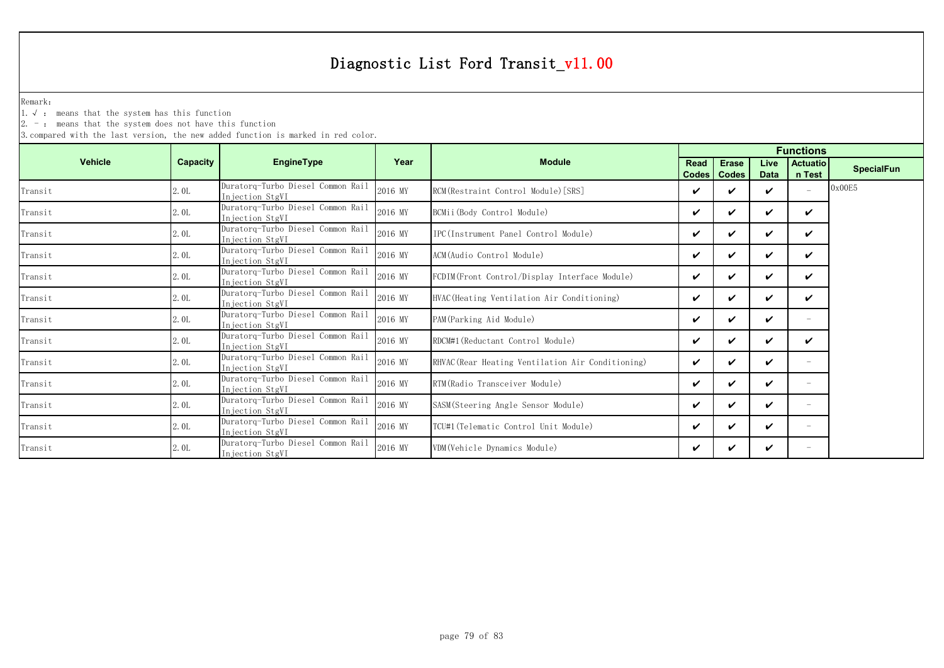Remark:

1.√ : means that the system has this function

2. - : means that the system does not have this function

|                |          |                                                       |         |                                                   |             | <b>Functions</b> |             |                          |                   |  |  |  |  |
|----------------|----------|-------------------------------------------------------|---------|---------------------------------------------------|-------------|------------------|-------------|--------------------------|-------------------|--|--|--|--|
| <b>Vehicle</b> | Capacity | EngineType                                            | Year    | <b>Module</b>                                     | <b>Read</b> | <b>Erase</b>     | Live        | <b>Actuatio</b>          | <b>SpecialFun</b> |  |  |  |  |
|                |          |                                                       |         |                                                   |             | Codes   Codes    | <b>Data</b> | n Test                   |                   |  |  |  |  |
| Transit        | 2.0L     | Duratorq-Turbo Diesel Common Rail<br>Injection StgVI  | 2016 MY | RCM (Restraint Control Module) [SRS]              | ✓           | ✔                | ✓           | $\overline{\phantom{a}}$ | 0x00E5            |  |  |  |  |
| Transit        | 2.0L     | Duratorq-Turbo Diesel Common Rail<br>Injection StgVI  | 2016 MY | BCMii (Body Control Module)                       | ✓           | ✓                | ✓           | ✓                        |                   |  |  |  |  |
| Transit        | 2.0L     | Duratorq-Turbo Diesel Common Rail<br>Injection StgVI  | 2016 MY | IPC (Instrument Panel Control Module)             | ✓           | ✓                | ✓           | ✓                        |                   |  |  |  |  |
| Transit        | 2.0L     | Duratorq-Turbo Diesel Common Rail<br>Injection StgVI  | 2016 MY | ACM(Audio Control Module)                         | ✓           | ✓                | ✓           | ✓                        |                   |  |  |  |  |
| Transit        | 2.0L     | Duratorq-Turbo Diesel Common Rail<br>In jection StgVI | 2016 MY | FCDIM(Front Control/Display Interface Module)     | ✓           | ✓                | ✓           | V                        |                   |  |  |  |  |
| Transit        | 2.0L     | Duratorq-Turbo Diesel Common Rail<br>Injection StgVI  | 2016 MY | HVAC(Heating Ventilation Air Conditioning)        | ✓           | ✓                | ✓           | ✓                        |                   |  |  |  |  |
| Transit        | 2.0L     | Duratorq-Turbo Diesel Common Rail<br>In jection StgVI | 2016 MY | PAM (Parking Aid Module)                          | ✓           | ✓                | V           | -                        |                   |  |  |  |  |
| Transit        | 2.0L     | Duratorq-Turbo Diesel Common Rail<br>Injection StgVI  | 2016 MY | RDCM#1 (Reductant Control Module)                 | ✓           | ✓                | ✓           | ✓                        |                   |  |  |  |  |
| Transit        | 2.0L     | Duratorq-Turbo Diesel Common Rail<br>Injection StgVI  | 2016 MY | RHVAC (Rear Heating Ventilation Air Conditioning) | ✓           | ✓                | ✓           | $\overline{\phantom{m}}$ |                   |  |  |  |  |
| Transit        | 2.0L     | Duratorq-Turbo Diesel Common Rail<br>In jection StgVI | 2016 MY | RTM (Radio Transceiver Module)                    | ✓           | ✓                | ✓           |                          |                   |  |  |  |  |
| Transit        | 2.0L     | Duratorq-Turbo Diesel Common Rail<br>In jection StgVI | 2016 MY | SASM (Steering Angle Sensor Module)               | ✓           | ✓                | ✓           | -                        |                   |  |  |  |  |
| Transit        | 2.0L     | Duratorq-Turbo Diesel Common Rail<br>Injection StgVI  | 2016 MY | TCU#1 (Telematic Control Unit Module)             | ✓           | ✓                | ✓           |                          |                   |  |  |  |  |
| Transit        | 2.0L     | Duratorq-Turbo Diesel Common Rail<br>Injection StgVI  | 2016 MY | VDM (Vehicle Dynamics Module)                     | ✓           |                  | ✓           | $\overline{\phantom{0}}$ |                   |  |  |  |  |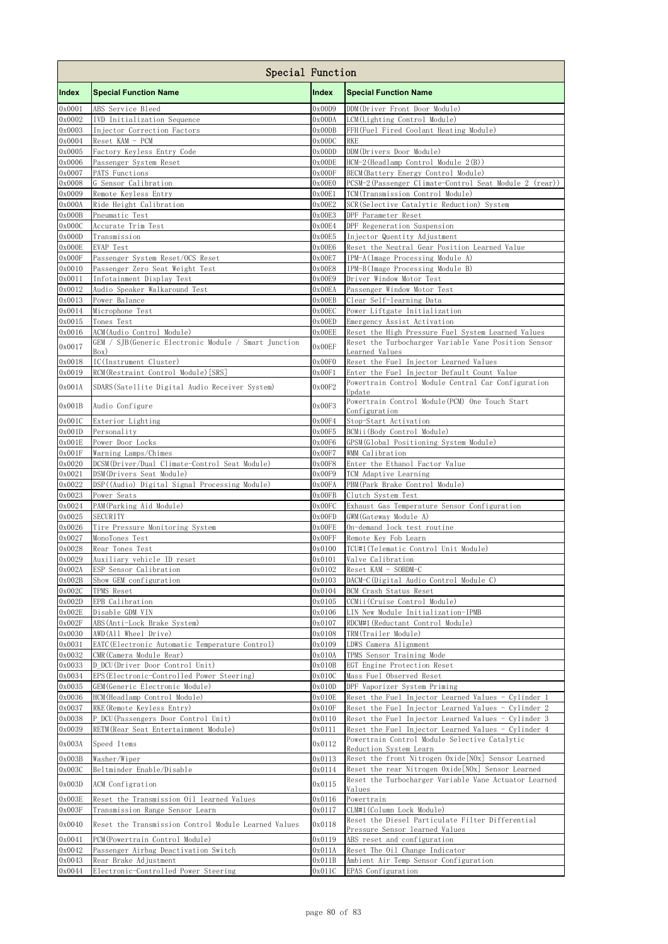|                  | Special Function                                                             |                  |                                                                                                             |
|------------------|------------------------------------------------------------------------------|------------------|-------------------------------------------------------------------------------------------------------------|
| Index            | <b>Special Function Name</b>                                                 | Index            | <b>Special Function Name</b>                                                                                |
| 0x0001           | ABS Service Bleed                                                            | 0x00D9           | DDM(Driver Front Door Module)                                                                               |
| 0x0002           | IVD Initialization Sequence                                                  | 0x00DA           | LCM(Lighting Control Module)                                                                                |
| 0x0003           | Injector Correction Factors                                                  | 0x00DB           | FFH(Fuel Fired Coolant Heating Module)                                                                      |
| 0x0004<br>0x0005 | Reset KAM - PCM<br>Factory Keyless Entry Code                                | 0x00DC<br>0x00DD | <b>RKE</b><br>DDM(Drivers Door Module)                                                                      |
| 0x0006           | Passenger System Reset                                                       | 0x00DE           | HCM-2 (Headlamp Control Module 2(B))                                                                        |
| 0x0007           | PATS Functions                                                               | 0x00DF           | BECM (Battery Energy Control Module)                                                                        |
| 0x0008           | G Sensor Calibration                                                         | 0x00E0           | PCSM-2 (Passenger Climate-Control Seat Module 2 (rear))                                                     |
| 0x0009           | Remote Keyless Entry                                                         | 0x00E1           | TCM (Transmission Control Module)                                                                           |
| 0x000A           | Ride Height Calibration                                                      | 0x00E2           | SCR(Selective Catalytic Reduction) System                                                                   |
| 0x000B           | Pneumatic Test                                                               | 0x00E3           | DPF Parameter Reset                                                                                         |
| 0x000C<br>0x000D | Accurate Trim Test<br>Transmission                                           | 0x00E4<br>0x00E5 | DPF Regeneration Suspension<br>Injector Quentity Adjustment                                                 |
| 0x000E           | <b>EVAP Test</b>                                                             | 0x00E6           | Reset the Neutral Gear Position Learned Value                                                               |
| 0x000F           | Passenger System Reset/OCS Reset                                             | 0x00E7           | IPM-A(Image Processing Module A)                                                                            |
| 0x0010           | Passenger Zero Seat Weight Test                                              | 0x00E8           | IPM-B(Image Processing Module B)                                                                            |
| 0x0011           | Infotainment Display Test                                                    | 0x00E9           | Driver Window Motor Test                                                                                    |
| 0x0012           | Audio Speaker Walkaround Test                                                | 0x00EA           | Passenger Window Motor Test                                                                                 |
| 0x0013<br>0x0014 | Power Balance<br>Microphone Test                                             | 0x00EB<br>0x00EC | Clear Self-learning Data<br>Power Liftgate Initialization                                                   |
| 0x0015           | Tones Test                                                                   | 0x00ED           | Emergency Assist Activation                                                                                 |
| 0x0016           | ACM(Audio Control Module)                                                    | 0x00EE           | Reset the High Pressure Fuel System Learned Values                                                          |
| 0x0017           | GEM / SJB(Generic Electronic Module / Smart Junction                         | 0x00EF           | Reset the Turbocharger Variable Vane Position Sensor                                                        |
| 0x0018           | Box)<br>IC(Instrument Cluster)                                               | 0x00F0           | Learned Values<br>Reset the Fuel Injector Learned Values                                                    |
| 0x0019           | RCM (Restraint Control Module) [SRS]                                         | 0x00F1           | Enter the Fuel Injector Default Count Value                                                                 |
| 0x001A           | SDARS (Satellite Digital Audio Receiver System)                              | 0x00F2           | Powertrain Control Module Central Car Configuration                                                         |
|                  |                                                                              |                  | Undate<br>Powertrain Control Module (PCM) One Touch Start                                                   |
| 0x001B           | Audio Configure                                                              | 0x00F3           | Configuration                                                                                               |
| 0x001C           | Exterior Lighting                                                            | 0x00F4           | Stop-Start Activation                                                                                       |
| 0x001D<br>0x001E | Personality<br>Power Door Locks                                              | 0x00F5<br>0x00F6 | BCMii (Body Control Module)<br>GPSM(Global Positioning System Module)                                       |
| 0x001F           | Warning Lamps/Chimes                                                         | 0x00F7           | WMM Calibration                                                                                             |
| 0x0020           | DCSM(Driver/Dual Climate-Control Seat Module)                                | 0x00F8           | Enter the Ethanol Factor Value                                                                              |
| 0x0021           | DSM (Drivers Seat Module)                                                    | 0x00F9           | TCM Adaptive Learning                                                                                       |
| 0x0022           | DSP((Audio) Digital Signal Processing Module)                                | 0x00FA           | PBM (Park Brake Control Module)                                                                             |
| 0x0023           | Power Seats                                                                  | 0x00FB           | Clutch System Test                                                                                          |
| 0x0024<br>0x0025 | PAM (Parking Aid Module)<br><b>SECURITY</b>                                  | 0x00FC<br>0x00FD | Exhaust Gas Temperature Sensor Configuration<br>GWM (Gateway Module A)                                      |
| 0x0026           | Tire Pressure Monitoring System                                              | 0x00FE           | On-demand lock test routine                                                                                 |
| 0x0027           | MonoTones Test                                                               | 0x00FF           | Remote Key Fob Learn                                                                                        |
| 0x0028           | Rear Tones Test                                                              | 0x0100           | TCU#1 (Telematic Control Unit Module)                                                                       |
| 0x0029           | Auxiliary vehicle ID reset                                                   | 0x0101           | Valve Calibration                                                                                           |
| 0x002A           | ESP Sensor Calibration                                                       | 0x0102           | Reset KAM - SOBDM-C                                                                                         |
| 0x002B<br>0x002C | Show GEM configuration<br>TPMS Reset                                         | 0x0103<br>0x0104 | DACM-C(Digital Audio Control Module C)<br>BCM Crash Status Reset                                            |
| 0x002D           | EPB Calibration                                                              | 0x0105           | CCMii (Cruise Control Module)                                                                               |
| 0x002E           | Disable GDM VIN                                                              | 0x0106           | LIN New Module Initialization-IPMB                                                                          |
| 0x002F           | ABS(Anti-Lock Brake System)                                                  | 0x0107           | RDCM#1 (Reductant Control Module)                                                                           |
| 0x0030           | AWD(All Wheel Drive)                                                         | 0x0108           | TRM(Trailer Module)                                                                                         |
| 0x0031           | EATC (Electronic Automatic Temperature Control)                              | 0x0109           | LDWS Camera Alignment                                                                                       |
| 0x0032<br>0x0033 | CMR (Camera Module Rear)<br>D DCU(Driver Door Control Unit)                  | 0x010A<br>0x010B | TPMS Sensor Training Mode<br>EGT Engine Protection Reset                                                    |
| 0x0034           | EPS (Electronic-Controlled Power Steering)                                   | 0x010C           | Mass Fuel Observed Reset                                                                                    |
| 0x0035           | GEM (Generic Electronic Module)                                              | 0x010D           | DPF Vaporizer System Priming                                                                                |
| 0x0036           | HCM (Headlamp Control Module)                                                | 0x010E           | Reset the Fuel Injector Learned Values - Cylinder 1                                                         |
| 0x0037           | RKE (Remote Keyless Entry)                                                   | 0x010F           | Reset the Fuel Injector Learned Values - Cylinder 2                                                         |
| 0x0038           | P DCU (Passengers Door Control Unit)                                         | 0x0110           | Reset the Fuel Injector Learned Values - Cylinder 3                                                         |
| 0x0039           | RETM(Rear Seat Entertainment Module)                                         | 0x0111           | Reset the Fuel Injector Learned Values - Cylinder 4<br>Powertrain Control Module Selective Catalytic        |
| 0x003A           | Speed Items                                                                  | 0x0112           | Reduction System Learn                                                                                      |
| 0x003B           | Washer/Wiper                                                                 | 0x0113           | Reset the front Nitrogen Oxide [NOx] Sensor Learned                                                         |
| 0x003C           | Beltminder Enable/Disable                                                    | 0x0114           | Reset the rear Nitrogen Oxide [NOx] Sensor Learned<br>Reset the Turbocharger Variable Vane Actuator Learned |
| 0x003D           | ACM Configration                                                             | 0x0115           | Values                                                                                                      |
| 0x003E<br>0x003F | Reset the Transmission Oil learned Values<br>Transmission Range Sensor Learn | 0x0116           | Powertrain<br>CLM#1(Column Lock Module)                                                                     |
|                  |                                                                              | 0x0117           | Reset the Diesel Particulate Filter Differential                                                            |
| 0x0040           | Reset the Transmission Control Module Learned Values                         | 0x0118           | Pressure Sensor learned Values                                                                              |
| 0x0041<br>0x0042 | PCM (Powertrain Control Module)                                              | 0x0119           | ABS reset and configuration                                                                                 |
| 0x0043           | Passenger Airbag Deactivation Switch<br>Rear Brake Adjustment                | 0x011A<br>0x011B | Reset The Oil Change Indicator<br>Ambient Air Temp Sensor Configuration                                     |
| 0x0044           | Electronic-Controlled Power Steering                                         | 0x011C           | EPAS Configuration                                                                                          |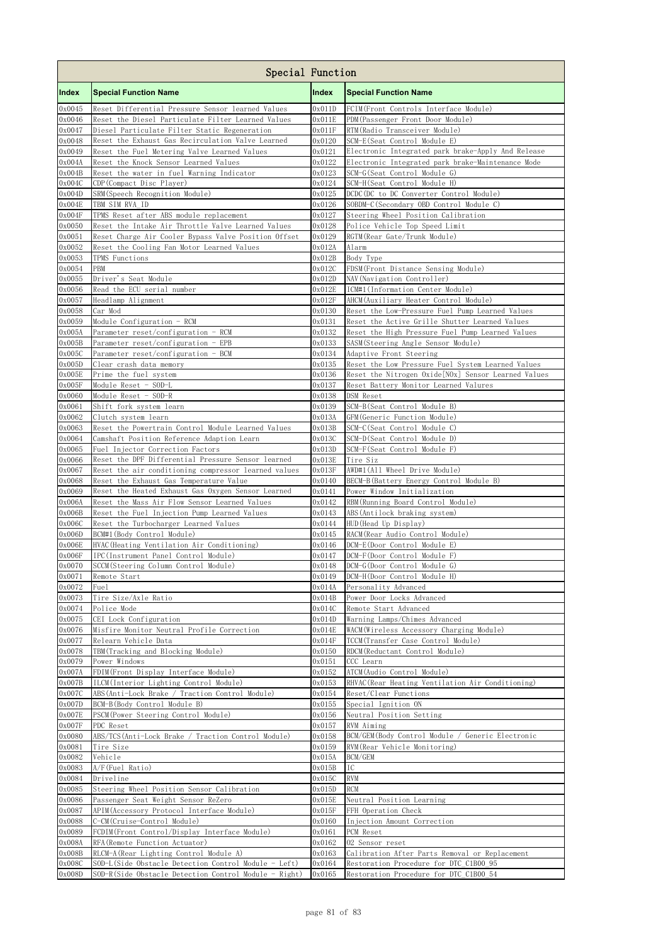|                  | Special Function                                                                                   |                  |                                                                             |
|------------------|----------------------------------------------------------------------------------------------------|------------------|-----------------------------------------------------------------------------|
| Index            | <b>Special Function Name</b>                                                                       | Index            | <b>Special Function Name</b>                                                |
| 0x0045           | Reset Differential Pressure Sensor learned Values                                                  | 0x011D           | FCIM(Front Controls Interface Module)                                       |
| 0x0046           | Reset the Diesel Particulate Filter Learned Values                                                 | $0 \times 011E$  | PDM (Passenger Front Door Module)                                           |
| 0x0047<br>0x0048 | Diesel Particulate Filter Static Regeneration<br>Reset the Exhaust Gas Recirculation Valve Learned | 0x011F<br>0x0120 | RTM (Radio Transceiver Module)<br>SCM-E(Seat Control Module E)              |
| 0x0049           | Reset the Fuel Metering Valve Learned Values                                                       | 0x0121           | Electronic Integrated park brake-Apply And Release                          |
| 0x004A           | Reset the Knock Sensor Learned Values                                                              | 0x0122           | Electronic Integrated park brake-Maintenance Mode                           |
| 0x004B           | Reset the water in fuel Warning Indicator                                                          | 0x0123           | SCM-G(Seat Control Module G)                                                |
| 0x004C           | CDP (Compact Disc Player)                                                                          | 0x0124           | SCM-H(Seat Control Module H)                                                |
| 0x004D           | SRM (Speech Recognition Module)                                                                    | 0x0125           | DCDC (DC to DC Converter Control Module)                                    |
| 0x004E           | TBM SIM RVA ID                                                                                     | 0x0126           | SOBDM-C(Secondary OBD Control Module C)                                     |
| 0x004F<br>0x0050 | TPMS Reset after ABS module replacement<br>Reset the Intake Air Throttle Valve Learned Values      | 0x0127<br>0x0128 | Steering Wheel Position Calibration<br>Police Vehicle Top Speed Limit       |
| 0x0051           | Reset Charge Air Cooler Bypass Valve Position Offset                                               | 0x0129           | RGTM (Rear Gate/Trunk Module)                                               |
| 0x0052           | Reset the Cooling Fan Motor Learned Values                                                         | 0x012A           | Alarm                                                                       |
| 0x0053           | TPMS Functions                                                                                     | 0x012B           | Body Type                                                                   |
| 0x0054           | <b>PBM</b>                                                                                         | 0x012C           | FDSM (Front Distance Sensing Module)                                        |
| 0x0055           | Driver's Seat Module                                                                               | 0x012D           | NAV (Navigation Controller)                                                 |
| 0x0056<br>0x0057 | Read the ECU serial number<br>Headlamp Alignment                                                   | 0x012E<br>0x012F | ICM#1 (Information Center Module)<br>AHCM (Auxiliary Heater Control Module) |
| 0x0058           | Car Mod                                                                                            | 0x0130           | Reset the Low-Pressure Fuel Pump Learned Values                             |
| 0x0059           | Module Configuration - RCM                                                                         | 0x0131           | Reset the Active Grille Shutter Learned Values                              |
| 0x005A           | Parameter reset/configuration - RCM                                                                | 0x0132           | Reset the High Pressure Fuel Pump Learned Values                            |
| 0x005B           | Parameter reset/configuration - EPB                                                                | 0x0133           | SASM(Steering Angle Sensor Module)                                          |
| 0x005C           | Parameter reset/configuration - BCM                                                                | 0x0134           | Adaptive Front Steering                                                     |
| 0x005D           | Clear crash data memory                                                                            | 0x0135           | Reset the Low Pressure Fuel System Learned Values                           |
| 0x005E           | Prime the fuel system                                                                              | 0x0136           | Reset the Nitrogen Oxide [NOx] Sensor Learned Values                        |
| 0x005F<br>0x0060 | Module Reset - SOD-L<br>Module Reset - SOD-R                                                       | 0x0137<br>0x0138 | Reset Battery Monitor Learned Valures<br>DSM Reset                          |
| 0x0061           | Shift fork system learn                                                                            | 0x0139           | SCM-B(Seat Control Module B)                                                |
| 0x0062           | Clutch system learn                                                                                | 0x013A           | GFM (Generic Function Module)                                               |
| 0x0063           | Reset the Powertrain Control Module Learned Values                                                 | 0x013B           | SCM-C (Seat Control Module C)                                               |
| 0x0064           | Camshaft Position Reference Adaption Learn                                                         | 0x013C           | SCM-D(Seat Control Module D)                                                |
| 0x0065           | Fuel Injector Correction Factors                                                                   | 0x013D           | SCM-F (Seat Control Module F)                                               |
| 0x0066           | Reset the DPF Differential Pressure Sensor learned                                                 | 0x013E           | Tire Siz                                                                    |
| 0x0067<br>0x0068 | Reset the air conditioning compressor learned values<br>Reset the Exhaust Gas Temperature Value    | 0x013F<br>0x0140 | AWD#1(All Wheel Drive Module)<br>BECM-B (Battery Energy Control Module B)   |
| 0x0069           | Reset the Heated Exhaust Gas Oxygen Sensor Learned                                                 | 0x0141           | Power Window Initialization                                                 |
| 0x006A           | Reset the Mass Air Flow Sensor Learned Values                                                      | 0x0142           | RBM (Running Board Control Module)                                          |
| 0x006B           | Reset the Fuel Injection Pump Learned Values                                                       | 0x0143           | ABS (Antilock braking system)                                               |
| 0x006C           | Reset the Turbocharger Learned Values                                                              | 0x0144           | HUD (Head Up Display)                                                       |
| $0 \times 006D$  | BCM#1 (Body Control Module)                                                                        | 0x0145           | RACM(Rear Audio Control Module)                                             |
| 0x006E           | HVAC(Heating Ventilation Air Conditioning)                                                         | 0x0146           | DCM-E(Door Control Module E)                                                |
| 0x006F<br>0x0070 | IPC(Instrument Panel Control Module)                                                               | 0x0147           | DCM-F(Door Control Module F)                                                |
| 0x0071           | SCCM(Steering Column Control Module)<br>Remote Start                                               | 0x0148<br>0x0149 | DCM-G(Door Control Module G)<br>DCM-H(Door Control Module H)                |
| 0x0072           | Fuel                                                                                               | 0x014A           | Personality Advanced                                                        |
| 0x0073           | Tire Size/Axle Ratio                                                                               | 0x014B           | Power Door Locks Advanced                                                   |
| 0x0074           | Police Mode                                                                                        | 0x014C           | Remote Start Advanced                                                       |
| 0x0075           | CEI Lock Configuration                                                                             | 0x014D           | Warning Lamps/Chimes Advanced                                               |
| 0x0076           | Misfire Monitor Neutral Profile Correction                                                         | 0x014E           | WACM(Wireless Accessory Charging Module)                                    |
| 0x0077<br>0x0078 | Relearn Vehicle Data<br>TBM (Tracking and Blocking Module)                                         | 0x014F<br>0x0150 | TCCM (Transfer Case Control Module)<br>RDCM (Reductant Control Module)      |
| 0x0079           | Power Windows                                                                                      | 0x0151           | CCC Learn                                                                   |
| 0x007A           | FDIM(Front Display Interface Module)                                                               | 0x0152           | ATCM(Audio Control Module)                                                  |
| 0x007B           | ILCM(Interior Lighting Control Module)                                                             | 0x0153           | RHVAC (Rear Heating Ventilation Air Conditioning)                           |
| 0x007C           | ABS (Anti-Lock Brake / Traction Control Module)                                                    | 0x0154           | Reset/Clear Functions                                                       |
| 0x007D           | BCM-B(Body Control Module B)                                                                       | 0x0155           | Special Ignition ON                                                         |
| 0x007E           | PSCM(Power Steering Control Module)                                                                | 0x0156           | Neutral Position Setting                                                    |
| 0x007F<br>0x0080 | PDC Reset<br>ABS/TCS (Anti-Lock Brake / Traction Control Module)                                   | 0x0157<br>0x0158 | RVM Aiming<br>BCM/GEM(Body Control Module / Generic Electronic              |
| 0x0081           | Tire Size                                                                                          | 0x0159           | RVM (Rear Vehicle Monitoring)                                               |
| 0x0082           | Vehicle                                                                                            | 0x015A           | BCM/GEM                                                                     |
| 0x0083           | A/F(Fuel Ratio)                                                                                    | 0x015B           | IC                                                                          |
| 0x0084           | Driveline                                                                                          | 0x015C           | <b>RVM</b>                                                                  |
| 0x0085           | Steering Wheel Position Sensor Calibration                                                         | 0x015D           | <b>RCM</b>                                                                  |
| 0x0086           | Passenger Seat Weight Sensor ReZero                                                                | 0x015E           | Neutral Position Learning                                                   |
| 0x0087           | APIM(Accessory Protocol Interface Module)                                                          | 0x015F           | FFH Operation Check                                                         |
| 0x0088<br>0x0089 | C-CM(Cruise-Control Module)<br>FCDIM(Front Control/Display Interface Module)                       | 0x0160<br>0x0161 | Injection Amount Correction<br>PCM Reset                                    |
| 0x008A           | RFA (Remote Function Actuator)                                                                     | 0x0162           | 02 Sensor reset                                                             |
| 0x008B           | RLCM-A (Rear Lighting Control Module A)                                                            | 0x0163           | Calibration After Parts Removal or Replacement                              |
| 0x008C           | SOD-L(Side Obstacle Detection Control Module - Left)                                               | 0x0164           | Restoration Procedure for DTC C1B00 95                                      |
| 0x008D           | SOD-R(Side Obstacle Detection Control Module - Right)                                              | 0x0165           | Restoration Procedure for DTC C1B00 54                                      |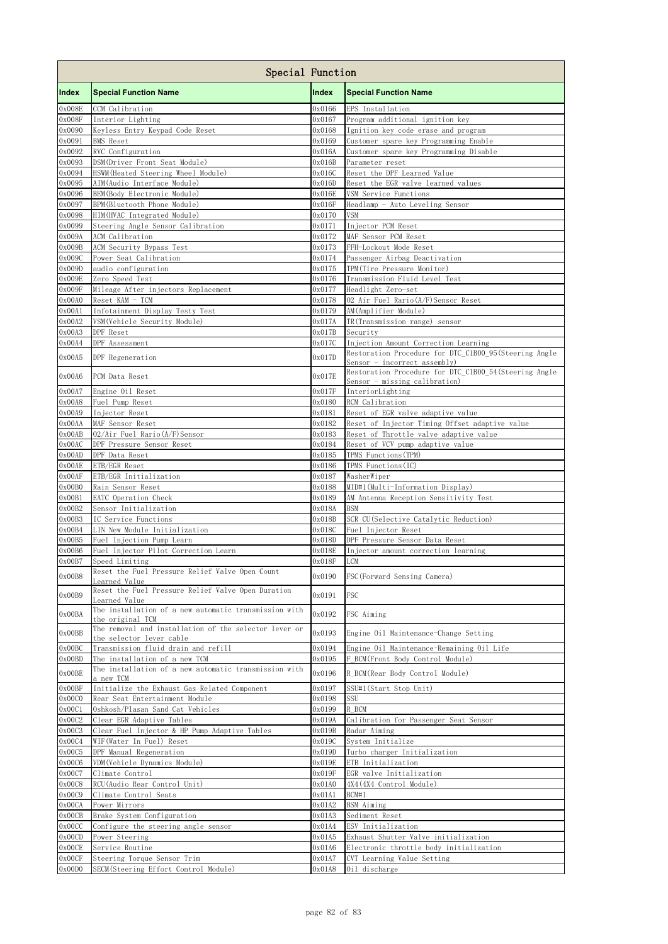|                  | Special Function                                                          |                  |                                                                                        |
|------------------|---------------------------------------------------------------------------|------------------|----------------------------------------------------------------------------------------|
| <b>Index</b>     | <b>Special Function Name</b>                                              | Index            | <b>Special Function Name</b>                                                           |
| 0x008E           | CCM Calibration                                                           | 0x0166           | EPS Installation                                                                       |
| 0x008F           | Interior Lighting                                                         | 0x0167           | Program additional ignition key                                                        |
| 0x0090<br>0x0091 | Keyless Entry Keypad Code Reset<br><b>BMS</b> Reset                       | 0x0168<br>0x0169 | Ignition key code erase and program                                                    |
| 0x0092           | RVC Configuration                                                         | 0x016A           | Customer spare key Programming Enable<br>Customer spare key Programming Disable        |
| 0x0093           | DSM(Driver Front Seat Module)                                             | 0x016B           | Parameter reset                                                                        |
| 0x0094           | HSWM (Heated Steering Wheel Module)                                       | 0x016C           | Reset the DPF Learned Value                                                            |
| 0x0095           | AIM(Audio Interface Module)                                               | 0x016D           | Reset the EGR valve learned values                                                     |
| 0x0096<br>0x0097 | BEM (Body Electronic Module)<br>BPM (Bluetooth Phone Module)              | 0x016E<br>0x016F | VSM Service Functions<br>Headlamp - Auto Leveling Sensor                               |
| 0x0098           | HIM(HVAC Integrated Module)                                               | 0x0170           | <b>VSM</b>                                                                             |
| 0x0099           | Steering Angle Sensor Calibration                                         | 0x0171           | Injector PCM Reset                                                                     |
| 0x009A           | ACM Calibration                                                           | 0x0172           | MAF Sensor PCM Reset                                                                   |
| 0x009B<br>0x009C | ACM Security Bypass Test<br>Power Seat Calibration                        | 0x0173<br>0x0174 | FFH-Lockout Mode Reset<br>Passenger Airbag Deactivation                                |
| 0x009D           | audio configuration                                                       | 0x0175           | TPM(Tire Pressure Monitor)                                                             |
| 0x009E           | Zero Speed Test                                                           | 0x0176           | Transmission Fluid Level Test                                                          |
| 0x009F           | Mileage After injectors Replacement                                       | 0x0177           | Headlight Zero-set                                                                     |
| 0x00A0           | Reset KAM - TCM                                                           | 0x0178           | 02 Air Fuel Rario (A/F) Sensor Reset                                                   |
| 0x00A1<br>0x00A2 | Infotainment Display Testy Test<br>VSM (Vehicle Security Module)          | 0x0179<br>0x017A | AM(Amplifier Module)<br>TR(Transmission range) sensor                                  |
| 0x00A3           | DPF Reset                                                                 | 0x017B           | Security                                                                               |
| 0x00A4           | DPF Assessment                                                            | 0x017C           | Injection Amount Correction Learning                                                   |
| 0x00A5           | DPF Regeneration                                                          | 0x017D           | Restoration Procedure for DTC C1B00 95 (Steering Angle<br>Sensor - incorrect assembly) |
| 0x00A6           | PCM Data Reset                                                            | 0x017E           | Restoration Procedure for DTC_C1B00_54(Steering Angle<br>Sensor - missing calibration) |
| 0x00A7<br>0x00A8 | Engine Oil Reset<br>Fuel Pump Reset                                       | 0x017F<br>0x0180 | InteriorLighting<br>RCM Calibration                                                    |
| 0x00A9           | Injector Reset                                                            | 0x0181           | Reset of EGR valve adaptive value                                                      |
| 0x00AA           | MAF Sensor Reset                                                          | 0x0182           | Reset of Injector Timing Offset adaptive value                                         |
| 0x00AB           | 02/Air Fuel Rario (A/F) Sensor                                            | 0x0183           | Reset of Throttle valve adaptive value                                                 |
| 0x00AC           | DPF Pressure Sensor Reset                                                 | 0x0184           | Reset of VCV pump adaptive value                                                       |
| 0x00AD<br>0x00AE | DPF Data Reset<br>ETB/EGR Reset                                           | 0x0185<br>0x0186 | TPMS Functions (TPM)<br>TPMS Functions (IC)                                            |
| 0x00AF           | ETB/EGR Initialization                                                    | 0x0187           | WasherWiper                                                                            |
| 0x00B0           | Rain Sensor Reset                                                         | 0x0188           | MID#1(Multi-Information Display)                                                       |
| 0x00B1           | EATC Operation Check                                                      | 0x0189           | AM Antenna Reception Sensitivity Test                                                  |
| 0x00B2<br>0x00B3 | Sensor Initialization<br>IC Service Functions                             | 0x018A<br>0x018B | <b>BSM</b><br>SCR CU(Selective Catalytic Reduction)                                    |
| 0x00B4           | LIN New Module Initialization                                             | 0x018C           | Fuel Injector Reset                                                                    |
| 0x00B5           | Fuel Injection Pump Learn                                                 | 0x018D           | DPF Pressure Sensor Data Reset                                                         |
| 0x00B6           | Fuel Injector Pilot Correction Learn                                      | 0x018E           | Injector amount correction learning                                                    |
| 0x00B7           | Speed Limiting<br>Reset the Fuel Pressure Relief Valve Open Count         | 0x018F           | <b>LCM</b>                                                                             |
| 0x00B8           | Learned Value<br>Reset the Fuel Pressure Relief Valve Open Duration       | 0x0190           | FSC (Forward Sensing Camera)                                                           |
| 0x00B9           | Learned Value<br>The installation of a new automatic transmission with    | 0x0191           | FSC                                                                                    |
| 0x00BA           | the original TCM<br>The removal and installation of the selector lever or | 0x0192           | FSC Aiming                                                                             |
| 0x00BB<br>0x00BC | the selector lever cable<br>Transmission fluid drain and refill           | 0x0193<br>0x0194 | Engine Oil Maintenance-Change Setting<br>Engine Oil Maintenance-Remaining Oil Life     |
| 0x00BD           | The installation of a new TCM                                             | 0x0195           | F BCM (Front Body Control Module)                                                      |
| 0x00BE           | The installation of a new automatic transmission with<br>a new TCM        | 0x0196           | R BCM(Rear Body Control Module)                                                        |
| 0x00BF           | Initialize the Exhaust Gas Related Component                              | 0x0197           | SSU#1(Start Stop Unit)                                                                 |
| 0x00C0<br>0x00C1 | Rear Seat Entertainment Module<br>Oshkosh/Plasan Sand Cat Vehicles        | 0x0198<br>0x0199 | SSU<br>R BCM                                                                           |
| 0x00C2           | Clear EGR Adaptive Tables                                                 | 0x019A           | Calibration for Passenger Seat Sensor                                                  |
| 0x00C3           | Clear Fuel Injector & HP Pump Adaptive Tables                             | 0x019B           | Radar Aiming                                                                           |
| 0x00C4           | WIF(Water In Fuel) Reset                                                  | 0x019C           | System Initialize                                                                      |
| 0x00C5<br>0x00C6 | DPF Manual Regeneration<br>VDM(Vehicle Dynamics Module)                   | 0x019D<br>0x019E | Turbo charger Initialization<br>ETB Initialization                                     |
| 0x00C7           | Climate Control                                                           | 0x019F           | EGR valve Initialization                                                               |
| 0x00C8           | RCU(Audio Rear Control Unit)                                              | 0x01A0           | 4X4 (4X4 Control Module)                                                               |
| 0x00C9           | Climate Control Seats                                                     | 0x01A1           | BCM#1                                                                                  |
| 0x00CA           | Power Mirrors                                                             | 0x01A2           | <b>BSM</b> Aiming                                                                      |
| 0x00CB<br>0x00CC | Brake System Configuration<br>Configure the steering angle sensor         | 0x01A3<br>0x01A4 | Sediment Reset<br>ESV Initialization                                                   |
| 0x00CD           | Power Steering                                                            | 0x01A5           | Exhaust Shutter Valve initialization                                                   |
| 0x00CE           | Service Routine                                                           | 0x01A6           | Electronic throttle body initialization                                                |
| 0x00CF           | Steering Torque Sensor Trim                                               | 0x01A7           | CVT Learning Value Setting                                                             |
| 0x00D0           | SECM(Steering Effort Control Module)                                      | 0x01A8           | Oil discharge                                                                          |